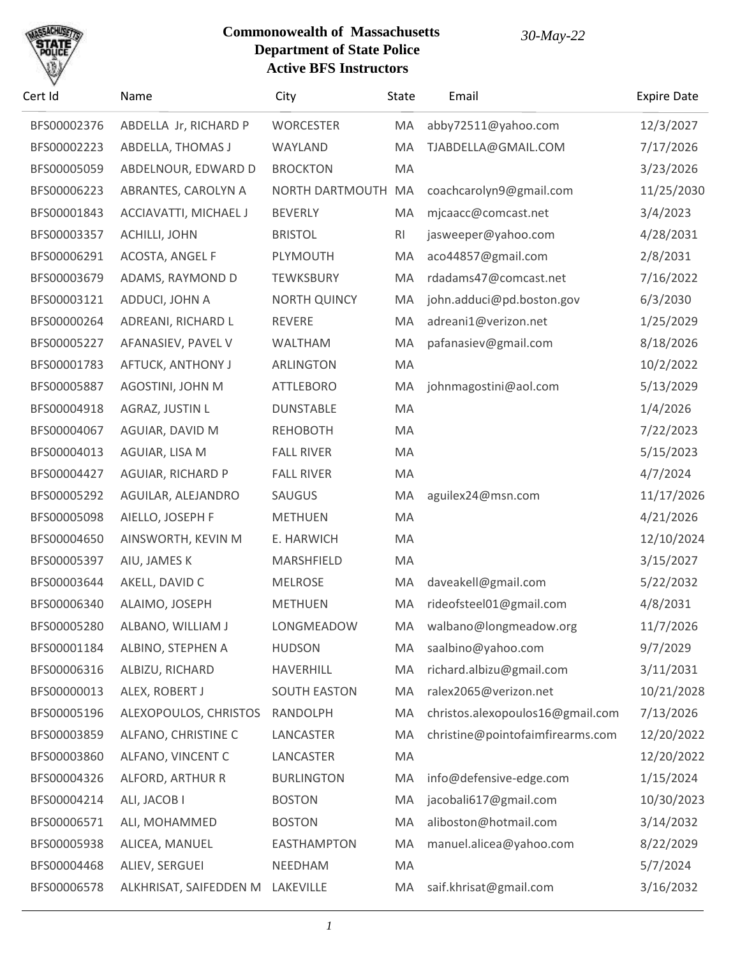

| Cert Id     | Name                             | City                | State          | Email                            | <b>Expire Date</b> |
|-------------|----------------------------------|---------------------|----------------|----------------------------------|--------------------|
| BFS00002376 | ABDELLA Jr, RICHARD P            | <b>WORCESTER</b>    | MA             | abby72511@yahoo.com              | 12/3/2027          |
| BFS00002223 | ABDELLA, THOMAS J                | WAYLAND             | MA             | TJABDELLA@GMAIL.COM              | 7/17/2026          |
| BFS00005059 | ABDELNOUR, EDWARD D              | <b>BROCKTON</b>     | MA             |                                  | 3/23/2026          |
| BFS00006223 | ABRANTES, CAROLYN A              | NORTH DARTMOUTH     | MA             | coachcarolyn9@gmail.com          | 11/25/2030         |
| BFS00001843 | ACCIAVATTI, MICHAEL J            | <b>BEVERLY</b>      | MA             | mjcaacc@comcast.net              | 3/4/2023           |
| BFS00003357 | ACHILLI, JOHN                    | <b>BRISTOL</b>      | R <sub>l</sub> | jasweeper@yahoo.com              | 4/28/2031          |
| BFS00006291 | ACOSTA, ANGEL F                  | PLYMOUTH            | MA             | aco44857@gmail.com               | 2/8/2031           |
| BFS00003679 | ADAMS, RAYMOND D                 | <b>TEWKSBURY</b>    | MA             | rdadams47@comcast.net            | 7/16/2022          |
| BFS00003121 | ADDUCI, JOHN A                   | <b>NORTH QUINCY</b> | MA             | john.adduci@pd.boston.gov        | 6/3/2030           |
| BFS00000264 | ADREANI, RICHARD L               | REVERE              | MA             | adreani1@verizon.net             | 1/25/2029          |
| BFS00005227 | AFANASIEV, PAVEL V               | <b>WALTHAM</b>      | MA             | pafanasiev@gmail.com             | 8/18/2026          |
| BFS00001783 | AFTUCK, ANTHONY J                | ARLINGTON           | MA             |                                  | 10/2/2022          |
| BFS00005887 | AGOSTINI, JOHN M                 | <b>ATTLEBORO</b>    | MA             | johnmagostini@aol.com            | 5/13/2029          |
| BFS00004918 | AGRAZ, JUSTIN L                  | <b>DUNSTABLE</b>    | MA             |                                  | 1/4/2026           |
| BFS00004067 | AGUIAR, DAVID M                  | <b>REHOBOTH</b>     | MA             |                                  | 7/22/2023          |
| BFS00004013 | AGUIAR, LISA M                   | <b>FALL RIVER</b>   | MA             |                                  | 5/15/2023          |
| BFS00004427 | <b>AGUIAR, RICHARD P</b>         | <b>FALL RIVER</b>   | MA             |                                  | 4/7/2024           |
| BFS00005292 | AGUILAR, ALEJANDRO               | <b>SAUGUS</b>       | MA             | aguilex24@msn.com                | 11/17/2026         |
| BFS00005098 | AIELLO, JOSEPH F                 | <b>METHUEN</b>      | MA             |                                  | 4/21/2026          |
| BFS00004650 | AINSWORTH, KEVIN M               | E. HARWICH          | MA             |                                  | 12/10/2024         |
| BFS00005397 | AIU, JAMES K                     | MARSHFIELD          | MA             |                                  | 3/15/2027          |
| BFS00003644 | AKELL, DAVID C                   | <b>MELROSE</b>      | MA             | daveakell@gmail.com              | 5/22/2032          |
| BFS00006340 | ALAIMO, JOSEPH                   | <b>METHUEN</b>      | MA             | rideofsteel01@gmail.com          | 4/8/2031           |
| BFS00005280 | ALBANO, WILLIAM J                | LONGMEADOW          | MA             | walbano@longmeadow.org           | 11/7/2026          |
| BFS00001184 | ALBINO, STEPHEN A                | <b>HUDSON</b>       | MA             | saalbino@yahoo.com               | 9/7/2029           |
| BFS00006316 | ALBIZU, RICHARD                  | <b>HAVERHILL</b>    | MA             | richard.albizu@gmail.com         | 3/11/2031          |
| BFS00000013 | ALEX, ROBERT J                   | <b>SOUTH EASTON</b> | MA             | ralex2065@verizon.net            | 10/21/2028         |
| BFS00005196 | ALEXOPOULOS, CHRISTOS            | RANDOLPH            | MA             | christos.alexopoulos16@gmail.com | 7/13/2026          |
| BFS00003859 | ALFANO, CHRISTINE C              | LANCASTER           | MA             | christine@pointofaimfirearms.com | 12/20/2022         |
| BFS00003860 | ALFANO, VINCENT C                | LANCASTER           | MA             |                                  | 12/20/2022         |
| BFS00004326 | ALFORD, ARTHUR R                 | <b>BURLINGTON</b>   | MA             | info@defensive-edge.com          | 1/15/2024          |
| BFS00004214 | ALI, JACOB I                     | <b>BOSTON</b>       | MA             | jacobali617@gmail.com            | 10/30/2023         |
| BFS00006571 | ALI, MOHAMMED                    | <b>BOSTON</b>       | MA             | aliboston@hotmail.com            | 3/14/2032          |
| BFS00005938 | ALICEA, MANUEL                   | <b>EASTHAMPTON</b>  | MA             | manuel.alicea@yahoo.com          | 8/22/2029          |
| BFS00004468 | ALIEV, SERGUEI                   | NEEDHAM             | MA             |                                  | 5/7/2024           |
| BFS00006578 | ALKHRISAT, SAIFEDDEN M LAKEVILLE |                     | MA             | saif.khrisat@gmail.com           | 3/16/2032          |
|             |                                  |                     |                |                                  |                    |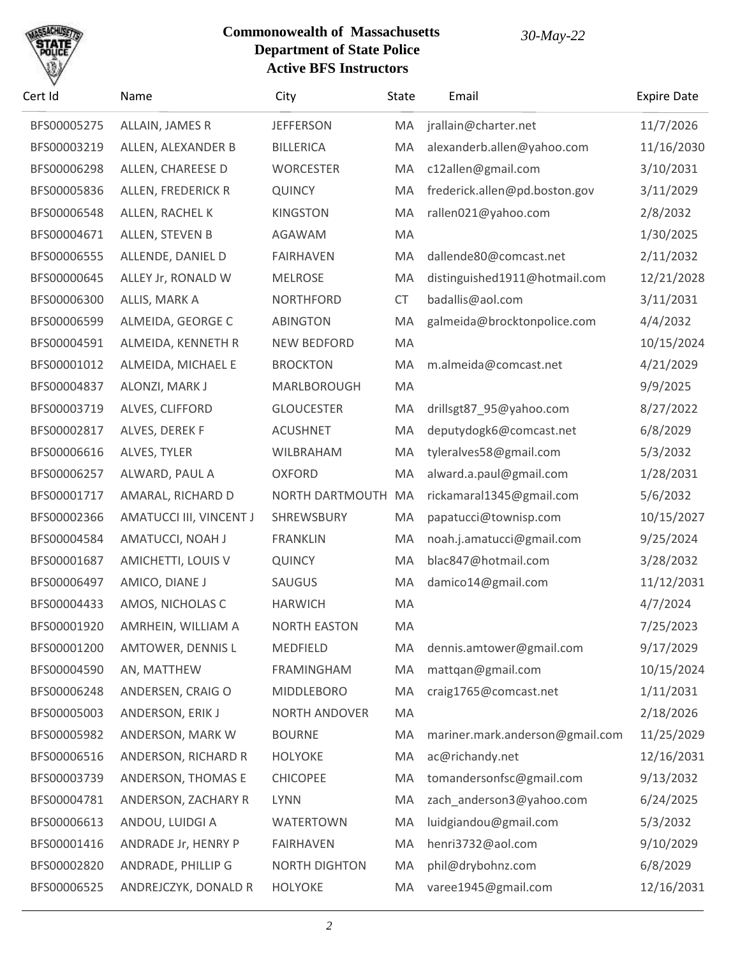

| Cert Id     | Name                     | City                 | State     | Email                           | <b>Expire Date</b> |
|-------------|--------------------------|----------------------|-----------|---------------------------------|--------------------|
| BFS00005275 | ALLAIN, JAMES R          | <b>JEFFERSON</b>     | MA        | jrallain@charter.net            | 11/7/2026          |
| BFS00003219 | ALLEN, ALEXANDER B       | <b>BILLERICA</b>     | MA        | alexanderb.allen@yahoo.com      | 11/16/2030         |
| BFS00006298 | ALLEN, CHAREESE D        | <b>WORCESTER</b>     | MA        | c12allen@gmail.com              | 3/10/2031          |
| BFS00005836 | ALLEN, FREDERICK R       | <b>QUINCY</b>        | MA        | frederick.allen@pd.boston.gov   | 3/11/2029          |
| BFS00006548 | ALLEN, RACHEL K          | <b>KINGSTON</b>      | MA        | rallen021@yahoo.com             | 2/8/2032           |
| BFS00004671 | ALLEN, STEVEN B          | AGAWAM               | MA        |                                 | 1/30/2025          |
| BFS00006555 | ALLENDE, DANIEL D        | <b>FAIRHAVEN</b>     | MA        | dallende80@comcast.net          | 2/11/2032          |
| BFS00000645 | ALLEY Jr, RONALD W       | <b>MELROSE</b>       | MA        | distinguished1911@hotmail.com   | 12/21/2028         |
| BFS00006300 | ALLIS, MARK A            | <b>NORTHFORD</b>     | <b>CT</b> | badallis@aol.com                | 3/11/2031          |
| BFS00006599 | ALMEIDA, GEORGE C        | <b>ABINGTON</b>      | MA        | galmeida@brocktonpolice.com     | 4/4/2032           |
| BFS00004591 | ALMEIDA, KENNETH R       | <b>NEW BEDFORD</b>   | MA        |                                 | 10/15/2024         |
| BFS00001012 | ALMEIDA, MICHAEL E       | <b>BROCKTON</b>      | MA        | m.almeida@comcast.net           | 4/21/2029          |
| BFS00004837 | ALONZI, MARK J           | MARLBOROUGH          | MA        |                                 | 9/9/2025           |
| BFS00003719 | ALVES, CLIFFORD          | <b>GLOUCESTER</b>    | MA        | drillsgt87_95@yahoo.com         | 8/27/2022          |
| BFS00002817 | ALVES, DEREK F           | <b>ACUSHNET</b>      | MA        | deputydogk6@comcast.net         | 6/8/2029           |
| BFS00006616 | ALVES, TYLER             | WILBRAHAM            | MA        | tyleralves58@gmail.com          | 5/3/2032           |
| BFS00006257 | ALWARD, PAUL A           | <b>OXFORD</b>        | MA        | alward.a.paul@gmail.com         | 1/28/2031          |
| BFS00001717 | AMARAL, RICHARD D        | NORTH DARTMOUTH      | MA        | rickamaral1345@gmail.com        | 5/6/2032           |
| BFS00002366 | AMATUCCI III, VINCENT J  | SHREWSBURY           | MA        | papatucci@townisp.com           | 10/15/2027         |
| BFS00004584 | AMATUCCI, NOAH J         | <b>FRANKLIN</b>      | MA        | noah.j.amatucci@gmail.com       | 9/25/2024          |
| BFS00001687 | AMICHETTI, LOUIS V       | <b>QUINCY</b>        | MA        | blac847@hotmail.com             | 3/28/2032          |
| BFS00006497 | AMICO, DIANE J           | SAUGUS               | MA        | damico14@gmail.com              | 11/12/2031         |
| BFS00004433 | AMOS, NICHOLAS C         | <b>HARWICH</b>       | MA        |                                 | 4/7/2024           |
| BFS00001920 | AMRHEIN, WILLIAM A       | <b>NORTH EASTON</b>  | MA        |                                 | 7/25/2023          |
| BFS00001200 | <b>AMTOWER, DENNIS L</b> | MEDFIELD             | MA        | dennis.amtower@gmail.com        | 9/17/2029          |
| BFS00004590 | AN, MATTHEW              | FRAMINGHAM           | MA        | mattqan@gmail.com               | 10/15/2024         |
| BFS00006248 | ANDERSEN, CRAIG O        | <b>MIDDLEBORO</b>    | MA        | craig1765@comcast.net           | 1/11/2031          |
| BFS00005003 | ANDERSON, ERIK J         | NORTH ANDOVER        | MA        |                                 | 2/18/2026          |
| BFS00005982 | ANDERSON, MARK W         | <b>BOURNE</b>        | MA        | mariner.mark.anderson@gmail.com | 11/25/2029         |
| BFS00006516 | ANDERSON, RICHARD R      | <b>HOLYOKE</b>       | MA        | ac@richandy.net                 | 12/16/2031         |
| BFS00003739 | ANDERSON, THOMAS E       | <b>CHICOPEE</b>      | MA        | tomandersonfsc@gmail.com        | 9/13/2032          |
| BFS00004781 | ANDERSON, ZACHARY R      | <b>LYNN</b>          | MA        | zach_anderson3@yahoo.com        | 6/24/2025          |
| BFS00006613 | ANDOU, LUIDGI A          | <b>WATERTOWN</b>     | MA        | luidgiandou@gmail.com           | 5/3/2032           |
| BFS00001416 | ANDRADE Jr, HENRY P      | <b>FAIRHAVEN</b>     | MA        | henri3732@aol.com               | 9/10/2029          |
| BFS00002820 | ANDRADE, PHILLIP G       | <b>NORTH DIGHTON</b> | MA        | phil@drybohnz.com               | 6/8/2029           |
| BFS00006525 | ANDREJCZYK, DONALD R     | <b>HOLYOKE</b>       | MA        | varee1945@gmail.com             | 12/16/2031         |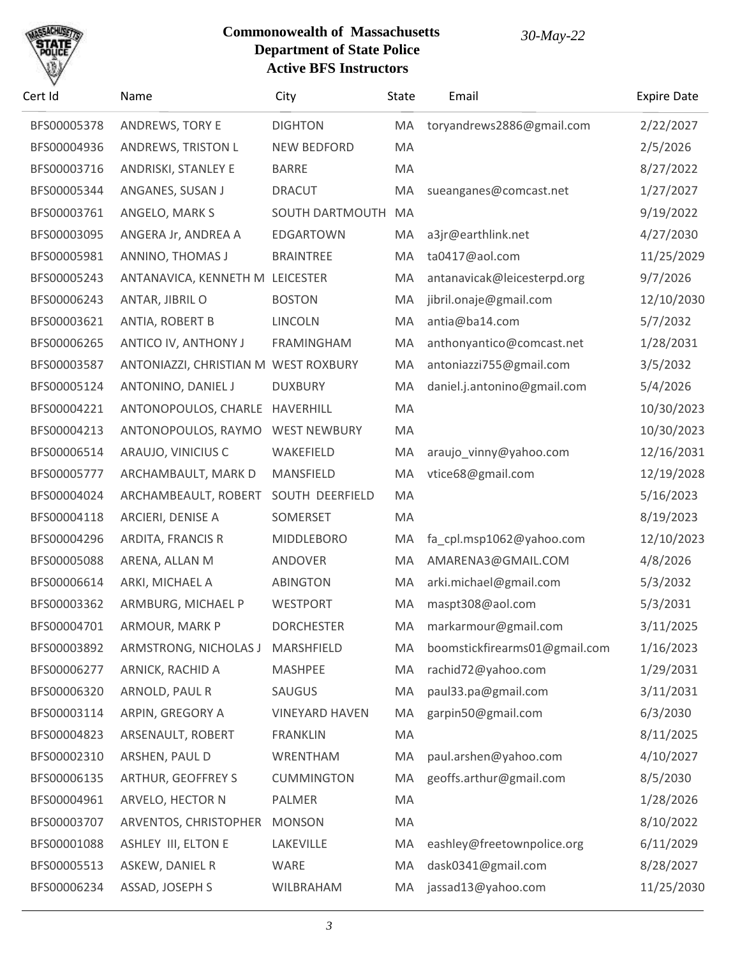

| Cert Id     | Name                                 | City                  | State | Email                         | <b>Expire Date</b> |
|-------------|--------------------------------------|-----------------------|-------|-------------------------------|--------------------|
| BFS00005378 | ANDREWS, TORY E                      | <b>DIGHTON</b>        | MA    | toryandrews2886@gmail.com     | 2/22/2027          |
| BFS00004936 | ANDREWS, TRISTON L                   | <b>NEW BEDFORD</b>    | MA    |                               | 2/5/2026           |
| BFS00003716 | ANDRISKI, STANLEY E                  | <b>BARRE</b>          | MA    |                               | 8/27/2022          |
| BFS00005344 | ANGANES, SUSAN J                     | <b>DRACUT</b>         | MA    | sueanganes@comcast.net        | 1/27/2027          |
| BFS00003761 | ANGELO, MARK S                       | SOUTH DARTMOUTH       | MA    |                               | 9/19/2022          |
| BFS00003095 | ANGERA Jr, ANDREA A                  | <b>EDGARTOWN</b>      | MA    | a3jr@earthlink.net            | 4/27/2030          |
| BFS00005981 | ANNINO, THOMAS J                     | <b>BRAINTREE</b>      | MA    | ta0417@aol.com                | 11/25/2029         |
| BFS00005243 | ANTANAVICA, KENNETH M LEICESTER      |                       | MA    | antanavicak@leicesterpd.org   | 9/7/2026           |
| BFS00006243 | ANTAR, JIBRIL O                      | <b>BOSTON</b>         | MA    | jibril.onaje@gmail.com        | 12/10/2030         |
| BFS00003621 | ANTIA, ROBERT B                      | <b>LINCOLN</b>        | MA    | antia@ba14.com                | 5/7/2032           |
| BFS00006265 | ANTICO IV, ANTHONY J                 | <b>FRAMINGHAM</b>     | MA    | anthonyantico@comcast.net     | 1/28/2031          |
| BFS00003587 | ANTONIAZZI, CHRISTIAN M WEST ROXBURY |                       | MA    | antoniazzi755@gmail.com       | 3/5/2032           |
| BFS00005124 | ANTONINO, DANIEL J                   | <b>DUXBURY</b>        | MA    | daniel.j.antonino@gmail.com   | 5/4/2026           |
| BFS00004221 | ANTONOPOULOS, CHARLE                 | HAVERHILL             | MA    |                               | 10/30/2023         |
| BFS00004213 | ANTONOPOULOS, RAYMO                  | <b>WEST NEWBURY</b>   | MA    |                               | 10/30/2023         |
| BFS00006514 | ARAUJO, VINICIUS C                   | WAKEFIELD             | MA    | araujo_vinny@yahoo.com        | 12/16/2031         |
| BFS00005777 | ARCHAMBAULT, MARK D                  | <b>MANSFIELD</b>      | MA    | vtice68@gmail.com             | 12/19/2028         |
| BFS00004024 | ARCHAMBEAULT, ROBERT                 | SOUTH DEERFIELD       | MA    |                               | 5/16/2023          |
| BFS00004118 | ARCIERI, DENISE A                    | SOMERSET              | MA    |                               | 8/19/2023          |
| BFS00004296 | ARDITA, FRANCIS R                    | MIDDLEBORO            | MA    | fa_cpl.msp1062@yahoo.com      | 12/10/2023         |
| BFS00005088 | ARENA, ALLAN M                       | ANDOVER               | MA    | AMARENA3@GMAIL.COM            | 4/8/2026           |
| BFS00006614 | ARKI, MICHAEL A                      | <b>ABINGTON</b>       | MA    | arki.michael@gmail.com        | 5/3/2032           |
| BFS00003362 | ARMBURG, MICHAEL P                   | <b>WESTPORT</b>       | MA    | maspt308@aol.com              | 5/3/2031           |
| BFS00004701 | ARMOUR, MARK P                       | <b>DORCHESTER</b>     | MA    | markarmour@gmail.com          | 3/11/2025          |
| BFS00003892 | ARMSTRONG, NICHOLAS J MARSHFIELD     |                       | MA    | boomstickfirearms01@gmail.com | 1/16/2023          |
| BFS00006277 | ARNICK, RACHID A                     | <b>MASHPEE</b>        | MA    | rachid72@yahoo.com            | 1/29/2031          |
| BFS00006320 | ARNOLD, PAUL R                       | <b>SAUGUS</b>         | MA    | paul33.pa@gmail.com           | 3/11/2031          |
| BFS00003114 | ARPIN, GREGORY A                     | <b>VINEYARD HAVEN</b> | MA    | garpin50@gmail.com            | 6/3/2030           |
| BFS00004823 | ARSENAULT, ROBERT                    | <b>FRANKLIN</b>       | MA    |                               | 8/11/2025          |
| BFS00002310 | ARSHEN, PAUL D                       | WRENTHAM              | MA    | paul.arshen@yahoo.com         | 4/10/2027          |
| BFS00006135 | <b>ARTHUR, GEOFFREY S</b>            | <b>CUMMINGTON</b>     | MA    | geoffs.arthur@gmail.com       | 8/5/2030           |
| BFS00004961 | ARVELO, HECTOR N                     | PALMER                | MA    |                               | 1/28/2026          |
| BFS00003707 | ARVENTOS, CHRISTOPHER                | <b>MONSON</b>         | MA    |                               | 8/10/2022          |
| BFS00001088 | ASHLEY III, ELTON E                  | LAKEVILLE             | MA    | eashley@freetownpolice.org    | 6/11/2029          |
| BFS00005513 | ASKEW, DANIEL R                      | WARE                  | MA    | dask0341@gmail.com            | 8/28/2027          |
| BFS00006234 | ASSAD, JOSEPH S                      | WILBRAHAM             | MA    | jassad13@yahoo.com            | 11/25/2030         |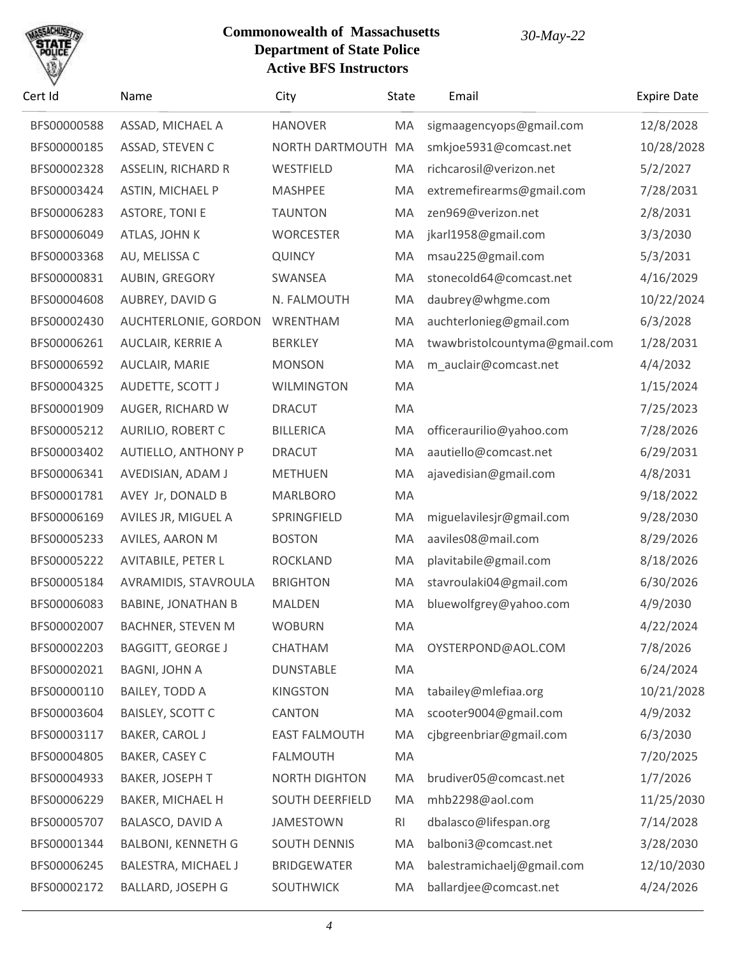

| Cert Id     | Name                       | City                   | State | Email                         | <b>Expire Date</b> |
|-------------|----------------------------|------------------------|-------|-------------------------------|--------------------|
| BFS00000588 | ASSAD, MICHAEL A           | <b>HANOVER</b>         | MA    | sigmaagencyops@gmail.com      | 12/8/2028          |
| BFS00000185 | ASSAD, STEVEN C            | NORTH DARTMOUTH        | MA    | smkjoe5931@comcast.net        | 10/28/2028         |
| BFS00002328 | <b>ASSELIN, RICHARD R</b>  | WESTFIELD              | MA    | richcarosil@verizon.net       | 5/2/2027           |
| BFS00003424 | <b>ASTIN, MICHAEL P</b>    | <b>MASHPEE</b>         | MA    | extremefirearms@gmail.com     | 7/28/2031          |
| BFS00006283 | <b>ASTORE, TONI E</b>      | <b>TAUNTON</b>         | MA    | zen969@verizon.net            | 2/8/2031           |
| BFS00006049 | ATLAS, JOHN K              | <b>WORCESTER</b>       | MA    | jkarl1958@gmail.com           | 3/3/2030           |
| BFS00003368 | AU, MELISSA C              | <b>QUINCY</b>          | MA    | msau225@gmail.com             | 5/3/2031           |
| BFS00000831 | AUBIN, GREGORY             | SWANSEA                | MA    | stonecold64@comcast.net       | 4/16/2029          |
| BFS00004608 | AUBREY, DAVID G            | N. FALMOUTH            | MA    | daubrey@whgme.com             | 10/22/2024         |
| BFS00002430 | AUCHTERLONIE, GORDON       | WRENTHAM               | MA    | auchterlonieg@gmail.com       | 6/3/2028           |
| BFS00006261 | AUCLAIR, KERRIE A          | <b>BERKLEY</b>         | MA    | twawbristolcountyma@gmail.com | 1/28/2031          |
| BFS00006592 | AUCLAIR, MARIE             | <b>MONSON</b>          | MA    | m_auclair@comcast.net         | 4/4/2032           |
| BFS00004325 | AUDETTE, SCOTT J           | <b>WILMINGTON</b>      | MA    |                               | 1/15/2024          |
| BFS00001909 | AUGER, RICHARD W           | <b>DRACUT</b>          | MA    |                               | 7/25/2023          |
| BFS00005212 | <b>AURILIO, ROBERT C</b>   | <b>BILLERICA</b>       | MA    | officeraurilio@yahoo.com      | 7/28/2026          |
| BFS00003402 | <b>AUTIELLO, ANTHONY P</b> | <b>DRACUT</b>          | MA    | aautiello@comcast.net         | 6/29/2031          |
| BFS00006341 | AVEDISIAN, ADAM J          | <b>METHUEN</b>         | MA    | ajavedisian@gmail.com         | 4/8/2031           |
| BFS00001781 | AVEY Jr, DONALD B          | <b>MARLBORO</b>        | MA    |                               | 9/18/2022          |
| BFS00006169 | AVILES JR, MIGUEL A        | SPRINGFIELD            | MA    | miguelavilesjr@gmail.com      | 9/28/2030          |
| BFS00005233 | AVILES, AARON M            | <b>BOSTON</b>          | MA    | aaviles08@mail.com            | 8/29/2026          |
| BFS00005222 | <b>AVITABILE, PETER L</b>  | <b>ROCKLAND</b>        | MA    | plavitabile@gmail.com         | 8/18/2026          |
| BFS00005184 | AVRAMIDIS, STAVROULA       | <b>BRIGHTON</b>        | MA    | stavroulaki04@gmail.com       | 6/30/2026          |
| BFS00006083 | <b>BABINE, JONATHAN B</b>  | MALDEN                 | MA    | bluewolfgrey@yahoo.com        | 4/9/2030           |
| BFS00002007 | <b>BACHNER, STEVEN M</b>   | <b>WOBURN</b>          | MA    |                               | 4/22/2024          |
| BFS00002203 | <b>BAGGITT, GEORGE J</b>   | CHATHAM                | MA    | OYSTERPOND@AOL.COM            | 7/8/2026           |
| BFS00002021 | <b>BAGNI, JOHN A</b>       | <b>DUNSTABLE</b>       | MA    |                               | 6/24/2024          |
| BFS00000110 | <b>BAILEY, TODD A</b>      | <b>KINGSTON</b>        | MA    | tabailey@mlefiaa.org          | 10/21/2028         |
| BFS00003604 | <b>BAISLEY, SCOTT C</b>    | <b>CANTON</b>          | MA    | scooter9004@gmail.com         | 4/9/2032           |
| BFS00003117 | <b>BAKER, CAROL J</b>      | <b>EAST FALMOUTH</b>   | MA    | cjbgreenbriar@gmail.com       | 6/3/2030           |
| BFS00004805 | BAKER, CASEY C             | <b>FALMOUTH</b>        | MA    |                               | 7/20/2025          |
| BFS00004933 | BAKER, JOSEPH T            | <b>NORTH DIGHTON</b>   | MA    | brudiver05@comcast.net        | 1/7/2026           |
| BFS00006229 | BAKER, MICHAEL H           | <b>SOUTH DEERFIELD</b> | MA    | mhb2298@aol.com               | 11/25/2030         |
| BFS00005707 | BALASCO, DAVID A           | <b>JAMESTOWN</b>       | RI    | dbalasco@lifespan.org         | 7/14/2028          |
| BFS00001344 | <b>BALBONI, KENNETH G</b>  | <b>SOUTH DENNIS</b>    | MA    | balboni3@comcast.net          | 3/28/2030          |
| BFS00006245 | BALESTRA, MICHAEL J        | <b>BRIDGEWATER</b>     | MA    | balestramichaelj@gmail.com    | 12/10/2030         |
| BFS00002172 | <b>BALLARD, JOSEPH G</b>   | <b>SOUTHWICK</b>       | MA    | ballardjee@comcast.net        | 4/24/2026          |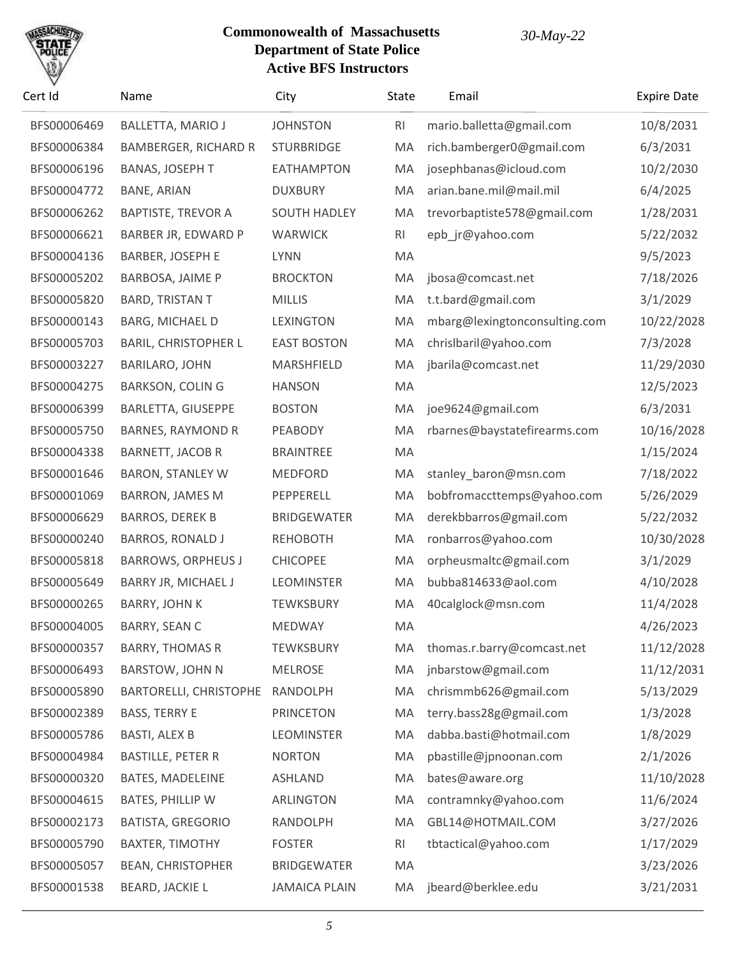

| Cert Id     | Name                        | City                 | State     | Email                         | <b>Expire Date</b> |
|-------------|-----------------------------|----------------------|-----------|-------------------------------|--------------------|
| BFS00006469 | <b>BALLETTA, MARIO J</b>    | <b>JOHNSTON</b>      | RI        | mario.balletta@gmail.com      | 10/8/2031          |
| BFS00006384 | <b>BAMBERGER, RICHARD R</b> | <b>STURBRIDGE</b>    | MA        | rich.bamberger0@gmail.com     | 6/3/2031           |
| BFS00006196 | <b>BANAS, JOSEPH T</b>      | <b>EATHAMPTON</b>    | MA        | josephbanas@icloud.com        | 10/2/2030          |
| BFS00004772 | <b>BANE, ARIAN</b>          | <b>DUXBURY</b>       | MA        | arian.bane.mil@mail.mil       | 6/4/2025           |
| BFS00006262 | <b>BAPTISTE, TREVOR A</b>   | <b>SOUTH HADLEY</b>  | MA        | trevorbaptiste578@gmail.com   | 1/28/2031          |
| BFS00006621 | BARBER JR, EDWARD P         | <b>WARWICK</b>       | <b>RI</b> | epb_jr@yahoo.com              | 5/22/2032          |
| BFS00004136 | <b>BARBER, JOSEPH E</b>     | <b>LYNN</b>          | MA        |                               | 9/5/2023           |
| BFS00005202 | BARBOSA, JAIME P            | <b>BROCKTON</b>      | MA        | jbosa@comcast.net             | 7/18/2026          |
| BFS00005820 | <b>BARD, TRISTAN T</b>      | <b>MILLIS</b>        | MA        | t.t.bard@gmail.com            | 3/1/2029           |
| BFS00000143 | BARG, MICHAEL D             | <b>LEXINGTON</b>     | MA        | mbarg@lexingtonconsulting.com | 10/22/2028         |
| BFS00005703 | <b>BARIL, CHRISTOPHER L</b> | <b>EAST BOSTON</b>   | MA        | chrislbaril@yahoo.com         | 7/3/2028           |
| BFS00003227 | <b>BARILARO, JOHN</b>       | MARSHFIELD           | MA        | jbarila@comcast.net           | 11/29/2030         |
| BFS00004275 | <b>BARKSON, COLIN G</b>     | <b>HANSON</b>        | MA        |                               | 12/5/2023          |
| BFS00006399 | BARLETTA, GIUSEPPE          | <b>BOSTON</b>        | MA        | joe9624@gmail.com             | 6/3/2031           |
| BFS00005750 | <b>BARNES, RAYMOND R</b>    | PEABODY              | MA        | rbarnes@baystatefirearms.com  | 10/16/2028         |
| BFS00004338 | BARNETT, JACOB R            | <b>BRAINTREE</b>     | MA        |                               | 1/15/2024          |
| BFS00001646 | <b>BARON, STANLEY W</b>     | <b>MEDFORD</b>       | MA        | stanley_baron@msn.com         | 7/18/2022          |
| BFS00001069 | <b>BARRON, JAMES M</b>      | PEPPERELL            | MA        | bobfromaccttemps@yahoo.com    | 5/26/2029          |
| BFS00006629 | <b>BARROS, DEREK B</b>      | <b>BRIDGEWATER</b>   | MA        | derekbbarros@gmail.com        | 5/22/2032          |
| BFS00000240 | <b>BARROS, RONALD J</b>     | <b>REHOBOTH</b>      | MA        | ronbarros@yahoo.com           | 10/30/2028         |
| BFS00005818 | <b>BARROWS, ORPHEUS J</b>   | <b>CHICOPEE</b>      | MA        | orpheusmaltc@gmail.com        | 3/1/2029           |
| BFS00005649 | BARRY JR, MICHAEL J         | <b>LEOMINSTER</b>    | MA        | bubba814633@aol.com           | 4/10/2028          |
| BFS00000265 | <b>BARRY, JOHN K</b>        | TEWKSBURY            | MA        | 40calglock@msn.com            | 11/4/2028          |
| BFS00004005 | <b>BARRY, SEAN C</b>        | <b>MEDWAY</b>        | MA        |                               | 4/26/2023          |
| BFS00000357 | <b>BARRY, THOMAS R</b>      | <b>TEWKSBURY</b>     | MA        | thomas.r.barry@comcast.net    | 11/12/2028         |
| BFS00006493 | <b>BARSTOW, JOHN N</b>      | <b>MELROSE</b>       | MA        | jnbarstow@gmail.com           | 11/12/2031         |
| BFS00005890 | BARTORELLI, CHRISTOPHE      | RANDOLPH             | MA        | chrismmb626@gmail.com         | 5/13/2029          |
| BFS00002389 | <b>BASS, TERRY E</b>        | <b>PRINCETON</b>     | MA        | terry.bass28g@gmail.com       | 1/3/2028           |
| BFS00005786 | <b>BASTI, ALEX B</b>        | <b>LEOMINSTER</b>    | MA        | dabba.basti@hotmail.com       | 1/8/2029           |
| BFS00004984 | <b>BASTILLE, PETER R</b>    | <b>NORTON</b>        | MA        | pbastille@jpnoonan.com        | 2/1/2026           |
| BFS00000320 | BATES, MADELEINE            | <b>ASHLAND</b>       | MA        | bates@aware.org               | 11/10/2028         |
| BFS00004615 | BATES, PHILLIP W            | ARLINGTON            | MA        | contramnky@yahoo.com          | 11/6/2024          |
| BFS00002173 | <b>BATISTA, GREGORIO</b>    | RANDOLPH             | MA        | GBL14@HOTMAIL.COM             | 3/27/2026          |
| BFS00005790 | <b>BAXTER, TIMOTHY</b>      | <b>FOSTER</b>        | RI        | tbtactical@yahoo.com          | 1/17/2029          |
| BFS00005057 | <b>BEAN, CHRISTOPHER</b>    | <b>BRIDGEWATER</b>   | MA        |                               | 3/23/2026          |
| BFS00001538 | <b>BEARD, JACKIE L</b>      | <b>JAMAICA PLAIN</b> | MA        | jbeard@berklee.edu            | 3/21/2031          |
|             |                             |                      |           |                               |                    |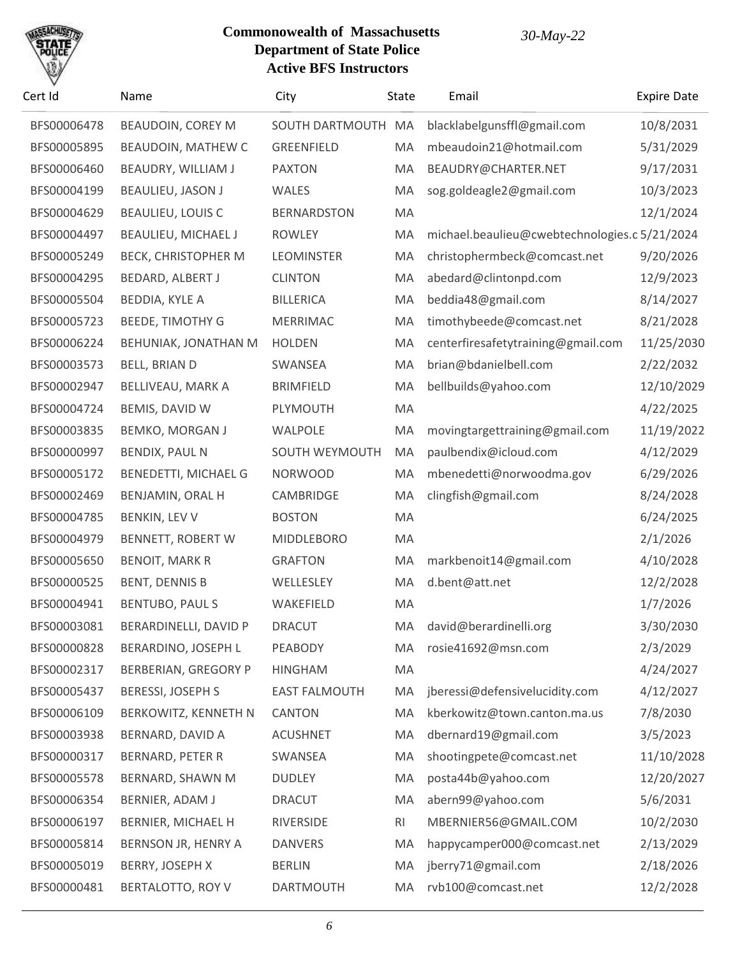

| Cert Id     | Name                        | City                 | State | Email                                         | <b>Expire Date</b> |
|-------------|-----------------------------|----------------------|-------|-----------------------------------------------|--------------------|
| BFS00006478 | <b>BEAUDOIN, COREY M</b>    | SOUTH DARTMOUTH      | MA    | blacklabelgunsffl@gmail.com                   | 10/8/2031          |
| BFS00005895 | BEAUDOIN, MATHEW C          | <b>GREENFIELD</b>    | MA    | mbeaudoin21@hotmail.com                       | 5/31/2029          |
| BFS00006460 | BEAUDRY, WILLIAM J          | <b>PAXTON</b>        | MA    | BEAUDRY@CHARTER.NET                           | 9/17/2031          |
| BFS00004199 | BEAULIEU, JASON J           | WALES                | MA    | sog.goldeagle2@gmail.com                      | 10/3/2023          |
| BFS00004629 | <b>BEAULIEU, LOUIS C</b>    | <b>BERNARDSTON</b>   | MA    |                                               | 12/1/2024          |
| BFS00004497 | BEAULIEU, MICHAEL J         | <b>ROWLEY</b>        | MA    | michael.beaulieu@cwebtechnologies.c 5/21/2024 |                    |
| BFS00005249 | <b>BECK, CHRISTOPHER M</b>  | <b>LEOMINSTER</b>    | MA    | christophermbeck@comcast.net                  | 9/20/2026          |
| BFS00004295 | BEDARD, ALBERT J            | <b>CLINTON</b>       | MA    | abedard@clintonpd.com                         | 12/9/2023          |
| BFS00005504 | <b>BEDDIA, KYLE A</b>       | <b>BILLERICA</b>     | MA    | beddia48@gmail.com                            | 8/14/2027          |
| BFS00005723 | <b>BEEDE, TIMOTHY G</b>     | <b>MERRIMAC</b>      | MA    | timothybeede@comcast.net                      | 8/21/2028          |
| BFS00006224 | BEHUNIAK, JONATHAN M        | <b>HOLDEN</b>        | MA    | centerfiresafetytraining@gmail.com            | 11/25/2030         |
| BFS00003573 | <b>BELL, BRIAN D</b>        | SWANSEA              | MA    | brian@bdanielbell.com                         | 2/22/2032          |
| BFS00002947 | BELLIVEAU, MARK A           | <b>BRIMFIELD</b>     | MA    | bellbuilds@yahoo.com                          | 12/10/2029         |
| BFS00004724 | BEMIS, DAVID W              | PLYMOUTH             | MA    |                                               | 4/22/2025          |
| BFS00003835 | <b>BEMKO, MORGAN J</b>      | WALPOLE              | MA    | movingtargettraining@gmail.com                | 11/19/2022         |
| BFS00000997 | <b>BENDIX, PAUL N</b>       | SOUTH WEYMOUTH       | MA    | paulbendix@icloud.com                         | 4/12/2029          |
| BFS00005172 | BENEDETTI, MICHAEL G        | <b>NORWOOD</b>       | MA    | mbenedetti@norwoodma.gov                      | 6/29/2026          |
| BFS00002469 | BENJAMIN, ORAL H            | CAMBRIDGE            | MA    | clingfish@gmail.com                           | 8/24/2028          |
| BFS00004785 | BENKIN, LEV V               | <b>BOSTON</b>        | MA    |                                               | 6/24/2025          |
| BFS00004979 | BENNETT, ROBERT W           | MIDDLEBORO           | MA    |                                               | 2/1/2026           |
| BFS00005650 | <b>BENOIT, MARK R</b>       | <b>GRAFTON</b>       | MA    | markbenoit14@gmail.com                        | 4/10/2028          |
| BFS00000525 | <b>BENT, DENNIS B</b>       | WELLESLEY            | MA    | d.bent@att.net                                | 12/2/2028          |
| BFS00004941 | <b>BENTUBO, PAUL S</b>      | WAKEFIELD            | MA    |                                               | 1/7/2026           |
| BFS00003081 | BERARDINELLI, DAVID P       | <b>DRACUT</b>        | MA    | david@berardinelli.org                        | 3/30/2030          |
| BFS00000828 | BERARDINO, JOSEPH L         | PEABODY              | MA    | rosie41692@msn.com                            | 2/3/2029           |
| BFS00002317 | <b>BERBERIAN, GREGORY P</b> | <b>HINGHAM</b>       | MA    |                                               | 4/24/2027          |
| BFS00005437 | <b>BERESSI, JOSEPH S</b>    | <b>EAST FALMOUTH</b> | MA    | jberessi@defensivelucidity.com                | 4/12/2027          |
| BFS00006109 | BERKOWITZ, KENNETH N        | CANTON               | MA    | kberkowitz@town.canton.ma.us                  | 7/8/2030           |
| BFS00003938 | BERNARD, DAVID A            | <b>ACUSHNET</b>      | MA    | dbernard19@gmail.com                          | 3/5/2023           |
| BFS00000317 | <b>BERNARD, PETER R</b>     | SWANSEA              | MA    | shootingpete@comcast.net                      | 11/10/2028         |
| BFS00005578 | BERNARD, SHAWN M            | <b>DUDLEY</b>        | MA    | posta44b@yahoo.com                            | 12/20/2027         |
| BFS00006354 | BERNIER, ADAM J             | <b>DRACUT</b>        | MA    | abern99@yahoo.com                             | 5/6/2031           |
| BFS00006197 | BERNIER, MICHAEL H          | RIVERSIDE            | RI    | MBERNIER56@GMAIL.COM                          | 10/2/2030          |
| BFS00005814 | BERNSON JR, HENRY A         | <b>DANVERS</b>       | MA    | happycamper000@comcast.net                    | 2/13/2029          |
| BFS00005019 | BERRY, JOSEPH X             | <b>BERLIN</b>        | MA    | jberry71@gmail.com                            | 2/18/2026          |
| BFS00000481 | BERTALOTTO, ROY V           | DARTMOUTH            | MA    | rvb100@comcast.net                            | 12/2/2028          |
|             |                             |                      |       |                                               |                    |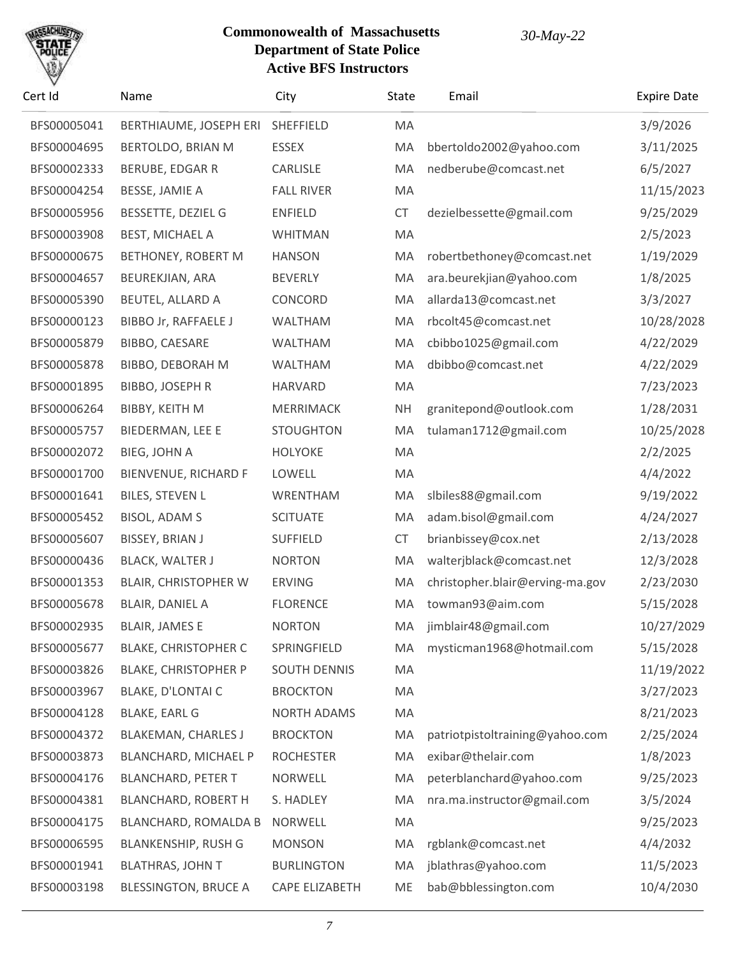

| Cert Id     | Name                        | City                | <b>State</b> | Email                           | <b>Expire Date</b> |
|-------------|-----------------------------|---------------------|--------------|---------------------------------|--------------------|
| BFS00005041 | BERTHIAUME, JOSEPH ERI      | SHEFFIELD           | MA           |                                 | 3/9/2026           |
| BFS00004695 | BERTOLDO, BRIAN M           | <b>ESSEX</b>        | MA           | bbertoldo2002@yahoo.com         | 3/11/2025          |
| BFS00002333 | BERUBE, EDGAR R             | CARLISLE            | MA           | nedberube@comcast.net           | 6/5/2027           |
| BFS00004254 | BESSE, JAMIE A              | <b>FALL RIVER</b>   | MA           |                                 | 11/15/2023         |
| BFS00005956 | BESSETTE, DEZIEL G          | <b>ENFIELD</b>      | <b>CT</b>    | dezielbessette@gmail.com        | 9/25/2029          |
| BFS00003908 | <b>BEST, MICHAEL A</b>      | WHITMAN             | MA           |                                 | 2/5/2023           |
| BFS00000675 | BETHONEY, ROBERT M          | <b>HANSON</b>       | MA           | robertbethoney@comcast.net      | 1/19/2029          |
| BFS00004657 | BEUREKJIAN, ARA             | <b>BEVERLY</b>      | MA           | ara.beurekjian@yahoo.com        | 1/8/2025           |
| BFS00005390 | BEUTEL, ALLARD A            | CONCORD             | MA           | allarda13@comcast.net           | 3/3/2027           |
| BFS00000123 | <b>BIBBO Jr, RAFFAELE J</b> | WALTHAM             | MA           | rbcolt45@comcast.net            | 10/28/2028         |
| BFS00005879 | BIBBO, CAESARE              | <b>WALTHAM</b>      | MA           | cbibbo1025@gmail.com            | 4/22/2029          |
| BFS00005878 | BIBBO, DEBORAH M            | WALTHAM             | MA           | dbibbo@comcast.net              | 4/22/2029          |
| BFS00001895 | BIBBO, JOSEPH R             | <b>HARVARD</b>      | MA           |                                 | 7/23/2023          |
| BFS00006264 | BIBBY, KEITH M              | MERRIMACK           | <b>NH</b>    | granitepond@outlook.com         | 1/28/2031          |
| BFS00005757 | BIEDERMAN, LEE E            | <b>STOUGHTON</b>    | MA           | tulaman1712@gmail.com           | 10/25/2028         |
| BFS00002072 | BIEG, JOHN A                | <b>HOLYOKE</b>      | MA           |                                 | 2/2/2025           |
| BFS00001700 | BIENVENUE, RICHARD F        | LOWELL              | MA           |                                 | 4/4/2022           |
| BFS00001641 | <b>BILES, STEVEN L</b>      | WRENTHAM            | MA           | slbiles88@gmail.com             | 9/19/2022          |
| BFS00005452 | <b>BISOL, ADAM S</b>        | <b>SCITUATE</b>     | MA           | adam.bisol@gmail.com            | 4/24/2027          |
| BFS00005607 | BISSEY, BRIAN J             | <b>SUFFIELD</b>     | <b>CT</b>    | brianbissey@cox.net             | 2/13/2028          |
| BFS00000436 | <b>BLACK, WALTER J</b>      | <b>NORTON</b>       | MA           | walterjblack@comcast.net        | 12/3/2028          |
| BFS00001353 | <b>BLAIR, CHRISTOPHER W</b> | <b>ERVING</b>       | MA           | christopher.blair@erving-ma.gov | 2/23/2030          |
| BFS00005678 | BLAIR, DANIEL A             | <b>FLORENCE</b>     | MA           | towman93@aim.com                | 5/15/2028          |
| BFS00002935 | <b>BLAIR, JAMES E</b>       | <b>NORTON</b>       | <b>MA</b>    | jimblair48@gmail.com            | 10/27/2029         |
| BFS00005677 | <b>BLAKE, CHRISTOPHER C</b> | SPRINGFIELD         | MA           | mysticman1968@hotmail.com       | 5/15/2028          |
| BFS00003826 | <b>BLAKE, CHRISTOPHER P</b> | <b>SOUTH DENNIS</b> | MA           |                                 | 11/19/2022         |
| BFS00003967 | BLAKE, D'LONTAI C           | <b>BROCKTON</b>     | MA           |                                 | 3/27/2023          |
| BFS00004128 | <b>BLAKE, EARL G</b>        | <b>NORTH ADAMS</b>  | MA           |                                 | 8/21/2023          |
| BFS00004372 | <b>BLAKEMAN, CHARLES J</b>  | <b>BROCKTON</b>     | MA           | patriotpistoltraining@yahoo.com | 2/25/2024          |
| BFS00003873 | BLANCHARD, MICHAEL P        | <b>ROCHESTER</b>    | MA           | exibar@thelair.com              | 1/8/2023           |
| BFS00004176 | <b>BLANCHARD, PETER T</b>   | <b>NORWELL</b>      | MA           | peterblanchard@yahoo.com        | 9/25/2023          |
| BFS00004381 | <b>BLANCHARD, ROBERT H</b>  | S. HADLEY           | MA           | nra.ma.instructor@gmail.com     | 3/5/2024           |
| BFS00004175 | <b>BLANCHARD, ROMALDA B</b> | <b>NORWELL</b>      | MA           |                                 | 9/25/2023          |
| BFS00006595 | <b>BLANKENSHIP, RUSH G</b>  | <b>MONSON</b>       | MA           | rgblank@comcast.net             | 4/4/2032           |
| BFS00001941 | <b>BLATHRAS, JOHN T</b>     | <b>BURLINGTON</b>   | MA           | jblathras@yahoo.com             | 11/5/2023          |
| BFS00003198 | <b>BLESSINGTON, BRUCE A</b> | CAPE ELIZABETH      | <b>ME</b>    | bab@bblessington.com            | 10/4/2030          |
|             |                             |                     |              |                                 |                    |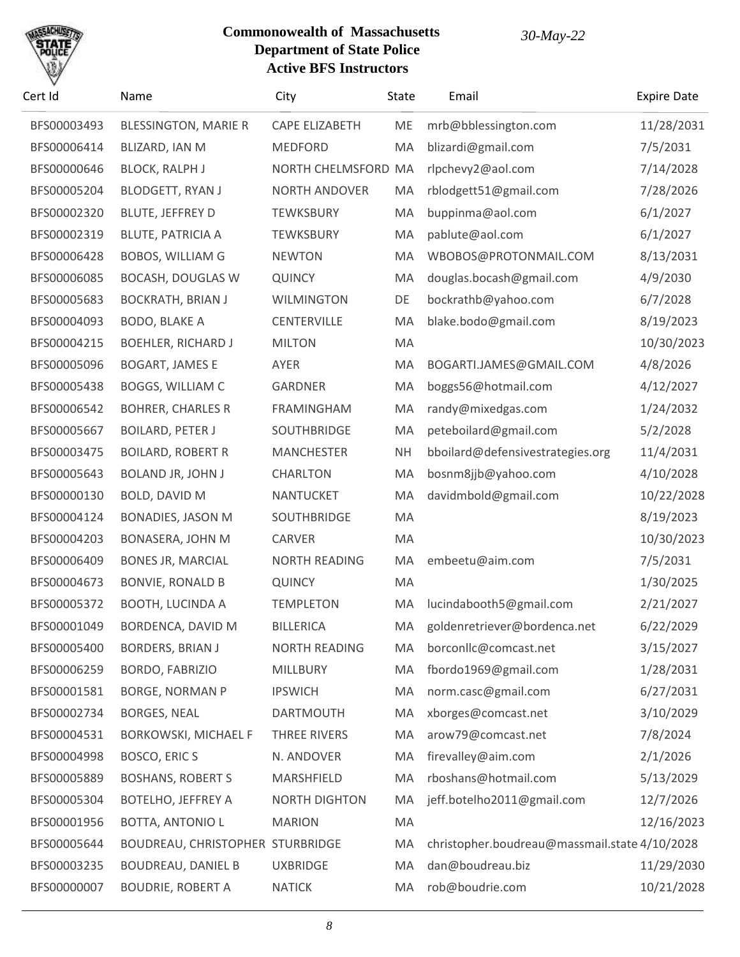

| Cert Id     | Name                             | City                  | State     | Email                                         | <b>Expire Date</b> |
|-------------|----------------------------------|-----------------------|-----------|-----------------------------------------------|--------------------|
| BFS00003493 | <b>BLESSINGTON, MARIE R</b>      | <b>CAPE ELIZABETH</b> | ME        | mrb@bblessington.com                          | 11/28/2031         |
| BFS00006414 | BLIZARD, IAN M                   | <b>MEDFORD</b>        | MA        | blizardi@gmail.com                            | 7/5/2031           |
| BFS00000646 | <b>BLOCK, RALPH J</b>            | NORTH CHELMSFORD MA   |           | rlpchevy2@aol.com                             | 7/14/2028          |
| BFS00005204 | <b>BLODGETT, RYAN J</b>          | NORTH ANDOVER         | MA        | rblodgett51@gmail.com                         | 7/28/2026          |
| BFS00002320 | <b>BLUTE, JEFFREY D</b>          | <b>TEWKSBURY</b>      | MA        | buppinma@aol.com                              | 6/1/2027           |
| BFS00002319 | <b>BLUTE, PATRICIA A</b>         | <b>TEWKSBURY</b>      | MA        | pablute@aol.com                               | 6/1/2027           |
| BFS00006428 | <b>BOBOS, WILLIAM G</b>          | <b>NEWTON</b>         | MA        | WBOBOS@PROTONMAIL.COM                         | 8/13/2031          |
| BFS00006085 | <b>BOCASH, DOUGLAS W</b>         | <b>QUINCY</b>         | MA        | douglas.bocash@gmail.com                      | 4/9/2030           |
| BFS00005683 | <b>BOCKRATH, BRIAN J</b>         | <b>WILMINGTON</b>     | DE        | bockrathb@yahoo.com                           | 6/7/2028           |
| BFS00004093 | BODO, BLAKE A                    | <b>CENTERVILLE</b>    | MA        | blake.bodo@gmail.com                          | 8/19/2023          |
| BFS00004215 | <b>BOEHLER, RICHARD J</b>        | <b>MILTON</b>         | MA        |                                               | 10/30/2023         |
| BFS00005096 | <b>BOGART, JAMES E</b>           | AYER                  | MA        | BOGARTI.JAMES@GMAIL.COM                       | 4/8/2026           |
| BFS00005438 | BOGGS, WILLIAM C                 | <b>GARDNER</b>        | MA        | boggs56@hotmail.com                           | 4/12/2027          |
| BFS00006542 | <b>BOHRER, CHARLES R</b>         | <b>FRAMINGHAM</b>     | MA        | randy@mixedgas.com                            | 1/24/2032          |
| BFS00005667 | <b>BOILARD, PETER J</b>          | SOUTHBRIDGE           | MA        | peteboilard@gmail.com                         | 5/2/2028           |
| BFS00003475 | <b>BOILARD, ROBERT R</b>         | <b>MANCHESTER</b>     | <b>NH</b> | bboilard@defensivestrategies.org              | 11/4/2031          |
| BFS00005643 | <b>BOLAND JR, JOHN J</b>         | <b>CHARLTON</b>       | MA        | bosnm8jjb@yahoo.com                           | 4/10/2028          |
| BFS00000130 | <b>BOLD, DAVID M</b>             | <b>NANTUCKET</b>      | MA        | davidmbold@gmail.com                          | 10/22/2028         |
| BFS00004124 | <b>BONADIES, JASON M</b>         | SOUTHBRIDGE           | MA        |                                               | 8/19/2023          |
| BFS00004203 | BONASERA, JOHN M                 | <b>CARVER</b>         | MA        |                                               | 10/30/2023         |
| BFS00006409 | <b>BONES JR, MARCIAL</b>         | <b>NORTH READING</b>  | MA        | embeetu@aim.com                               | 7/5/2031           |
| BFS00004673 | <b>BONVIE, RONALD B</b>          | <b>QUINCY</b>         | MA        |                                               | 1/30/2025          |
| BFS00005372 | <b>BOOTH, LUCINDA A</b>          | <b>TEMPLETON</b>      | MA        | lucindabooth5@gmail.com                       | 2/21/2027          |
| BFS00001049 | BORDENCA, DAVID M                | <b>BILLERICA</b>      | MA.       | goldenretriever@bordenca.net                  | 6/22/2029          |
| BFS00005400 | <b>BORDERS, BRIAN J</b>          | <b>NORTH READING</b>  | MA        | borconllc@comcast.net                         | 3/15/2027          |
| BFS00006259 | BORDO, FABRIZIO                  | MILLBURY              | MA        | fbordo1969@gmail.com                          | 1/28/2031          |
| BFS00001581 | <b>BORGE, NORMAN P</b>           | <b>IPSWICH</b>        | MA        | norm.casc@gmail.com                           | 6/27/2031          |
| BFS00002734 | <b>BORGES, NEAL</b>              | <b>DARTMOUTH</b>      | MA        | xborges@comcast.net                           | 3/10/2029          |
| BFS00004531 | <b>BORKOWSKI, MICHAEL F</b>      | THREE RIVERS          | MA        | arow79@comcast.net                            | 7/8/2024           |
| BFS00004998 | BOSCO, ERIC S                    | N. ANDOVER            | MA        | firevalley@aim.com                            | 2/1/2026           |
| BFS00005889 | <b>BOSHANS, ROBERT S</b>         | MARSHFIELD            | MA        | rboshans@hotmail.com                          | 5/13/2029          |
| BFS00005304 | <b>BOTELHO, JEFFREY A</b>        | <b>NORTH DIGHTON</b>  | МA        | jeff.botelho2011@gmail.com                    | 12/7/2026          |
| BFS00001956 | <b>BOTTA, ANTONIO L</b>          | <b>MARION</b>         | MA        |                                               | 12/16/2023         |
| BFS00005644 | BOUDREAU, CHRISTOPHER STURBRIDGE |                       | MA        | christopher.boudreau@massmail.state 4/10/2028 |                    |
| BFS00003235 | <b>BOUDREAU, DANIEL B</b>        | <b>UXBRIDGE</b>       | MA        | dan@boudreau.biz                              | 11/29/2030         |
| BFS00000007 | <b>BOUDRIE, ROBERT A</b>         | <b>NATICK</b>         | МA        | rob@boudrie.com                               | 10/21/2028         |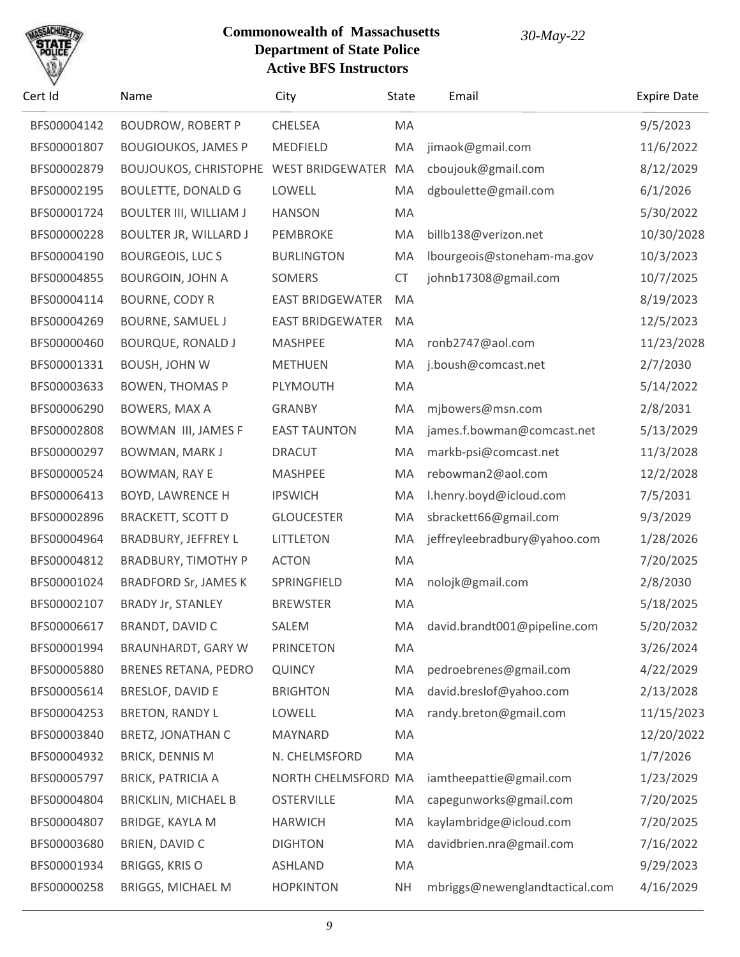

| Cert Id     | Name                                   | City                    | <b>State</b> | Email                          | <b>Expire Date</b> |
|-------------|----------------------------------------|-------------------------|--------------|--------------------------------|--------------------|
| BFS00004142 | <b>BOUDROW, ROBERT P</b>               | <b>CHELSEA</b>          | MA           |                                | 9/5/2023           |
| BFS00001807 | <b>BOUGIOUKOS, JAMES P</b>             | MEDFIELD                | MA           | jimaok@gmail.com               | 11/6/2022          |
| BFS00002879 | BOUJOUKOS, CHRISTOPHE WEST BRIDGEWATER |                         | MA           | cboujouk@gmail.com             | 8/12/2029          |
| BFS00002195 | <b>BOULETTE, DONALD G</b>              | LOWELL                  | MA           | dgboulette@gmail.com           | 6/1/2026           |
| BFS00001724 | <b>BOULTER III, WILLIAM J</b>          | <b>HANSON</b>           | MA           |                                | 5/30/2022          |
| BFS00000228 | <b>BOULTER JR, WILLARD J</b>           | PEMBROKE                | MA           | billb138@verizon.net           | 10/30/2028         |
| BFS00004190 | <b>BOURGEOIS, LUCS</b>                 | <b>BURLINGTON</b>       | MA           | lbourgeois@stoneham-ma.gov     | 10/3/2023          |
| BFS00004855 | <b>BOURGOIN, JOHN A</b>                | <b>SOMERS</b>           | <b>CT</b>    | johnb17308@gmail.com           | 10/7/2025          |
| BFS00004114 | <b>BOURNE, CODY R</b>                  | <b>EAST BRIDGEWATER</b> | MA           |                                | 8/19/2023          |
| BFS00004269 | <b>BOURNE, SAMUEL J</b>                | <b>EAST BRIDGEWATER</b> | MA           |                                | 12/5/2023          |
| BFS00000460 | <b>BOURQUE, RONALD J</b>               | <b>MASHPEE</b>          | MA           | ronb2747@aol.com               | 11/23/2028         |
| BFS00001331 | <b>BOUSH, JOHN W</b>                   | <b>METHUEN</b>          | MA           | j.boush@comcast.net            | 2/7/2030           |
| BFS00003633 | <b>BOWEN, THOMAS P</b>                 | PLYMOUTH                | MA           |                                | 5/14/2022          |
| BFS00006290 | BOWERS, MAX A                          | <b>GRANBY</b>           | MA           | mjbowers@msn.com               | 2/8/2031           |
| BFS00002808 | <b>BOWMAN III, JAMES F</b>             | <b>EAST TAUNTON</b>     | MA           | james.f.bowman@comcast.net     | 5/13/2029          |
| BFS00000297 | <b>BOWMAN, MARK J</b>                  | <b>DRACUT</b>           | MA           | markb-psi@comcast.net          | 11/3/2028          |
| BFS00000524 | <b>BOWMAN, RAY E</b>                   | <b>MASHPEE</b>          | MA           | rebowman2@aol.com              | 12/2/2028          |
| BFS00006413 | <b>BOYD, LAWRENCE H</b>                | <b>IPSWICH</b>          | MA           | l.henry.boyd@icloud.com        | 7/5/2031           |
| BFS00002896 | <b>BRACKETT, SCOTT D</b>               | <b>GLOUCESTER</b>       | MA           | sbrackett66@gmail.com          | 9/3/2029           |
| BFS00004964 | <b>BRADBURY, JEFFREY L</b>             | <b>LITTLETON</b>        | MA           | jeffreyleebradbury@yahoo.com   | 1/28/2026          |
| BFS00004812 | <b>BRADBURY, TIMOTHY P</b>             | <b>ACTON</b>            | MA           |                                | 7/20/2025          |
| BFS00001024 | <b>BRADFORD Sr, JAMES K</b>            | SPRINGFIELD             | MA           | nolojk@gmail.com               | 2/8/2030           |
| BFS00002107 | <b>BRADY Jr, STANLEY</b>               | <b>BREWSTER</b>         | MA           |                                | 5/18/2025          |
| BFS00006617 | <b>BRANDT, DAVID C</b>                 | SALEM                   | MA           | david.brandt001@pipeline.com   | 5/20/2032          |
| BFS00001994 | <b>BRAUNHARDT, GARY W</b>              | <b>PRINCETON</b>        | MA           |                                | 3/26/2024          |
| BFS00005880 | <b>BRENES RETANA, PEDRO</b>            | <b>QUINCY</b>           | MA           | pedroebrenes@gmail.com         | 4/22/2029          |
| BFS00005614 | BRESLOF, DAVID E                       | <b>BRIGHTON</b>         | MA           | david.breslof@yahoo.com        | 2/13/2028          |
| BFS00004253 | <b>BRETON, RANDY L</b>                 | LOWELL                  | MA           | randy.breton@gmail.com         | 11/15/2023         |
| BFS00003840 | <b>BRETZ, JONATHAN C</b>               | MAYNARD                 | MA           |                                | 12/20/2022         |
| BFS00004932 | <b>BRICK, DENNIS M</b>                 | N. CHELMSFORD           | MA           |                                | 1/7/2026           |
| BFS00005797 | <b>BRICK, PATRICIA A</b>               | NORTH CHELMSFORD MA     |              | iamtheepattie@gmail.com        | 1/23/2029          |
| BFS00004804 | <b>BRICKLIN, MICHAEL B</b>             | <b>OSTERVILLE</b>       | MA           | capegunworks@gmail.com         | 7/20/2025          |
| BFS00004807 | <b>BRIDGE, KAYLA M</b>                 | <b>HARWICH</b>          | MA           | kaylambridge@icloud.com        | 7/20/2025          |
| BFS00003680 | BRIEN, DAVID C                         | <b>DIGHTON</b>          | MA           | davidbrien.nra@gmail.com       | 7/16/2022          |
| BFS00001934 | <b>BRIGGS, KRIS O</b>                  | <b>ASHLAND</b>          | MA           |                                | 9/29/2023          |
| BFS00000258 | <b>BRIGGS, MICHAEL M</b>               | <b>HOPKINTON</b>        | <b>NH</b>    | mbriggs@newenglandtactical.com | 4/16/2029          |
|             |                                        |                         |              |                                |                    |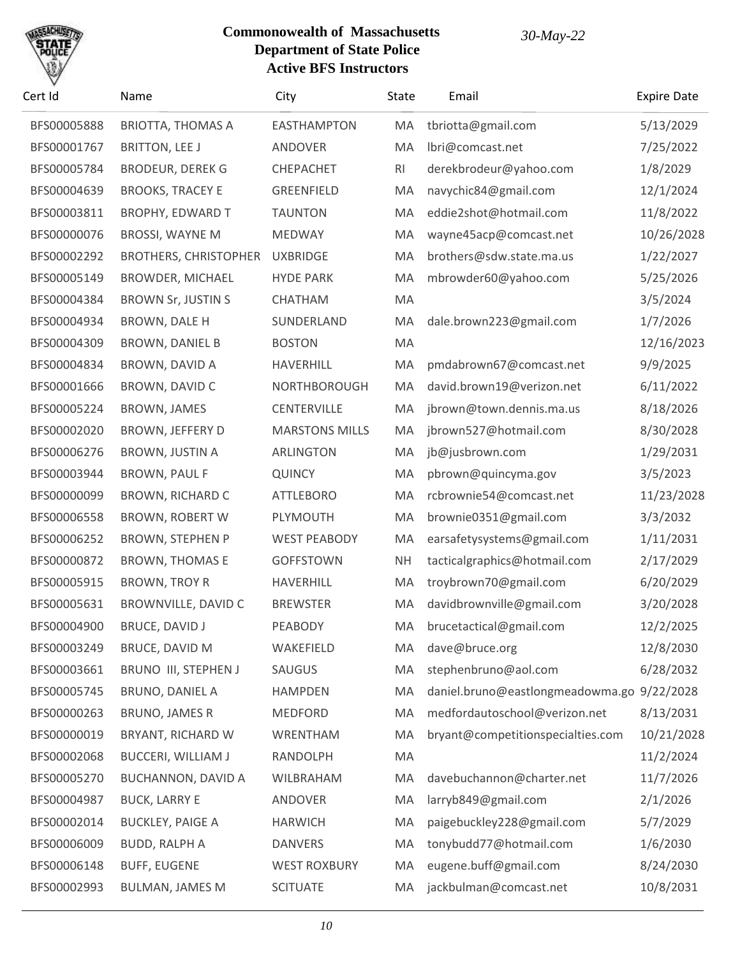

| Cert Id     | Name                         | City                  | State     | Email                                      | <b>Expire Date</b> |
|-------------|------------------------------|-----------------------|-----------|--------------------------------------------|--------------------|
| BFS00005888 | <b>BRIOTTA, THOMAS A</b>     | <b>EASTHAMPTON</b>    | MA        | tbriotta@gmail.com                         | 5/13/2029          |
| BFS00001767 | <b>BRITTON, LEE J</b>        | ANDOVER               | MA        | lbri@comcast.net                           | 7/25/2022          |
| BFS00005784 | <b>BRODEUR, DEREK G</b>      | CHEPACHET             | <b>RI</b> | derekbrodeur@yahoo.com                     | 1/8/2029           |
| BFS00004639 | <b>BROOKS, TRACEY E</b>      | <b>GREENFIELD</b>     | MA        | navychic84@gmail.com                       | 12/1/2024          |
| BFS00003811 | <b>BROPHY, EDWARD T</b>      | <b>TAUNTON</b>        | MA        | eddie2shot@hotmail.com                     | 11/8/2022          |
| BFS00000076 | BROSSI, WAYNE M              | <b>MEDWAY</b>         | MA        | wayne45acp@comcast.net                     | 10/26/2028         |
| BFS00002292 | <b>BROTHERS, CHRISTOPHER</b> | <b>UXBRIDGE</b>       | MA        | brothers@sdw.state.ma.us                   | 1/22/2027          |
| BFS00005149 | <b>BROWDER, MICHAEL</b>      | <b>HYDE PARK</b>      | MA        | mbrowder60@yahoo.com                       | 5/25/2026          |
| BFS00004384 | <b>BROWN Sr, JUSTIN S</b>    | CHATHAM               | MA        |                                            | 3/5/2024           |
| BFS00004934 | BROWN, DALE H                | SUNDERLAND            | MA        | dale.brown223@gmail.com                    | 1/7/2026           |
| BFS00004309 | <b>BROWN, DANIEL B</b>       | <b>BOSTON</b>         | MA        |                                            | 12/16/2023         |
| BFS00004834 | <b>BROWN, DAVID A</b>        | <b>HAVERHILL</b>      | MA        | pmdabrown67@comcast.net                    | 9/9/2025           |
| BFS00001666 | BROWN, DAVID C               | NORTHBOROUGH          | MA        | david.brown19@verizon.net                  | 6/11/2022          |
| BFS00005224 | BROWN, JAMES                 | <b>CENTERVILLE</b>    | MA        | jbrown@town.dennis.ma.us                   | 8/18/2026          |
| BFS00002020 | <b>BROWN, JEFFERY D</b>      | <b>MARSTONS MILLS</b> | MA        | jbrown527@hotmail.com                      | 8/30/2028          |
| BFS00006276 | BROWN, JUSTIN A              | ARLINGTON             | MA        | jb@jusbrown.com                            | 1/29/2031          |
| BFS00003944 | <b>BROWN, PAUL F</b>         | <b>QUINCY</b>         | MA        | pbrown@quincyma.gov                        | 3/5/2023           |
| BFS00000099 | <b>BROWN, RICHARD C</b>      | <b>ATTLEBORO</b>      | MA        | rcbrownie54@comcast.net                    | 11/23/2028         |
| BFS00006558 | <b>BROWN, ROBERT W</b>       | PLYMOUTH              | MA        | brownie0351@gmail.com                      | 3/3/2032           |
| BFS00006252 | <b>BROWN, STEPHEN P</b>      | <b>WEST PEABODY</b>   | MA        | earsafetysystems@gmail.com                 | 1/11/2031          |
| BFS00000872 | <b>BROWN, THOMAS E</b>       | <b>GOFFSTOWN</b>      | <b>NH</b> | tacticalgraphics@hotmail.com               | 2/17/2029          |
| BFS00005915 | <b>BROWN, TROY R</b>         | HAVERHILL             | MA        | troybrown70@gmail.com                      | 6/20/2029          |
| BFS00005631 | BROWNVILLE, DAVID C          | <b>BREWSTER</b>       | MA        | davidbrownville@gmail.com                  | 3/20/2028          |
| BFS00004900 | BRUCE, DAVID J               | PEABODY               | MA.       | brucetactical@gmail.com                    | 12/2/2025          |
| BFS00003249 | <b>BRUCE, DAVID M</b>        | WAKEFIELD             | MA        | dave@bruce.org                             | 12/8/2030          |
| BFS00003661 | BRUNO III, STEPHEN J         | SAUGUS                | MA        | stephenbruno@aol.com                       | 6/28/2032          |
| BFS00005745 | BRUNO, DANIEL A              | <b>HAMPDEN</b>        | MA        | daniel.bruno@eastlongmeadowma.go 9/22/2028 |                    |
| BFS00000263 | <b>BRUNO, JAMES R</b>        | <b>MEDFORD</b>        | MA        | medfordautoschool@verizon.net              | 8/13/2031          |
| BFS00000019 | BRYANT, RICHARD W            | WRENTHAM              | MA        | bryant@competitionspecialties.com          | 10/21/2028         |
| BFS00002068 | <b>BUCCERI, WILLIAM J</b>    | RANDOLPH              | MA        |                                            | 11/2/2024          |
| BFS00005270 | <b>BUCHANNON, DAVID A</b>    | WILBRAHAM             | MA        | davebuchannon@charter.net                  | 11/7/2026          |
| BFS00004987 | <b>BUCK, LARRY E</b>         | ANDOVER               | MA        | larryb849@gmail.com                        | 2/1/2026           |
| BFS00002014 | <b>BUCKLEY, PAIGE A</b>      | <b>HARWICH</b>        | MA        | paigebuckley228@gmail.com                  | 5/7/2029           |
| BFS00006009 | <b>BUDD, RALPH A</b>         | <b>DANVERS</b>        | MA        | tonybudd77@hotmail.com                     | 1/6/2030           |
| BFS00006148 | <b>BUFF, EUGENE</b>          | <b>WEST ROXBURY</b>   | MA        | eugene.buff@gmail.com                      | 8/24/2030          |
| BFS00002993 | <b>BULMAN, JAMES M</b>       | <b>SCITUATE</b>       | МA        | jackbulman@comcast.net                     | 10/8/2031          |
|             |                              |                       |           |                                            |                    |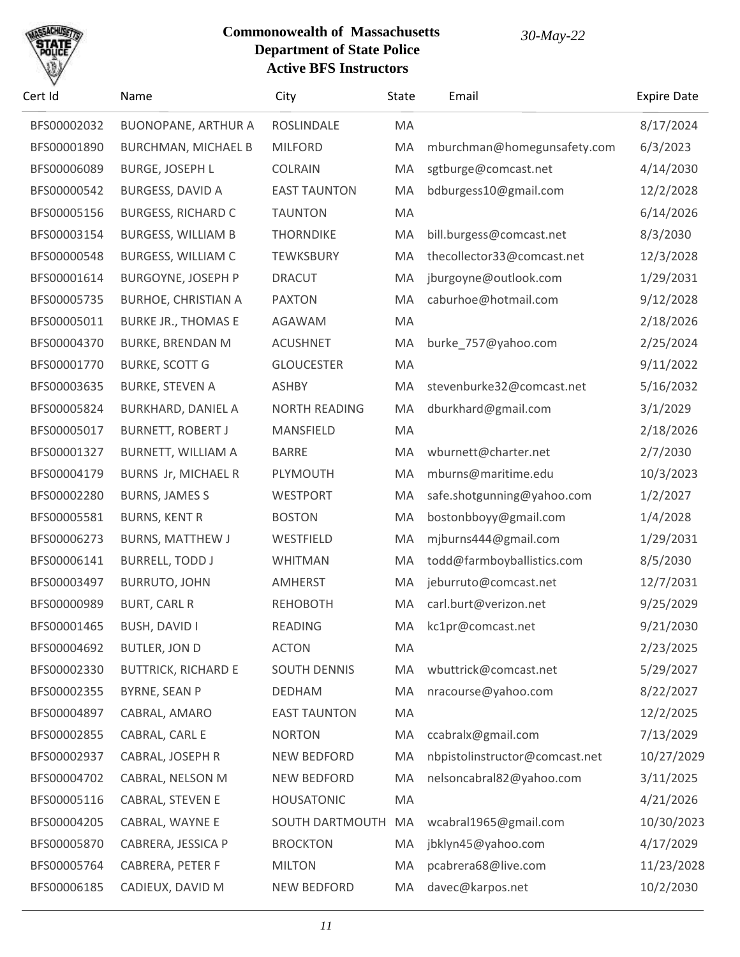## SACHU

| Cert Id     | Name                       | City                 | State | Email                          | <b>Expire Date</b> |
|-------------|----------------------------|----------------------|-------|--------------------------------|--------------------|
| BFS00002032 | <b>BUONOPANE, ARTHUR A</b> | ROSLINDALE           | MA    |                                | 8/17/2024          |
| BFS00001890 | <b>BURCHMAN, MICHAEL B</b> | <b>MILFORD</b>       | MA    | mburchman@homegunsafety.com    | 6/3/2023           |
| BFS00006089 | <b>BURGE, JOSEPH L</b>     | <b>COLRAIN</b>       | MA    | sgtburge@comcast.net           | 4/14/2030          |
| BFS00000542 | BURGESS, DAVID A           | <b>EAST TAUNTON</b>  | MA    | bdburgess10@gmail.com          | 12/2/2028          |
| BFS00005156 | <b>BURGESS, RICHARD C</b>  | <b>TAUNTON</b>       | MA    |                                | 6/14/2026          |
| BFS00003154 | <b>BURGESS, WILLIAM B</b>  | <b>THORNDIKE</b>     | MA    | bill.burgess@comcast.net       | 8/3/2030           |
| BFS00000548 | <b>BURGESS, WILLIAM C</b>  | <b>TEWKSBURY</b>     | MA    | thecollector33@comcast.net     | 12/3/2028          |
| BFS00001614 | <b>BURGOYNE, JOSEPH P</b>  | <b>DRACUT</b>        | MA    | jburgoyne@outlook.com          | 1/29/2031          |
| BFS00005735 | <b>BURHOE, CHRISTIAN A</b> | <b>PAXTON</b>        | MA    | caburhoe@hotmail.com           | 9/12/2028          |
| BFS00005011 | <b>BURKE JR., THOMAS E</b> | AGAWAM               | MA    |                                | 2/18/2026          |
| BFS00004370 | <b>BURKE, BRENDAN M</b>    | <b>ACUSHNET</b>      | MA    | burke_757@yahoo.com            | 2/25/2024          |
| BFS00001770 | <b>BURKE, SCOTT G</b>      | <b>GLOUCESTER</b>    | MA    |                                | 9/11/2022          |
| BFS00003635 | <b>BURKE, STEVEN A</b>     | <b>ASHBY</b>         | MA    | stevenburke32@comcast.net      | 5/16/2032          |
| BFS00005824 | <b>BURKHARD, DANIEL A</b>  | <b>NORTH READING</b> | MA    | dburkhard@gmail.com            | 3/1/2029           |
| BFS00005017 | <b>BURNETT, ROBERT J</b>   | MANSFIELD            | MA    |                                | 2/18/2026          |
| BFS00001327 | BURNETT, WILLIAM A         | <b>BARRE</b>         | MA    | wburnett@charter.net           | 2/7/2030           |
| BFS00004179 | <b>BURNS Jr, MICHAEL R</b> | PLYMOUTH             | MA    | mburns@maritime.edu            | 10/3/2023          |
| BFS00002280 | <b>BURNS, JAMES S</b>      | <b>WESTPORT</b>      | MA    | safe.shotgunning@yahoo.com     | 1/2/2027           |
| BFS00005581 | <b>BURNS, KENT R</b>       | <b>BOSTON</b>        | MA    | bostonbboyy@gmail.com          | 1/4/2028           |
| BFS00006273 | <b>BURNS, MATTHEW J</b>    | WESTFIELD            | MA    | mjburns444@gmail.com           | 1/29/2031          |
| BFS00006141 | <b>BURRELL, TODD J</b>     | <b>WHITMAN</b>       | MA    | todd@farmboyballistics.com     | 8/5/2030           |
| BFS00003497 | <b>BURRUTO, JOHN</b>       | AMHERST              | MA    | jeburruto@comcast.net          | 12/7/2031          |
| BFS00000989 | <b>BURT, CARL R</b>        | <b>REHOBOTH</b>      | MA    | carl.burt@verizon.net          | 9/25/2029          |
| BFS00001465 | BUSH, DAVID I              | READING              | MA    | kc1pr@comcast.net              | 9/21/2030          |
| BFS00004692 | <b>BUTLER, JON D</b>       | <b>ACTON</b>         | MA    |                                | 2/23/2025          |
| BFS00002330 | <b>BUTTRICK, RICHARD E</b> | <b>SOUTH DENNIS</b>  | MA    | wbuttrick@comcast.net          | 5/29/2027          |
| BFS00002355 | BYRNE, SEAN P              | <b>DEDHAM</b>        | MA    | nracourse@yahoo.com            | 8/22/2027          |
| BFS00004897 | CABRAL, AMARO              | <b>EAST TAUNTON</b>  | MA    |                                | 12/2/2025          |
| BFS00002855 | CABRAL, CARL E             | <b>NORTON</b>        | MA    | ccabralx@gmail.com             | 7/13/2029          |
| BFS00002937 | CABRAL, JOSEPH R           | <b>NEW BEDFORD</b>   | MA    | nbpistolinstructor@comcast.net | 10/27/2029         |
| BFS00004702 | CABRAL, NELSON M           | <b>NEW BEDFORD</b>   | MA    | nelsoncabral82@yahoo.com       | 3/11/2025          |
| BFS00005116 | CABRAL, STEVEN E           | <b>HOUSATONIC</b>    | MA    |                                | 4/21/2026          |
| BFS00004205 | CABRAL, WAYNE E            | SOUTH DARTMOUTH      | MA    | wcabral1965@gmail.com          | 10/30/2023         |
| BFS00005870 | CABRERA, JESSICA P         | <b>BROCKTON</b>      | MA    | jbklyn45@yahoo.com             | 4/17/2029          |
| BFS00005764 | <b>CABRERA, PETER F</b>    | <b>MILTON</b>        | MA    | pcabrera68@live.com            | 11/23/2028         |
| BFS00006185 | CADIEUX, DAVID M           | NEW BEDFORD          | MA    | davec@karpos.net               | 10/2/2030          |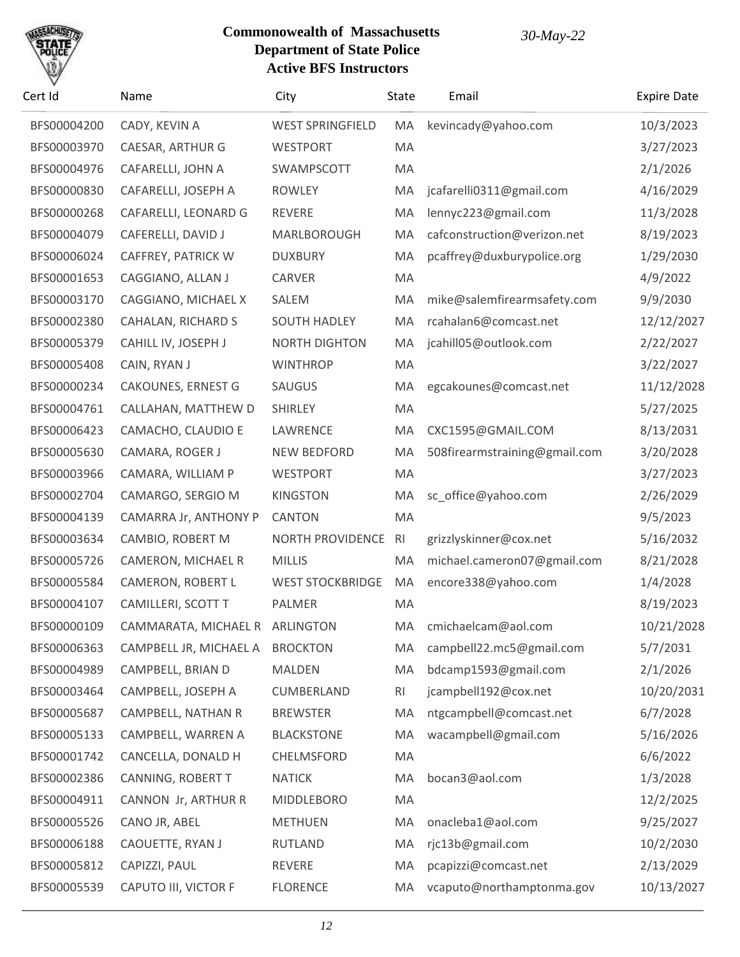# SACHU

| Cert Id     | Name                           | City                    | <b>State</b>   | Email                         | <b>Expire Date</b> |
|-------------|--------------------------------|-------------------------|----------------|-------------------------------|--------------------|
| BFS00004200 | CADY, KEVIN A                  | <b>WEST SPRINGFIELD</b> | MA             | kevincady@yahoo.com           | 10/3/2023          |
| BFS00003970 | CAESAR, ARTHUR G               | <b>WESTPORT</b>         | MA             |                               | 3/27/2023          |
| BFS00004976 | CAFARELLI, JOHN A              | SWAMPSCOTT              | MA             |                               | 2/1/2026           |
| BFS00000830 | CAFARELLI, JOSEPH A            | <b>ROWLEY</b>           | MA             | jcafarelli0311@gmail.com      | 4/16/2029          |
| BFS00000268 | CAFARELLI, LEONARD G           | <b>REVERE</b>           | MA             | lennyc223@gmail.com           | 11/3/2028          |
| BFS00004079 | CAFERELLI, DAVID J             | MARLBOROUGH             | MA             | cafconstruction@verizon.net   | 8/19/2023          |
| BFS00006024 | CAFFREY, PATRICK W             | <b>DUXBURY</b>          | MA             | pcaffrey@duxburypolice.org    | 1/29/2030          |
| BFS00001653 | CAGGIANO, ALLAN J              | CARVER                  | MA             |                               | 4/9/2022           |
| BFS00003170 | CAGGIANO, MICHAEL X            | SALEM                   | MA             | mike@salemfirearmsafety.com   | 9/9/2030           |
| BFS00002380 | CAHALAN, RICHARD S             | <b>SOUTH HADLEY</b>     | MA             | rcahalan6@comcast.net         | 12/12/2027         |
| BFS00005379 | CAHILL IV, JOSEPH J            | <b>NORTH DIGHTON</b>    | MA             | jcahill05@outlook.com         | 2/22/2027          |
| BFS00005408 | CAIN, RYAN J                   | <b>WINTHROP</b>         | MA             |                               | 3/22/2027          |
| BFS00000234 | <b>CAKOUNES, ERNEST G</b>      | SAUGUS                  | MA             | egcakounes@comcast.net        | 11/12/2028         |
| BFS00004761 | CALLAHAN, MATTHEW D            | <b>SHIRLEY</b>          | MA             |                               | 5/27/2025          |
| BFS00006423 | CAMACHO, CLAUDIO E             | LAWRENCE                | MA             | CXC1595@GMAIL.COM             | 8/13/2031          |
| BFS00005630 | CAMARA, ROGER J                | <b>NEW BEDFORD</b>      | MA             | 508firearmstraining@gmail.com | 3/20/2028          |
| BFS00003966 | CAMARA, WILLIAM P              | <b>WESTPORT</b>         | MA             |                               | 3/27/2023          |
| BFS00002704 | CAMARGO, SERGIO M              | <b>KINGSTON</b>         | MA             | sc_office@yahoo.com           | 2/26/2029          |
| BFS00004139 | CAMARRA Jr, ANTHONY P          | <b>CANTON</b>           | MA             |                               | 9/5/2023           |
| BFS00003634 | CAMBIO, ROBERT M               | NORTH PROVIDENCE        | R <sub>l</sub> | grizzlyskinner@cox.net        | 5/16/2032          |
| BFS00005726 | CAMERON, MICHAEL R             | <b>MILLIS</b>           | MA             | michael.cameron07@gmail.com   | 8/21/2028          |
| BFS00005584 | CAMERON, ROBERT L              | <b>WEST STOCKBRIDGE</b> | MA             | encore338@yahoo.com           | 1/4/2028           |
| BFS00004107 | CAMILLERI, SCOTT T             | PALMER                  | MA             |                               | 8/19/2023          |
| BFS00000109 | CAMMARATA, MICHAEL R ARLINGTON |                         | МA             | cmichaelcam@aol.com           | 10/21/2028         |
| BFS00006363 | CAMPBELL JR, MICHAEL A         | <b>BROCKTON</b>         | MA             | campbell22.mc5@gmail.com      | 5/7/2031           |
| BFS00004989 | CAMPBELL, BRIAN D              | <b>MALDEN</b>           | MA             | bdcamp1593@gmail.com          | 2/1/2026           |
| BFS00003464 | CAMPBELL, JOSEPH A             | CUMBERLAND              | R <sub>l</sub> | jcampbell192@cox.net          | 10/20/2031         |
| BFS00005687 | CAMPBELL, NATHAN R             | <b>BREWSTER</b>         | MA             | ntgcampbell@comcast.net       | 6/7/2028           |
| BFS00005133 | CAMPBELL, WARREN A             | <b>BLACKSTONE</b>       | MA             | wacampbell@gmail.com          | 5/16/2026          |
| BFS00001742 | CANCELLA, DONALD H             | CHELMSFORD              | MA             |                               | 6/6/2022           |
| BFS00002386 | CANNING, ROBERT T              | <b>NATICK</b>           | MA             | bocan3@aol.com                | 1/3/2028           |
| BFS00004911 | CANNON Jr, ARTHUR R            | <b>MIDDLEBORO</b>       | MA             |                               | 12/2/2025          |
| BFS00005526 | CANO JR, ABEL                  | <b>METHUEN</b>          | MA             | onacleba1@aol.com             | 9/25/2027          |
| BFS00006188 | CAOUETTE, RYAN J               | <b>RUTLAND</b>          | MA             | rjc13b@gmail.com              | 10/2/2030          |
| BFS00005812 | CAPIZZI, PAUL                  | REVERE                  | MA             | pcapizzi@comcast.net          | 2/13/2029          |
| BFS00005539 | CAPUTO III, VICTOR F           | <b>FLORENCE</b>         | MA             | vcaputo@northamptonma.gov     | 10/13/2027         |
|             |                                |                         |                |                               |                    |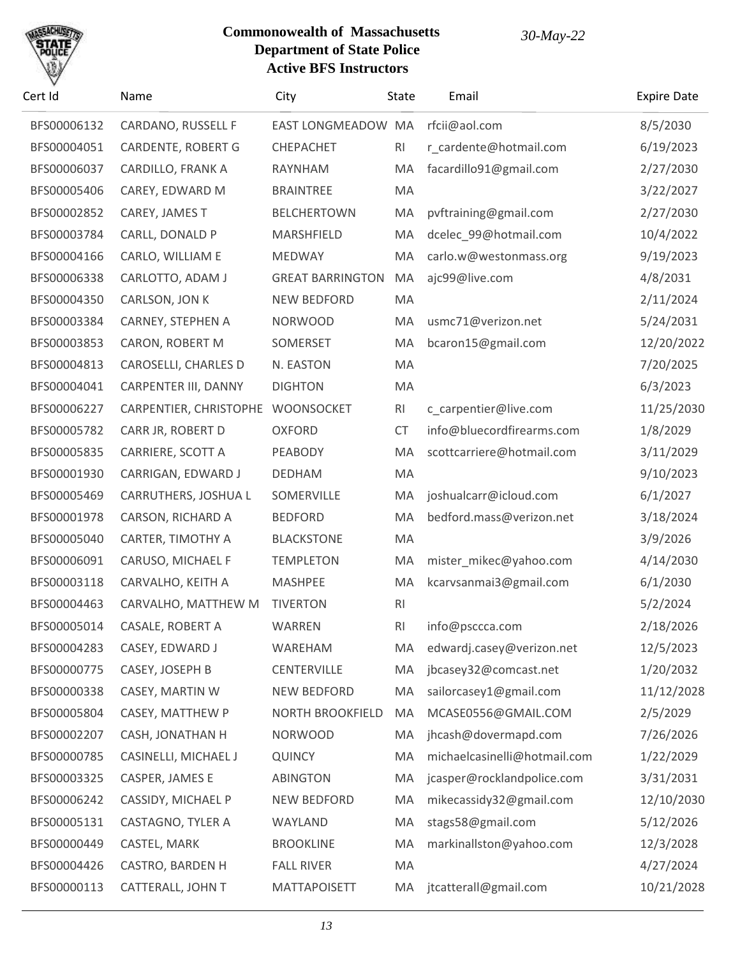

| Cert Id     | Name                   | City                    | State          | Email                        | <b>Expire Date</b> |
|-------------|------------------------|-------------------------|----------------|------------------------------|--------------------|
| BFS00006132 | CARDANO, RUSSELL F     | EAST LONGMEADOW MA      |                | rfcii@aol.com                | 8/5/2030           |
| BFS00004051 | CARDENTE, ROBERT G     | CHEPACHET               | RI             | r_cardente@hotmail.com       | 6/19/2023          |
| BFS00006037 | CARDILLO, FRANK A      | RAYNHAM                 | MA             | facardillo91@gmail.com       | 2/27/2030          |
| BFS00005406 | CAREY, EDWARD M        | <b>BRAINTREE</b>        | MA             |                              | 3/22/2027          |
| BFS00002852 | CAREY, JAMES T         | <b>BELCHERTOWN</b>      | MA             | pvftraining@gmail.com        | 2/27/2030          |
| BFS00003784 | CARLL, DONALD P        | MARSHFIELD              | MA             | dcelec 99@hotmail.com        | 10/4/2022          |
| BFS00004166 | CARLO, WILLIAM E       | <b>MEDWAY</b>           | MA             | carlo.w@westonmass.org       | 9/19/2023          |
| BFS00006338 | CARLOTTO, ADAM J       | <b>GREAT BARRINGTON</b> | MA             | ajc99@live.com               | 4/8/2031           |
| BFS00004350 | CARLSON, JON K         | <b>NEW BEDFORD</b>      | MA             |                              | 2/11/2024          |
| BFS00003384 | CARNEY, STEPHEN A      | <b>NORWOOD</b>          | MA             | usmc71@verizon.net           | 5/24/2031          |
| BFS00003853 | CARON, ROBERT M        | SOMERSET                | MA             | bcaron15@gmail.com           | 12/20/2022         |
| BFS00004813 | CAROSELLI, CHARLES D   | N. EASTON               | MA             |                              | 7/20/2025          |
| BFS00004041 | CARPENTER III, DANNY   | <b>DIGHTON</b>          | MA             |                              | 6/3/2023           |
| BFS00006227 | CARPENTIER, CHRISTOPHE | WOONSOCKET              | RI             | c_carpentier@live.com        | 11/25/2030         |
| BFS00005782 | CARR JR, ROBERT D      | <b>OXFORD</b>           | <b>CT</b>      | info@bluecordfirearms.com    | 1/8/2029           |
| BFS00005835 | CARRIERE, SCOTT A      | PEABODY                 | MA             | scottcarriere@hotmail.com    | 3/11/2029          |
| BFS00001930 | CARRIGAN, EDWARD J     | <b>DEDHAM</b>           | MA             |                              | 9/10/2023          |
| BFS00005469 | CARRUTHERS, JOSHUA L   | SOMERVILLE              | MA             | joshualcarr@icloud.com       | 6/1/2027           |
| BFS00001978 | CARSON, RICHARD A      | <b>BEDFORD</b>          | MA             | bedford.mass@verizon.net     | 3/18/2024          |
| BFS00005040 | CARTER, TIMOTHY A      | <b>BLACKSTONE</b>       | MA             |                              | 3/9/2026           |
| BFS00006091 | CARUSO, MICHAEL F      | <b>TEMPLETON</b>        | MA             | mister_mikec@yahoo.com       | 4/14/2030          |
| BFS00003118 | CARVALHO, KEITH A      | <b>MASHPEE</b>          | MA             | kcarvsanmai3@gmail.com       | 6/1/2030           |
| BFS00004463 | CARVALHO, MATTHEW M    | <b>TIVERTON</b>         | R <sub>l</sub> |                              | 5/2/2024           |
| BFS00005014 | CASALE, ROBERT A       | WARREN                  | RI             | info@psccca.com              | 2/18/2026          |
| BFS00004283 | CASEY, EDWARD J        | WAREHAM                 | MA             | edwardj.casey@verizon.net    | 12/5/2023          |
| BFS00000775 | CASEY, JOSEPH B        | <b>CENTERVILLE</b>      | MA             | jbcasey32@comcast.net        | 1/20/2032          |
| BFS00000338 | CASEY, MARTIN W        | <b>NEW BEDFORD</b>      | MA             | sailorcasey1@gmail.com       | 11/12/2028         |
| BFS00005804 | CASEY, MATTHEW P       | <b>NORTH BROOKFIELD</b> | MA             | MCASE0556@GMAIL.COM          | 2/5/2029           |
| BFS00002207 | CASH, JONATHAN H       | <b>NORWOOD</b>          | MA             | jhcash@dovermapd.com         | 7/26/2026          |
| BFS00000785 | CASINELLI, MICHAEL J   | <b>QUINCY</b>           | MA             | michaelcasinelli@hotmail.com | 1/22/2029          |
| BFS00003325 | CASPER, JAMES E        | <b>ABINGTON</b>         | MA             | jcasper@rocklandpolice.com   | 3/31/2031          |
| BFS00006242 | CASSIDY, MICHAEL P     | <b>NEW BEDFORD</b>      | MA             | mikecassidy32@gmail.com      | 12/10/2030         |
| BFS00005131 | CASTAGNO, TYLER A      | WAYLAND                 | MA             | stags58@gmail.com            | 5/12/2026          |
| BFS00000449 | CASTEL, MARK           | <b>BROOKLINE</b>        | MA             | markinallston@yahoo.com      | 12/3/2028          |
| BFS00004426 | CASTRO, BARDEN H       | <b>FALL RIVER</b>       | MA             |                              | 4/27/2024          |
| BFS00000113 | CATTERALL, JOHN T      | <b>MATTAPOISETT</b>     | MA             | jtcatterall@gmail.com        | 10/21/2028         |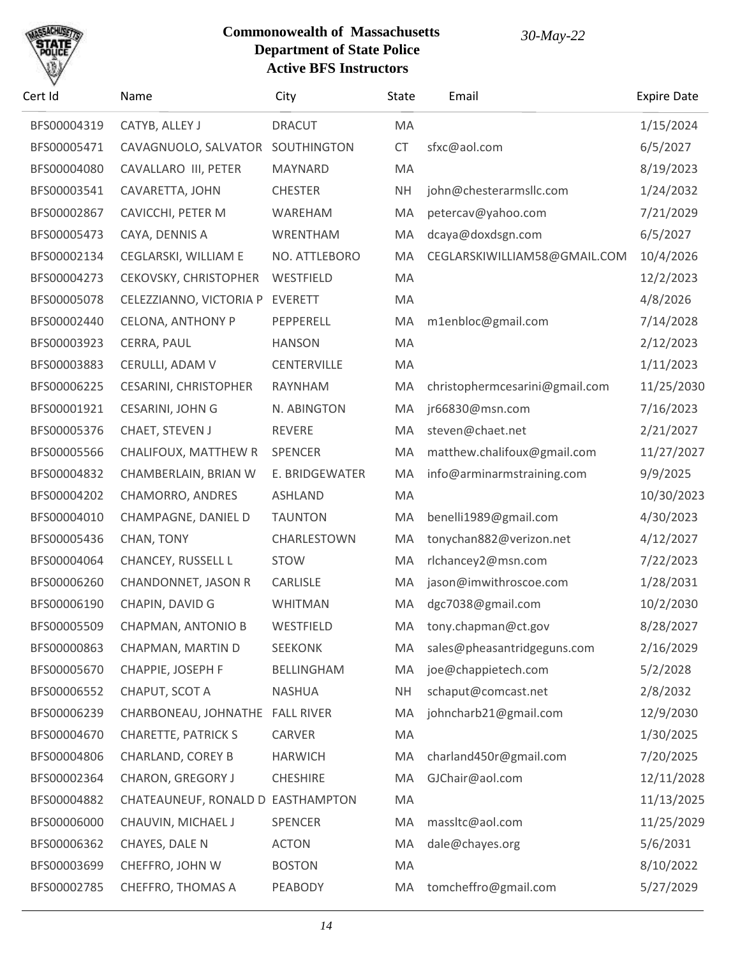## SACHU

| Cert Id     | Name                              | City               | State     | Email                          | <b>Expire Date</b> |
|-------------|-----------------------------------|--------------------|-----------|--------------------------------|--------------------|
| BFS00004319 | CATYB, ALLEY J                    | <b>DRACUT</b>      | MA        |                                | 1/15/2024          |
| BFS00005471 | CAVAGNUOLO, SALVATOR SOUTHINGTON  |                    | <b>CT</b> | sfxc@aol.com                   | 6/5/2027           |
| BFS00004080 | CAVALLARO III, PETER              | <b>MAYNARD</b>     | MA        |                                | 8/19/2023          |
| BFS00003541 | CAVARETTA, JOHN                   | <b>CHESTER</b>     | <b>NH</b> | john@chesterarmsllc.com        | 1/24/2032          |
| BFS00002867 | CAVICCHI, PETER M                 | WAREHAM            | MA        | petercav@yahoo.com             | 7/21/2029          |
| BFS00005473 | CAYA, DENNIS A                    | WRENTHAM           | MA        | dcaya@doxdsgn.com              | 6/5/2027           |
| BFS00002134 | CEGLARSKI, WILLIAM E              | NO. ATTLEBORO      | MA        | CEGLARSKIWILLIAM58@GMAIL.COM   | 10/4/2026          |
| BFS00004273 | CEKOVSKY, CHRISTOPHER             | WESTFIELD          | MA        |                                | 12/2/2023          |
| BFS00005078 | CELEZZIANNO, VICTORIA P           | <b>EVERETT</b>     | MA        |                                | 4/8/2026           |
| BFS00002440 | <b>CELONA, ANTHONY P</b>          | PEPPERELL          | MA        | m1enbloc@gmail.com             | 7/14/2028          |
| BFS00003923 | CERRA, PAUL                       | <b>HANSON</b>      | MA        |                                | 2/12/2023          |
| BFS00003883 | CERULLI, ADAM V                   | <b>CENTERVILLE</b> | MA        |                                | 1/11/2023          |
| BFS00006225 | <b>CESARINI, CHRISTOPHER</b>      | RAYNHAM            | MA        | christophermcesarini@gmail.com | 11/25/2030         |
| BFS00001921 | CESARINI, JOHN G                  | N. ABINGTON        | MA        | jr66830@msn.com                | 7/16/2023          |
| BFS00005376 | CHAET, STEVEN J                   | REVERE             | MA        | steven@chaet.net               | 2/21/2027          |
| BFS00005566 | CHALIFOUX, MATTHEW R              | <b>SPENCER</b>     | MA        | matthew.chalifoux@gmail.com    | 11/27/2027         |
| BFS00004832 | CHAMBERLAIN, BRIAN W              | E. BRIDGEWATER     | MA        | info@arminarmstraining.com     | 9/9/2025           |
| BFS00004202 | CHAMORRO, ANDRES                  | <b>ASHLAND</b>     | MA        |                                | 10/30/2023         |
| BFS00004010 | CHAMPAGNE, DANIEL D               | <b>TAUNTON</b>     | MA        | benelli1989@gmail.com          | 4/30/2023          |
| BFS00005436 | CHAN, TONY                        | CHARLESTOWN        | MA        | tonychan882@verizon.net        | 4/12/2027          |
| BFS00004064 | <b>CHANCEY, RUSSELL L</b>         | <b>STOW</b>        | MA        | rlchancey2@msn.com             | 7/22/2023          |
| BFS00006260 | <b>CHANDONNET, JASON R</b>        | CARLISLE           | MA        | jason@imwithroscoe.com         | 1/28/2031          |
| BFS00006190 | CHAPIN, DAVID G                   | <b>WHITMAN</b>     | MA        | dgc7038@gmail.com              | 10/2/2030          |
| BFS00005509 | CHAPMAN, ANTONIO B                | WESTFIELD          | MA        | tony.chapman@ct.gov            | 8/28/2027          |
| BFS00000863 | CHAPMAN, MARTIN D                 | <b>SEEKONK</b>     | MA        | sales@pheasantridgeguns.com    | 2/16/2029          |
| BFS00005670 | CHAPPIE, JOSEPH F                 | BELLINGHAM         | MA        | joe@chappietech.com            | 5/2/2028           |
| BFS00006552 | CHAPUT, SCOT A                    | <b>NASHUA</b>      | <b>NH</b> | schaput@comcast.net            | 2/8/2032           |
| BFS00006239 | CHARBONEAU, JOHNATHE FALL RIVER   |                    | MA        | johncharb21@gmail.com          | 12/9/2030          |
| BFS00004670 | <b>CHARETTE, PATRICK S</b>        | CARVER             | MA        |                                | 1/30/2025          |
| BFS00004806 | <b>CHARLAND, COREY B</b>          | <b>HARWICH</b>     | MA        | charland450r@gmail.com         | 7/20/2025          |
| BFS00002364 | CHARON, GREGORY J                 | <b>CHESHIRE</b>    | MA        | GJChair@aol.com                | 12/11/2028         |
| BFS00004882 | CHATEAUNEUF, RONALD D EASTHAMPTON |                    | MA        |                                | 11/13/2025         |
| BFS00006000 | CHAUVIN, MICHAEL J                | SPENCER            | MA        | massItc@aol.com                | 11/25/2029         |
| BFS00006362 | CHAYES, DALE N                    | <b>ACTON</b>       | MA        | dale@chayes.org                | 5/6/2031           |
| BFS00003699 | CHEFFRO, JOHN W                   | <b>BOSTON</b>      | MA        |                                | 8/10/2022          |
| BFS00002785 | CHEFFRO, THOMAS A                 | PEABODY            | MA        | tomcheffro@gmail.com           | 5/27/2029          |
|             |                                   |                    |           |                                |                    |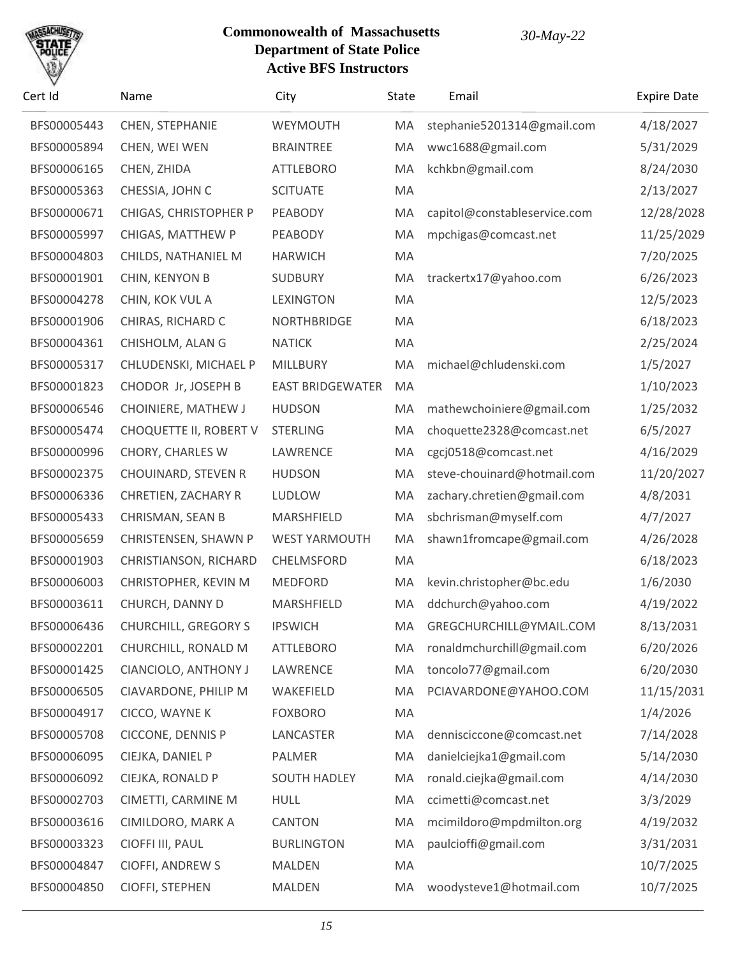

| Cert Id     | Name                        | City                    | State | Email                        | <b>Expire Date</b> |
|-------------|-----------------------------|-------------------------|-------|------------------------------|--------------------|
| BFS00005443 | CHEN, STEPHANIE             | WEYMOUTH                | MA    | stephanie5201314@gmail.com   | 4/18/2027          |
| BFS00005894 | CHEN, WEI WEN               | <b>BRAINTREE</b>        | MA    | wwc1688@gmail.com            | 5/31/2029          |
| BFS00006165 | CHEN, ZHIDA                 | <b>ATTLEBORO</b>        | MA    | kchkbn@gmail.com             | 8/24/2030          |
| BFS00005363 | CHESSIA, JOHN C             | <b>SCITUATE</b>         | MA    |                              | 2/13/2027          |
| BFS00000671 | CHIGAS, CHRISTOPHER P       | PEABODY                 | MA    | capitol@constableservice.com | 12/28/2028         |
| BFS00005997 | CHIGAS, MATTHEW P           | PEABODY                 | MA    | mpchigas@comcast.net         | 11/25/2029         |
| BFS00004803 | CHILDS, NATHANIEL M         | <b>HARWICH</b>          | MA    |                              | 7/20/2025          |
| BFS00001901 | CHIN, KENYON B              | <b>SUDBURY</b>          | MA    | trackertx17@yahoo.com        | 6/26/2023          |
| BFS00004278 | CHIN, KOK VUL A             | <b>LEXINGTON</b>        | MA    |                              | 12/5/2023          |
| BFS00001906 | CHIRAS, RICHARD C           | <b>NORTHBRIDGE</b>      | MA    |                              | 6/18/2023          |
| BFS00004361 | CHISHOLM, ALAN G            | <b>NATICK</b>           | MA    |                              | 2/25/2024          |
| BFS00005317 | CHLUDENSKI, MICHAEL P       | MILLBURY                | MA    | michael@chludenski.com       | 1/5/2027           |
| BFS00001823 | CHODOR Jr, JOSEPH B         | <b>EAST BRIDGEWATER</b> | MA    |                              | 1/10/2023          |
| BFS00006546 | CHOINIERE, MATHEW J         | <b>HUDSON</b>           | MA    | mathewchoiniere@gmail.com    | 1/25/2032          |
| BFS00005474 | CHOQUETTE II, ROBERT V      | <b>STERLING</b>         | MA    | choquette2328@comcast.net    | 6/5/2027           |
| BFS00000996 | CHORY, CHARLES W            | LAWRENCE                | MA    | cgcj0518@comcast.net         | 4/16/2029          |
| BFS00002375 | CHOUINARD, STEVEN R         | <b>HUDSON</b>           | MA    | steve-chouinard@hotmail.com  | 11/20/2027         |
| BFS00006336 | CHRETIEN, ZACHARY R         | LUDLOW                  | MA    | zachary.chretien@gmail.com   | 4/8/2031           |
| BFS00005433 | CHRISMAN, SEAN B            | MARSHFIELD              | MA    | sbchrisman@myself.com        | 4/7/2027           |
| BFS00005659 | CHRISTENSEN, SHAWN P        | <b>WEST YARMOUTH</b>    | MA    | shawn1fromcape@gmail.com     | 4/26/2028          |
| BFS00001903 | CHRISTIANSON, RICHARD       | CHELMSFORD              | MA    |                              | 6/18/2023          |
| BFS00006003 | CHRISTOPHER, KEVIN M        | <b>MEDFORD</b>          | MA    | kevin.christopher@bc.edu     | 1/6/2030           |
| BFS00003611 | CHURCH, DANNY D             | MARSHFIELD              | MA    | ddchurch@yahoo.com           | 4/19/2022          |
| BFS00006436 | <b>CHURCHILL, GREGORY S</b> | <b>IPSWICH</b>          | MA    | GREGCHURCHILL@YMAIL.COM      | 8/13/2031          |
| BFS00002201 | CHURCHILL, RONALD M         | <b>ATTLEBORO</b>        | MA    | ronaldmchurchill@gmail.com   | 6/20/2026          |
| BFS00001425 | CIANCIOLO, ANTHONY J        | LAWRENCE                | MA    | toncolo77@gmail.com          | 6/20/2030          |
| BFS00006505 | CIAVARDONE, PHILIP M        | WAKEFIELD               | MA    | PCIAVARDONE@YAHOO.COM        | 11/15/2031         |
| BFS00004917 | CICCO, WAYNE K              | <b>FOXBORO</b>          | MA    |                              | 1/4/2026           |
| BFS00005708 | CICCONE, DENNIS P           | LANCASTER               | MA    | dennisciccone@comcast.net    | 7/14/2028          |
| BFS00006095 | CIEJKA, DANIEL P            | PALMER                  | MA    | danielciejka1@gmail.com      | 5/14/2030          |
| BFS00006092 | CIEJKA, RONALD P            | <b>SOUTH HADLEY</b>     | MA    | ronald.ciejka@gmail.com      | 4/14/2030          |
| BFS00002703 | CIMETTI, CARMINE M          | <b>HULL</b>             | MA    | ccimetti@comcast.net         | 3/3/2029           |
| BFS00003616 | CIMILDORO, MARK A           | CANTON                  | MA    | mcimildoro@mpdmilton.org     | 4/19/2032          |
| BFS00003323 | CIOFFI III, PAUL            | <b>BURLINGTON</b>       | MA    | paulcioffi@gmail.com         | 3/31/2031          |
| BFS00004847 | <b>CIOFFI, ANDREW S</b>     | <b>MALDEN</b>           | MA    |                              | 10/7/2025          |
| BFS00004850 | CIOFFI, STEPHEN             | MALDEN                  | MA    | woodysteve1@hotmail.com      | 10/7/2025          |
|             |                             |                         |       |                              |                    |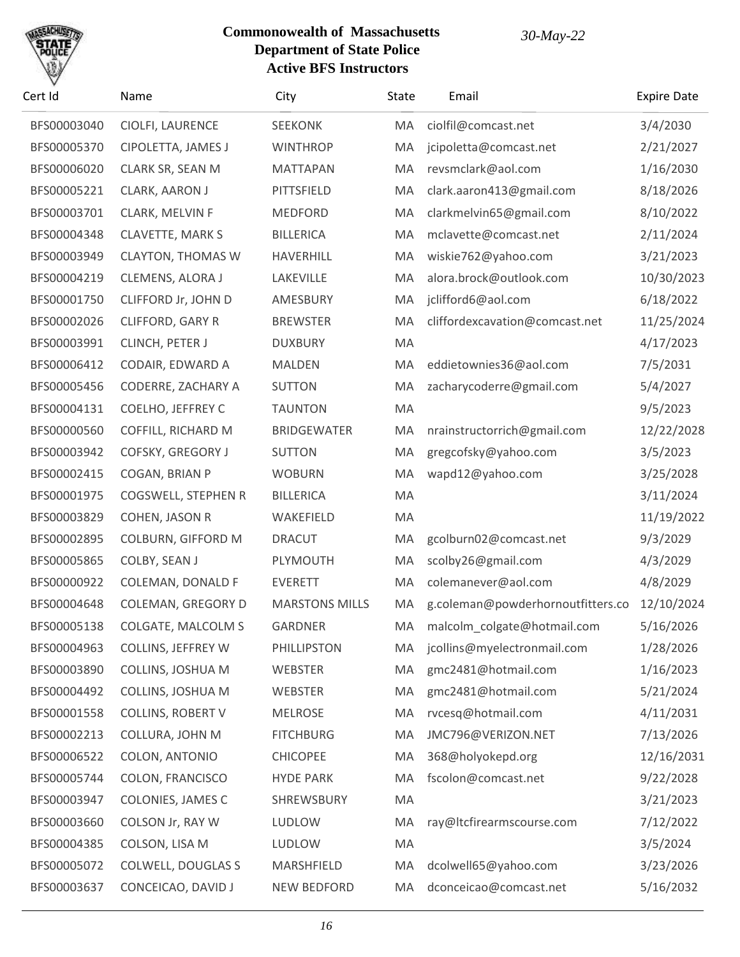

| Cert Id     | Name                      | City                  | State | Email                             | <b>Expire Date</b> |
|-------------|---------------------------|-----------------------|-------|-----------------------------------|--------------------|
| BFS00003040 | CIOLFI, LAURENCE          | <b>SEEKONK</b>        | MA    | ciolfil@comcast.net               | 3/4/2030           |
| BFS00005370 | CIPOLETTA, JAMES J        | <b>WINTHROP</b>       | MA    | jcipoletta@comcast.net            | 2/21/2027          |
| BFS00006020 | CLARK SR, SEAN M          | <b>MATTAPAN</b>       | MA    | revsmclark@aol.com                | 1/16/2030          |
| BFS00005221 | CLARK, AARON J            | PITTSFIELD            | MA    | clark.aaron413@gmail.com          | 8/18/2026          |
| BFS00003701 | CLARK, MELVIN F           | <b>MEDFORD</b>        | MA    | clarkmelvin65@gmail.com           | 8/10/2022          |
| BFS00004348 | CLAVETTE, MARK S          | <b>BILLERICA</b>      | MA    | mclavette@comcast.net             | 2/11/2024          |
| BFS00003949 | <b>CLAYTON, THOMAS W</b>  | HAVERHILL             | MA    | wiskie762@yahoo.com               | 3/21/2023          |
| BFS00004219 | CLEMENS, ALORA J          | LAKEVILLE             | MA    | alora.brock@outlook.com           | 10/30/2023         |
| BFS00001750 | CLIFFORD Jr, JOHN D       | AMESBURY              | MA    | jclifford6@aol.com                | 6/18/2022          |
| BFS00002026 | CLIFFORD, GARY R          | <b>BREWSTER</b>       | MA    | cliffordexcavation@comcast.net    | 11/25/2024         |
| BFS00003991 | CLINCH, PETER J           | <b>DUXBURY</b>        | MA    |                                   | 4/17/2023          |
| BFS00006412 | CODAIR, EDWARD A          | <b>MALDEN</b>         | MA    | eddietownies36@aol.com            | 7/5/2031           |
| BFS00005456 | CODERRE, ZACHARY A        | <b>SUTTON</b>         | MA    | zacharycoderre@gmail.com          | 5/4/2027           |
| BFS00004131 | COELHO, JEFFREY C         | <b>TAUNTON</b>        | MA    |                                   | 9/5/2023           |
| BFS00000560 | COFFILL, RICHARD M        | <b>BRIDGEWATER</b>    | MA    | nrainstructorrich@gmail.com       | 12/22/2028         |
| BFS00003942 | COFSKY, GREGORY J         | <b>SUTTON</b>         | MA    | gregcofsky@yahoo.com              | 3/5/2023           |
| BFS00002415 | COGAN, BRIAN P            | <b>WOBURN</b>         | MA    | wapd12@yahoo.com                  | 3/25/2028          |
| BFS00001975 | COGSWELL, STEPHEN R       | <b>BILLERICA</b>      | MA    |                                   | 3/11/2024          |
| BFS00003829 | COHEN, JASON R            | WAKEFIELD             | MA    |                                   | 11/19/2022         |
| BFS00002895 | COLBURN, GIFFORD M        | <b>DRACUT</b>         | MA    | gcolburn02@comcast.net            | 9/3/2029           |
| BFS00005865 | COLBY, SEAN J             | PLYMOUTH              | MA    | scolby26@gmail.com                | 4/3/2029           |
| BFS00000922 | COLEMAN, DONALD F         | <b>EVERETT</b>        | MA    | colemanever@aol.com               | 4/8/2029           |
| BFS00004648 | COLEMAN, GREGORY D        | <b>MARSTONS MILLS</b> | MA    | g.coleman@powderhornoutfitters.co | 12/10/2024         |
| BFS00005138 | COLGATE, MALCOLM S        | <b>GARDNER</b>        | MA    | malcolm_colgate@hotmail.com       | 5/16/2026          |
| BFS00004963 | COLLINS, JEFFREY W        | PHILLIPSTON           | MA    | jcollins@myelectronmail.com       | 1/28/2026          |
| BFS00003890 | COLLINS, JOSHUA M         | WEBSTER               | MA    | gmc2481@hotmail.com               | 1/16/2023          |
| BFS00004492 | COLLINS, JOSHUA M         | WEBSTER               | MA    | gmc2481@hotmail.com               | 5/21/2024          |
| BFS00001558 | COLLINS, ROBERT V         | <b>MELROSE</b>        | MA    | rvcesq@hotmail.com                | 4/11/2031          |
| BFS00002213 | COLLURA, JOHN M           | <b>FITCHBURG</b>      | MA    | JMC796@VERIZON.NET                | 7/13/2026          |
| BFS00006522 | COLON, ANTONIO            | <b>CHICOPEE</b>       | MA    | 368@holyokepd.org                 | 12/16/2031         |
| BFS00005744 | COLON, FRANCISCO          | <b>HYDE PARK</b>      | MA    | fscolon@comcast.net               | 9/22/2028          |
| BFS00003947 | COLONIES, JAMES C         | SHREWSBURY            | MA    |                                   | 3/21/2023          |
| BFS00003660 | COLSON Jr, RAY W          | LUDLOW                | MA    | ray@ltcfirearmscourse.com         | 7/12/2022          |
| BFS00004385 | COLSON, LISA M            | LUDLOW                | MA    |                                   | 3/5/2024           |
| BFS00005072 | <b>COLWELL, DOUGLAS S</b> | MARSHFIELD            | MA    | dcolwell65@yahoo.com              | 3/23/2026          |
| BFS00003637 | CONCEICAO, DAVID J        | <b>NEW BEDFORD</b>    | MA    | dconceicao@comcast.net            | 5/16/2032          |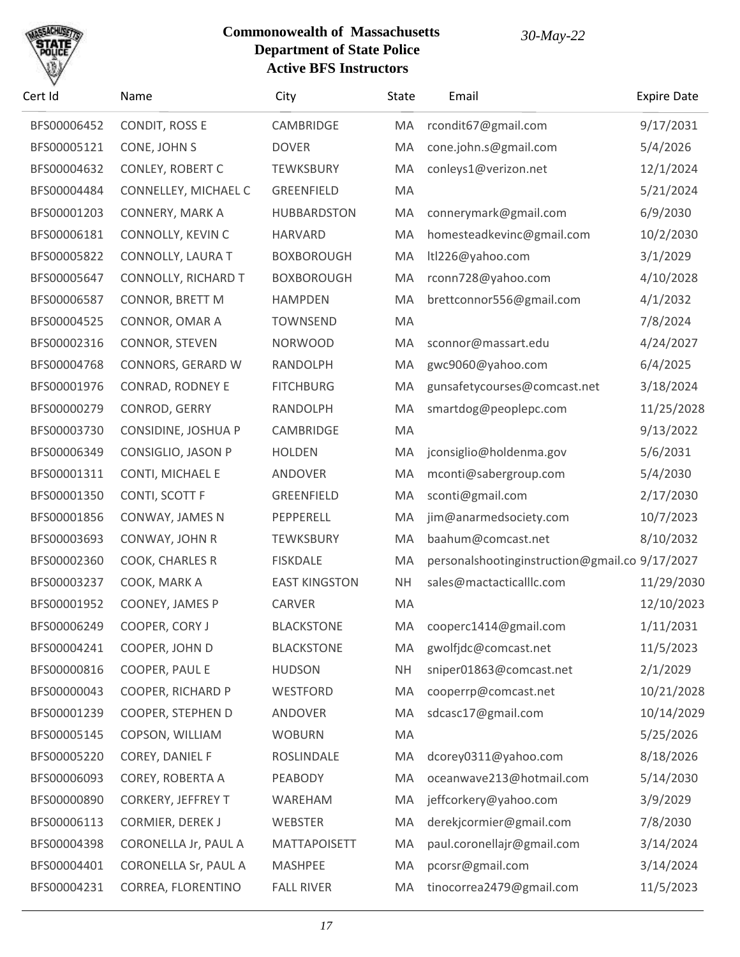

| Cert Id     | Name                      | City                 | State     | Email                                          | <b>Expire Date</b> |
|-------------|---------------------------|----------------------|-----------|------------------------------------------------|--------------------|
| BFS00006452 | CONDIT, ROSS E            | CAMBRIDGE            | MA        | rcondit67@gmail.com                            | 9/17/2031          |
| BFS00005121 | CONE, JOHN S              | <b>DOVER</b>         | MA        | cone.john.s@gmail.com                          | 5/4/2026           |
| BFS00004632 | <b>CONLEY, ROBERT C</b>   | <b>TEWKSBURY</b>     | MA        | conleys1@verizon.net                           | 12/1/2024          |
| BFS00004484 | CONNELLEY, MICHAEL C      | GREENFIELD           | MA        |                                                | 5/21/2024          |
| BFS00001203 | <b>CONNERY, MARK A</b>    | <b>HUBBARDSTON</b>   | MA        | connerymark@gmail.com                          | 6/9/2030           |
| BFS00006181 | CONNOLLY, KEVIN C         | <b>HARVARD</b>       | MA        | homesteadkevinc@gmail.com                      | 10/2/2030          |
| BFS00005822 | CONNOLLY, LAURA T         | <b>BOXBOROUGH</b>    | MA        | Itl226@yahoo.com                               | 3/1/2029           |
| BFS00005647 | CONNOLLY, RICHARD T       | <b>BOXBOROUGH</b>    | MA        | rconn728@yahoo.com                             | 4/10/2028          |
| BFS00006587 | CONNOR, BRETT M           | <b>HAMPDEN</b>       | MA        | brettconnor556@gmail.com                       | 4/1/2032           |
| BFS00004525 | CONNOR, OMAR A            | <b>TOWNSEND</b>      | MA        |                                                | 7/8/2024           |
| BFS00002316 | CONNOR, STEVEN            | <b>NORWOOD</b>       | MA        | sconnor@massart.edu                            | 4/24/2027          |
| BFS00004768 | CONNORS, GERARD W         | RANDOLPH             | MA        | gwc9060@yahoo.com                              | 6/4/2025           |
| BFS00001976 | <b>CONRAD, RODNEY E</b>   | <b>FITCHBURG</b>     | MA        | gunsafetycourses@comcast.net                   | 3/18/2024          |
| BFS00000279 | CONROD, GERRY             | RANDOLPH             | MA        | smartdog@peoplepc.com                          | 11/25/2028         |
| BFS00003730 | CONSIDINE, JOSHUA P       | <b>CAMBRIDGE</b>     | MA        |                                                | 9/13/2022          |
| BFS00006349 | CONSIGLIO, JASON P        | <b>HOLDEN</b>        | MA        | jconsiglio@holdenma.gov                        | 5/6/2031           |
| BFS00001311 | CONTI, MICHAEL E          | ANDOVER              | MA        | mconti@sabergroup.com                          | 5/4/2030           |
| BFS00001350 | CONTI, SCOTT F            | GREENFIELD           | MA        | sconti@gmail.com                               | 2/17/2030          |
| BFS00001856 | CONWAY, JAMES N           | PEPPERELL            | MA        | jim@anarmedsociety.com                         | 10/7/2023          |
| BFS00003693 | CONWAY, JOHN R            | <b>TEWKSBURY</b>     | MA        | baahum@comcast.net                             | 8/10/2032          |
| BFS00002360 | COOK, CHARLES R           | <b>FISKDALE</b>      | MA        | personalshootinginstruction@gmail.co 9/17/2027 |                    |
| BFS00003237 | COOK, MARK A              | <b>EAST KINGSTON</b> | <b>NH</b> | sales@mactacticalllc.com                       | 11/29/2030         |
| BFS00001952 | COONEY, JAMES P           | CARVER               | MA        |                                                | 12/10/2023         |
| BFS00006249 | COOPER, CORY J            | <b>BLACKSTONE</b>    | MA        | cooperc1414@gmail.com                          | 1/11/2031          |
| BFS00004241 | COOPER, JOHN D            | <b>BLACKSTONE</b>    | MA        | gwolfjdc@comcast.net                           | 11/5/2023          |
| BFS00000816 | COOPER, PAUL E            | <b>HUDSON</b>        | <b>NH</b> | sniper01863@comcast.net                        | 2/1/2029           |
| BFS00000043 | COOPER, RICHARD P         | WESTFORD             | MA        | cooperrp@comcast.net                           | 10/21/2028         |
| BFS00001239 | COOPER, STEPHEN D         | ANDOVER              | MA        | sdcasc17@gmail.com                             | 10/14/2029         |
| BFS00005145 | COPSON, WILLIAM           | <b>WOBURN</b>        | MA        |                                                | 5/25/2026          |
| BFS00005220 | COREY, DANIEL F           | ROSLINDALE           | MA        | dcorey0311@yahoo.com                           | 8/18/2026          |
| BFS00006093 | COREY, ROBERTA A          | PEABODY              | MA        | oceanwave213@hotmail.com                       | 5/14/2030          |
| BFS00000890 | <b>CORKERY, JEFFREY T</b> | WAREHAM              | MA        | jeffcorkery@yahoo.com                          | 3/9/2029           |
| BFS00006113 | CORMIER, DEREK J          | WEBSTER              | MA        | derekjcormier@gmail.com                        | 7/8/2030           |
| BFS00004398 | CORONELLA Jr, PAUL A      | <b>MATTAPOISETT</b>  | MA        | paul.coronellajr@gmail.com                     | 3/14/2024          |
| BFS00004401 | CORONELLA Sr, PAUL A      | <b>MASHPEE</b>       | MA        | pcorsr@gmail.com                               | 3/14/2024          |
| BFS00004231 | CORREA, FLORENTINO        | <b>FALL RIVER</b>    | MA        | tinocorrea2479@gmail.com                       | 11/5/2023          |
|             |                           |                      |           |                                                |                    |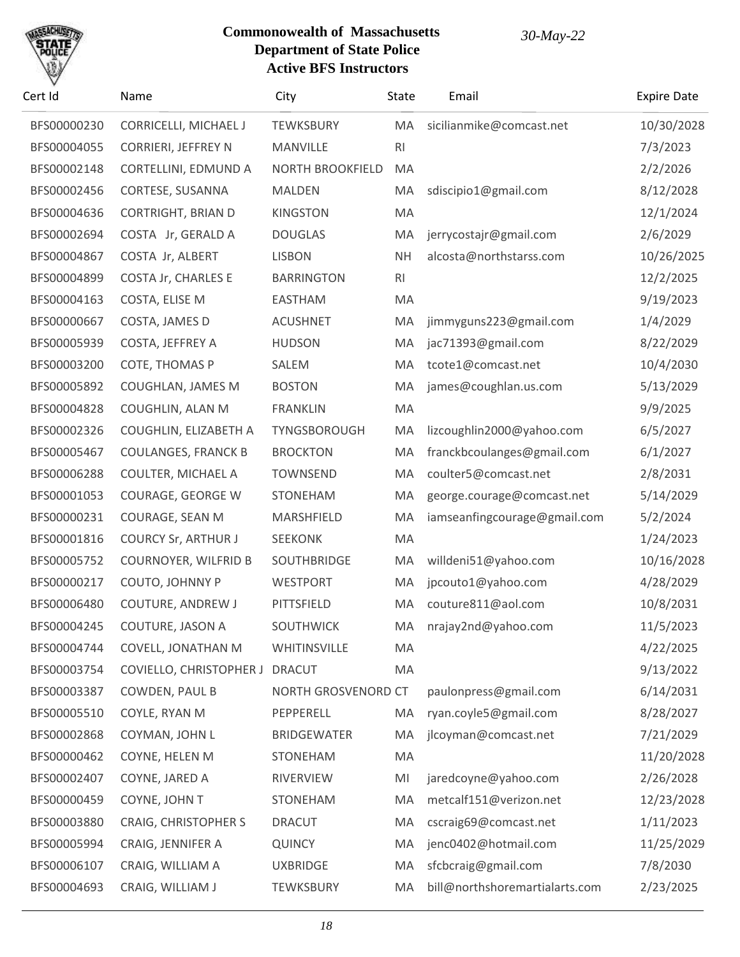

| Cert Id     | Name                        | City                    | State          | Email                          | <b>Expire Date</b> |
|-------------|-----------------------------|-------------------------|----------------|--------------------------------|--------------------|
| BFS00000230 | CORRICELLI, MICHAEL J       | <b>TEWKSBURY</b>        | MA             | sicilianmike@comcast.net       | 10/30/2028         |
| BFS00004055 | <b>CORRIERI, JEFFREY N</b>  | MANVILLE                | R <sub>l</sub> |                                | 7/3/2023           |
| BFS00002148 | CORTELLINI, EDMUND A        | <b>NORTH BROOKFIELD</b> | MA             |                                | 2/2/2026           |
| BFS00002456 | CORTESE, SUSANNA            | <b>MALDEN</b>           | MA             | sdiscipio1@gmail.com           | 8/12/2028          |
| BFS00004636 | <b>CORTRIGHT, BRIAN D</b>   | <b>KINGSTON</b>         | MA             |                                | 12/1/2024          |
| BFS00002694 | COSTA Jr, GERALD A          | <b>DOUGLAS</b>          | MA             | jerrycostajr@gmail.com         | 2/6/2029           |
| BFS00004867 | COSTA Jr, ALBERT            | <b>LISBON</b>           | <b>NH</b>      | alcosta@northstarss.com        | 10/26/2025         |
| BFS00004899 | <b>COSTA Jr, CHARLES E</b>  | <b>BARRINGTON</b>       | R <sub>l</sub> |                                | 12/2/2025          |
| BFS00004163 | COSTA, ELISE M              | <b>EASTHAM</b>          | MA             |                                | 9/19/2023          |
| BFS00000667 | COSTA, JAMES D              | <b>ACUSHNET</b>         | MA             | jimmyguns223@gmail.com         | 1/4/2029           |
| BFS00005939 | COSTA, JEFFREY A            | <b>HUDSON</b>           | MA             | jac71393@gmail.com             | 8/22/2029          |
| BFS00003200 | COTE, THOMAS P              | SALEM                   | MA             | tcote1@comcast.net             | 10/4/2030          |
| BFS00005892 | COUGHLAN, JAMES M           | <b>BOSTON</b>           | MA             | james@coughlan.us.com          | 5/13/2029          |
| BFS00004828 | COUGHLIN, ALAN M            | <b>FRANKLIN</b>         | MA             |                                | 9/9/2025           |
| BFS00002326 | COUGHLIN, ELIZABETH A       | TYNGSBOROUGH            | MA             | lizcoughlin2000@yahoo.com      | 6/5/2027           |
| BFS00005467 | <b>COULANGES, FRANCK B</b>  | <b>BROCKTON</b>         | MA             | franckbcoulanges@gmail.com     | 6/1/2027           |
| BFS00006288 | <b>COULTER, MICHAEL A</b>   | <b>TOWNSEND</b>         | MA             | coulter5@comcast.net           | 2/8/2031           |
| BFS00001053 | COURAGE, GEORGE W           | <b>STONEHAM</b>         | MA             | george.courage@comcast.net     | 5/14/2029          |
| BFS00000231 | COURAGE, SEAN M             | MARSHFIELD              | MA             | iamseanfingcourage@gmail.com   | 5/2/2024           |
| BFS00001816 | <b>COURCY Sr, ARTHUR J</b>  | <b>SEEKONK</b>          | MA             |                                | 1/24/2023          |
| BFS00005752 | COURNOYER, WILFRID B        | <b>SOUTHBRIDGE</b>      | MA             | willdeni51@yahoo.com           | 10/16/2028         |
| BFS00000217 | COUTO, JOHNNY P             | <b>WESTPORT</b>         | MA             | jpcouto1@yahoo.com             | 4/28/2029          |
| BFS00006480 | <b>COUTURE, ANDREW J</b>    | PITTSFIELD              | MA             | couture811@aol.com             | 10/8/2031          |
| BFS00004245 | COUTURE, JASON A            | <b>SOUTHWICK</b>        | MA             | nrajay2nd@yahoo.com            | 11/5/2023          |
| BFS00004744 | COVELL, JONATHAN M          | WHITINSVILLE            | MA             |                                | 4/22/2025          |
| BFS00003754 | COVIELLO, CHRISTOPHER J     | <b>DRACUT</b>           | MA             |                                | 9/13/2022          |
| BFS00003387 | COWDEN, PAUL B              | NORTH GROSVENORD CT     |                | paulonpress@gmail.com          | 6/14/2031          |
| BFS00005510 | COYLE, RYAN M               | PEPPERELL               | MA             | ryan.coyle5@gmail.com          | 8/28/2027          |
| BFS00002868 | COYMAN, JOHN L              | <b>BRIDGEWATER</b>      | MA             | jlcoyman@comcast.net           | 7/21/2029          |
| BFS00000462 | COYNE, HELEN M              | <b>STONEHAM</b>         | MA             |                                | 11/20/2028         |
| BFS00002407 | COYNE, JARED A              | RIVERVIEW               | MI             | jaredcoyne@yahoo.com           | 2/26/2028          |
| BFS00000459 | COYNE, JOHN T               | <b>STONEHAM</b>         | MA             | metcalf151@verizon.net         | 12/23/2028         |
| BFS00003880 | <b>CRAIG, CHRISTOPHER S</b> | <b>DRACUT</b>           | MA             | cscraig69@comcast.net          | 1/11/2023          |
| BFS00005994 | CRAIG, JENNIFER A           | <b>QUINCY</b>           | MA             | jenc0402@hotmail.com           | 11/25/2029         |
| BFS00006107 | CRAIG, WILLIAM A            | <b>UXBRIDGE</b>         | MA             | sfcbcraig@gmail.com            | 7/8/2030           |
| BFS00004693 | CRAIG, WILLIAM J            | <b>TEWKSBURY</b>        | MA             | bill@northshoremartialarts.com | 2/23/2025          |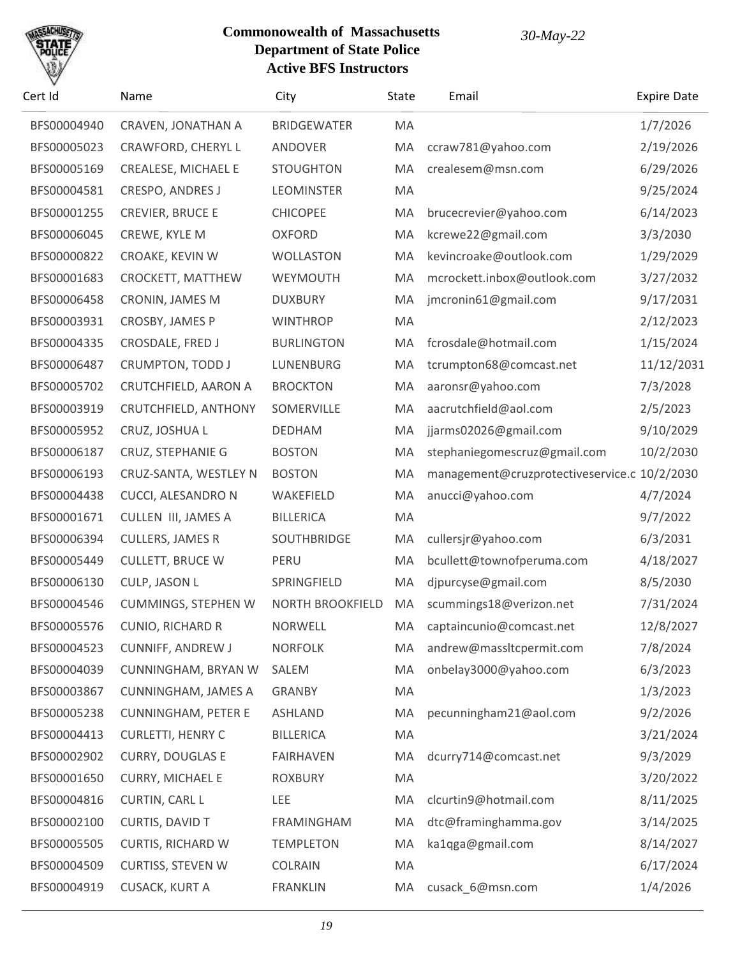

| Cert Id     | Name                        | City               | State | Email                                        | <b>Expire Date</b> |
|-------------|-----------------------------|--------------------|-------|----------------------------------------------|--------------------|
| BFS00004940 | CRAVEN, JONATHAN A          | <b>BRIDGEWATER</b> | MA    |                                              | 1/7/2026           |
| BFS00005023 | CRAWFORD, CHERYL L          | <b>ANDOVER</b>     | MA    | ccraw781@yahoo.com                           | 2/19/2026          |
| BFS00005169 | CREALESE, MICHAEL E         | <b>STOUGHTON</b>   | MA    | crealesem@msn.com                            | 6/29/2026          |
| BFS00004581 | <b>CRESPO, ANDRES J</b>     | <b>LEOMINSTER</b>  | MA    |                                              | 9/25/2024          |
| BFS00001255 | <b>CREVIER, BRUCE E</b>     | <b>CHICOPEE</b>    | MA    | brucecrevier@yahoo.com                       | 6/14/2023          |
| BFS00006045 | CREWE, KYLE M               | <b>OXFORD</b>      | MA    | kcrewe22@gmail.com                           | 3/3/2030           |
| BFS00000822 | CROAKE, KEVIN W             | <b>WOLLASTON</b>   | MA    | kevincroake@outlook.com                      | 1/29/2029          |
| BFS00001683 | CROCKETT, MATTHEW           | WEYMOUTH           | MA    | mcrockett.inbox@outlook.com                  | 3/27/2032          |
| BFS00006458 | CRONIN, JAMES M             | <b>DUXBURY</b>     | MA    | jmcronin61@gmail.com                         | 9/17/2031          |
| BFS00003931 | CROSBY, JAMES P             | <b>WINTHROP</b>    | MA    |                                              | 2/12/2023          |
| BFS00004335 | CROSDALE, FRED J            | <b>BURLINGTON</b>  | MA    | fcrosdale@hotmail.com                        | 1/15/2024          |
| BFS00006487 | CRUMPTON, TODD J            | LUNENBURG          | MA    | tcrumpton68@comcast.net                      | 11/12/2031         |
| BFS00005702 | CRUTCHFIELD, AARON A        | <b>BROCKTON</b>    | MA    | aaronsr@yahoo.com                            | 7/3/2028           |
| BFS00003919 | <b>CRUTCHFIELD, ANTHONY</b> | SOMERVILLE         | MA    | aacrutchfield@aol.com                        | 2/5/2023           |
| BFS00005952 | CRUZ, JOSHUA L              | <b>DEDHAM</b>      | MA    | jjarms02026@gmail.com                        | 9/10/2029          |
| BFS00006187 | CRUZ, STEPHANIE G           | <b>BOSTON</b>      | MA    | stephaniegomescruz@gmail.com                 | 10/2/2030          |
| BFS00006193 | CRUZ-SANTA, WESTLEY N       | <b>BOSTON</b>      | MA    | management@cruzprotectiveservice.c 10/2/2030 |                    |
| BFS00004438 | CUCCI, ALESANDRO N          | WAKEFIELD          | MA    | anucci@yahoo.com                             | 4/7/2024           |
| BFS00001671 | <b>CULLEN III, JAMES A</b>  | <b>BILLERICA</b>   | MA    |                                              | 9/7/2022           |
| BFS00006394 | <b>CULLERS, JAMES R</b>     | SOUTHBRIDGE        | MA    | cullersjr@yahoo.com                          | 6/3/2031           |
| BFS00005449 | <b>CULLETT, BRUCE W</b>     | PERU               | MA    | bcullett@townofperuma.com                    | 4/18/2027          |
| BFS00006130 | CULP, JASON L               | SPRINGFIELD        | MA    | djpurcyse@gmail.com                          | 8/5/2030           |
| BFS00004546 | CUMMINGS, STEPHEN W         | NORTH BROOKFIELD   | MA    | scummings18@verizon.net                      | 7/31/2024          |
| BFS00005576 | <b>CUNIO, RICHARD R</b>     | <b>NORWELL</b>     | MA.   | captaincunio@comcast.net                     | 12/8/2027          |
| BFS00004523 | <b>CUNNIFF, ANDREW J</b>    | <b>NORFOLK</b>     | MA    | andrew@massItcpermit.com                     | 7/8/2024           |
| BFS00004039 | CUNNINGHAM, BRYAN W         | SALEM              | MA    | onbelay3000@yahoo.com                        | 6/3/2023           |
| BFS00003867 | <b>CUNNINGHAM, JAMES A</b>  | <b>GRANBY</b>      | MA    |                                              | 1/3/2023           |
| BFS00005238 | <b>CUNNINGHAM, PETER E</b>  | <b>ASHLAND</b>     | MA    | pecunningham21@aol.com                       | 9/2/2026           |
| BFS00004413 | <b>CURLETTI, HENRY C</b>    | <b>BILLERICA</b>   | MA    |                                              | 3/21/2024          |
| BFS00002902 | <b>CURRY, DOUGLAS E</b>     | <b>FAIRHAVEN</b>   | MA    | dcurry714@comcast.net                        | 9/3/2029           |
| BFS00001650 | <b>CURRY, MICHAEL E</b>     | <b>ROXBURY</b>     | MA    |                                              | 3/20/2022          |
| BFS00004816 | <b>CURTIN, CARL L</b>       | LEE                | MA    | clcurtin9@hotmail.com                        | 8/11/2025          |
| BFS00002100 | CURTIS, DAVID T             | FRAMINGHAM         | MA    | dtc@framinghamma.gov                         | 3/14/2025          |
| BFS00005505 | <b>CURTIS, RICHARD W</b>    | <b>TEMPLETON</b>   | MA    | ka1qga@gmail.com                             | 8/14/2027          |
| BFS00004509 | <b>CURTISS, STEVEN W</b>    | <b>COLRAIN</b>     | MA    |                                              | 6/17/2024          |
| BFS00004919 | <b>CUSACK, KURT A</b>       | <b>FRANKLIN</b>    | MA    | cusack_6@msn.com                             | 1/4/2026           |
|             |                             |                    |       |                                              |                    |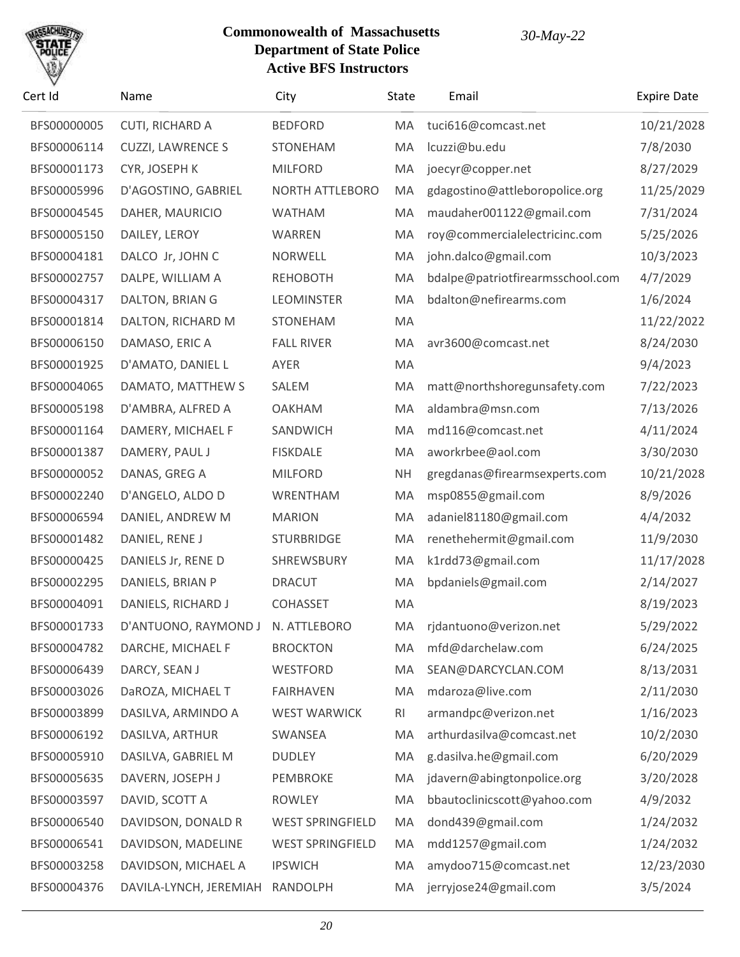

| Cert Id     | Name                              | City                    | State     | Email                            | <b>Expire Date</b> |
|-------------|-----------------------------------|-------------------------|-----------|----------------------------------|--------------------|
| BFS00000005 | CUTI, RICHARD A                   | <b>BEDFORD</b>          | MA        | tuci616@comcast.net              | 10/21/2028         |
| BFS00006114 | <b>CUZZI, LAWRENCE S</b>          | <b>STONEHAM</b>         | MA        | lcuzzi@bu.edu                    | 7/8/2030           |
| BFS00001173 | CYR, JOSEPH K                     | <b>MILFORD</b>          | MA        | joecyr@copper.net                | 8/27/2029          |
| BFS00005996 | D'AGOSTINO, GABRIEL               | <b>NORTH ATTLEBORO</b>  | MA        | gdagostino@attleboropolice.org   | 11/25/2029         |
| BFS00004545 | DAHER, MAURICIO                   | <b>WATHAM</b>           | MA        | maudaher001122@gmail.com         | 7/31/2024          |
| BFS00005150 | DAILEY, LEROY                     | WARREN                  | MA        | roy@commercialelectricinc.com    | 5/25/2026          |
| BFS00004181 | DALCO Jr, JOHN C                  | <b>NORWELL</b>          | MA        | john.dalco@gmail.com             | 10/3/2023          |
| BFS00002757 | DALPE, WILLIAM A                  | <b>REHOBOTH</b>         | MA        | bdalpe@patriotfirearmsschool.com | 4/7/2029           |
| BFS00004317 | DALTON, BRIAN G                   | <b>LEOMINSTER</b>       | MA        | bdalton@nefirearms.com           | 1/6/2024           |
| BFS00001814 | DALTON, RICHARD M                 | <b>STONEHAM</b>         | MA        |                                  | 11/22/2022         |
| BFS00006150 | DAMASO, ERIC A                    | <b>FALL RIVER</b>       | MA        | avr3600@comcast.net              | 8/24/2030          |
| BFS00001925 | D'AMATO, DANIEL L                 | AYER                    | MA        |                                  | 9/4/2023           |
| BFS00004065 | DAMATO, MATTHEW S                 | SALEM                   | MA        | matt@northshoregunsafety.com     | 7/22/2023          |
| BFS00005198 | D'AMBRA, ALFRED A                 | <b>OAKHAM</b>           | MA        | aldambra@msn.com                 | 7/13/2026          |
| BFS00001164 | DAMERY, MICHAEL F                 | SANDWICH                | MA        | md116@comcast.net                | 4/11/2024          |
| BFS00001387 | DAMERY, PAUL J                    | <b>FISKDALE</b>         | MA        | aworkrbee@aol.com                | 3/30/2030          |
| BFS00000052 | DANAS, GREG A                     | <b>MILFORD</b>          | <b>NH</b> | gregdanas@firearmsexperts.com    | 10/21/2028         |
| BFS00002240 | D'ANGELO, ALDO D                  | WRENTHAM                | MA        | msp0855@gmail.com                | 8/9/2026           |
| BFS00006594 | DANIEL, ANDREW M                  | <b>MARION</b>           | MA        | adaniel81180@gmail.com           | 4/4/2032           |
| BFS00001482 | DANIEL, RENE J                    | <b>STURBRIDGE</b>       | MA        | renethehermit@gmail.com          | 11/9/2030          |
| BFS00000425 | DANIELS Jr, RENE D                | SHREWSBURY              | MA        | k1rdd73@gmail.com                | 11/17/2028         |
| BFS00002295 | DANIELS, BRIAN P                  | <b>DRACUT</b>           | MA        | bpdaniels@gmail.com              | 2/14/2027          |
| BFS00004091 | DANIELS, RICHARD J                | <b>COHASSET</b>         | MA        |                                  | 8/19/2023          |
| BFS00001733 | D'ANTUONO, RAYMOND J N. ATTLEBORO |                         | MA        | rjdantuono@verizon.net           | 5/29/2022          |
| BFS00004782 | DARCHE, MICHAEL F                 | <b>BROCKTON</b>         | MA        | mfd@darchelaw.com                | 6/24/2025          |
| BFS00006439 | DARCY, SEAN J                     | WESTFORD                | MA        | SEAN@DARCYCLAN.COM               | 8/13/2031          |
| BFS00003026 | DaROZA, MICHAEL T                 | <b>FAIRHAVEN</b>        | MA        | mdaroza@live.com                 | 2/11/2030          |
| BFS00003899 | DASILVA, ARMINDO A                | <b>WEST WARWICK</b>     | RI        | armandpc@verizon.net             | 1/16/2023          |
| BFS00006192 | DASILVA, ARTHUR                   | SWANSEA                 | MA        | arthurdasilva@comcast.net        | 10/2/2030          |
| BFS00005910 | DASILVA, GABRIEL M                | <b>DUDLEY</b>           | MA        | g.dasilva.he@gmail.com           | 6/20/2029          |
| BFS00005635 | DAVERN, JOSEPH J                  | <b>PEMBROKE</b>         | MA        | jdavern@abingtonpolice.org       | 3/20/2028          |
| BFS00003597 | DAVID, SCOTT A                    | <b>ROWLEY</b>           | MA        | bbautoclinicscott@yahoo.com      | 4/9/2032           |
| BFS00006540 | DAVIDSON, DONALD R                | <b>WEST SPRINGFIELD</b> | MA        | dond439@gmail.com                | 1/24/2032          |
| BFS00006541 | DAVIDSON, MADELINE                | <b>WEST SPRINGFIELD</b> | MA        | mdd1257@gmail.com                | 1/24/2032          |
| BFS00003258 | DAVIDSON, MICHAEL A               | <b>IPSWICH</b>          | MA        | amydoo715@comcast.net            | 12/23/2030         |
| BFS00004376 | DAVILA-LYNCH, JEREMIAH            | RANDOLPH                | MA        | jerryjose24@gmail.com            | 3/5/2024           |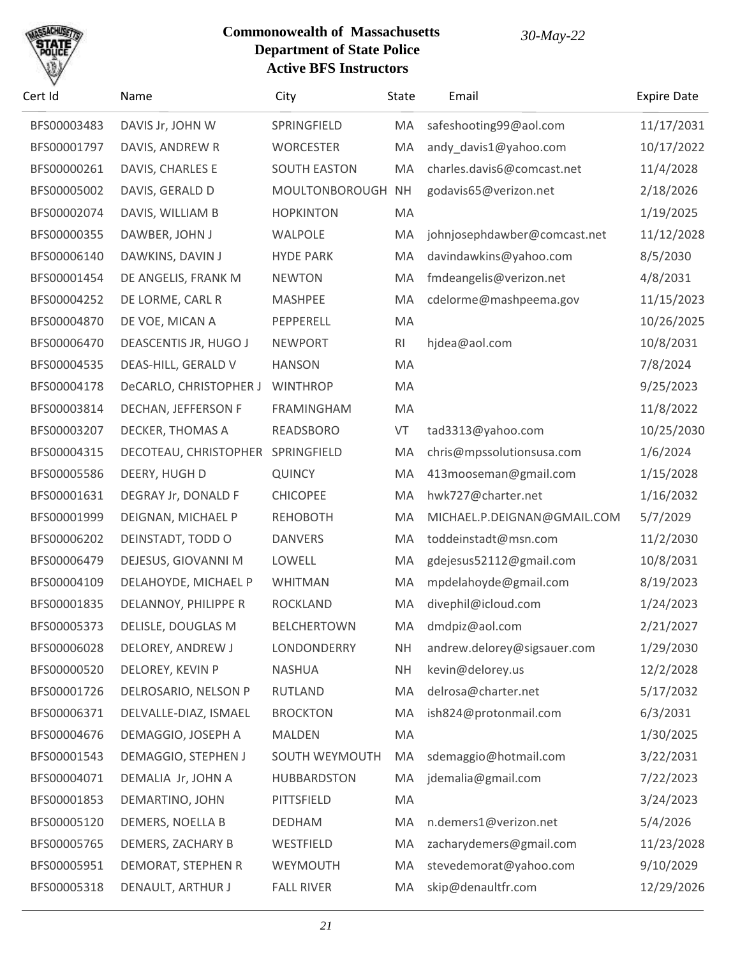

| Cert Id     | Name                   | City                | State     | Email                        | <b>Expire Date</b> |
|-------------|------------------------|---------------------|-----------|------------------------------|--------------------|
| BFS00003483 | DAVIS Jr, JOHN W       | SPRINGFIELD         | MA        | safeshooting99@aol.com       | 11/17/2031         |
| BFS00001797 | DAVIS, ANDREW R        | <b>WORCESTER</b>    | MA        | andy_davis1@yahoo.com        | 10/17/2022         |
| BFS00000261 | DAVIS, CHARLES E       | <b>SOUTH EASTON</b> | MA        | charles.davis6@comcast.net   | 11/4/2028          |
| BFS00005002 | DAVIS, GERALD D        | MOULTONBOROUGH      | <b>NH</b> | godavis65@verizon.net        | 2/18/2026          |
| BFS00002074 | DAVIS, WILLIAM B       | <b>HOPKINTON</b>    | MA        |                              | 1/19/2025          |
| BFS00000355 | DAWBER, JOHN J         | WALPOLE             | MA        | johnjosephdawber@comcast.net | 11/12/2028         |
| BFS00006140 | DAWKINS, DAVIN J       | <b>HYDE PARK</b>    | MA        | davindawkins@yahoo.com       | 8/5/2030           |
| BFS00001454 | DE ANGELIS, FRANK M    | <b>NEWTON</b>       | MA        | fmdeangelis@verizon.net      | 4/8/2031           |
| BFS00004252 | DE LORME, CARL R       | <b>MASHPEE</b>      | MA        | cdelorme@mashpeema.gov       | 11/15/2023         |
| BFS00004870 | DE VOE, MICAN A        | PEPPERELL           | MA        |                              | 10/26/2025         |
| BFS00006470 | DEASCENTIS JR, HUGO J  | <b>NEWPORT</b>      | RI        | hjdea@aol.com                | 10/8/2031          |
| BFS00004535 | DEAS-HILL, GERALD V    | <b>HANSON</b>       | MA        |                              | 7/8/2024           |
| BFS00004178 | DeCARLO, CHRISTOPHER J | <b>WINTHROP</b>     | MA        |                              | 9/25/2023          |
| BFS00003814 | DECHAN, JEFFERSON F    | <b>FRAMINGHAM</b>   | MA        |                              | 11/8/2022          |
| BFS00003207 | DECKER, THOMAS A       | <b>READSBORO</b>    | VT        | tad3313@yahoo.com            | 10/25/2030         |
| BFS00004315 | DECOTEAU, CHRISTOPHER  | SPRINGFIELD         | MA        | chris@mpssolutionsusa.com    | 1/6/2024           |
| BFS00005586 | DEERY, HUGH D          | <b>QUINCY</b>       | MA        | 413mooseman@gmail.com        | 1/15/2028          |
| BFS00001631 | DEGRAY Jr, DONALD F    | <b>CHICOPEE</b>     | MA        | hwk727@charter.net           | 1/16/2032          |
| BFS00001999 | DEIGNAN, MICHAEL P     | <b>REHOBOTH</b>     | MA        | MICHAEL.P.DEIGNAN@GMAIL.COM  | 5/7/2029           |
| BFS00006202 | DEINSTADT, TODD O      | <b>DANVERS</b>      | MA        | toddeinstadt@msn.com         | 11/2/2030          |
| BFS00006479 | DEJESUS, GIOVANNI M    | LOWELL              | MA        | gdejesus52112@gmail.com      | 10/8/2031          |
| BFS00004109 | DELAHOYDE, MICHAEL P   | <b>WHITMAN</b>      | MA        | mpdelahoyde@gmail.com        | 8/19/2023          |
| BFS00001835 | DELANNOY, PHILIPPE R   | <b>ROCKLAND</b>     | MA        | divephil@icloud.com          | 1/24/2023          |
| BFS00005373 | DELISLE, DOUGLAS M     | <b>BELCHERTOWN</b>  |           | MA dmdpiz@aol.com            | 2/21/2027          |
| BFS00006028 | DELOREY, ANDREW J      | LONDONDERRY         | <b>NH</b> | andrew.delorey@sigsauer.com  | 1/29/2030          |
| BFS00000520 | DELOREY, KEVIN P       | <b>NASHUA</b>       | <b>NH</b> | kevin@delorey.us             | 12/2/2028          |
| BFS00001726 | DELROSARIO, NELSON P   | <b>RUTLAND</b>      | MA        | delrosa@charter.net          | 5/17/2032          |
| BFS00006371 | DELVALLE-DIAZ, ISMAEL  | <b>BROCKTON</b>     | MA        | ish824@protonmail.com        | 6/3/2031           |
| BFS00004676 | DEMAGGIO, JOSEPH A     | <b>MALDEN</b>       | MA        |                              | 1/30/2025          |
| BFS00001543 | DEMAGGIO, STEPHEN J    | SOUTH WEYMOUTH      | MA        | sdemaggio@hotmail.com        | 3/22/2031          |
| BFS00004071 | DEMALIA Jr, JOHN A     | <b>HUBBARDSTON</b>  | MA        | jdemalia@gmail.com           | 7/22/2023          |
| BFS00001853 | DEMARTINO, JOHN        | PITTSFIELD          | MA        |                              | 3/24/2023          |
| BFS00005120 | DEMERS, NOELLA B       | <b>DEDHAM</b>       | MA        | n.demers1@verizon.net        | 5/4/2026           |
| BFS00005765 | DEMERS, ZACHARY B      | WESTFIELD           | MA        | zacharydemers@gmail.com      | 11/23/2028         |
| BFS00005951 | DEMORAT, STEPHEN R     | WEYMOUTH            | MA        | stevedemorat@yahoo.com       | 9/10/2029          |
| BFS00005318 | DENAULT, ARTHUR J      | <b>FALL RIVER</b>   | MA        | skip@denaultfr.com           | 12/29/2026         |
|             |                        |                     |           |                              |                    |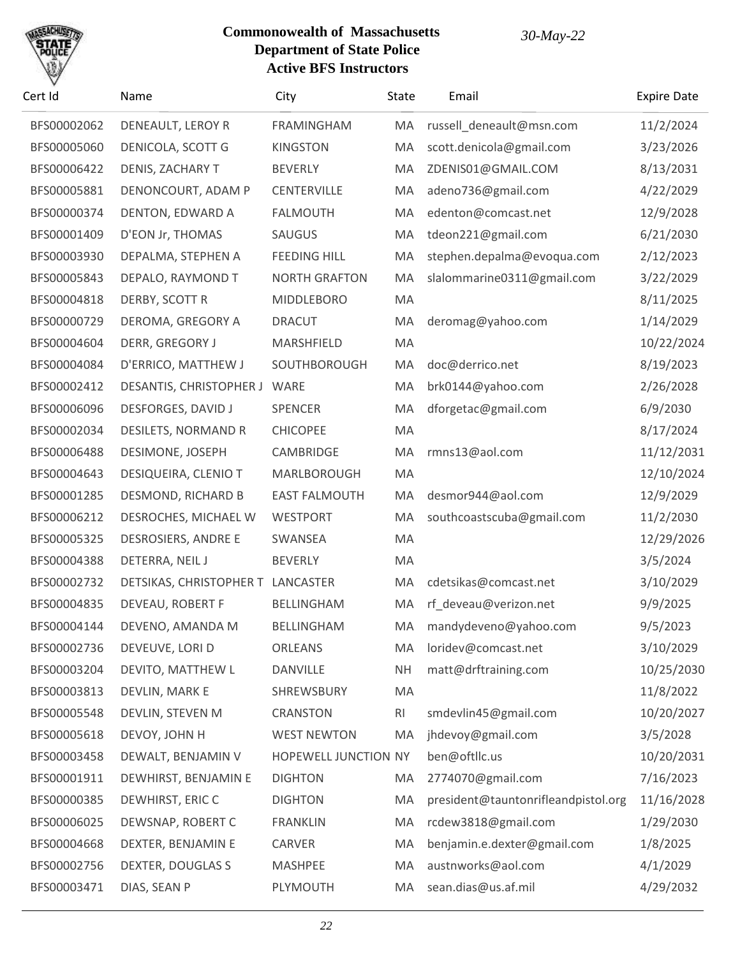

| Cert Id     | Name                              | City                 | State          | Email                               | <b>Expire Date</b> |
|-------------|-----------------------------------|----------------------|----------------|-------------------------------------|--------------------|
| BFS00002062 | DENEAULT, LEROY R                 | <b>FRAMINGHAM</b>    | MA             | russell_deneault@msn.com            | 11/2/2024          |
| BFS00005060 | DENICOLA, SCOTT G                 | <b>KINGSTON</b>      | MA             | scott.denicola@gmail.com            | 3/23/2026          |
| BFS00006422 | DENIS, ZACHARY T                  | <b>BEVERLY</b>       | MA             | ZDENIS01@GMAIL.COM                  | 8/13/2031          |
| BFS00005881 | DENONCOURT, ADAM P                | <b>CENTERVILLE</b>   | MA             | adeno736@gmail.com                  | 4/22/2029          |
| BFS00000374 | DENTON, EDWARD A                  | <b>FALMOUTH</b>      | MA             | edenton@comcast.net                 | 12/9/2028          |
| BFS00001409 | D'EON Jr, THOMAS                  | SAUGUS               | MA             | tdeon221@gmail.com                  | 6/21/2030          |
| BFS00003930 | DEPALMA, STEPHEN A                | <b>FEEDING HILL</b>  | MA             | stephen.depalma@evoqua.com          | 2/12/2023          |
| BFS00005843 | DEPALO, RAYMOND T                 | <b>NORTH GRAFTON</b> | MA             | slalommarine0311@gmail.com          | 3/22/2029          |
| BFS00004818 | DERBY, SCOTT R                    | <b>MIDDLEBORO</b>    | MA             |                                     | 8/11/2025          |
| BFS00000729 | DEROMA, GREGORY A                 | <b>DRACUT</b>        | MA             | deromag@yahoo.com                   | 1/14/2029          |
| BFS00004604 | DERR, GREGORY J                   | MARSHFIELD           | MA             |                                     | 10/22/2024         |
| BFS00004084 | D'ERRICO, MATTHEW J               | SOUTHBOROUGH         | MA             | doc@derrico.net                     | 8/19/2023          |
| BFS00002412 | DESANTIS, CHRISTOPHER J           | WARE                 | MA             | brk0144@yahoo.com                   | 2/26/2028          |
| BFS00006096 | <b>DESFORGES, DAVID J</b>         | <b>SPENCER</b>       | MA             | dforgetac@gmail.com                 | 6/9/2030           |
| BFS00002034 | DESILETS, NORMAND R               | <b>CHICOPEE</b>      | MA             |                                     | 8/17/2024          |
| BFS00006488 | DESIMONE, JOSEPH                  | CAMBRIDGE            | MA             | rmns13@aol.com                      | 11/12/2031         |
| BFS00004643 | DESIQUEIRA, CLENIO T              | MARLBOROUGH          | MA             |                                     | 12/10/2024         |
| BFS00001285 | DESMOND, RICHARD B                | <b>EAST FALMOUTH</b> | MA             | desmor944@aol.com                   | 12/9/2029          |
| BFS00006212 | DESROCHES, MICHAEL W              | <b>WESTPORT</b>      | MA             | southcoastscuba@gmail.com           | 11/2/2030          |
| BFS00005325 | DESROSIERS, ANDRE E               | SWANSEA              | MA             |                                     | 12/29/2026         |
| BFS00004388 | DETERRA, NEIL J                   | <b>BEVERLY</b>       | MA             |                                     | 3/5/2024           |
| BFS00002732 | DETSIKAS, CHRISTOPHER T LANCASTER |                      | MA             | cdetsikas@comcast.net               | 3/10/2029          |
| BFS00004835 | DEVEAU, ROBERT F                  | BELLINGHAM           | MA             | rf_deveau@verizon.net               | 9/9/2025           |
| BFS00004144 | DEVENO, AMANDA M                  | BELLINGHAM           | MA             | mandydeveno@yahoo.com               | 9/5/2023           |
| BFS00002736 | DEVEUVE, LORI D                   | ORLEANS              | MA             | loridev@comcast.net                 | 3/10/2029          |
| BFS00003204 | DEVITO, MATTHEW L                 | DANVILLE             | <b>NH</b>      | matt@drftraining.com                | 10/25/2030         |
| BFS00003813 | DEVLIN, MARK E                    | SHREWSBURY           | MA             |                                     | 11/8/2022          |
| BFS00005548 | DEVLIN, STEVEN M                  | <b>CRANSTON</b>      | R <sub>l</sub> | smdevlin45@gmail.com                | 10/20/2027         |
| BFS00005618 | DEVOY, JOHN H                     | <b>WEST NEWTON</b>   | MA             | jhdevoy@gmail.com                   | 3/5/2028           |
| BFS00003458 | DEWALT, BENJAMIN V                | HOPEWELL JUNCTION NY |                | ben@oftllc.us                       | 10/20/2031         |
| BFS00001911 | DEWHIRST, BENJAMIN E              | <b>DIGHTON</b>       | MA             | 2774070@gmail.com                   | 7/16/2023          |
| BFS00000385 | DEWHIRST, ERIC C                  | <b>DIGHTON</b>       | MA             | president@tauntonrifleandpistol.org | 11/16/2028         |
| BFS00006025 | DEWSNAP, ROBERT C                 | <b>FRANKLIN</b>      | MA             | rcdew3818@gmail.com                 | 1/29/2030          |
| BFS00004668 | DEXTER, BENJAMIN E                | CARVER               | MA             | benjamin.e.dexter@gmail.com         | 1/8/2025           |
| BFS00002756 | DEXTER, DOUGLAS S                 | <b>MASHPEE</b>       | MA             | austnworks@aol.com                  | 4/1/2029           |
| BFS00003471 | DIAS, SEAN P                      | PLYMOUTH             | MA             | sean.dias@us.af.mil                 | 4/29/2032          |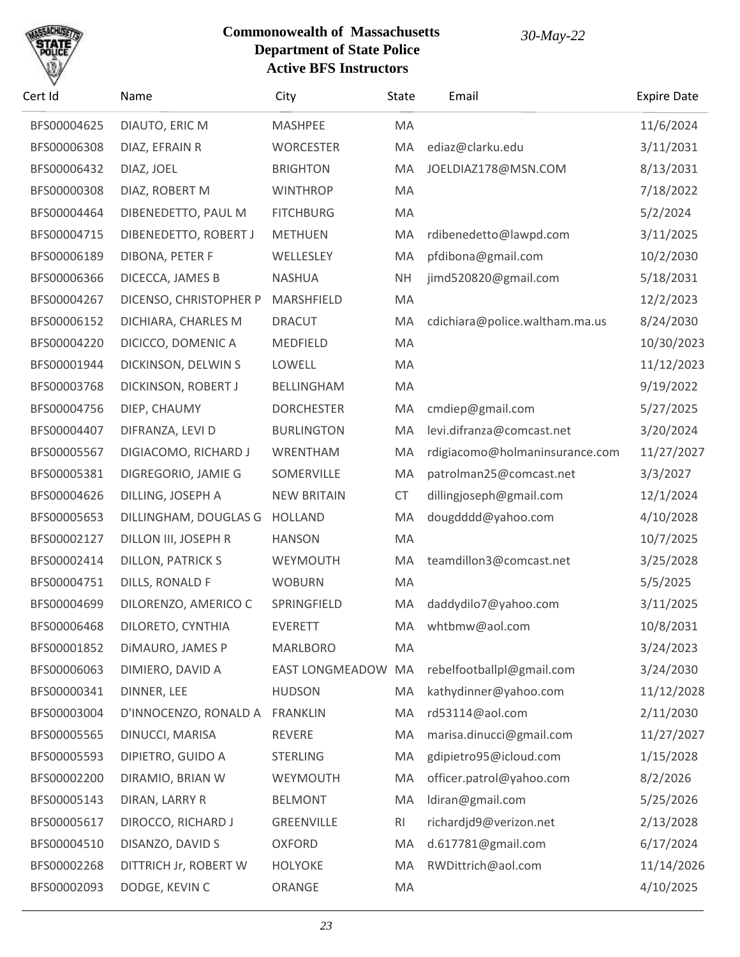

| Cert Id     | Name                     | City               | State          | Email                          | <b>Expire Date</b> |
|-------------|--------------------------|--------------------|----------------|--------------------------------|--------------------|
| BFS00004625 | DIAUTO, ERIC M           | <b>MASHPEE</b>     | MA             |                                | 11/6/2024          |
| BFS00006308 | DIAZ, EFRAIN R           | <b>WORCESTER</b>   | MA             | ediaz@clarku.edu               | 3/11/2031          |
| BFS00006432 | DIAZ, JOEL               | <b>BRIGHTON</b>    | MA             | JOELDIAZ178@MSN.COM            | 8/13/2031          |
| BFS00000308 | DIAZ, ROBERT M           | <b>WINTHROP</b>    | MA             |                                | 7/18/2022          |
| BFS00004464 | DIBENEDETTO, PAUL M      | <b>FITCHBURG</b>   | MA             |                                | 5/2/2024           |
| BFS00004715 | DIBENEDETTO, ROBERT J    | <b>METHUEN</b>     | MA             | rdibenedetto@lawpd.com         | 3/11/2025          |
| BFS00006189 | DIBONA, PETER F          | WELLESLEY          | MA             | pfdibona@gmail.com             | 10/2/2030          |
| BFS00006366 | DICECCA, JAMES B         | <b>NASHUA</b>      | <b>NH</b>      | jimd520820@gmail.com           | 5/18/2031          |
| BFS00004267 | DICENSO, CHRISTOPHER P   | MARSHFIELD         | MA             |                                | 12/2/2023          |
| BFS00006152 | DICHIARA, CHARLES M      | <b>DRACUT</b>      | MA             | cdichiara@police.waltham.ma.us | 8/24/2030          |
| BFS00004220 | DICICCO, DOMENIC A       | MEDFIELD           | MA             |                                | 10/30/2023         |
| BFS00001944 | DICKINSON, DELWIN S      | LOWELL             | MA             |                                | 11/12/2023         |
| BFS00003768 | DICKINSON, ROBERT J      | <b>BELLINGHAM</b>  | MA             |                                | 9/19/2022          |
| BFS00004756 | DIEP, CHAUMY             | <b>DORCHESTER</b>  | MA             | cmdiep@gmail.com               | 5/27/2025          |
| BFS00004407 | DIFRANZA, LEVI D         | <b>BURLINGTON</b>  | MA             | levi.difranza@comcast.net      | 3/20/2024          |
| BFS00005567 | DIGIACOMO, RICHARD J     | WRENTHAM           | MA             | rdigiacomo@holmaninsurance.com | 11/27/2027         |
| BFS00005381 | DIGREGORIO, JAMIE G      | SOMERVILLE         | MA             | patrolman25@comcast.net        | 3/3/2027           |
| BFS00004626 | DILLING, JOSEPH A        | <b>NEW BRITAIN</b> | <b>CT</b>      | dillingjoseph@gmail.com        | 12/1/2024          |
| BFS00005653 | DILLINGHAM, DOUGLAS G    | <b>HOLLAND</b>     | MA             | dougdddd@yahoo.com             | 4/10/2028          |
| BFS00002127 | DILLON III, JOSEPH R     | <b>HANSON</b>      | MA             |                                | 10/7/2025          |
| BFS00002414 | <b>DILLON, PATRICK S</b> | WEYMOUTH           | MA             | teamdillon3@comcast.net        | 3/25/2028          |
| BFS00004751 | DILLS, RONALD F          | <b>WOBURN</b>      | MA             |                                | 5/5/2025           |
| BFS00004699 | DILORENZO, AMERICO C     | SPRINGFIELD        | MA             | daddydilo7@yahoo.com           | 3/11/2025          |
| BFS00006468 | DILORETO, CYNTHIA        | <b>EVERETT</b>     | MA             | whtbmw@aol.com                 | 10/8/2031          |
| BFS00001852 | DIMAURO, JAMES P         | <b>MARLBORO</b>    | MA             |                                | 3/24/2023          |
| BFS00006063 | DIMIERO, DAVID A         | EAST LONGMEADOW MA |                | rebelfootballpl@gmail.com      | 3/24/2030          |
| BFS00000341 | DINNER, LEE              | <b>HUDSON</b>      | MA             | kathydinner@yahoo.com          | 11/12/2028         |
| BFS00003004 | D'INNOCENZO, RONALD A    | <b>FRANKLIN</b>    | MA             | rd53114@aol.com                | 2/11/2030          |
| BFS00005565 | DINUCCI, MARISA          | REVERE             | MA             | marisa.dinucci@gmail.com       | 11/27/2027         |
| BFS00005593 | DIPIETRO, GUIDO A        | <b>STERLING</b>    | MA             | gdipietro95@icloud.com         | 1/15/2028          |
| BFS00002200 | DIRAMIO, BRIAN W         | WEYMOUTH           | MA             | officer.patrol@yahoo.com       | 8/2/2026           |
| BFS00005143 | DIRAN, LARRY R           | <b>BELMONT</b>     | MA             | ldiran@gmail.com               | 5/25/2026          |
| BFS00005617 | DIROCCO, RICHARD J       | <b>GREENVILLE</b>  | R <sub>l</sub> | richardjd9@verizon.net         | 2/13/2028          |
| BFS00004510 | DISANZO, DAVID S         | <b>OXFORD</b>      | MA             | d.617781@gmail.com             | 6/17/2024          |
| BFS00002268 | DITTRICH Jr, ROBERT W    | <b>HOLYOKE</b>     | MA             | RWDittrich@aol.com             | 11/14/2026         |
| BFS00002093 | DODGE, KEVIN C           | ORANGE             | MA             |                                | 4/10/2025          |
|             |                          |                    |                |                                |                    |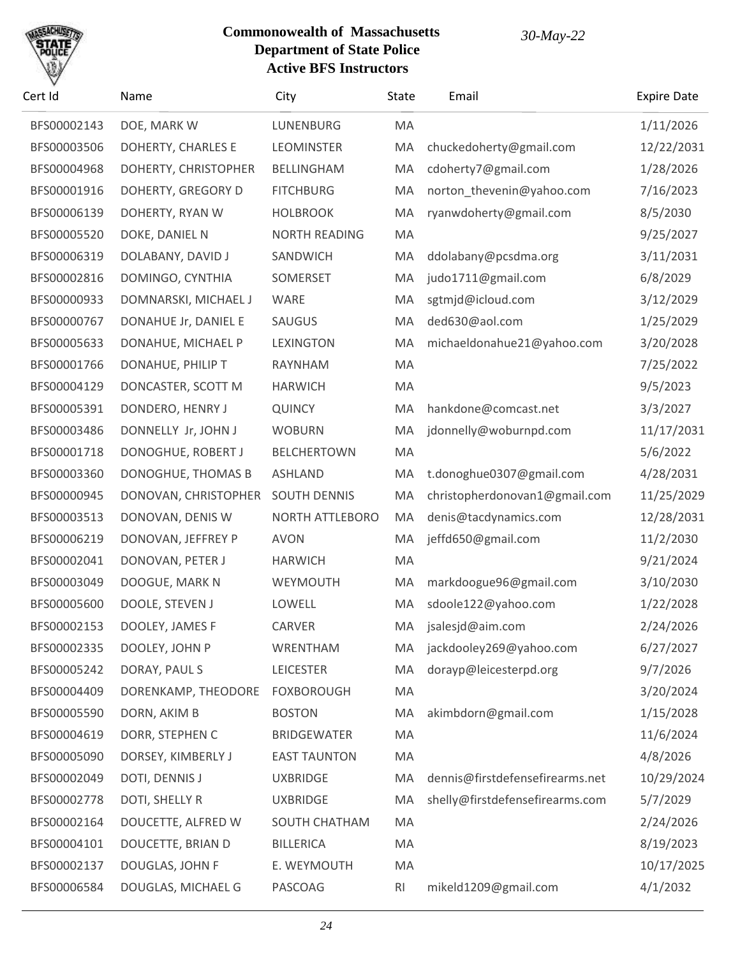# SACHUS

| Cert Id     | Name                           | City                 | State | Email                           | <b>Expire Date</b> |
|-------------|--------------------------------|----------------------|-------|---------------------------------|--------------------|
| BFS00002143 | DOE, MARK W                    | LUNENBURG            | MA    |                                 | 1/11/2026          |
| BFS00003506 | DOHERTY, CHARLES E             | <b>LEOMINSTER</b>    | MA    | chuckedoherty@gmail.com         | 12/22/2031         |
| BFS00004968 | DOHERTY, CHRISTOPHER           | BELLINGHAM           | MA    | cdoherty7@gmail.com             | 1/28/2026          |
| BFS00001916 | DOHERTY, GREGORY D             | <b>FITCHBURG</b>     | MA    | norton_thevenin@yahoo.com       | 7/16/2023          |
| BFS00006139 | DOHERTY, RYAN W                | <b>HOLBROOK</b>      | MA    | ryanwdoherty@gmail.com          | 8/5/2030           |
| BFS00005520 | DOKE, DANIEL N                 | <b>NORTH READING</b> | MA    |                                 | 9/25/2027          |
| BFS00006319 | DOLABANY, DAVID J              | SANDWICH             | MA    | ddolabany@pcsdma.org            | 3/11/2031          |
| BFS00002816 | DOMINGO, CYNTHIA               | SOMERSET             | MA    | judo1711@gmail.com              | 6/8/2029           |
| BFS00000933 | DOMNARSKI, MICHAEL J           | WARE                 | MA    | sgtmjd@icloud.com               | 3/12/2029          |
| BFS00000767 | DONAHUE Jr, DANIEL E           | SAUGUS               | MA    | ded630@aol.com                  | 1/25/2029          |
| BFS00005633 | DONAHUE, MICHAEL P             | <b>LEXINGTON</b>     | MA    | michaeldonahue21@yahoo.com      | 3/20/2028          |
| BFS00001766 | DONAHUE, PHILIP T              | RAYNHAM              | MA    |                                 | 7/25/2022          |
| BFS00004129 | DONCASTER, SCOTT M             | <b>HARWICH</b>       | MA    |                                 | 9/5/2023           |
| BFS00005391 | DONDERO, HENRY J               | <b>QUINCY</b>        | MA    | hankdone@comcast.net            | 3/3/2027           |
| BFS00003486 | DONNELLY Jr, JOHN J            | <b>WOBURN</b>        | MA    | jdonnelly@woburnpd.com          | 11/17/2031         |
| BFS00001718 | DONOGHUE, ROBERT J             | <b>BELCHERTOWN</b>   | MA    |                                 | 5/6/2022           |
| BFS00003360 | DONOGHUE, THOMAS B             | <b>ASHLAND</b>       | MA    | t.donoghue0307@gmail.com        | 4/28/2031          |
| BFS00000945 | DONOVAN, CHRISTOPHER           | <b>SOUTH DENNIS</b>  | MA    | christopherdonovan1@gmail.com   | 11/25/2029         |
| BFS00003513 | DONOVAN, DENIS W               | NORTH ATTLEBORO      | MA    | denis@tacdynamics.com           | 12/28/2031         |
| BFS00006219 | DONOVAN, JEFFREY P             | <b>AVON</b>          | MA    | jeffd650@gmail.com              | 11/2/2030          |
| BFS00002041 | DONOVAN, PETER J               | <b>HARWICH</b>       | MA    |                                 | 9/21/2024          |
| BFS00003049 | DOOGUE, MARK N                 | WEYMOUTH             | MA    | markdoogue96@gmail.com          | 3/10/2030          |
| BFS00005600 | DOOLE, STEVEN J                | LOWELL               | MA    | sdoole122@yahoo.com             | 1/22/2028          |
| BFS00002153 | DOOLEY, JAMES F                | <b>CARVER</b>        |       | MA jsalesjd@aim.com             | 2/24/2026          |
| BFS00002335 | DOOLEY, JOHN P                 | WRENTHAM             | MA    | jackdooley269@yahoo.com         | 6/27/2027          |
| BFS00005242 | DORAY, PAUL S                  | <b>LEICESTER</b>     | MA    | dorayp@leicesterpd.org          | 9/7/2026           |
| BFS00004409 | DORENKAMP, THEODORE FOXBOROUGH |                      | MA    |                                 | 3/20/2024          |
| BFS00005590 | DORN, AKIM B                   | <b>BOSTON</b>        | MA    | akimbdorn@gmail.com             | 1/15/2028          |
| BFS00004619 | DORR, STEPHEN C                | <b>BRIDGEWATER</b>   | MA    |                                 | 11/6/2024          |
| BFS00005090 | DORSEY, KIMBERLY J             | <b>EAST TAUNTON</b>  | MA    |                                 | 4/8/2026           |
| BFS00002049 | DOTI, DENNIS J                 | <b>UXBRIDGE</b>      | MA    | dennis@firstdefensefirearms.net | 10/29/2024         |
| BFS00002778 | DOTI, SHELLY R                 | <b>UXBRIDGE</b>      | MA    | shelly@firstdefensefirearms.com | 5/7/2029           |
| BFS00002164 | DOUCETTE, ALFRED W             | SOUTH CHATHAM        | MA    |                                 | 2/24/2026          |
| BFS00004101 | DOUCETTE, BRIAN D              | <b>BILLERICA</b>     | MA    |                                 | 8/19/2023          |
| BFS00002137 | DOUGLAS, JOHN F                | E. WEYMOUTH          | MA    |                                 | 10/17/2025         |
| BFS00006584 | DOUGLAS, MICHAEL G             | PASCOAG              | RI    | mikeld1209@gmail.com            | 4/1/2032           |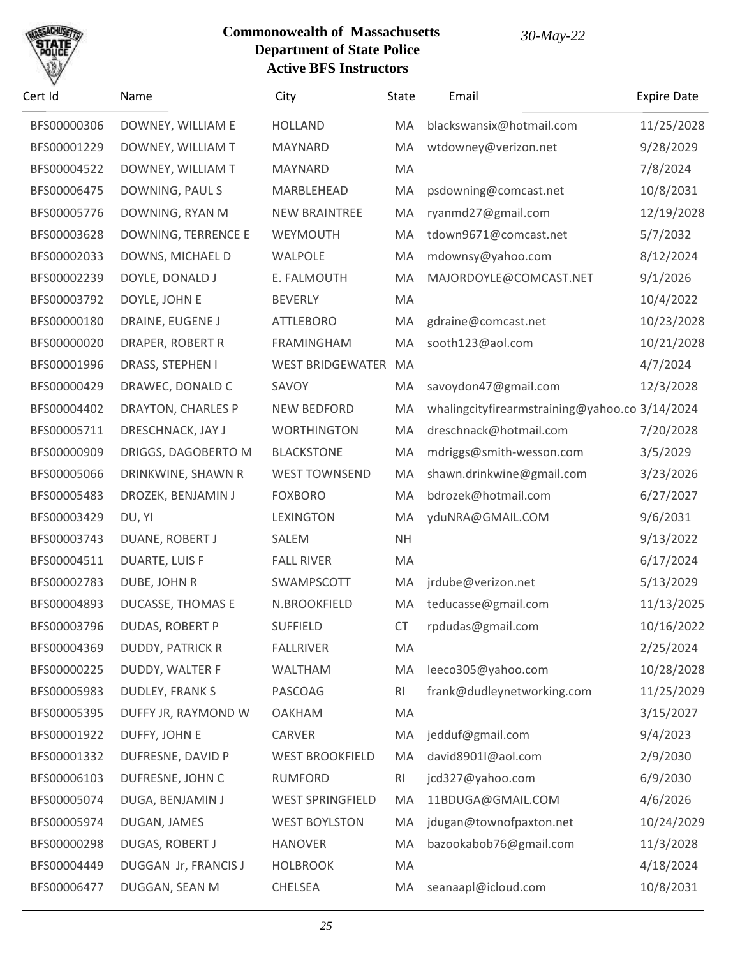

| Cert Id     | Name                     | City                    | State          | Email                                          | <b>Expire Date</b> |
|-------------|--------------------------|-------------------------|----------------|------------------------------------------------|--------------------|
| BFS00000306 | DOWNEY, WILLIAM E        | <b>HOLLAND</b>          | MA             | blackswansix@hotmail.com                       | 11/25/2028         |
| BFS00001229 | DOWNEY, WILLIAM T        | MAYNARD                 | MA             | wtdowney@verizon.net                           | 9/28/2029          |
| BFS00004522 | DOWNEY, WILLIAM T        | MAYNARD                 | MA             |                                                | 7/8/2024           |
| BFS00006475 | DOWNING, PAUL S          | MARBLEHEAD              | MA             | psdowning@comcast.net                          | 10/8/2031          |
| BFS00005776 | DOWNING, RYAN M          | <b>NEW BRAINTREE</b>    | MA             | ryanmd27@gmail.com                             | 12/19/2028         |
| BFS00003628 | DOWNING, TERRENCE E      | WEYMOUTH                | MA             | tdown9671@comcast.net                          | 5/7/2032           |
| BFS00002033 | DOWNS, MICHAEL D         | WALPOLE                 | MA             | mdownsy@yahoo.com                              | 8/12/2024          |
| BFS00002239 | DOYLE, DONALD J          | E. FALMOUTH             | MA             | MAJORDOYLE@COMCAST.NET                         | 9/1/2026           |
| BFS00003792 | DOYLE, JOHN E            | <b>BEVERLY</b>          | MA             |                                                | 10/4/2022          |
| BFS00000180 | DRAINE, EUGENE J         | <b>ATTLEBORO</b>        | MA             | gdraine@comcast.net                            | 10/23/2028         |
| BFS00000020 | DRAPER, ROBERT R         | <b>FRAMINGHAM</b>       | MA             | sooth123@aol.com                               | 10/21/2028         |
| BFS00001996 | DRASS, STEPHEN I         | <b>WEST BRIDGEWATER</b> | MA             |                                                | 4/7/2024           |
| BFS00000429 | DRAWEC, DONALD C         | SAVOY                   | MA             | savoydon47@gmail.com                           | 12/3/2028          |
| BFS00004402 | DRAYTON, CHARLES P       | <b>NEW BEDFORD</b>      | MA             | whalingcityfirearmstraining@yahoo.co 3/14/2024 |                    |
| BFS00005711 | DRESCHNACK, JAY J        | <b>WORTHINGTON</b>      | MA             | dreschnack@hotmail.com                         | 7/20/2028          |
| BFS00000909 | DRIGGS, DAGOBERTO M      | <b>BLACKSTONE</b>       | MA             | mdriggs@smith-wesson.com                       | 3/5/2029           |
| BFS00005066 | DRINKWINE, SHAWN R       | <b>WEST TOWNSEND</b>    | MA             | shawn.drinkwine@gmail.com                      | 3/23/2026          |
| BFS00005483 | DROZEK, BENJAMIN J       | <b>FOXBORO</b>          | MA             | bdrozek@hotmail.com                            | 6/27/2027          |
| BFS00003429 | DU, YI                   | <b>LEXINGTON</b>        | MA             | yduNRA@GMAIL.COM                               | 9/6/2031           |
| BFS00003743 | DUANE, ROBERT J          | SALEM                   | <b>NH</b>      |                                                | 9/13/2022          |
| BFS00004511 | <b>DUARTE, LUIS F</b>    | <b>FALL RIVER</b>       | MA             |                                                | 6/17/2024          |
| BFS00002783 | DUBE, JOHN R             | SWAMPSCOTT              | MA             | jrdube@verizon.net                             | 5/13/2029          |
| BFS00004893 | <b>DUCASSE, THOMAS E</b> | N.BROOKFIELD            | MA             | teducasse@gmail.com                            | 11/13/2025         |
| BFS00003796 | <b>DUDAS, ROBERT P</b>   | <b>SUFFIELD</b>         | CT             | rpdudas@gmail.com                              | 10/16/2022         |
| BFS00004369 | <b>DUDDY, PATRICK R</b>  | <b>FALLRIVER</b>        | MA             |                                                | 2/25/2024          |
| BFS00000225 | DUDDY, WALTER F          | WALTHAM                 | MA             | leeco305@yahoo.com                             | 10/28/2028         |
| BFS00005983 | <b>DUDLEY, FRANK S</b>   | PASCOAG                 | RI             | frank@dudleynetworking.com                     | 11/25/2029         |
| BFS00005395 | DUFFY JR, RAYMOND W      | <b>OAKHAM</b>           | MA             |                                                | 3/15/2027          |
| BFS00001922 | DUFFY, JOHN E            | <b>CARVER</b>           | MA             | jedduf@gmail.com                               | 9/4/2023           |
| BFS00001332 | DUFRESNE, DAVID P        | <b>WEST BROOKFIELD</b>  | MA             | david8901I@aol.com                             | 2/9/2030           |
| BFS00006103 | DUFRESNE, JOHN C         | <b>RUMFORD</b>          | R <sub>l</sub> | jcd327@yahoo.com                               | 6/9/2030           |
| BFS00005074 | DUGA, BENJAMIN J         | <b>WEST SPRINGFIELD</b> | MA             | 11BDUGA@GMAIL.COM                              | 4/6/2026           |
| BFS00005974 | DUGAN, JAMES             | <b>WEST BOYLSTON</b>    | MA             | jdugan@townofpaxton.net                        | 10/24/2029         |
| BFS00000298 | DUGAS, ROBERT J          | <b>HANOVER</b>          | MA             | bazookabob76@gmail.com                         | 11/3/2028          |
| BFS00004449 | DUGGAN Jr, FRANCIS J     | <b>HOLBROOK</b>         | MA             |                                                | 4/18/2024          |
| BFS00006477 | DUGGAN, SEAN M           | CHELSEA                 | MA             | seanaapl@icloud.com                            | 10/8/2031          |
|             |                          |                         |                |                                                |                    |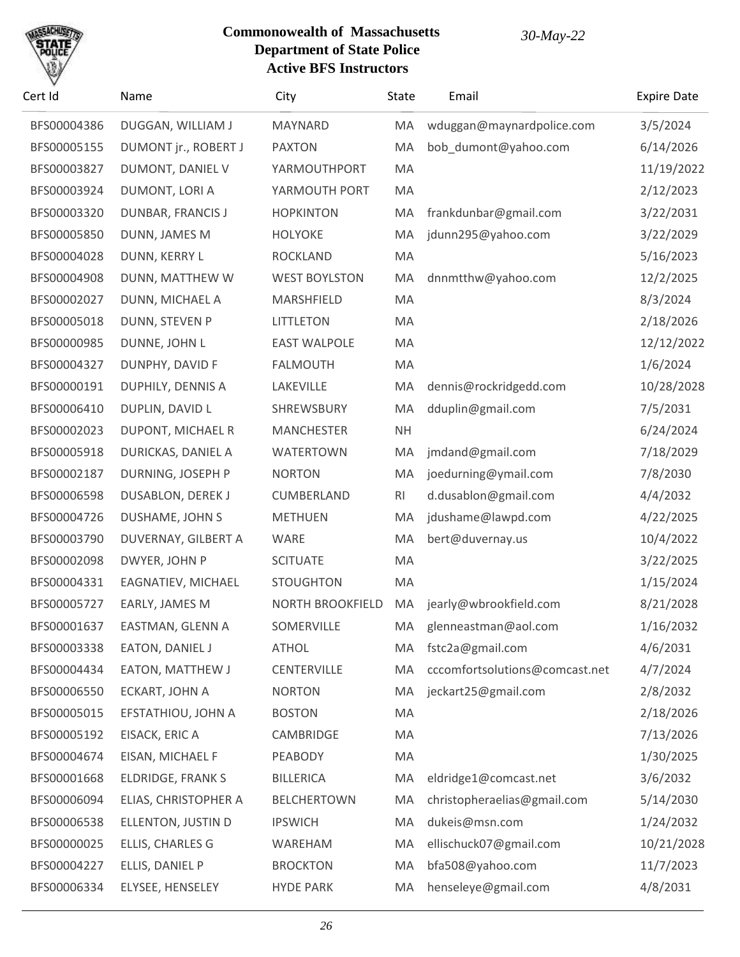

| BFS00004386<br>DUGGAN, WILLIAM J<br>MAYNARD<br>wduggan@maynardpolice.com<br>MA<br>BFS00005155<br>DUMONT jr., ROBERT J<br><b>PAXTON</b><br>MA<br>bob_dumont@yahoo.com<br>DUMONT, DANIEL V<br>BFS00003827<br>YARMOUTHPORT<br>MA<br>MA<br>BFS00003924<br>DUMONT, LORI A<br>YARMOUTH PORT<br>BFS00003320<br>DUNBAR, FRANCIS J<br><b>HOPKINTON</b><br>MA<br>frankdunbar@gmail.com<br>BFS00005850<br>DUNN, JAMES M<br><b>HOLYOKE</b><br>MA<br>jdunn295@yahoo.com<br>BFS00004028<br>DUNN, KERRY L<br><b>ROCKLAND</b><br>MA<br>BFS00004908<br>DUNN, MATTHEW W<br><b>WEST BOYLSTON</b><br>MA<br>dnnmtthw@yahoo.com<br>BFS00002027<br>DUNN, MICHAEL A<br>MARSHFIELD<br>MA<br>BFS00005018<br>DUNN, STEVEN P<br><b>LITTLETON</b><br>MA<br>BFS00000985<br>DUNNE, JOHN L<br><b>EAST WALPOLE</b><br>MA<br>MA<br>BFS00004327<br>DUNPHY, DAVID F<br><b>FALMOUTH</b><br>BFS00000191<br><b>DUPHILY, DENNIS A</b><br>LAKEVILLE<br>MA<br>dennis@rockridgedd.com<br>BFS00006410<br>DUPLIN, DAVID L<br>SHREWSBURY<br>MA<br>dduplin@gmail.com<br>BFS00002023<br>DUPONT, MICHAEL R<br><b>MANCHESTER</b><br><b>NH</b><br>BFS00005918<br>DURICKAS, DANIEL A<br>MA<br>jmdand@gmail.com<br><b>WATERTOWN</b><br>DURNING, JOSEPH P<br>joedurning@ymail.com<br>BFS00002187<br><b>NORTON</b><br>MA<br>RI<br>d.dusablon@gmail.com<br>BFS00006598<br><b>DUSABLON, DEREK J</b><br>CUMBERLAND<br>jdushame@lawpd.com<br>BFS00004726<br>DUSHAME, JOHN S<br><b>METHUEN</b><br>MA<br>BFS00003790<br>DUVERNAY, GILBERT A<br>MA<br>bert@duvernay.us<br>WARE<br>BFS00002098<br>DWYER, JOHN P<br><b>SCITUATE</b><br>MA<br>MA<br>BFS00004331<br>EAGNATIEV, MICHAEL<br><b>STOUGHTON</b><br>jearly@wbrookfield.com<br>BFS00005727<br><b>NORTH BROOKFIELD</b><br>MA<br>EARLY, JAMES M<br>SOMERVILLE<br>BFS00001637<br>EASTMAN, GLENN A<br>glenneastman@aol.com<br>MA |       |    | 3/5/2024<br>6/14/2026<br>11/19/2022<br>2/12/2023<br>3/22/2031<br>3/22/2029<br>5/16/2023<br>12/2/2025<br>8/3/2024<br>2/18/2026<br>12/12/2022<br>1/6/2024<br>10/28/2028<br>7/5/2031<br>6/24/2024 |
|---------------------------------------------------------------------------------------------------------------------------------------------------------------------------------------------------------------------------------------------------------------------------------------------------------------------------------------------------------------------------------------------------------------------------------------------------------------------------------------------------------------------------------------------------------------------------------------------------------------------------------------------------------------------------------------------------------------------------------------------------------------------------------------------------------------------------------------------------------------------------------------------------------------------------------------------------------------------------------------------------------------------------------------------------------------------------------------------------------------------------------------------------------------------------------------------------------------------------------------------------------------------------------------------------------------------------------------------------------------------------------------------------------------------------------------------------------------------------------------------------------------------------------------------------------------------------------------------------------------------------------------------------------------------------------------------------------------------------------------------------------------------------------------------------------------------|-------|----|------------------------------------------------------------------------------------------------------------------------------------------------------------------------------------------------|
|                                                                                                                                                                                                                                                                                                                                                                                                                                                                                                                                                                                                                                                                                                                                                                                                                                                                                                                                                                                                                                                                                                                                                                                                                                                                                                                                                                                                                                                                                                                                                                                                                                                                                                                                                                                                                     |       |    |                                                                                                                                                                                                |
|                                                                                                                                                                                                                                                                                                                                                                                                                                                                                                                                                                                                                                                                                                                                                                                                                                                                                                                                                                                                                                                                                                                                                                                                                                                                                                                                                                                                                                                                                                                                                                                                                                                                                                                                                                                                                     |       |    |                                                                                                                                                                                                |
|                                                                                                                                                                                                                                                                                                                                                                                                                                                                                                                                                                                                                                                                                                                                                                                                                                                                                                                                                                                                                                                                                                                                                                                                                                                                                                                                                                                                                                                                                                                                                                                                                                                                                                                                                                                                                     |       |    |                                                                                                                                                                                                |
|                                                                                                                                                                                                                                                                                                                                                                                                                                                                                                                                                                                                                                                                                                                                                                                                                                                                                                                                                                                                                                                                                                                                                                                                                                                                                                                                                                                                                                                                                                                                                                                                                                                                                                                                                                                                                     |       |    |                                                                                                                                                                                                |
|                                                                                                                                                                                                                                                                                                                                                                                                                                                                                                                                                                                                                                                                                                                                                                                                                                                                                                                                                                                                                                                                                                                                                                                                                                                                                                                                                                                                                                                                                                                                                                                                                                                                                                                                                                                                                     |       |    |                                                                                                                                                                                                |
|                                                                                                                                                                                                                                                                                                                                                                                                                                                                                                                                                                                                                                                                                                                                                                                                                                                                                                                                                                                                                                                                                                                                                                                                                                                                                                                                                                                                                                                                                                                                                                                                                                                                                                                                                                                                                     |       |    |                                                                                                                                                                                                |
|                                                                                                                                                                                                                                                                                                                                                                                                                                                                                                                                                                                                                                                                                                                                                                                                                                                                                                                                                                                                                                                                                                                                                                                                                                                                                                                                                                                                                                                                                                                                                                                                                                                                                                                                                                                                                     |       |    |                                                                                                                                                                                                |
|                                                                                                                                                                                                                                                                                                                                                                                                                                                                                                                                                                                                                                                                                                                                                                                                                                                                                                                                                                                                                                                                                                                                                                                                                                                                                                                                                                                                                                                                                                                                                                                                                                                                                                                                                                                                                     |       |    |                                                                                                                                                                                                |
|                                                                                                                                                                                                                                                                                                                                                                                                                                                                                                                                                                                                                                                                                                                                                                                                                                                                                                                                                                                                                                                                                                                                                                                                                                                                                                                                                                                                                                                                                                                                                                                                                                                                                                                                                                                                                     |       |    |                                                                                                                                                                                                |
|                                                                                                                                                                                                                                                                                                                                                                                                                                                                                                                                                                                                                                                                                                                                                                                                                                                                                                                                                                                                                                                                                                                                                                                                                                                                                                                                                                                                                                                                                                                                                                                                                                                                                                                                                                                                                     |       |    |                                                                                                                                                                                                |
|                                                                                                                                                                                                                                                                                                                                                                                                                                                                                                                                                                                                                                                                                                                                                                                                                                                                                                                                                                                                                                                                                                                                                                                                                                                                                                                                                                                                                                                                                                                                                                                                                                                                                                                                                                                                                     |       |    |                                                                                                                                                                                                |
|                                                                                                                                                                                                                                                                                                                                                                                                                                                                                                                                                                                                                                                                                                                                                                                                                                                                                                                                                                                                                                                                                                                                                                                                                                                                                                                                                                                                                                                                                                                                                                                                                                                                                                                                                                                                                     |       |    |                                                                                                                                                                                                |
|                                                                                                                                                                                                                                                                                                                                                                                                                                                                                                                                                                                                                                                                                                                                                                                                                                                                                                                                                                                                                                                                                                                                                                                                                                                                                                                                                                                                                                                                                                                                                                                                                                                                                                                                                                                                                     |       |    |                                                                                                                                                                                                |
|                                                                                                                                                                                                                                                                                                                                                                                                                                                                                                                                                                                                                                                                                                                                                                                                                                                                                                                                                                                                                                                                                                                                                                                                                                                                                                                                                                                                                                                                                                                                                                                                                                                                                                                                                                                                                     |       |    |                                                                                                                                                                                                |
|                                                                                                                                                                                                                                                                                                                                                                                                                                                                                                                                                                                                                                                                                                                                                                                                                                                                                                                                                                                                                                                                                                                                                                                                                                                                                                                                                                                                                                                                                                                                                                                                                                                                                                                                                                                                                     |       |    |                                                                                                                                                                                                |
|                                                                                                                                                                                                                                                                                                                                                                                                                                                                                                                                                                                                                                                                                                                                                                                                                                                                                                                                                                                                                                                                                                                                                                                                                                                                                                                                                                                                                                                                                                                                                                                                                                                                                                                                                                                                                     |       |    | 7/18/2029                                                                                                                                                                                      |
|                                                                                                                                                                                                                                                                                                                                                                                                                                                                                                                                                                                                                                                                                                                                                                                                                                                                                                                                                                                                                                                                                                                                                                                                                                                                                                                                                                                                                                                                                                                                                                                                                                                                                                                                                                                                                     |       |    | 7/8/2030                                                                                                                                                                                       |
|                                                                                                                                                                                                                                                                                                                                                                                                                                                                                                                                                                                                                                                                                                                                                                                                                                                                                                                                                                                                                                                                                                                                                                                                                                                                                                                                                                                                                                                                                                                                                                                                                                                                                                                                                                                                                     |       |    | 4/4/2032                                                                                                                                                                                       |
|                                                                                                                                                                                                                                                                                                                                                                                                                                                                                                                                                                                                                                                                                                                                                                                                                                                                                                                                                                                                                                                                                                                                                                                                                                                                                                                                                                                                                                                                                                                                                                                                                                                                                                                                                                                                                     |       |    | 4/22/2025                                                                                                                                                                                      |
|                                                                                                                                                                                                                                                                                                                                                                                                                                                                                                                                                                                                                                                                                                                                                                                                                                                                                                                                                                                                                                                                                                                                                                                                                                                                                                                                                                                                                                                                                                                                                                                                                                                                                                                                                                                                                     |       |    | 10/4/2022                                                                                                                                                                                      |
|                                                                                                                                                                                                                                                                                                                                                                                                                                                                                                                                                                                                                                                                                                                                                                                                                                                                                                                                                                                                                                                                                                                                                                                                                                                                                                                                                                                                                                                                                                                                                                                                                                                                                                                                                                                                                     |       |    | 3/22/2025                                                                                                                                                                                      |
|                                                                                                                                                                                                                                                                                                                                                                                                                                                                                                                                                                                                                                                                                                                                                                                                                                                                                                                                                                                                                                                                                                                                                                                                                                                                                                                                                                                                                                                                                                                                                                                                                                                                                                                                                                                                                     |       |    | 1/15/2024                                                                                                                                                                                      |
|                                                                                                                                                                                                                                                                                                                                                                                                                                                                                                                                                                                                                                                                                                                                                                                                                                                                                                                                                                                                                                                                                                                                                                                                                                                                                                                                                                                                                                                                                                                                                                                                                                                                                                                                                                                                                     |       |    | 8/21/2028                                                                                                                                                                                      |
|                                                                                                                                                                                                                                                                                                                                                                                                                                                                                                                                                                                                                                                                                                                                                                                                                                                                                                                                                                                                                                                                                                                                                                                                                                                                                                                                                                                                                                                                                                                                                                                                                                                                                                                                                                                                                     |       |    | 1/16/2032                                                                                                                                                                                      |
| BFS00003338<br>EATON, DANIEL J<br>fstc2a@gmail.com                                                                                                                                                                                                                                                                                                                                                                                                                                                                                                                                                                                                                                                                                                                                                                                                                                                                                                                                                                                                                                                                                                                                                                                                                                                                                                                                                                                                                                                                                                                                                                                                                                                                                                                                                                  | ATHOL | MA | 4/6/2031                                                                                                                                                                                       |
| EATON, MATTHEW J<br>cccomfortsolutions@comcast.net<br>BFS00004434<br><b>CENTERVILLE</b><br>MA                                                                                                                                                                                                                                                                                                                                                                                                                                                                                                                                                                                                                                                                                                                                                                                                                                                                                                                                                                                                                                                                                                                                                                                                                                                                                                                                                                                                                                                                                                                                                                                                                                                                                                                       |       |    | 4/7/2024                                                                                                                                                                                       |
| jeckart25@gmail.com<br>BFS00006550<br>ECKART, JOHN A<br><b>NORTON</b><br>MA                                                                                                                                                                                                                                                                                                                                                                                                                                                                                                                                                                                                                                                                                                                                                                                                                                                                                                                                                                                                                                                                                                                                                                                                                                                                                                                                                                                                                                                                                                                                                                                                                                                                                                                                         |       |    | 2/8/2032                                                                                                                                                                                       |
| BFS00005015<br>EFSTATHIOU, JOHN A<br><b>BOSTON</b><br>MA                                                                                                                                                                                                                                                                                                                                                                                                                                                                                                                                                                                                                                                                                                                                                                                                                                                                                                                                                                                                                                                                                                                                                                                                                                                                                                                                                                                                                                                                                                                                                                                                                                                                                                                                                            |       |    | 2/18/2026                                                                                                                                                                                      |
| BFS00005192<br>EISACK, ERIC A<br>CAMBRIDGE<br>MA                                                                                                                                                                                                                                                                                                                                                                                                                                                                                                                                                                                                                                                                                                                                                                                                                                                                                                                                                                                                                                                                                                                                                                                                                                                                                                                                                                                                                                                                                                                                                                                                                                                                                                                                                                    |       |    | 7/13/2026                                                                                                                                                                                      |
| BFS00004674<br>EISAN, MICHAEL F<br>PEABODY<br>MA                                                                                                                                                                                                                                                                                                                                                                                                                                                                                                                                                                                                                                                                                                                                                                                                                                                                                                                                                                                                                                                                                                                                                                                                                                                                                                                                                                                                                                                                                                                                                                                                                                                                                                                                                                    |       |    | 1/30/2025                                                                                                                                                                                      |
| BFS00001668<br><b>ELDRIDGE, FRANK S</b><br><b>BILLERICA</b><br>MA<br>eldridge1@comcast.net                                                                                                                                                                                                                                                                                                                                                                                                                                                                                                                                                                                                                                                                                                                                                                                                                                                                                                                                                                                                                                                                                                                                                                                                                                                                                                                                                                                                                                                                                                                                                                                                                                                                                                                          |       |    | 3/6/2032                                                                                                                                                                                       |
| christopheraelias@gmail.com<br>BFS00006094<br>ELIAS, CHRISTOPHER A<br><b>BELCHERTOWN</b><br>MA                                                                                                                                                                                                                                                                                                                                                                                                                                                                                                                                                                                                                                                                                                                                                                                                                                                                                                                                                                                                                                                                                                                                                                                                                                                                                                                                                                                                                                                                                                                                                                                                                                                                                                                      |       |    | 5/14/2030                                                                                                                                                                                      |
| dukeis@msn.com<br>BFS00006538<br>ELLENTON, JUSTIN D<br><b>IPSWICH</b><br>MA                                                                                                                                                                                                                                                                                                                                                                                                                                                                                                                                                                                                                                                                                                                                                                                                                                                                                                                                                                                                                                                                                                                                                                                                                                                                                                                                                                                                                                                                                                                                                                                                                                                                                                                                         |       |    | 1/24/2032                                                                                                                                                                                      |
| ELLIS, CHARLES G<br>ellischuck07@gmail.com<br>BFS00000025<br>WAREHAM<br>MA                                                                                                                                                                                                                                                                                                                                                                                                                                                                                                                                                                                                                                                                                                                                                                                                                                                                                                                                                                                                                                                                                                                                                                                                                                                                                                                                                                                                                                                                                                                                                                                                                                                                                                                                          |       |    | 10/21/2028                                                                                                                                                                                     |
| bfa508@yahoo.com<br>BFS00004227<br>ELLIS, DANIEL P<br><b>BROCKTON</b><br>MA                                                                                                                                                                                                                                                                                                                                                                                                                                                                                                                                                                                                                                                                                                                                                                                                                                                                                                                                                                                                                                                                                                                                                                                                                                                                                                                                                                                                                                                                                                                                                                                                                                                                                                                                         |       |    | 11/7/2023                                                                                                                                                                                      |
| BFS00006334<br>henseleye@gmail.com<br>ELYSEE, HENSELEY<br><b>HYDE PARK</b><br>MA                                                                                                                                                                                                                                                                                                                                                                                                                                                                                                                                                                                                                                                                                                                                                                                                                                                                                                                                                                                                                                                                                                                                                                                                                                                                                                                                                                                                                                                                                                                                                                                                                                                                                                                                    |       |    | 4/8/2031                                                                                                                                                                                       |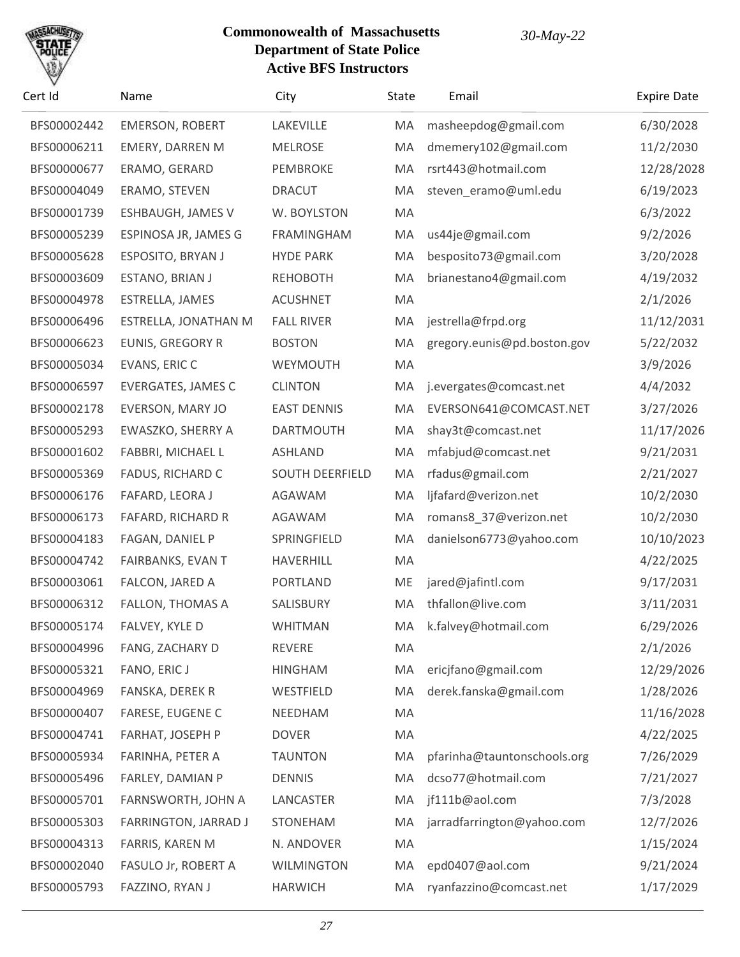

| Cert Id     | Name                    | City                   | State | Email                       | <b>Expire Date</b> |
|-------------|-------------------------|------------------------|-------|-----------------------------|--------------------|
| BFS00002442 | <b>EMERSON, ROBERT</b>  | LAKEVILLE              | MA    | masheepdog@gmail.com        | 6/30/2028          |
| BFS00006211 | <b>EMERY, DARREN M</b>  | <b>MELROSE</b>         | MA    | dmemery102@gmail.com        | 11/2/2030          |
| BFS00000677 | ERAMO, GERARD           | PEMBROKE               | MA    | rsrt443@hotmail.com         | 12/28/2028         |
| BFS00004049 | ERAMO, STEVEN           | <b>DRACUT</b>          | MA    | steven_eramo@uml.edu        | 6/19/2023          |
| BFS00001739 | ESHBAUGH, JAMES V       | W. BOYLSTON            | MA    |                             | 6/3/2022           |
| BFS00005239 | ESPINOSA JR, JAMES G    | FRAMINGHAM             | MA    | us44je@gmail.com            | 9/2/2026           |
| BFS00005628 | ESPOSITO, BRYAN J       | <b>HYDE PARK</b>       | MA    | besposito73@gmail.com       | 3/20/2028          |
| BFS00003609 | ESTANO, BRIAN J         | <b>REHOBOTH</b>        | MA    | brianestano4@gmail.com      | 4/19/2032          |
| BFS00004978 | ESTRELLA, JAMES         | <b>ACUSHNET</b>        | MA    |                             | 2/1/2026           |
| BFS00006496 | ESTRELLA, JONATHAN M    | <b>FALL RIVER</b>      | MA    | jestrella@frpd.org          | 11/12/2031         |
| BFS00006623 | <b>EUNIS, GREGORY R</b> | <b>BOSTON</b>          | MA    | gregory.eunis@pd.boston.gov | 5/22/2032          |
| BFS00005034 | EVANS, ERIC C           | WEYMOUTH               | MA    |                             | 3/9/2026           |
| BFS00006597 | EVERGATES, JAMES C      | <b>CLINTON</b>         | MA    | j.evergates@comcast.net     | 4/4/2032           |
| BFS00002178 | EVERSON, MARY JO        | <b>EAST DENNIS</b>     | MA    | EVERSON641@COMCAST.NET      | 3/27/2026          |
| BFS00005293 | EWASZKO, SHERRY A       | <b>DARTMOUTH</b>       | MA    | shay3t@comcast.net          | 11/17/2026         |
| BFS00001602 | FABBRI, MICHAEL L       | <b>ASHLAND</b>         | MA    | mfabjud@comcast.net         | 9/21/2031          |
| BFS00005369 | FADUS, RICHARD C        | <b>SOUTH DEERFIELD</b> | MA    | rfadus@gmail.com            | 2/21/2027          |
| BFS00006176 | FAFARD, LEORA J         | AGAWAM                 | MA    | ljfafard@verizon.net        | 10/2/2030          |
| BFS00006173 | FAFARD, RICHARD R       | AGAWAM                 | MA    | romans8_37@verizon.net      | 10/2/2030          |
| BFS00004183 | FAGAN, DANIEL P         | SPRINGFIELD            | MA    | danielson6773@yahoo.com     | 10/10/2023         |
| BFS00004742 | FAIRBANKS, EVAN T       | HAVERHILL              | MA    |                             | 4/22/2025          |
| BFS00003061 | FALCON, JARED A         | <b>PORTLAND</b>        | ME    | jared@jafintl.com           | 9/17/2031          |
| BFS00006312 | FALLON, THOMAS A        | SALISBURY              | MA    | thfallon@live.com           | 3/11/2031          |
| BFS00005174 | FALVEY, KYLE D          | <b>WHITMAN</b>         |       | MA k.falvey@hotmail.com     | 6/29/2026          |
| BFS00004996 | FANG, ZACHARY D         | <b>REVERE</b>          | MA    |                             | 2/1/2026           |
| BFS00005321 | FANO, ERIC J            | <b>HINGHAM</b>         | MA    | ericjfano@gmail.com         | 12/29/2026         |
| BFS00004969 | FANSKA, DEREK R         | WESTFIELD              | MA    | derek.fanska@gmail.com      | 1/28/2026          |
| BFS00000407 | <b>FARESE, EUGENE C</b> | NEEDHAM                | MA    |                             | 11/16/2028         |
| BFS00004741 | FARHAT, JOSEPH P        | <b>DOVER</b>           | MA    |                             | 4/22/2025          |
| BFS00005934 | FARINHA, PETER A        | <b>TAUNTON</b>         | MA    | pfarinha@tauntonschools.org | 7/26/2029          |
| BFS00005496 | FARLEY, DAMIAN P        | <b>DENNIS</b>          | MA    | dcso77@hotmail.com          | 7/21/2027          |
| BFS00005701 | FARNSWORTH, JOHN A      | LANCASTER              | MA    | jf111b@aol.com              | 7/3/2028           |
| BFS00005303 | FARRINGTON, JARRAD J    | <b>STONEHAM</b>        | MA    | jarradfarrington@yahoo.com  | 12/7/2026          |
| BFS00004313 | FARRIS, KAREN M         | N. ANDOVER             | MA    |                             | 1/15/2024          |
| BFS00002040 | FASULO Jr, ROBERT A     | <b>WILMINGTON</b>      | MA    | epd0407@aol.com             | 9/21/2024          |
| BFS00005793 | FAZZINO, RYAN J         | <b>HARWICH</b>         | MA    | ryanfazzino@comcast.net     | 1/17/2029          |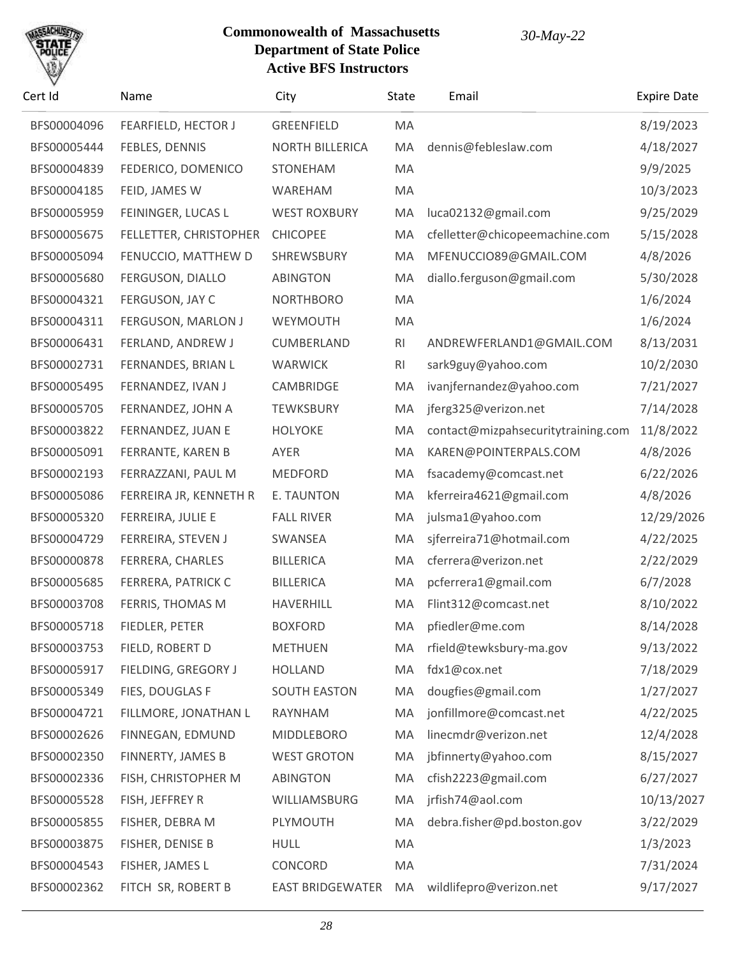# SACHU

| Cert Id     | Name                   | City                    | State | Email                              | <b>Expire Date</b> |
|-------------|------------------------|-------------------------|-------|------------------------------------|--------------------|
| BFS00004096 | FEARFIELD, HECTOR J    | <b>GREENFIELD</b>       | MA    |                                    | 8/19/2023          |
| BFS00005444 | FEBLES, DENNIS         | <b>NORTH BILLERICA</b>  | MA    | dennis@febleslaw.com               | 4/18/2027          |
| BFS00004839 | FEDERICO, DOMENICO     | <b>STONEHAM</b>         | MA    |                                    | 9/9/2025           |
| BFS00004185 | FEID, JAMES W          | WAREHAM                 | MA    |                                    | 10/3/2023          |
| BFS00005959 | FEININGER, LUCAS L     | <b>WEST ROXBURY</b>     | MA    | luca02132@gmail.com                | 9/25/2029          |
| BFS00005675 | FELLETTER, CHRISTOPHER | <b>CHICOPEE</b>         | MA    | cfelletter@chicopeemachine.com     | 5/15/2028          |
| BFS00005094 | FENUCCIO, MATTHEW D    | SHREWSBURY              | MA    | MFENUCCIO89@GMAIL.COM              | 4/8/2026           |
| BFS00005680 | FERGUSON, DIALLO       | <b>ABINGTON</b>         | MA    | diallo.ferguson@gmail.com          | 5/30/2028          |
| BFS00004321 | FERGUSON, JAY C        | <b>NORTHBORO</b>        | MA    |                                    | 1/6/2024           |
| BFS00004311 | FERGUSON, MARLON J     | WEYMOUTH                | MA    |                                    | 1/6/2024           |
| BFS00006431 | FERLAND, ANDREW J      | CUMBERLAND              | RI    | ANDREWFERLAND1@GMAIL.COM           | 8/13/2031          |
| BFS00002731 | FERNANDES, BRIAN L     | <b>WARWICK</b>          | RI    | sark9guy@yahoo.com                 | 10/2/2030          |
| BFS00005495 | FERNANDEZ, IVAN J      | CAMBRIDGE               | MA    | ivanjfernandez@yahoo.com           | 7/21/2027          |
| BFS00005705 | FERNANDEZ, JOHN A      | <b>TEWKSBURY</b>        | MA    | jferg325@verizon.net               | 7/14/2028          |
| BFS00003822 | FERNANDEZ, JUAN E      | <b>HOLYOKE</b>          | MA    | contact@mizpahsecuritytraining.com | 11/8/2022          |
| BFS00005091 | FERRANTE, KAREN B      | AYER                    | MA    | KAREN@POINTERPALS.COM              | 4/8/2026           |
| BFS00002193 | FERRAZZANI, PAUL M     | <b>MEDFORD</b>          | MA    | fsacademy@comcast.net              | 6/22/2026          |
| BFS00005086 | FERREIRA JR, KENNETH R | E. TAUNTON              | MA    | kferreira4621@gmail.com            | 4/8/2026           |
| BFS00005320 | FERREIRA, JULIE E      | <b>FALL RIVER</b>       | MA    | julsma1@yahoo.com                  | 12/29/2026         |
| BFS00004729 | FERREIRA, STEVEN J     | SWANSEA                 | MA    | sjferreira71@hotmail.com           | 4/22/2025          |
| BFS00000878 | FERRERA, CHARLES       | <b>BILLERICA</b>        | MA    | cferrera@verizon.net               | 2/22/2029          |
| BFS00005685 | FERRERA, PATRICK C     | <b>BILLERICA</b>        | MA    | pcferrera1@gmail.com               | 6/7/2028           |
| BFS00003708 | FERRIS, THOMAS M       | HAVERHILL               | MA    | Flint312@comcast.net               | 8/10/2022          |
| BFS00005718 | FIEDLER, PETER         | <b>BOXFORD</b>          | MA    | pfiedler@me.com                    | 8/14/2028          |
| BFS00003753 | FIELD, ROBERT D        | <b>METHUEN</b>          | MA    | rfield@tewksbury-ma.gov            | 9/13/2022          |
| BFS00005917 | FIELDING, GREGORY J    | <b>HOLLAND</b>          | MA    | fdx1@cox.net                       | 7/18/2029          |
| BFS00005349 | FIES, DOUGLAS F        | <b>SOUTH EASTON</b>     | MA    | dougfies@gmail.com                 | 1/27/2027          |
| BFS00004721 | FILLMORE, JONATHAN L   | RAYNHAM                 | MA    | jonfillmore@comcast.net            | 4/22/2025          |
| BFS00002626 | FINNEGAN, EDMUND       | <b>MIDDLEBORO</b>       | MA    | linecmdr@verizon.net               | 12/4/2028          |
| BFS00002350 | FINNERTY, JAMES B      | <b>WEST GROTON</b>      | MA    | jbfinnerty@yahoo.com               | 8/15/2027          |
| BFS00002336 | FISH, CHRISTOPHER M    | <b>ABINGTON</b>         | MA    | cfish2223@gmail.com                | 6/27/2027          |
| BFS00005528 | FISH, JEFFREY R        | WILLIAMSBURG            | MA    | jrfish74@aol.com                   | 10/13/2027         |
| BFS00005855 | FISHER, DEBRA M        | PLYMOUTH                | MA    | debra.fisher@pd.boston.gov         | 3/22/2029          |
| BFS00003875 | FISHER, DENISE B       | <b>HULL</b>             | MA    |                                    | 1/3/2023           |
| BFS00004543 | FISHER, JAMES L        | CONCORD                 | MA    |                                    | 7/31/2024          |
| BFS00002362 | FITCH SR, ROBERT B     | <b>EAST BRIDGEWATER</b> | MA    | wildlifepro@verizon.net            | 9/17/2027          |
|             |                        |                         |       |                                    |                    |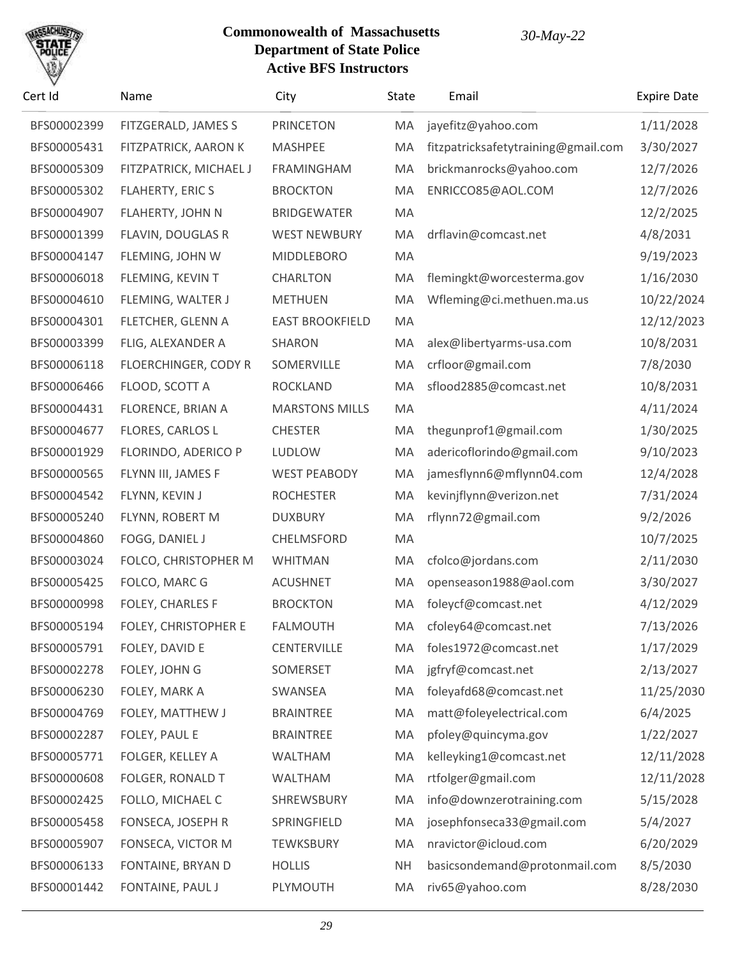

| Cert Id     | Name                    | City                   | State     | Email                               | <b>Expire Date</b> |
|-------------|-------------------------|------------------------|-----------|-------------------------------------|--------------------|
| BFS00002399 | FITZGERALD, JAMES S     | <b>PRINCETON</b>       | MA        | jayefitz@yahoo.com                  | 1/11/2028          |
| BFS00005431 | FITZPATRICK, AARON K    | <b>MASHPEE</b>         | MA        | fitzpatricksafetytraining@gmail.com | 3/30/2027          |
| BFS00005309 | FITZPATRICK, MICHAEL J  | <b>FRAMINGHAM</b>      | MA        | brickmanrocks@yahoo.com             | 12/7/2026          |
| BFS00005302 | <b>FLAHERTY, ERIC S</b> | <b>BROCKTON</b>        | MA        | ENRICCO85@AOL.COM                   | 12/7/2026          |
| BFS00004907 | FLAHERTY, JOHN N        | <b>BRIDGEWATER</b>     | MA        |                                     | 12/2/2025          |
| BFS00001399 | FLAVIN, DOUGLAS R       | <b>WEST NEWBURY</b>    | MA        | drflavin@comcast.net                | 4/8/2031           |
| BFS00004147 | FLEMING, JOHN W         | <b>MIDDLEBORO</b>      | MA        |                                     | 9/19/2023          |
| BFS00006018 | FLEMING, KEVIN T        | <b>CHARLTON</b>        | MA        | flemingkt@worcesterma.gov           | 1/16/2030          |
| BFS00004610 | FLEMING, WALTER J       | <b>METHUEN</b>         | MA        | Wfleming@ci.methuen.ma.us           | 10/22/2024         |
| BFS00004301 | FLETCHER, GLENN A       | <b>EAST BROOKFIELD</b> | MA        |                                     | 12/12/2023         |
| BFS00003399 | FLIG, ALEXANDER A       | SHARON                 | MA        | alex@libertyarms-usa.com            | 10/8/2031          |
| BFS00006118 | FLOERCHINGER, CODY R    | SOMERVILLE             | MA        | crfloor@gmail.com                   | 7/8/2030           |
| BFS00006466 | FLOOD, SCOTT A          | <b>ROCKLAND</b>        | MA        | sflood2885@comcast.net              | 10/8/2031          |
| BFS00004431 | FLORENCE, BRIAN A       | <b>MARSTONS MILLS</b>  | MA        |                                     | 4/11/2024          |
| BFS00004677 | FLORES, CARLOS L        | <b>CHESTER</b>         | MA        | thegunprof1@gmail.com               | 1/30/2025          |
| BFS00001929 | FLORINDO, ADERICO P     | <b>LUDLOW</b>          | MA        | adericoflorindo@gmail.com           | 9/10/2023          |
| BFS00000565 | FLYNN III, JAMES F      | <b>WEST PEABODY</b>    | MA        | jamesflynn6@mflynn04.com            | 12/4/2028          |
| BFS00004542 | FLYNN, KEVIN J          | <b>ROCHESTER</b>       | MA        | kevinjflynn@verizon.net             | 7/31/2024          |
| BFS00005240 | FLYNN, ROBERT M         | <b>DUXBURY</b>         | MA        | rflynn72@gmail.com                  | 9/2/2026           |
| BFS00004860 | FOGG, DANIEL J          | CHELMSFORD             | MA        |                                     | 10/7/2025          |
| BFS00003024 | FOLCO, CHRISTOPHER M    | <b>WHITMAN</b>         | MA        | cfolco@jordans.com                  | 2/11/2030          |
| BFS00005425 | FOLCO, MARC G           | <b>ACUSHNET</b>        | MA        | openseason1988@aol.com              | 3/30/2027          |
| BFS00000998 | FOLEY, CHARLES F        | <b>BROCKTON</b>        | MA        | foleycf@comcast.net                 | 4/12/2029          |
| BFS00005194 | FOLEY, CHRISTOPHER E    | <b>FALMOUTH</b>        | MA        | cfoley64@comcast.net                | 7/13/2026          |
| BFS00005791 | FOLEY, DAVID E          | <b>CENTERVILLE</b>     | MA        | foles1972@comcast.net               | 1/17/2029          |
| BFS00002278 | FOLEY, JOHN G           | SOMERSET               | MA        | jgfryf@comcast.net                  | 2/13/2027          |
| BFS00006230 | FOLEY, MARK A           | SWANSEA                | MA        | foleyafd68@comcast.net              | 11/25/2030         |
| BFS00004769 | FOLEY, MATTHEW J        | <b>BRAINTREE</b>       | MA        | matt@foleyelectrical.com            | 6/4/2025           |
| BFS00002287 | FOLEY, PAUL E           | <b>BRAINTREE</b>       | MA        | pfoley@quincyma.gov                 | 1/22/2027          |
| BFS00005771 | FOLGER, KELLEY A        | <b>WALTHAM</b>         | MA        | kelleyking1@comcast.net             | 12/11/2028         |
| BFS00000608 | FOLGER, RONALD T        | <b>WALTHAM</b>         | MA        | rtfolger@gmail.com                  | 12/11/2028         |
| BFS00002425 | FOLLO, MICHAEL C        | SHREWSBURY             | MA        | info@downzerotraining.com           | 5/15/2028          |
| BFS00005458 | FONSECA, JOSEPH R       | SPRINGFIELD            | MA        | josephfonseca33@gmail.com           | 5/4/2027           |
| BFS00005907 | FONSECA, VICTOR M       | <b>TEWKSBURY</b>       | MA        | nravictor@icloud.com                | 6/20/2029          |
| BFS00006133 | FONTAINE, BRYAN D       | <b>HOLLIS</b>          | <b>NH</b> | basicsondemand@protonmail.com       | 8/5/2030           |
| BFS00001442 | FONTAINE, PAUL J        | PLYMOUTH               | MA        | riv65@yahoo.com                     | 8/28/2030          |
|             |                         |                        |           |                                     |                    |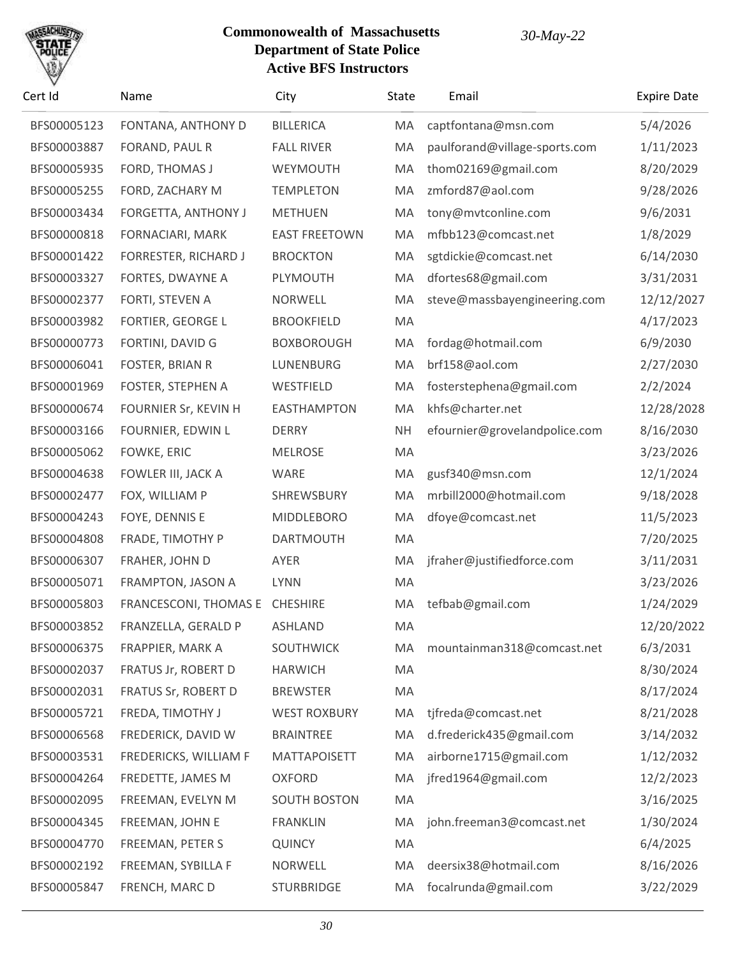

| Cert Id     | Name                        | City                 | State     | Email                         | <b>Expire Date</b> |
|-------------|-----------------------------|----------------------|-----------|-------------------------------|--------------------|
| BFS00005123 | FONTANA, ANTHONY D          | <b>BILLERICA</b>     | MA        | captfontana@msn.com           | 5/4/2026           |
| BFS00003887 | FORAND, PAUL R              | <b>FALL RIVER</b>    | MA        | paulforand@village-sports.com | 1/11/2023          |
| BFS00005935 | FORD, THOMAS J              | WEYMOUTH             | MA        | thom02169@gmail.com           | 8/20/2029          |
| BFS00005255 | FORD, ZACHARY M             | <b>TEMPLETON</b>     | MA        | zmford87@aol.com              | 9/28/2026          |
| BFS00003434 | FORGETTA, ANTHONY J         | <b>METHUEN</b>       | MA        | tony@mvtconline.com           | 9/6/2031           |
| BFS00000818 | FORNACIARI, MARK            | <b>EAST FREETOWN</b> | MA        | mfbb123@comcast.net           | 1/8/2029           |
| BFS00001422 | <b>FORRESTER, RICHARD J</b> | <b>BROCKTON</b>      | MA        | sgtdickie@comcast.net         | 6/14/2030          |
| BFS00003327 | FORTES, DWAYNE A            | PLYMOUTH             | MA        | dfortes68@gmail.com           | 3/31/2031          |
| BFS00002377 | FORTI, STEVEN A             | NORWELL              | MA        | steve@massbayengineering.com  | 12/12/2027         |
| BFS00003982 | <b>FORTIER, GEORGE L</b>    | <b>BROOKFIELD</b>    | MA        |                               | 4/17/2023          |
| BFS00000773 | FORTINI, DAVID G            | <b>BOXBOROUGH</b>    | MA        | fordag@hotmail.com            | 6/9/2030           |
| BFS00006041 | FOSTER, BRIAN R             | LUNENBURG            | MA        | brf158@aol.com                | 2/27/2030          |
| BFS00001969 | FOSTER, STEPHEN A           | WESTFIELD            | MA        | fosterstephena@gmail.com      | 2/2/2024           |
| BFS00000674 | FOURNIER Sr, KEVIN H        | <b>EASTHAMPTON</b>   | MA        | khfs@charter.net              | 12/28/2028         |
| BFS00003166 | FOURNIER, EDWIN L           | <b>DERRY</b>         | <b>NH</b> | efournier@grovelandpolice.com | 8/16/2030          |
| BFS00005062 | FOWKE, ERIC                 | <b>MELROSE</b>       | MA        |                               | 3/23/2026          |
| BFS00004638 | FOWLER III, JACK A          | WARE                 | MA        | gusf340@msn.com               | 12/1/2024          |
| BFS00002477 | FOX, WILLIAM P              | SHREWSBURY           | MA        | mrbill2000@hotmail.com        | 9/18/2028          |
| BFS00004243 | FOYE, DENNIS E              | <b>MIDDLEBORO</b>    | MA        | dfoye@comcast.net             | 11/5/2023          |
| BFS00004808 | FRADE, TIMOTHY P            | <b>DARTMOUTH</b>     | MA        |                               | 7/20/2025          |
| BFS00006307 | FRAHER, JOHN D              | AYER                 | MA        | jfraher@justifiedforce.com    | 3/11/2031          |
| BFS00005071 | FRAMPTON, JASON A           | <b>LYNN</b>          | MA        |                               | 3/23/2026          |
| BFS00005803 | FRANCESCONI, THOMAS E       | <b>CHESHIRE</b>      | MA        | tefbab@gmail.com              | 1/24/2029          |
| BFS00003852 | FRANZELLA, GERALD P         | ASHLAND              | MA        |                               | 12/20/2022         |
| BFS00006375 | FRAPPIER, MARK A            | <b>SOUTHWICK</b>     | MA        | mountainman318@comcast.net    | 6/3/2031           |
| BFS00002037 | FRATUS Jr, ROBERT D         | <b>HARWICH</b>       | MA        |                               | 8/30/2024          |
| BFS00002031 | FRATUS Sr, ROBERT D         | <b>BREWSTER</b>      | MA        |                               | 8/17/2024          |
| BFS00005721 | FREDA, TIMOTHY J            | <b>WEST ROXBURY</b>  | MA        | tjfreda@comcast.net           | 8/21/2028          |
| BFS00006568 | FREDERICK, DAVID W          | <b>BRAINTREE</b>     | MA        | d.frederick435@gmail.com      | 3/14/2032          |
| BFS00003531 | FREDERICKS, WILLIAM F       | <b>MATTAPOISETT</b>  | MA        | airborne1715@gmail.com        | 1/12/2032          |
| BFS00004264 | FREDETTE, JAMES M           | <b>OXFORD</b>        | MA        | jfred1964@gmail.com           | 12/2/2023          |
| BFS00002095 | FREEMAN, EVELYN M           | <b>SOUTH BOSTON</b>  | MA        |                               | 3/16/2025          |
| BFS00004345 | FREEMAN, JOHN E             | <b>FRANKLIN</b>      | MA        | john.freeman3@comcast.net     | 1/30/2024          |
| BFS00004770 | FREEMAN, PETER S            | <b>QUINCY</b>        | MA        |                               | 6/4/2025           |
| BFS00002192 | FREEMAN, SYBILLA F          | <b>NORWELL</b>       | MA        | deersix38@hotmail.com         | 8/16/2026          |
| BFS00005847 | FRENCH, MARC D              | <b>STURBRIDGE</b>    | MA        | focalrunda@gmail.com          | 3/22/2029          |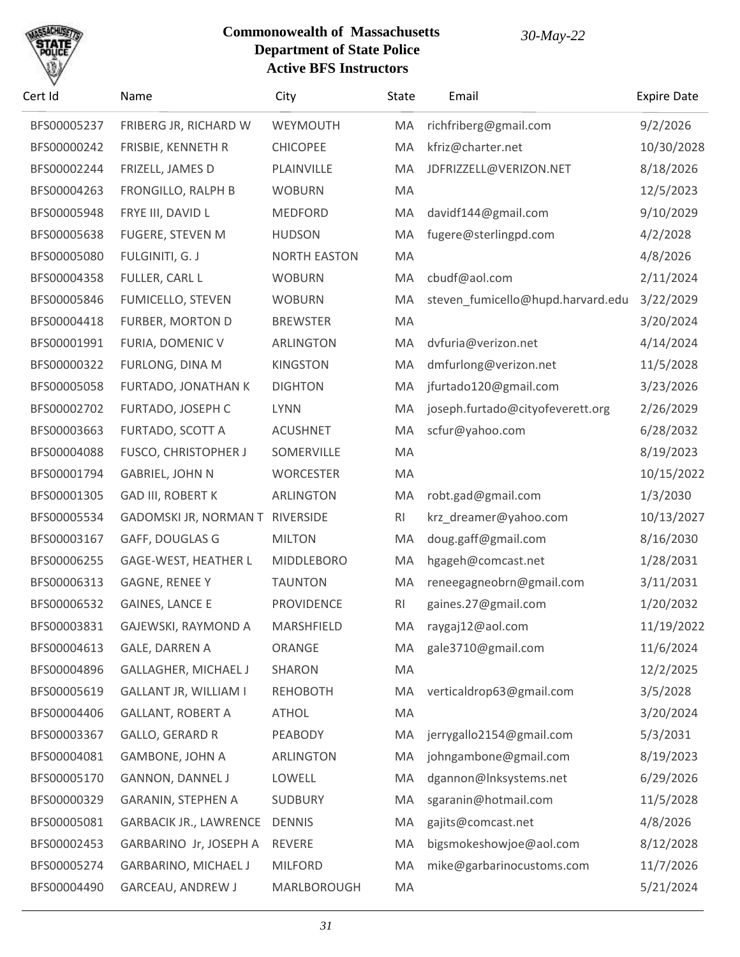

| Cert Id     | Name                            | City                | State          | Email                             | <b>Expire Date</b> |
|-------------|---------------------------------|---------------------|----------------|-----------------------------------|--------------------|
| BFS00005237 | FRIBERG JR, RICHARD W           | WEYMOUTH            | MA             | richfriberg@gmail.com             | 9/2/2026           |
| BFS00000242 | FRISBIE, KENNETH R              | <b>CHICOPEE</b>     | MA             | kfriz@charter.net                 | 10/30/2028         |
| BFS00002244 | FRIZELL, JAMES D                | PLAINVILLE          | MA             | JDFRIZZELL@VERIZON.NET            | 8/18/2026          |
| BFS00004263 | FRONGILLO, RALPH B              | <b>WOBURN</b>       | MA             |                                   | 12/5/2023          |
| BFS00005948 | FRYE III, DAVID L               | <b>MEDFORD</b>      | MA             | davidf144@gmail.com               | 9/10/2029          |
| BFS00005638 | FUGERE, STEVEN M                | <b>HUDSON</b>       | MA             | fugere@sterlingpd.com             | 4/2/2028           |
| BFS00005080 | FULGINITI, G. J                 | <b>NORTH EASTON</b> | MA             |                                   | 4/8/2026           |
| BFS00004358 | FULLER, CARL L                  | <b>WOBURN</b>       | MA             | cbudf@aol.com                     | 2/11/2024          |
| BFS00005846 | FUMICELLO, STEVEN               | <b>WOBURN</b>       | MA             | steven_fumicello@hupd.harvard.edu | 3/22/2029          |
| BFS00004418 | FURBER, MORTON D                | <b>BREWSTER</b>     | MA             |                                   | 3/20/2024          |
| BFS00001991 | FURIA, DOMENIC V                | ARLINGTON           | MA             | dvfuria@verizon.net               | 4/14/2024          |
| BFS00000322 | FURLONG, DINA M                 | <b>KINGSTON</b>     | MA             | dmfurlong@verizon.net             | 11/5/2028          |
| BFS00005058 | FURTADO, JONATHAN K             | <b>DIGHTON</b>      | MA             | jfurtado120@gmail.com             | 3/23/2026          |
| BFS00002702 | FURTADO, JOSEPH C               | <b>LYNN</b>         | MA             | joseph.furtado@cityofeverett.org  | 2/26/2029          |
| BFS00003663 | FURTADO, SCOTT A                | <b>ACUSHNET</b>     | MA             | scfur@yahoo.com                   | 6/28/2032          |
| BFS00004088 | <b>FUSCO, CHRISTOPHER J</b>     | SOMERVILLE          | MA             |                                   | 8/19/2023          |
| BFS00001794 | <b>GABRIEL, JOHN N</b>          | <b>WORCESTER</b>    | MA             |                                   | 10/15/2022         |
| BFS00001305 | <b>GAD III, ROBERT K</b>        | <b>ARLINGTON</b>    | MA             | robt.gad@gmail.com                | 1/3/2030           |
| BFS00005534 | GADOMSKI JR, NORMAN T RIVERSIDE |                     | <b>RI</b>      | krz_dreamer@yahoo.com             | 10/13/2027         |
| BFS00003167 | GAFF, DOUGLAS G                 | <b>MILTON</b>       | MA             | doug.gaff@gmail.com               | 8/16/2030          |
| BFS00006255 | GAGE-WEST, HEATHER L            | <b>MIDDLEBORO</b>   | MA             | hgageh@comcast.net                | 1/28/2031          |
| BFS00006313 | GAGNE, RENEE Y                  | <b>TAUNTON</b>      | MA             | reneegagneobrn@gmail.com          | 3/11/2031          |
| BFS00006532 | <b>GAINES, LANCE E</b>          | <b>PROVIDENCE</b>   | R <sub>l</sub> | gaines.27@gmail.com               | 1/20/2032          |
| BFS00003831 | GAJEWSKI, RAYMOND A             | MARSHFIELD          | MA             | raygaj12@aol.com                  | 11/19/2022         |
| BFS00004613 | <b>GALE, DARREN A</b>           | ORANGE              | МA             | gale3710@gmail.com                | 11/6/2024          |
| BFS00004896 | <b>GALLAGHER, MICHAEL J</b>     | SHARON              | MA             |                                   | 12/2/2025          |
| BFS00005619 | <b>GALLANT JR, WILLIAM I</b>    | <b>REHOBOTH</b>     | MA             | verticaldrop63@gmail.com          | 3/5/2028           |
| BFS00004406 | <b>GALLANT, ROBERT A</b>        | <b>ATHOL</b>        | MA             |                                   | 3/20/2024          |
| BFS00003367 | <b>GALLO, GERARD R</b>          | PEABODY             | MA             | jerrygallo2154@gmail.com          | 5/3/2031           |
| BFS00004081 | <b>GAMBONE, JOHN A</b>          | ARLINGTON           | MA             | johngambone@gmail.com             | 8/19/2023          |
| BFS00005170 | GANNON, DANNEL J                | LOWELL              | MA             | dgannon@Inksystems.net            | 6/29/2026          |
| BFS00000329 | GARANIN, STEPHEN A              | <b>SUDBURY</b>      | MA             | sgaranin@hotmail.com              | 11/5/2028          |
| BFS00005081 | <b>GARBACIK JR., LAWRENCE</b>   | <b>DENNIS</b>       | MA             | gajits@comcast.net                | 4/8/2026           |
| BFS00002453 | GARBARINO Jr, JOSEPH A          | REVERE              | MA             | bigsmokeshowjoe@aol.com           | 8/12/2028          |
| BFS00005274 | GARBARINO, MICHAEL J            | <b>MILFORD</b>      | MA             | mike@garbarinocustoms.com         | 11/7/2026          |
| BFS00004490 | <b>GARCEAU, ANDREW J</b>        | MARLBOROUGH         | MA             |                                   | 5/21/2024          |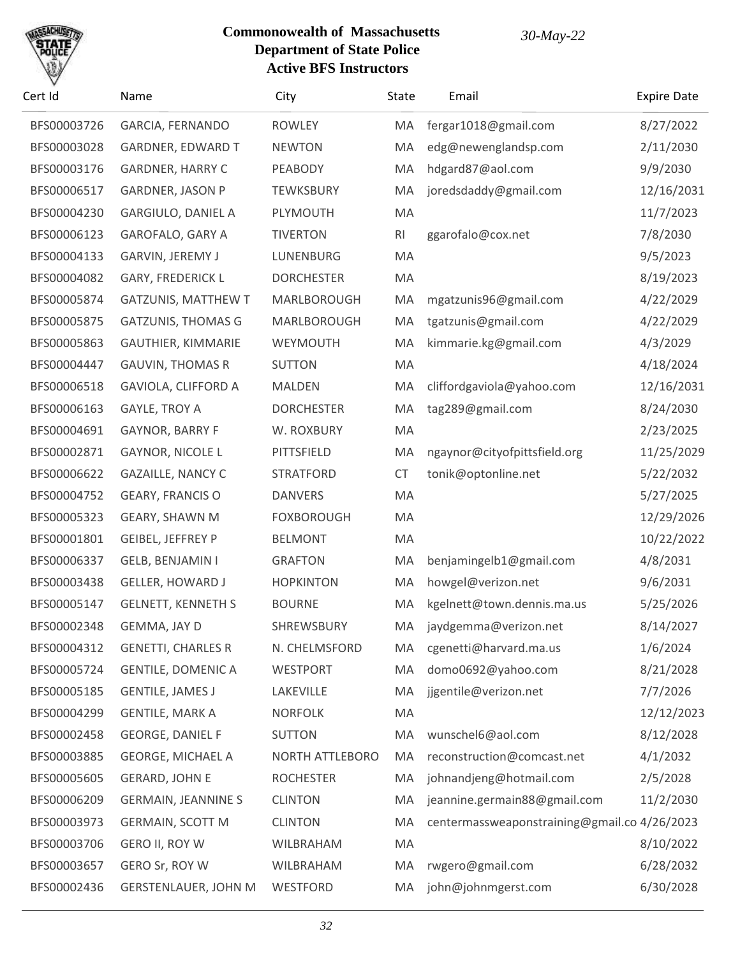

| Cert Id     | Name                        | City                   | State          | Email                                        | <b>Expire Date</b> |
|-------------|-----------------------------|------------------------|----------------|----------------------------------------------|--------------------|
| BFS00003726 | <b>GARCIA, FERNANDO</b>     | <b>ROWLEY</b>          | MA             | fergar1018@gmail.com                         | 8/27/2022          |
| BFS00003028 | <b>GARDNER, EDWARD T</b>    | <b>NEWTON</b>          | MA             | edg@newenglandsp.com                         | 2/11/2030          |
| BFS00003176 | <b>GARDNER, HARRY C</b>     | PEABODY                | MA             | hdgard87@aol.com                             | 9/9/2030           |
| BFS00006517 | <b>GARDNER, JASON P</b>     | <b>TEWKSBURY</b>       | MA             | joredsdaddy@gmail.com                        | 12/16/2031         |
| BFS00004230 | <b>GARGIULO, DANIEL A</b>   | PLYMOUTH               | MA             |                                              | 11/7/2023          |
| BFS00006123 | GAROFALO, GARY A            | <b>TIVERTON</b>        | R <sub>l</sub> | ggarofalo@cox.net                            | 7/8/2030           |
| BFS00004133 | <b>GARVIN, JEREMY J</b>     | LUNENBURG              | MA             |                                              | 9/5/2023           |
| BFS00004082 | <b>GARY, FREDERICK L</b>    | <b>DORCHESTER</b>      | MA             |                                              | 8/19/2023          |
| BFS00005874 | <b>GATZUNIS, MATTHEW T</b>  | MARLBOROUGH            | MA             | mgatzunis96@gmail.com                        | 4/22/2029          |
| BFS00005875 | <b>GATZUNIS, THOMAS G</b>   | MARLBOROUGH            | MA             | tgatzunis@gmail.com                          | 4/22/2029          |
| BFS00005863 | <b>GAUTHIER, KIMMARIE</b>   | WEYMOUTH               | MA             | kimmarie.kg@gmail.com                        | 4/3/2029           |
| BFS00004447 | <b>GAUVIN, THOMAS R</b>     | <b>SUTTON</b>          | MA             |                                              | 4/18/2024          |
| BFS00006518 | GAVIOLA, CLIFFORD A         | <b>MALDEN</b>          | MA             | cliffordgaviola@yahoo.com                    | 12/16/2031         |
| BFS00006163 | <b>GAYLE, TROY A</b>        | <b>DORCHESTER</b>      | MA             | tag289@gmail.com                             | 8/24/2030          |
| BFS00004691 | GAYNOR, BARRY F             | W. ROXBURY             | MA             |                                              | 2/23/2025          |
| BFS00002871 | GAYNOR, NICOLE L            | PITTSFIELD             | MA             | ngaynor@cityofpittsfield.org                 | 11/25/2029         |
| BFS00006622 | <b>GAZAILLE, NANCY C</b>    | <b>STRATFORD</b>       | <b>CT</b>      | tonik@optonline.net                          | 5/22/2032          |
| BFS00004752 | <b>GEARY, FRANCIS O</b>     | <b>DANVERS</b>         | MA             |                                              | 5/27/2025          |
| BFS00005323 | <b>GEARY, SHAWN M</b>       | <b>FOXBOROUGH</b>      | MA             |                                              | 12/29/2026         |
| BFS00001801 | GEIBEL, JEFFREY P           | <b>BELMONT</b>         | MA             |                                              | 10/22/2022         |
| BFS00006337 | GELB, BENJAMIN I            | <b>GRAFTON</b>         | MA             | benjamingelb1@gmail.com                      | 4/8/2031           |
| BFS00003438 | <b>GELLER, HOWARD J</b>     | <b>HOPKINTON</b>       | MA             | howgel@verizon.net                           | 9/6/2031           |
| BFS00005147 | <b>GELNETT, KENNETH S</b>   | <b>BOURNE</b>          | MA             | kgelnett@town.dennis.ma.us                   | 5/25/2026          |
| BFS00002348 | GEMMA, JAY D                | <b>SHREWSBURY</b>      | MA             | jaydgemma@verizon.net                        | 8/14/2027          |
| BFS00004312 | <b>GENETTI, CHARLES R</b>   | N. CHELMSFORD          | MA             | cgenetti@harvard.ma.us                       | 1/6/2024           |
| BFS00005724 | <b>GENTILE, DOMENIC A</b>   | <b>WESTPORT</b>        | MA             | domo0692@yahoo.com                           | 8/21/2028          |
| BFS00005185 | <b>GENTILE, JAMES J</b>     | LAKEVILLE              | MA             | jjgentile@verizon.net                        | 7/7/2026           |
| BFS00004299 | <b>GENTILE, MARK A</b>      | <b>NORFOLK</b>         | MA             |                                              | 12/12/2023         |
| BFS00002458 | <b>GEORGE, DANIEL F</b>     | <b>SUTTON</b>          | MA             | wunschel6@aol.com                            | 8/12/2028          |
| BFS00003885 | <b>GEORGE, MICHAEL A</b>    | <b>NORTH ATTLEBORO</b> | MA             | reconstruction@comcast.net                   | 4/1/2032           |
| BFS00005605 | <b>GERARD, JOHN E</b>       | <b>ROCHESTER</b>       | MA             | johnandjeng@hotmail.com                      | 2/5/2028           |
| BFS00006209 | <b>GERMAIN, JEANNINE S</b>  | <b>CLINTON</b>         | MA             | jeannine.germain88@gmail.com                 | 11/2/2030          |
| BFS00003973 | <b>GERMAIN, SCOTT M</b>     | <b>CLINTON</b>         | MA             | centermassweaponstraining@gmail.co 4/26/2023 |                    |
| BFS00003706 | GERO II, ROY W              | WILBRAHAM              | MA             |                                              | 8/10/2022          |
| BFS00003657 | GERO Sr, ROY W              | WILBRAHAM              | MA             | rwgero@gmail.com                             | 6/28/2032          |
| BFS00002436 | <b>GERSTENLAUER, JOHN M</b> | WESTFORD               | MA             | john@johnmgerst.com                          | 6/30/2028          |
|             |                             |                        |                |                                              |                    |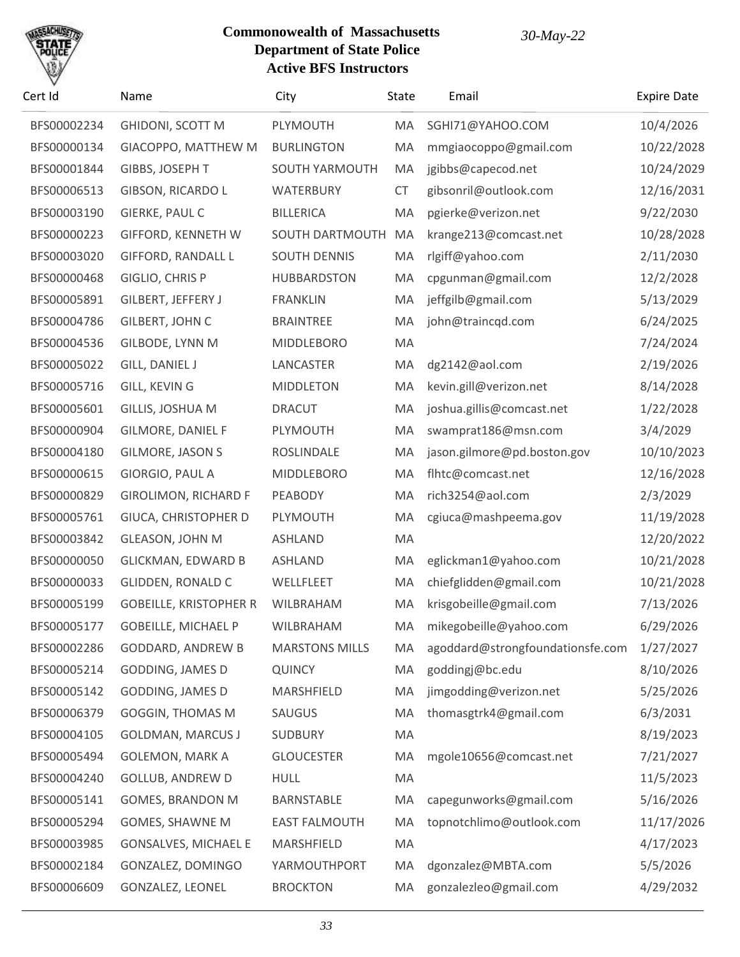

| Cert Id     | Name                          | City                  | State     | Email                            | <b>Expire Date</b> |
|-------------|-------------------------------|-----------------------|-----------|----------------------------------|--------------------|
| BFS00002234 | <b>GHIDONI, SCOTT M</b>       | PLYMOUTH              | MA        | SGHI71@YAHOO.COM                 | 10/4/2026          |
| BFS00000134 | GIACOPPO, MATTHEW M           | <b>BURLINGTON</b>     | MA        | mmgiaocoppo@gmail.com            | 10/22/2028         |
| BFS00001844 | GIBBS, JOSEPH T               | <b>SOUTH YARMOUTH</b> | MA        | jgibbs@capecod.net               | 10/24/2029         |
| BFS00006513 | GIBSON, RICARDO L             | WATERBURY             | <b>CT</b> | gibsonril@outlook.com            | 12/16/2031         |
| BFS00003190 | GIERKE, PAUL C                | <b>BILLERICA</b>      | MA        | pgierke@verizon.net              | 9/22/2030          |
| BFS00000223 | <b>GIFFORD, KENNETH W</b>     | SOUTH DARTMOUTH       | MA        | krange213@comcast.net            | 10/28/2028         |
| BFS00003020 | <b>GIFFORD, RANDALL L</b>     | <b>SOUTH DENNIS</b>   | MA        | rlgiff@yahoo.com                 | 2/11/2030          |
| BFS00000468 | GIGLIO, CHRIS P               | <b>HUBBARDSTON</b>    | MA        | cpgunman@gmail.com               | 12/2/2028          |
| BFS00005891 | GILBERT, JEFFERY J            | <b>FRANKLIN</b>       | MA        | jeffgilb@gmail.com               | 5/13/2029          |
| BFS00004786 | GILBERT, JOHN C               | <b>BRAINTREE</b>      | MA        | john@traincqd.com                | 6/24/2025          |
| BFS00004536 | <b>GILBODE, LYNN M</b>        | <b>MIDDLEBORO</b>     | MA        |                                  | 7/24/2024          |
| BFS00005022 | <b>GILL, DANIEL J</b>         | LANCASTER             | MA        | dg2142@aol.com                   | 2/19/2026          |
| BFS00005716 | <b>GILL, KEVIN G</b>          | <b>MIDDLETON</b>      | MA        | kevin.gill@verizon.net           | 8/14/2028          |
| BFS00005601 | GILLIS, JOSHUA M              | <b>DRACUT</b>         | MA        | joshua.gillis@comcast.net        | 1/22/2028          |
| BFS00000904 | <b>GILMORE, DANIEL F</b>      | PLYMOUTH              | MA        | swamprat186@msn.com              | 3/4/2029           |
| BFS00004180 | <b>GILMORE, JASON S</b>       | ROSLINDALE            | MA        | jason.gilmore@pd.boston.gov      | 10/10/2023         |
| BFS00000615 | GIORGIO, PAUL A               | <b>MIDDLEBORO</b>     | MA        | flhtc@comcast.net                | 12/16/2028         |
| BFS00000829 | <b>GIROLIMON, RICHARD F</b>   | PEABODY               | MA        | rich3254@aol.com                 | 2/3/2029           |
| BFS00005761 | GIUCA, CHRISTOPHER D          | PLYMOUTH              | MA        | cgiuca@mashpeema.gov             | 11/19/2028         |
| BFS00003842 | <b>GLEASON, JOHN M</b>        | <b>ASHLAND</b>        | MA        |                                  | 12/20/2022         |
| BFS00000050 | <b>GLICKMAN, EDWARD B</b>     | ASHLAND               | MA        | eglickman1@yahoo.com             | 10/21/2028         |
| BFS00000033 | <b>GLIDDEN, RONALD C</b>      | WELLFLEET             | MA        | chiefglidden@gmail.com           | 10/21/2028         |
| BFS00005199 | <b>GOBEILLE, KRISTOPHER R</b> | WILBRAHAM             | MA        | krisgobeille@gmail.com           | 7/13/2026          |
| BFS00005177 | <b>GOBEILLE, MICHAEL P</b>    | <b>WILBRAHAM</b>      | MA        | mikegobeille@yahoo.com           | 6/29/2026          |
| BFS00002286 | <b>GODDARD, ANDREW B</b>      | <b>MARSTONS MILLS</b> | MA        | agoddard@strongfoundationsfe.com | 1/27/2027          |
| BFS00005214 | <b>GODDING, JAMES D</b>       | <b>QUINCY</b>         | MA        | goddingj@bc.edu                  | 8/10/2026          |
| BFS00005142 | <b>GODDING, JAMES D</b>       | MARSHFIELD            | MA        | jimgodding@verizon.net           | 5/25/2026          |
| BFS00006379 | <b>GOGGIN, THOMAS M</b>       | <b>SAUGUS</b>         | MA        | thomasgtrk4@gmail.com            | 6/3/2031           |
| BFS00004105 | <b>GOLDMAN, MARCUS J</b>      | <b>SUDBURY</b>        | MA        |                                  | 8/19/2023          |
| BFS00005494 | <b>GOLEMON, MARK A</b>        | <b>GLOUCESTER</b>     | MA        | mgole10656@comcast.net           | 7/21/2027          |
| BFS00004240 | <b>GOLLUB, ANDREW D</b>       | <b>HULL</b>           | MA        |                                  | 11/5/2023          |
| BFS00005141 | <b>GOMES, BRANDON M</b>       | BARNSTABLE            | MA        | capegunworks@gmail.com           | 5/16/2026          |
| BFS00005294 | GOMES, SHAWNE M               | <b>EAST FALMOUTH</b>  | MA        | topnotchlimo@outlook.com         | 11/17/2026         |
| BFS00003985 | <b>GONSALVES, MICHAEL E</b>   | MARSHFIELD            | MA        |                                  | 4/17/2023          |
| BFS00002184 | GONZALEZ, DOMINGO             | YARMOUTHPORT          | MA        | dgonzalez@MBTA.com               | 5/5/2026           |
| BFS00006609 | GONZALEZ, LEONEL              | <b>BROCKTON</b>       | MA        | gonzalezleo@gmail.com            | 4/29/2032          |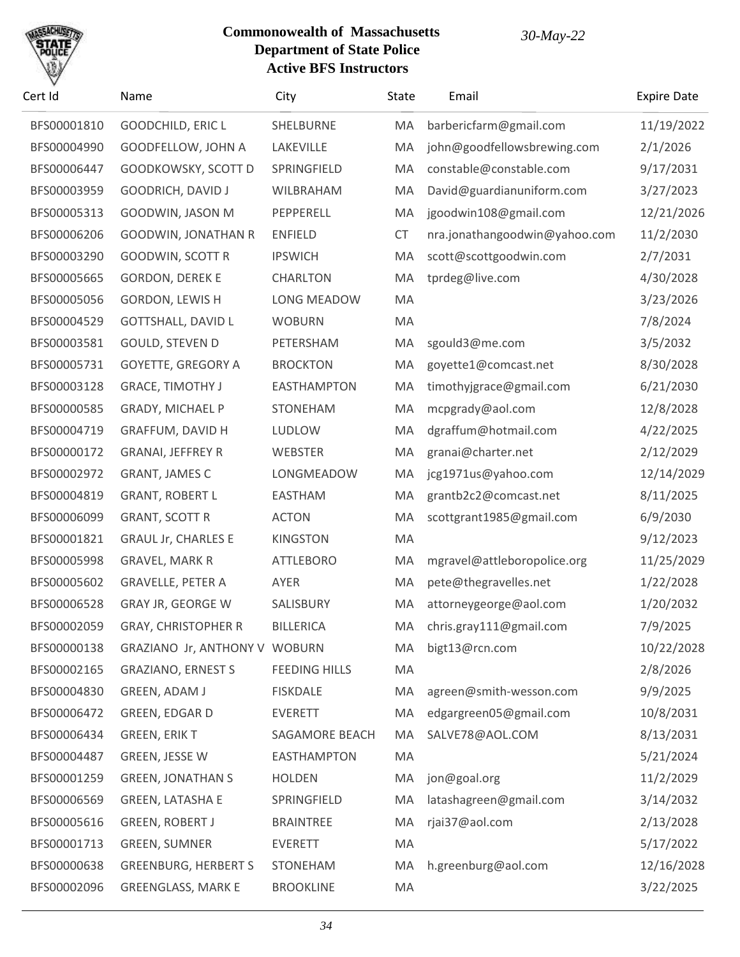

| Cert Id     | Name                          | City                  | State     | Email                         | <b>Expire Date</b> |
|-------------|-------------------------------|-----------------------|-----------|-------------------------------|--------------------|
| BFS00001810 | GOODCHILD, ERIC L             | SHELBURNE             | MA        | barbericfarm@gmail.com        | 11/19/2022         |
| BFS00004990 | GOODFELLOW, JOHN A            | LAKEVILLE             | MA        | john@goodfellowsbrewing.com   | 2/1/2026           |
| BFS00006447 | GOODKOWSKY, SCOTT D           | SPRINGFIELD           | MA        | constable@constable.com       | 9/17/2031          |
| BFS00003959 | <b>GOODRICH, DAVID J</b>      | WILBRAHAM             | MA        | David@guardianuniform.com     | 3/27/2023          |
| BFS00005313 | GOODWIN, JASON M              | PEPPERELL             | MA        | jgoodwin108@gmail.com         | 12/21/2026         |
| BFS00006206 | <b>GOODWIN, JONATHAN R</b>    | <b>ENFIELD</b>        | <b>CT</b> | nra.jonathangoodwin@yahoo.com | 11/2/2030          |
| BFS00003290 | GOODWIN, SCOTT R              | <b>IPSWICH</b>        | MA        | scott@scottgoodwin.com        | 2/7/2031           |
| BFS00005665 | <b>GORDON, DEREK E</b>        | <b>CHARLTON</b>       | MA        | tprdeg@live.com               | 4/30/2028          |
| BFS00005056 | GORDON, LEWIS H               | LONG MEADOW           | MA        |                               | 3/23/2026          |
| BFS00004529 | <b>GOTTSHALL, DAVID L</b>     | <b>WOBURN</b>         | MA        |                               | 7/8/2024           |
| BFS00003581 | GOULD, STEVEN D               | PETERSHAM             | MA        | sgould3@me.com                | 3/5/2032           |
| BFS00005731 | GOYETTE, GREGORY A            | <b>BROCKTON</b>       | MA        | goyette1@comcast.net          | 8/30/2028          |
| BFS00003128 | <b>GRACE, TIMOTHY J</b>       | <b>EASTHAMPTON</b>    | MA        | timothyjgrace@gmail.com       | 6/21/2030          |
| BFS00000585 | GRADY, MICHAEL P              | <b>STONEHAM</b>       | MA        | mcpgrady@aol.com              | 12/8/2028          |
| BFS00004719 | GRAFFUM, DAVID H              | LUDLOW                | MA        | dgraffum@hotmail.com          | 4/22/2025          |
| BFS00000172 | <b>GRANAI, JEFFREY R</b>      | <b>WEBSTER</b>        | MA        | granai@charter.net            | 2/12/2029          |
| BFS00002972 | GRANT, JAMES C                | LONGMEADOW            | MA        | jcg1971us@yahoo.com           | 12/14/2029         |
| BFS00004819 | <b>GRANT, ROBERT L</b>        | <b>EASTHAM</b>        | MA        | grantb2c2@comcast.net         | 8/11/2025          |
| BFS00006099 | <b>GRANT, SCOTT R</b>         | <b>ACTON</b>          | MA        | scottgrant1985@gmail.com      | 6/9/2030           |
| BFS00001821 | <b>GRAUL Jr, CHARLES E</b>    | <b>KINGSTON</b>       | MA        |                               | 9/12/2023          |
| BFS00005998 | <b>GRAVEL, MARK R</b>         | <b>ATTLEBORO</b>      | MA        | mgravel@attleboropolice.org   | 11/25/2029         |
| BFS00005602 | <b>GRAVELLE, PETER A</b>      | AYER                  | MA        | pete@thegravelles.net         | 1/22/2028          |
| BFS00006528 | GRAY JR, GEORGE W             | SALISBURY             | MA        | attorneygeorge@aol.com        | 1/20/2032          |
| BFS00002059 | <b>GRAY, CHRISTOPHER R</b>    | <b>BILLERICA</b>      |           | MA chris.gray111@gmail.com    | 7/9/2025           |
| BFS00000138 | GRAZIANO Jr, ANTHONY V WOBURN |                       | MA        | bigt13@rcn.com                | 10/22/2028         |
| BFS00002165 | <b>GRAZIANO, ERNEST S</b>     | <b>FEEDING HILLS</b>  | MA        |                               | 2/8/2026           |
| BFS00004830 | GREEN, ADAM J                 | <b>FISKDALE</b>       | MA        | agreen@smith-wesson.com       | 9/9/2025           |
| BFS00006472 | GREEN, EDGAR D                | <b>EVERETT</b>        | MA        | edgargreen05@gmail.com        | 10/8/2031          |
| BFS00006434 | GREEN, ERIK T                 | <b>SAGAMORE BEACH</b> | MA        | SALVE78@AOL.COM               | 8/13/2031          |
| BFS00004487 | GREEN, JESSE W                | <b>EASTHAMPTON</b>    | MA        |                               | 5/21/2024          |
| BFS00001259 | <b>GREEN, JONATHAN S</b>      | <b>HOLDEN</b>         | MA        | jon@goal.org                  | 11/2/2029          |
| BFS00006569 | <b>GREEN, LATASHA E</b>       | SPRINGFIELD           | MA        | latashagreen@gmail.com        | 3/14/2032          |
| BFS00005616 | <b>GREEN, ROBERT J</b>        | <b>BRAINTREE</b>      | MA        | rjai37@aol.com                | 2/13/2028          |
| BFS00001713 | <b>GREEN, SUMNER</b>          | <b>EVERETT</b>        | MA        |                               | 5/17/2022          |
| BFS00000638 | <b>GREENBURG, HERBERT S</b>   | <b>STONEHAM</b>       | MA        | h.greenburg@aol.com           | 12/16/2028         |
| BFS00002096 | <b>GREENGLASS, MARK E</b>     | <b>BROOKLINE</b>      | MA        |                               | 3/22/2025          |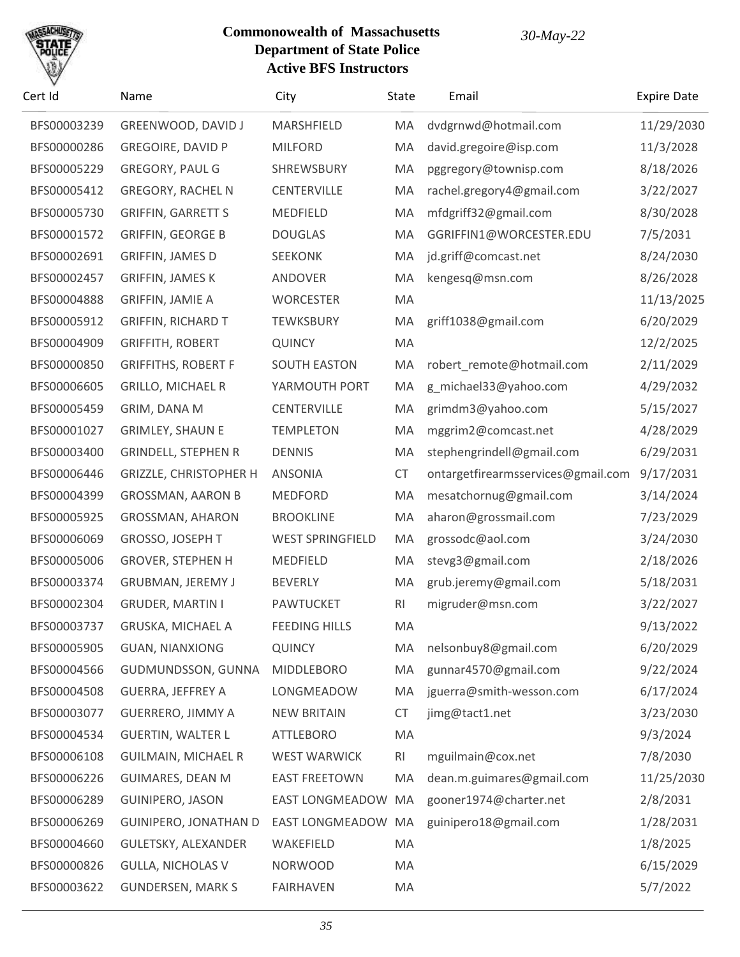

| Cert Id     | Name                         | City                    | State          | Email                              | <b>Expire Date</b> |
|-------------|------------------------------|-------------------------|----------------|------------------------------------|--------------------|
| BFS00003239 | GREENWOOD, DAVID J           | MARSHFIELD              | MA             | dvdgrnwd@hotmail.com               | 11/29/2030         |
| BFS00000286 | <b>GREGOIRE, DAVID P</b>     | <b>MILFORD</b>          | MA             | david.gregoire@isp.com             | 11/3/2028          |
| BFS00005229 | GREGORY, PAUL G              | SHREWSBURY              | MA             | pggregory@townisp.com              | 8/18/2026          |
| BFS00005412 | <b>GREGORY, RACHEL N</b>     | <b>CENTERVILLE</b>      | MA             | rachel.gregory4@gmail.com          | 3/22/2027          |
| BFS00005730 | <b>GRIFFIN, GARRETT S</b>    | <b>MEDFIELD</b>         | MA             | mfdgriff32@gmail.com               | 8/30/2028          |
| BFS00001572 | <b>GRIFFIN, GEORGE B</b>     | <b>DOUGLAS</b>          | MA             | GGRIFFIN1@WORCESTER.EDU            | 7/5/2031           |
| BFS00002691 | <b>GRIFFIN, JAMES D</b>      | <b>SEEKONK</b>          | MA             | jd.griff@comcast.net               | 8/24/2030          |
| BFS00002457 | <b>GRIFFIN, JAMES K</b>      | ANDOVER                 | MA             | kengesq@msn.com                    | 8/26/2028          |
| BFS00004888 | <b>GRIFFIN, JAMIE A</b>      | <b>WORCESTER</b>        | MA             |                                    | 11/13/2025         |
| BFS00005912 | <b>GRIFFIN, RICHARD T</b>    | <b>TEWKSBURY</b>        | MA             | griff1038@gmail.com                | 6/20/2029          |
| BFS00004909 | <b>GRIFFITH, ROBERT</b>      | <b>QUINCY</b>           | MA             |                                    | 12/2/2025          |
| BFS00000850 | <b>GRIFFITHS, ROBERT F</b>   | <b>SOUTH EASTON</b>     | MA             | robert_remote@hotmail.com          | 2/11/2029          |
| BFS00006605 | <b>GRILLO, MICHAEL R</b>     | YARMOUTH PORT           | MA             | g_michael33@yahoo.com              | 4/29/2032          |
| BFS00005459 | GRIM, DANA M                 | <b>CENTERVILLE</b>      | MA             | grimdm3@yahoo.com                  | 5/15/2027          |
| BFS00001027 | <b>GRIMLEY, SHAUN E</b>      | <b>TEMPLETON</b>        | MA             | mggrim2@comcast.net                | 4/28/2029          |
| BFS00003400 | <b>GRINDELL, STEPHEN R</b>   | <b>DENNIS</b>           | MA             | stephengrindell@gmail.com          | 6/29/2031          |
| BFS00006446 | GRIZZLE, CHRISTOPHER H       | ANSONIA                 | <b>CT</b>      | ontargetfirearmsservices@gmail.com | 9/17/2031          |
| BFS00004399 | <b>GROSSMAN, AARON B</b>     | <b>MEDFORD</b>          | MA             | mesatchornug@gmail.com             | 3/14/2024          |
| BFS00005925 | GROSSMAN, AHARON             | <b>BROOKLINE</b>        | MA             | aharon@grossmail.com               | 7/23/2029          |
| BFS00006069 | GROSSO, JOSEPH T             | <b>WEST SPRINGFIELD</b> | MA             | grossodc@aol.com                   | 3/24/2030          |
| BFS00005006 | <b>GROVER, STEPHEN H</b>     | <b>MEDFIELD</b>         | MA             | stevg3@gmail.com                   | 2/18/2026          |
| BFS00003374 | GRUBMAN, JEREMY J            | <b>BEVERLY</b>          | MA             | grub.jeremy@gmail.com              | 5/18/2031          |
| BFS00002304 | <b>GRUDER, MARTIN I</b>      | <b>PAWTUCKET</b>        | RI             | migruder@msn.com                   | 3/22/2027          |
| BFS00003737 | GRUSKA, MICHAEL A            | <b>FEEDING HILLS</b>    | MA             |                                    | 9/13/2022          |
| BFS00005905 | <b>GUAN, NIANXIONG</b>       | <b>QUINCY</b>           | MA             | nelsonbuy8@gmail.com               | 6/20/2029          |
| BFS00004566 | GUDMUNDSSON, GUNNA           | <b>MIDDLEBORO</b>       | MA             | gunnar4570@gmail.com               | 9/22/2024          |
| BFS00004508 | <b>GUERRA, JEFFREY A</b>     | LONGMEADOW              | MA             | jguerra@smith-wesson.com           | 6/17/2024          |
| BFS00003077 | <b>GUERRERO, JIMMY A</b>     | <b>NEW BRITAIN</b>      | <b>CT</b>      | jimg@tact1.net                     | 3/23/2030          |
| BFS00004534 | <b>GUERTIN, WALTER L</b>     | <b>ATTLEBORO</b>        | MA             |                                    | 9/3/2024           |
| BFS00006108 | <b>GUILMAIN, MICHAEL R</b>   | <b>WEST WARWICK</b>     | R <sub>l</sub> | mguilmain@cox.net                  | 7/8/2030           |
| BFS00006226 | <b>GUIMARES, DEAN M</b>      | <b>EAST FREETOWN</b>    | MA             | dean.m.guimares@gmail.com          | 11/25/2030         |
| BFS00006289 | <b>GUINIPERO, JASON</b>      | <b>EAST LONGMEADOW</b>  | MA             | gooner1974@charter.net             | 2/8/2031           |
| BFS00006269 | <b>GUINIPERO, JONATHAN D</b> | EAST LONGMEADOW         | MA             | guinipero18@gmail.com              | 1/28/2031          |
| BFS00004660 | GULETSKY, ALEXANDER          | WAKEFIELD               | MA             |                                    | 1/8/2025           |
| BFS00000826 | <b>GULLA, NICHOLAS V</b>     | <b>NORWOOD</b>          | MA             |                                    | 6/15/2029          |
| BFS00003622 | <b>GUNDERSEN, MARK S</b>     | <b>FAIRHAVEN</b>        | MA             |                                    | 5/7/2022           |
|             |                              |                         |                |                                    |                    |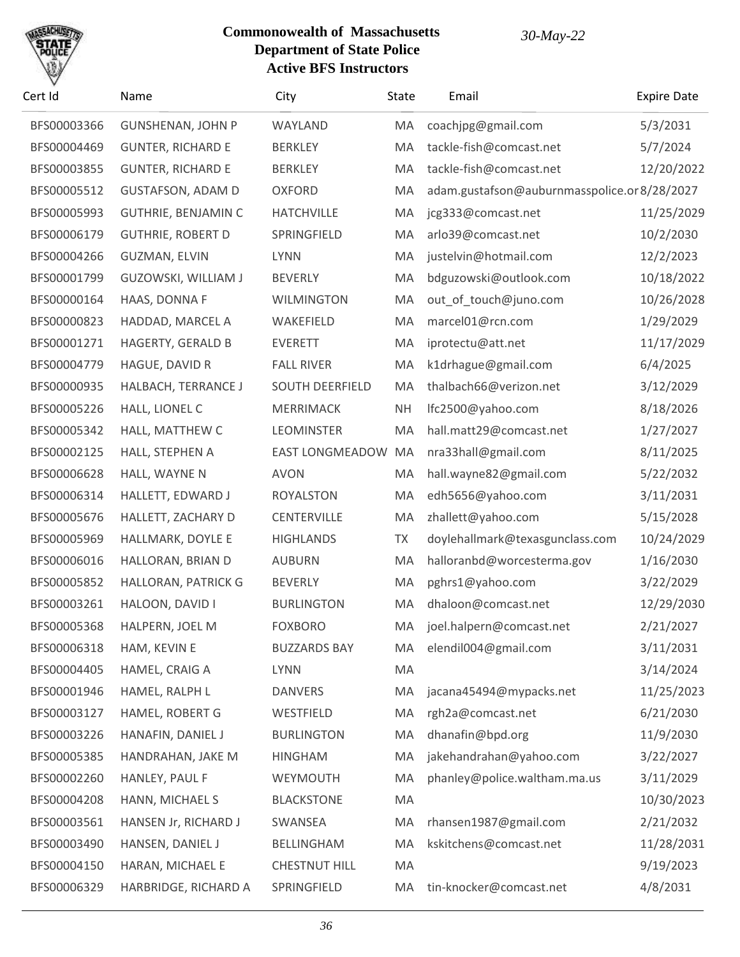

| Cert Id     | Name                       | City                   | State     | Email                                       | <b>Expire Date</b> |
|-------------|----------------------------|------------------------|-----------|---------------------------------------------|--------------------|
| BFS00003366 | <b>GUNSHENAN, JOHN P</b>   | WAYLAND                | MA        | coachjpg@gmail.com                          | 5/3/2031           |
| BFS00004469 | <b>GUNTER, RICHARD E</b>   | <b>BERKLEY</b>         | MA        | tackle-fish@comcast.net                     | 5/7/2024           |
| BFS00003855 | <b>GUNTER, RICHARD E</b>   | <b>BERKLEY</b>         | MA        | tackle-fish@comcast.net                     | 12/20/2022         |
| BFS00005512 | <b>GUSTAFSON, ADAM D</b>   | <b>OXFORD</b>          | MA        | adam.gustafson@auburnmasspolice.or8/28/2027 |                    |
| BFS00005993 | <b>GUTHRIE, BENJAMIN C</b> | <b>HATCHVILLE</b>      | MA        | jcg333@comcast.net                          | 11/25/2029         |
| BFS00006179 | <b>GUTHRIE, ROBERT D</b>   | SPRINGFIELD            | MA        | arlo39@comcast.net                          | 10/2/2030          |
| BFS00004266 | <b>GUZMAN, ELVIN</b>       | <b>LYNN</b>            | MA        | justelvin@hotmail.com                       | 12/2/2023          |
| BFS00001799 | GUZOWSKI, WILLIAM J        | <b>BEVERLY</b>         | MA        | bdguzowski@outlook.com                      | 10/18/2022         |
| BFS00000164 | HAAS, DONNA F              | <b>WILMINGTON</b>      | MA        | out_of_touch@juno.com                       | 10/26/2028         |
| BFS00000823 | HADDAD, MARCEL A           | WAKEFIELD              | MA        | marcel01@rcn.com                            | 1/29/2029          |
| BFS00001271 | HAGERTY, GERALD B          | <b>EVERETT</b>         | MA        | iprotectu@att.net                           | 11/17/2029         |
| BFS00004779 | HAGUE, DAVID R             | <b>FALL RIVER</b>      | MA        | k1drhague@gmail.com                         | 6/4/2025           |
| BFS00000935 | HALBACH, TERRANCE J        | <b>SOUTH DEERFIELD</b> | MA        | thalbach66@verizon.net                      | 3/12/2029          |
| BFS00005226 | HALL, LIONEL C             | <b>MERRIMACK</b>       | <b>NH</b> | lfc2500@yahoo.com                           | 8/18/2026          |
| BFS00005342 | HALL, MATTHEW C            | <b>LEOMINSTER</b>      | MA        | hall.matt29@comcast.net                     | 1/27/2027          |
| BFS00002125 | HALL, STEPHEN A            | EAST LONGMEADOW        | MA        | nra33hall@gmail.com                         | 8/11/2025          |
| BFS00006628 | HALL, WAYNE N              | <b>AVON</b>            | MA        | hall.wayne82@gmail.com                      | 5/22/2032          |
| BFS00006314 | HALLETT, EDWARD J          | <b>ROYALSTON</b>       | MA        | edh5656@yahoo.com                           | 3/11/2031          |
| BFS00005676 | HALLETT, ZACHARY D         | <b>CENTERVILLE</b>     | MA        | zhallett@yahoo.com                          | 5/15/2028          |
| BFS00005969 | HALLMARK, DOYLE E          | <b>HIGHLANDS</b>       | TX        | doylehallmark@texasgunclass.com             | 10/24/2029         |
| BFS00006016 | HALLORAN, BRIAN D          | <b>AUBURN</b>          | MA        | halloranbd@worcesterma.gov                  | 1/16/2030          |
| BFS00005852 | HALLORAN, PATRICK G        | <b>BEVERLY</b>         | MA        | pghrs1@yahoo.com                            | 3/22/2029          |
| BFS00003261 | HALOON, DAVID I            | <b>BURLINGTON</b>      | MA        | dhaloon@comcast.net                         | 12/29/2030         |
| BFS00005368 | HALPERN, JOEL M            | <b>FOXBORO</b>         |           | MA joel.halpern@comcast.net                 | 2/21/2027          |
| BFS00006318 | HAM, KEVIN E               | <b>BUZZARDS BAY</b>    | MA        | elendil004@gmail.com                        | 3/11/2031          |
| BFS00004405 | HAMEL, CRAIG A             | <b>LYNN</b>            | MA        |                                             | 3/14/2024          |
| BFS00001946 | HAMEL, RALPH L             | <b>DANVERS</b>         | MA        | jacana45494@mypacks.net                     | 11/25/2023         |
| BFS00003127 | HAMEL, ROBERT G            | WESTFIELD              | MA        | rgh2a@comcast.net                           | 6/21/2030          |
| BFS00003226 | HANAFIN, DANIEL J          | <b>BURLINGTON</b>      | MA        | dhanafin@bpd.org                            | 11/9/2030          |
| BFS00005385 | HANDRAHAN, JAKE M          | <b>HINGHAM</b>         | MA        | jakehandrahan@yahoo.com                     | 3/22/2027          |
| BFS00002260 | HANLEY, PAUL F             | WEYMOUTH               | MA        | phanley@police.waltham.ma.us                | 3/11/2029          |
| BFS00004208 | HANN, MICHAEL S            | <b>BLACKSTONE</b>      | MA        |                                             | 10/30/2023         |
| BFS00003561 | HANSEN Jr, RICHARD J       | SWANSEA                | MA        | rhansen1987@gmail.com                       | 2/21/2032          |
| BFS00003490 | HANSEN, DANIEL J           | BELLINGHAM             | MA        | kskitchens@comcast.net                      | 11/28/2031         |
| BFS00004150 | HARAN, MICHAEL E           | <b>CHESTNUT HILL</b>   | MA        |                                             | 9/19/2023          |
| BFS00006329 | HARBRIDGE, RICHARD A       | SPRINGFIELD            | MA        | tin-knocker@comcast.net                     | 4/8/2031           |
|             |                            |                        |           |                                             |                    |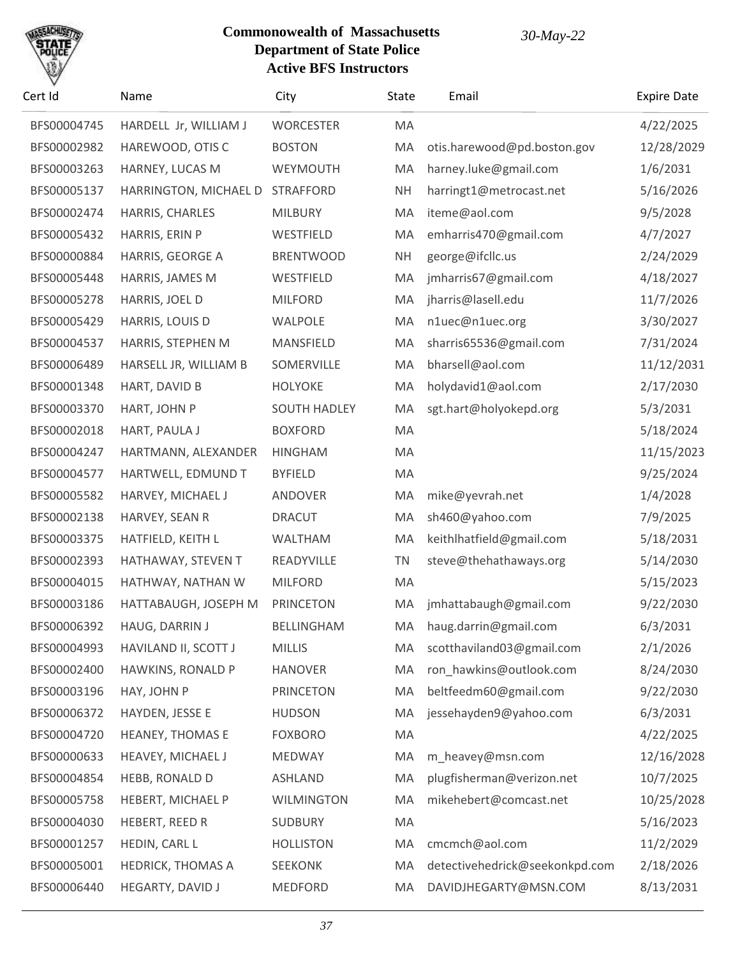

| Cert Id     | Name                     | City                | State     | Email                          | <b>Expire Date</b> |
|-------------|--------------------------|---------------------|-----------|--------------------------------|--------------------|
| BFS00004745 | HARDELL Jr, WILLIAM J    | <b>WORCESTER</b>    | MA        |                                | 4/22/2025          |
| BFS00002982 | HAREWOOD, OTIS C         | <b>BOSTON</b>       | MA        | otis.harewood@pd.boston.gov    | 12/28/2029         |
| BFS00003263 | HARNEY, LUCAS M          | WEYMOUTH            | MA        | harney.luke@gmail.com          | 1/6/2031           |
| BFS00005137 | HARRINGTON, MICHAEL D    | <b>STRAFFORD</b>    | <b>NH</b> | harringt1@metrocast.net        | 5/16/2026          |
| BFS00002474 | HARRIS, CHARLES          | <b>MILBURY</b>      | MA        | iteme@aol.com                  | 9/5/2028           |
| BFS00005432 | HARRIS, ERIN P           | WESTFIELD           | MA        | emharris470@gmail.com          | 4/7/2027           |
| BFS00000884 | HARRIS, GEORGE A         | <b>BRENTWOOD</b>    | <b>NH</b> | george@ifcllc.us               | 2/24/2029          |
| BFS00005448 | HARRIS, JAMES M          | WESTFIELD           | MA        | jmharris67@gmail.com           | 4/18/2027          |
| BFS00005278 | HARRIS, JOEL D           | <b>MILFORD</b>      | MA        | jharris@lasell.edu             | 11/7/2026          |
| BFS00005429 | HARRIS, LOUIS D          | WALPOLE             | MA        | n1uec@n1uec.org                | 3/30/2027          |
| BFS00004537 | HARRIS, STEPHEN M        | MANSFIELD           | MA        | sharris65536@gmail.com         | 7/31/2024          |
| BFS00006489 | HARSELL JR, WILLIAM B    | SOMERVILLE          | MA        | bharsell@aol.com               | 11/12/2031         |
| BFS00001348 | HART, DAVID B            | <b>HOLYOKE</b>      | MA        | holydavid1@aol.com             | 2/17/2030          |
| BFS00003370 | HART, JOHN P             | <b>SOUTH HADLEY</b> | MA        | sgt.hart@holyokepd.org         | 5/3/2031           |
| BFS00002018 | HART, PAULA J            | <b>BOXFORD</b>      | MA        |                                | 5/18/2024          |
| BFS00004247 | HARTMANN, ALEXANDER      | <b>HINGHAM</b>      | MA        |                                | 11/15/2023         |
| BFS00004577 | HARTWELL, EDMUND T       | <b>BYFIELD</b>      | MA        |                                | 9/25/2024          |
| BFS00005582 | HARVEY, MICHAEL J        | ANDOVER             | MA        | mike@yevrah.net                | 1/4/2028           |
| BFS00002138 | HARVEY, SEAN R           | <b>DRACUT</b>       | MA        | sh460@yahoo.com                | 7/9/2025           |
| BFS00003375 | HATFIELD, KEITH L        | <b>WALTHAM</b>      | MA        | keithlhatfield@gmail.com       | 5/18/2031          |
| BFS00002393 | HATHAWAY, STEVEN T       | READYVILLE          | <b>TN</b> | steve@thehathaways.org         | 5/14/2030          |
| BFS00004015 | HATHWAY, NATHAN W        | <b>MILFORD</b>      | MA        |                                | 5/15/2023          |
| BFS00003186 | HATTABAUGH, JOSEPH M     | <b>PRINCETON</b>    | MA        | jmhattabaugh@gmail.com         | 9/22/2030          |
| BFS00006392 | <b>HAUG, DARRIN J</b>    | BELLINGHAM          | MA.       | haug.darrin@gmail.com          | 6/3/2031           |
| BFS00004993 | HAVILAND II, SCOTT J     | <b>MILLIS</b>       | MA        | scotthaviland03@gmail.com      | 2/1/2026           |
| BFS00002400 | HAWKINS, RONALD P        | <b>HANOVER</b>      | MA        | ron_hawkins@outlook.com        | 8/24/2030          |
| BFS00003196 | HAY, JOHN P              | <b>PRINCETON</b>    | MA        | beltfeedm60@gmail.com          | 9/22/2030          |
| BFS00006372 | HAYDEN, JESSE E          | <b>HUDSON</b>       | MA        | jessehayden9@yahoo.com         | 6/3/2031           |
| BFS00004720 | <b>HEANEY, THOMAS E</b>  | <b>FOXBORO</b>      | MA        |                                | 4/22/2025          |
| BFS00000633 | HEAVEY, MICHAEL J        | MEDWAY              | MA        | m_heavey@msn.com               | 12/16/2028         |
| BFS00004854 | HEBB, RONALD D           | <b>ASHLAND</b>      | MA        | plugfisherman@verizon.net      | 10/7/2025          |
| BFS00005758 | HEBERT, MICHAEL P        | <b>WILMINGTON</b>   | MA        | mikehebert@comcast.net         | 10/25/2028         |
| BFS00004030 | HEBERT, REED R           | SUDBURY             | MA        |                                | 5/16/2023          |
| BFS00001257 | HEDIN, CARL L            | <b>HOLLISTON</b>    | MA        | cmcmch@aol.com                 | 11/2/2029          |
| BFS00005001 | <b>HEDRICK, THOMAS A</b> | <b>SEEKONK</b>      | MA        | detectivehedrick@seekonkpd.com | 2/18/2026          |
| BFS00006440 | HEGARTY, DAVID J         | MEDFORD             | MA        | DAVIDJHEGARTY@MSN.COM          | 8/13/2031          |
|             |                          |                     |           |                                |                    |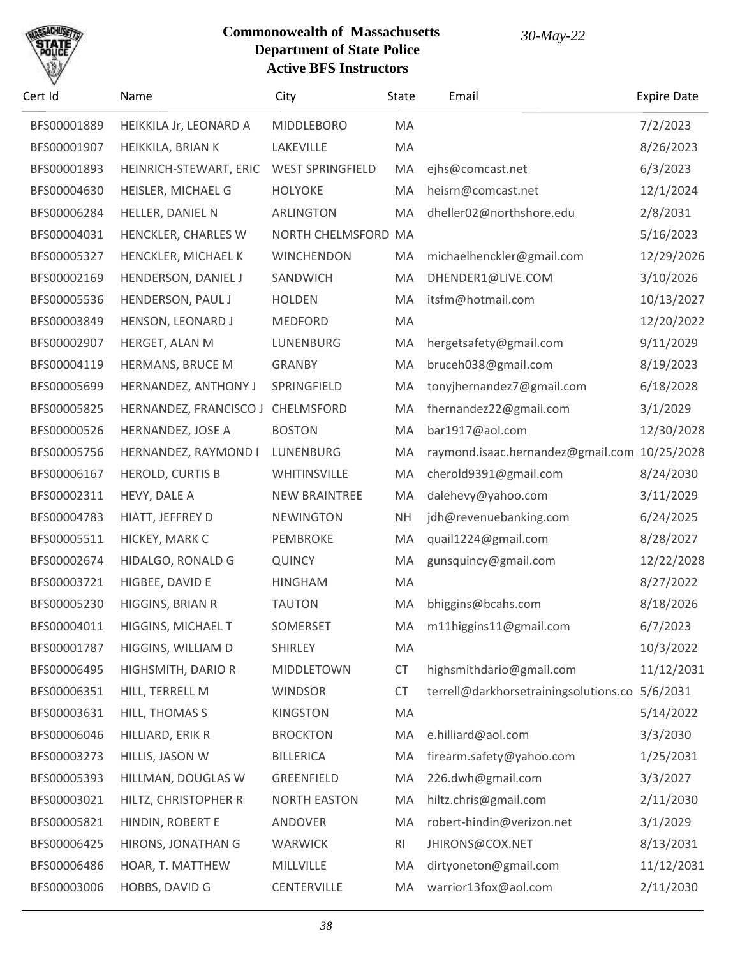

| Cert Id     | Name                      | City                    | State          | Email                                 | <b>Expire Date</b> |
|-------------|---------------------------|-------------------------|----------------|---------------------------------------|--------------------|
| BFS00001889 | HEIKKILA Jr, LEONARD A    | <b>MIDDLEBORO</b>       | MA             |                                       | 7/2/2023           |
| BFS00001907 | HEIKKILA, BRIAN K         | LAKEVILLE               | MA             |                                       | 8/26/2023          |
| BFS00001893 | HEINRICH-STEWART, ERIC    | <b>WEST SPRINGFIELD</b> | MA             | ejhs@comcast.net                      | 6/3/2023           |
| BFS00004630 | HEISLER, MICHAEL G        | <b>HOLYOKE</b>          | MA             | heisrn@comcast.net                    | 12/1/2024          |
| BFS00006284 | HELLER, DANIEL N          | <b>ARLINGTON</b>        | MA             | dheller02@northshore.edu              | 2/8/2031           |
| BFS00004031 | HENCKLER, CHARLES W       | NORTH CHELMSFORD MA     |                |                                       | 5/16/2023          |
| BFS00005327 | HENCKLER, MICHAEL K       | <b>WINCHENDON</b>       | MA             | michaelhenckler@gmail.com             | 12/29/2026         |
| BFS00002169 | HENDERSON, DANIEL J       | SANDWICH                | MA             | DHENDER1@LIVE.COM                     | 3/10/2026          |
| BFS00005536 | HENDERSON, PAUL J         | <b>HOLDEN</b>           | MA             | itsfm@hotmail.com                     | 10/13/2027         |
| BFS00003849 | HENSON, LEONARD J         | <b>MEDFORD</b>          | MA             |                                       | 12/20/2022         |
| BFS00002907 | HERGET, ALAN M            | LUNENBURG               | MA             | hergetsafety@gmail.com                | 9/11/2029          |
| BFS00004119 | HERMANS, BRUCE M          | <b>GRANBY</b>           | MA             | bruceh038@gmail.com                   | 8/19/2023          |
| BFS00005699 | HERNANDEZ, ANTHONY J      | SPRINGFIELD             | MA             | tonyjhernandez7@gmail.com             | 6/18/2028          |
| BFS00005825 | HERNANDEZ, FRANCISCO J    | CHELMSFORD              | MA             | fhernandez22@gmail.com                | 3/1/2029           |
| BFS00000526 | HERNANDEZ, JOSE A         | <b>BOSTON</b>           | MA             | bar1917@aol.com                       | 12/30/2028         |
| BFS00005756 | HERNANDEZ, RAYMOND I      | LUNENBURG               | MA             | raymond.isaac.hernandez@gmail.com     | 10/25/2028         |
| BFS00006167 | <b>HEROLD, CURTIS B</b>   | WHITINSVILLE            | MA             | cherold9391@gmail.com                 | 8/24/2030          |
| BFS00002311 | HEVY, DALE A              | <b>NEW BRAINTREE</b>    | MA             | dalehevy@yahoo.com                    | 3/11/2029          |
| BFS00004783 | HIATT, JEFFREY D          | <b>NEWINGTON</b>        | <b>NH</b>      | jdh@revenuebanking.com                | 6/24/2025          |
| BFS00005511 | HICKEY, MARK C            | PEMBROKE                | MA             | quail1224@gmail.com                   | 8/28/2027          |
| BFS00002674 | HIDALGO, RONALD G         | <b>QUINCY</b>           | MA             | gunsquincy@gmail.com                  | 12/22/2028         |
| BFS00003721 | HIGBEE, DAVID E           | <b>HINGHAM</b>          | MA             |                                       | 8/27/2022          |
| BFS00005230 | HIGGINS, BRIAN R          | <b>TAUTON</b>           | MA             | bhiggins@bcahs.com                    | 8/18/2026          |
| BFS00004011 | <b>HIGGINS, MICHAEL T</b> | SOMERSET                | МA             | m11higgins11@gmail.com                | 6/7/2023           |
| BFS00001787 | HIGGINS, WILLIAM D        | <b>SHIRLEY</b>          | MA             |                                       | 10/3/2022          |
| BFS00006495 | HIGHSMITH, DARIO R        | MIDDLETOWN              | CT             | highsmithdario@gmail.com              | 11/12/2031         |
| BFS00006351 | HILL, TERRELL M           | <b>WINDSOR</b>          | <b>CT</b>      | terrell@darkhorsetrainingsolutions.co | 5/6/2031           |
| BFS00003631 | HILL, THOMAS S            | <b>KINGSTON</b>         | MA             |                                       | 5/14/2022          |
| BFS00006046 | HILLIARD, ERIK R          | <b>BROCKTON</b>         | MA             | e.hilliard@aol.com                    | 3/3/2030           |
| BFS00003273 | HILLIS, JASON W           | <b>BILLERICA</b>        | MA             | firearm.safety@yahoo.com              | 1/25/2031          |
| BFS00005393 | HILLMAN, DOUGLAS W        | <b>GREENFIELD</b>       | MA             | 226.dwh@gmail.com                     | 3/3/2027           |
| BFS00003021 | HILTZ, CHRISTOPHER R      | <b>NORTH EASTON</b>     | MA             | hiltz.chris@gmail.com                 | 2/11/2030          |
| BFS00005821 | HINDIN, ROBERT E          | ANDOVER                 | MA             | robert-hindin@verizon.net             | 3/1/2029           |
| BFS00006425 | HIRONS, JONATHAN G        | <b>WARWICK</b>          | R <sub>l</sub> | JHIRONS@COX.NET                       | 8/13/2031          |
| BFS00006486 | HOAR, T. MATTHEW          | MILLVILLE               | MA             | dirtyoneton@gmail.com                 | 11/12/2031         |
| BFS00003006 | HOBBS, DAVID G            | CENTERVILLE             | MA             | warrior13fox@aol.com                  | 2/11/2030          |
|             |                           |                         |                |                                       |                    |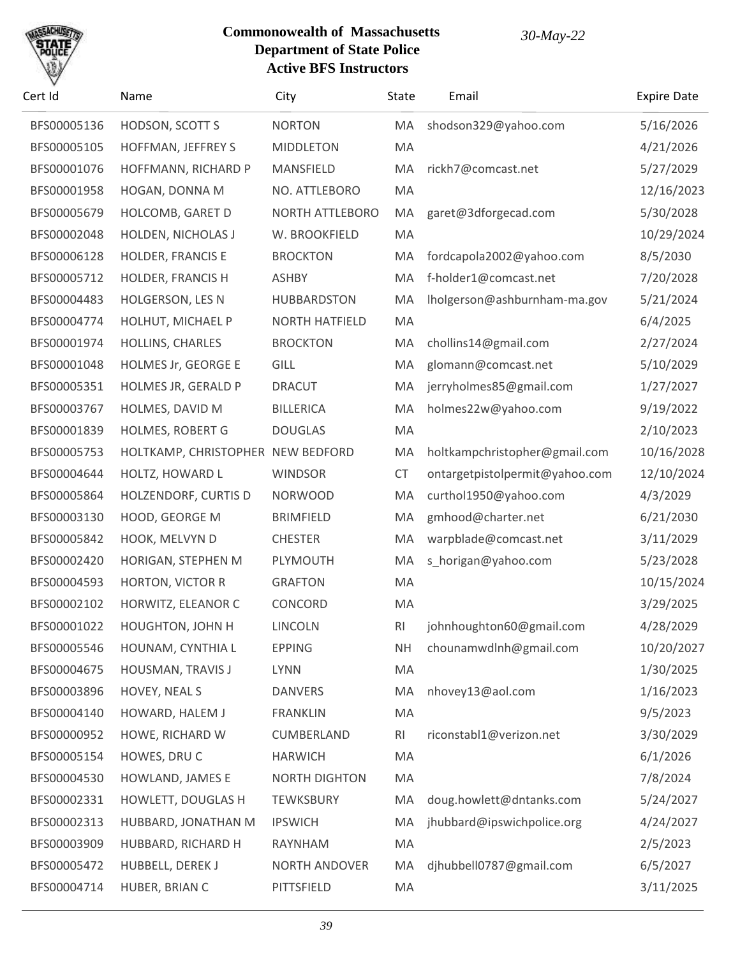

| Cert Id     | Name                              | City                   | <b>State</b>   | Email                          | <b>Expire Date</b> |
|-------------|-----------------------------------|------------------------|----------------|--------------------------------|--------------------|
| BFS00005136 | HODSON, SCOTT S                   | <b>NORTON</b>          | MA             | shodson329@yahoo.com           | 5/16/2026          |
| BFS00005105 | HOFFMAN, JEFFREY S                | <b>MIDDLETON</b>       | MA             |                                | 4/21/2026          |
| BFS00001076 | HOFFMANN, RICHARD P               | MANSFIELD              | MA             | rickh7@comcast.net             | 5/27/2029          |
| BFS00001958 | HOGAN, DONNA M                    | NO. ATTLEBORO          | MA             |                                | 12/16/2023         |
| BFS00005679 | HOLCOMB, GARET D                  | <b>NORTH ATTLEBORO</b> | MA             | garet@3dforgecad.com           | 5/30/2028          |
| BFS00002048 | HOLDEN, NICHOLAS J                | W. BROOKFIELD          | MA             |                                | 10/29/2024         |
| BFS00006128 | <b>HOLDER, FRANCIS E</b>          | <b>BROCKTON</b>        | MA             | fordcapola2002@yahoo.com       | 8/5/2030           |
| BFS00005712 | HOLDER, FRANCIS H                 | <b>ASHBY</b>           | MA             | f-holder1@comcast.net          | 7/20/2028          |
| BFS00004483 | <b>HOLGERSON, LES N</b>           | <b>HUBBARDSTON</b>     | MA             | Iholgerson@ashburnham-ma.gov   | 5/21/2024          |
| BFS00004774 | HOLHUT, MICHAEL P                 | <b>NORTH HATFIELD</b>  | MA             |                                | 6/4/2025           |
| BFS00001974 | HOLLINS, CHARLES                  | <b>BROCKTON</b>        | MA             | chollins14@gmail.com           | 2/27/2024          |
| BFS00001048 | HOLMES Jr, GEORGE E               | <b>GILL</b>            | MA             | glomann@comcast.net            | 5/10/2029          |
| BFS00005351 | HOLMES JR, GERALD P               | <b>DRACUT</b>          | MA             | jerryholmes85@gmail.com        | 1/27/2027          |
| BFS00003767 | HOLMES, DAVID M                   | <b>BILLERICA</b>       | MA             | holmes22w@yahoo.com            | 9/19/2022          |
| BFS00001839 | HOLMES, ROBERT G                  | <b>DOUGLAS</b>         | MA             |                                | 2/10/2023          |
| BFS00005753 | HOLTKAMP, CHRISTOPHER NEW BEDFORD |                        | MA             | holtkampchristopher@gmail.com  | 10/16/2028         |
| BFS00004644 | HOLTZ, HOWARD L                   | <b>WINDSOR</b>         | <b>CT</b>      | ontargetpistolpermit@yahoo.com | 12/10/2024         |
| BFS00005864 | HOLZENDORF, CURTIS D              | <b>NORWOOD</b>         | MA             | curthol1950@yahoo.com          | 4/3/2029           |
| BFS00003130 | HOOD, GEORGE M                    | <b>BRIMFIELD</b>       | MA             | gmhood@charter.net             | 6/21/2030          |
| BFS00005842 | HOOK, MELVYN D                    | <b>CHESTER</b>         | MA             | warpblade@comcast.net          | 3/11/2029          |
| BFS00002420 | HORIGAN, STEPHEN M                | PLYMOUTH               | MA             | s_horigan@yahoo.com            | 5/23/2028          |
| BFS00004593 | <b>HORTON, VICTOR R</b>           | <b>GRAFTON</b>         | MA             |                                | 10/15/2024         |
| BFS00002102 | HORWITZ, ELEANOR C                | CONCORD                | MA             |                                | 3/29/2025          |
| BFS00001022 | <b>HOUGHTON, JOHN H</b>           | <b>LINCOLN</b>         | R <sub>l</sub> | johnhoughton60@gmail.com       | 4/28/2029          |
| BFS00005546 | HOUNAM, CYNTHIA L                 | <b>EPPING</b>          | <b>NH</b>      | chounamwdInh@gmail.com         | 10/20/2027         |
| BFS00004675 | HOUSMAN, TRAVIS J                 | <b>LYNN</b>            | MA             |                                | 1/30/2025          |
| BFS00003896 | HOVEY, NEAL S                     | <b>DANVERS</b>         | MA             | nhovey13@aol.com               | 1/16/2023          |
| BFS00004140 | HOWARD, HALEM J                   | <b>FRANKLIN</b>        | MA             |                                | 9/5/2023           |
| BFS00000952 | HOWE, RICHARD W                   | CUMBERLAND             | R <sub>l</sub> | riconstabl1@verizon.net        | 3/30/2029          |
| BFS00005154 | HOWES, DRUC                       | <b>HARWICH</b>         | MA             |                                | 6/1/2026           |
| BFS00004530 | HOWLAND, JAMES E                  | <b>NORTH DIGHTON</b>   | MA             |                                | 7/8/2024           |
| BFS00002331 | HOWLETT, DOUGLAS H                | <b>TEWKSBURY</b>       | MA             | doug.howlett@dntanks.com       | 5/24/2027          |
| BFS00002313 | HUBBARD, JONATHAN M               | <b>IPSWICH</b>         | MA             | jhubbard@ipswichpolice.org     | 4/24/2027          |
| BFS00003909 | HUBBARD, RICHARD H                | RAYNHAM                | MA             |                                | 2/5/2023           |
| BFS00005472 | HUBBELL, DEREK J                  | NORTH ANDOVER          | MA             | djhubbell0787@gmail.com        | 6/5/2027           |
| BFS00004714 | HUBER, BRIAN C                    | PITTSFIELD             | MA             |                                | 3/11/2025          |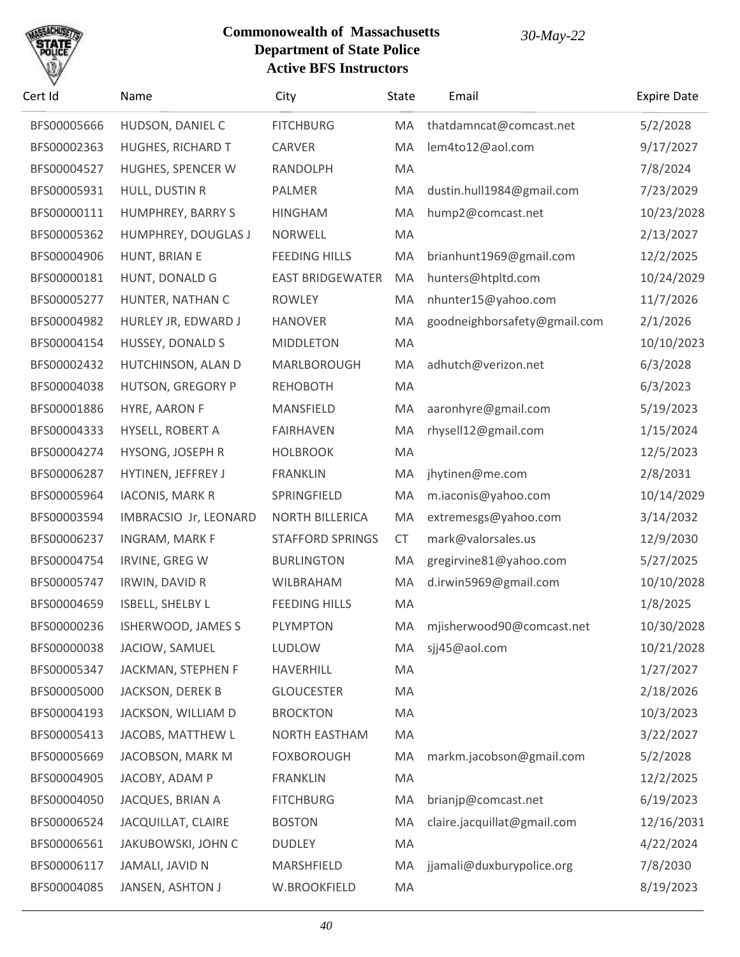

| Cert Id     | Name                     | City                    | State | Email                        | <b>Expire Date</b> |
|-------------|--------------------------|-------------------------|-------|------------------------------|--------------------|
| BFS00005666 | HUDSON, DANIEL C         | <b>FITCHBURG</b>        | MA    | thatdamncat@comcast.net      | 5/2/2028           |
| BFS00002363 | <b>HUGHES, RICHARD T</b> | CARVER                  | MA    | lem4to12@aol.com             | 9/17/2027          |
| BFS00004527 | HUGHES, SPENCER W        | <b>RANDOLPH</b>         | MA    |                              | 7/8/2024           |
| BFS00005931 | HULL, DUSTIN R           | PALMER                  | MA    | dustin.hull1984@gmail.com    | 7/23/2029          |
| BFS00000111 | HUMPHREY, BARRY S        | <b>HINGHAM</b>          | MA    | hump2@comcast.net            | 10/23/2028         |
| BFS00005362 | HUMPHREY, DOUGLAS J      | <b>NORWELL</b>          | MA    |                              | 2/13/2027          |
| BFS00004906 | HUNT, BRIAN E            | <b>FEEDING HILLS</b>    | MA    | brianhunt1969@gmail.com      | 12/2/2025          |
| BFS00000181 | HUNT, DONALD G           | <b>EAST BRIDGEWATER</b> | MA    | hunters@htpltd.com           | 10/24/2029         |
| BFS00005277 | HUNTER, NATHAN C         | <b>ROWLEY</b>           | MA    | nhunter15@yahoo.com          | 11/7/2026          |
| BFS00004982 | HURLEY JR, EDWARD J      | <b>HANOVER</b>          | MA    | goodneighborsafety@gmail.com | 2/1/2026           |
| BFS00004154 | <b>HUSSEY, DONALD S</b>  | <b>MIDDLETON</b>        | MA    |                              | 10/10/2023         |
| BFS00002432 | HUTCHINSON, ALAN D       | MARLBOROUGH             | MA    | adhutch@verizon.net          | 6/3/2028           |
| BFS00004038 | <b>HUTSON, GREGORY P</b> | <b>REHOBOTH</b>         | MA    |                              | 6/3/2023           |
| BFS00001886 | HYRE, AARON F            | MANSFIELD               | MA    | aaronhyre@gmail.com          | 5/19/2023          |
| BFS00004333 | HYSELL, ROBERT A         | <b>FAIRHAVEN</b>        | MA    | rhysell12@gmail.com          | 1/15/2024          |
| BFS00004274 | HYSONG, JOSEPH R         | <b>HOLBROOK</b>         | MA    |                              | 12/5/2023          |
| BFS00006287 | HYTINEN, JEFFREY J       | <b>FRANKLIN</b>         | MA    | jhytinen@me.com              | 2/8/2031           |
| BFS00005964 | <b>IACONIS, MARK R</b>   | SPRINGFIELD             | MA    | m.iaconis@yahoo.com          | 10/14/2029         |
| BFS00003594 | IMBRACSIO Jr, LEONARD    | NORTH BILLERICA         | MA    | extremesgs@yahoo.com         | 3/14/2032          |
| BFS00006237 | INGRAM, MARK F           | <b>STAFFORD SPRINGS</b> | CT    | mark@valorsales.us           | 12/9/2030          |
| BFS00004754 | <b>IRVINE, GREG W</b>    | <b>BURLINGTON</b>       | MA    | gregirvine81@yahoo.com       | 5/27/2025          |
| BFS00005747 | IRWIN, DAVID R           | WILBRAHAM               | MA    | d.irwin5969@gmail.com        | 10/10/2028         |
| BFS00004659 | <b>ISBELL, SHELBY L</b>  | <b>FEEDING HILLS</b>    | MA    |                              | 1/8/2025           |
| BFS00000236 | ISHERWOOD, JAMES S       | <b>PLYMPTON</b>         | MA.   | mjisherwood90@comcast.net    | 10/30/2028         |
| BFS00000038 | JACIOW, SAMUEL           | <b>LUDLOW</b>           | MA    | sjj45@aol.com                | 10/21/2028         |
| BFS00005347 | JACKMAN, STEPHEN F       | HAVERHILL               | MA    |                              | 1/27/2027          |
| BFS00005000 | JACKSON, DEREK B         | <b>GLOUCESTER</b>       | MA    |                              | 2/18/2026          |
| BFS00004193 | JACKSON, WILLIAM D       | <b>BROCKTON</b>         | MA    |                              | 10/3/2023          |
| BFS00005413 | JACOBS, MATTHEW L        | NORTH EASTHAM           | MA    |                              | 3/22/2027          |
| BFS00005669 | JACOBSON, MARK M         | <b>FOXBOROUGH</b>       | MA    | markm.jacobson@gmail.com     | 5/2/2028           |
| BFS00004905 | JACOBY, ADAM P           | <b>FRANKLIN</b>         | MA    |                              | 12/2/2025          |
| BFS00004050 | JACQUES, BRIAN A         | <b>FITCHBURG</b>        | MA    | brianjp@comcast.net          | 6/19/2023          |
| BFS00006524 | JACQUILLAT, CLAIRE       | <b>BOSTON</b>           | MA    | claire.jacquillat@gmail.com  | 12/16/2031         |
| BFS00006561 | JAKUBOWSKI, JOHN C       | <b>DUDLEY</b>           | MA    |                              | 4/22/2024          |
| BFS00006117 | JAMALI, JAVID N          | MARSHFIELD              | MA    | jjamali@duxburypolice.org    | 7/8/2030           |
| BFS00004085 | JANSEN, ASHTON J         | W.BROOKFIELD            | MA    |                              | 8/19/2023          |
|             |                          |                         |       |                              |                    |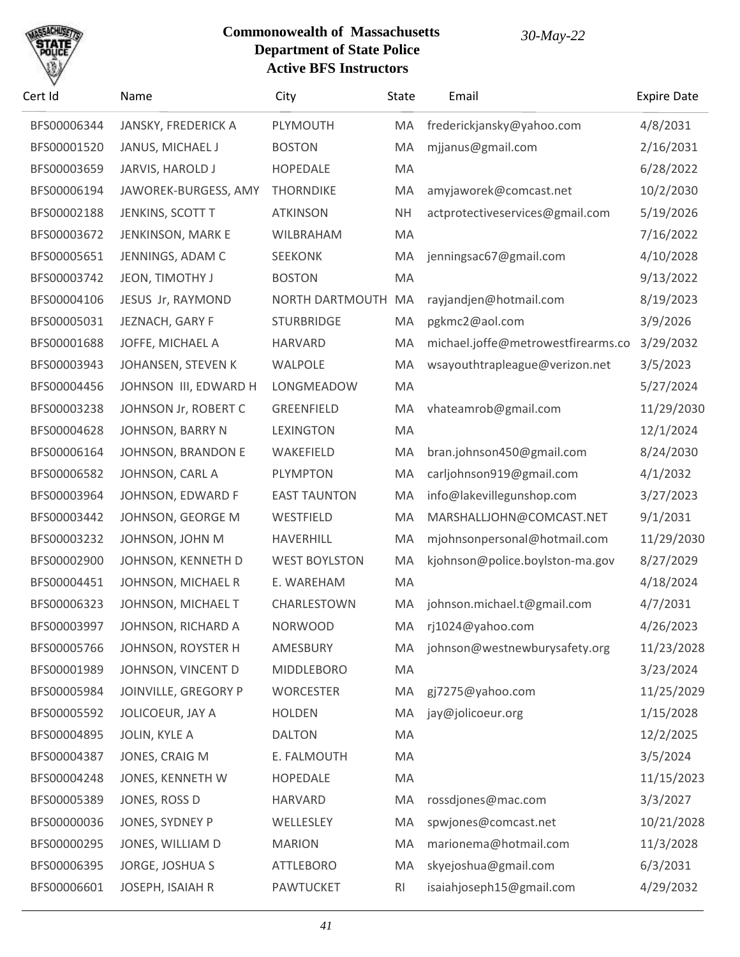# SACHU

| Cert Id     | Name                  | City                 | State          | Email                              | <b>Expire Date</b> |
|-------------|-----------------------|----------------------|----------------|------------------------------------|--------------------|
| BFS00006344 | JANSKY, FREDERICK A   | PLYMOUTH             | MA             | frederickjansky@yahoo.com          | 4/8/2031           |
| BFS00001520 | JANUS, MICHAEL J      | <b>BOSTON</b>        | MA             | mjjanus@gmail.com                  | 2/16/2031          |
| BFS00003659 | JARVIS, HAROLD J      | <b>HOPEDALE</b>      | MA             |                                    | 6/28/2022          |
| BFS00006194 | JAWOREK-BURGESS, AMY  | <b>THORNDIKE</b>     | MA             | amyjaworek@comcast.net             | 10/2/2030          |
| BFS00002188 | JENKINS, SCOTT T      | <b>ATKINSON</b>      | <b>NH</b>      | actprotectiveservices@gmail.com    | 5/19/2026          |
| BFS00003672 | JENKINSON, MARK E     | WILBRAHAM            | MA             |                                    | 7/16/2022          |
| BFS00005651 | JENNINGS, ADAM C      | <b>SEEKONK</b>       | MA             | jenningsac67@gmail.com             | 4/10/2028          |
| BFS00003742 | JEON, TIMOTHY J       | <b>BOSTON</b>        | MA             |                                    | 9/13/2022          |
| BFS00004106 | JESUS Jr, RAYMOND     | NORTH DARTMOUTH      | MA             | rayjandjen@hotmail.com             | 8/19/2023          |
| BFS00005031 | JEZNACH, GARY F       | <b>STURBRIDGE</b>    | MA             | pgkmc2@aol.com                     | 3/9/2026           |
| BFS00001688 | JOFFE, MICHAEL A      | <b>HARVARD</b>       | MA             | michael.joffe@metrowestfirearms.co | 3/29/2032          |
| BFS00003943 | JOHANSEN, STEVEN K    | WALPOLE              | MA             | wsayouthtrapleague@verizon.net     | 3/5/2023           |
| BFS00004456 | JOHNSON III, EDWARD H | LONGMEADOW           | MA             |                                    | 5/27/2024          |
| BFS00003238 | JOHNSON Jr, ROBERT C  | <b>GREENFIELD</b>    | MA             | vhateamrob@gmail.com               | 11/29/2030         |
| BFS00004628 | JOHNSON, BARRY N      | <b>LEXINGTON</b>     | MA             |                                    | 12/1/2024          |
| BFS00006164 | JOHNSON, BRANDON E    | WAKEFIELD            | MA             | bran.johnson450@gmail.com          | 8/24/2030          |
| BFS00006582 | JOHNSON, CARL A       | <b>PLYMPTON</b>      | MA             | carljohnson919@gmail.com           | 4/1/2032           |
| BFS00003964 | JOHNSON, EDWARD F     | <b>EAST TAUNTON</b>  | MA             | info@lakevillegunshop.com          | 3/27/2023          |
| BFS00003442 | JOHNSON, GEORGE M     | WESTFIELD            | MA             | MARSHALLJOHN@COMCAST.NET           | 9/1/2031           |
| BFS00003232 | JOHNSON, JOHN M       | HAVERHILL            | MA             | mjohnsonpersonal@hotmail.com       | 11/29/2030         |
| BFS00002900 | JOHNSON, KENNETH D    | <b>WEST BOYLSTON</b> | MA             | kjohnson@police.boylston-ma.gov    | 8/27/2029          |
| BFS00004451 | JOHNSON, MICHAEL R    | E. WAREHAM           | MA             |                                    | 4/18/2024          |
| BFS00006323 | JOHNSON, MICHAEL T    | CHARLESTOWN          | MA             | johnson.michael.t@gmail.com        | 4/7/2031           |
| BFS00003997 | JOHNSON, RICHARD A    | <b>NORWOOD</b>       | MA             | rj1024@yahoo.com                   | 4/26/2023          |
| BFS00005766 | JOHNSON, ROYSTER H    | AMESBURY             | MA             | johnson@westnewburysafety.org      | 11/23/2028         |
| BFS00001989 | JOHNSON, VINCENT D    | <b>MIDDLEBORO</b>    | MA             |                                    | 3/23/2024          |
| BFS00005984 | JOINVILLE, GREGORY P  | <b>WORCESTER</b>     | MA             | gj7275@yahoo.com                   | 11/25/2029         |
| BFS00005592 | JOLICOEUR, JAY A      | <b>HOLDEN</b>        | MA             | jay@jolicoeur.org                  | 1/15/2028          |
| BFS00004895 | JOLIN, KYLE A         | <b>DALTON</b>        | MA             |                                    | 12/2/2025          |
| BFS00004387 | JONES, CRAIG M        | E. FALMOUTH          | MA             |                                    | 3/5/2024           |
| BFS00004248 | JONES, KENNETH W      | HOPEDALE             | MA             |                                    | 11/15/2023         |
| BFS00005389 | JONES, ROSS D         | <b>HARVARD</b>       | MA             | rossdjones@mac.com                 | 3/3/2027           |
| BFS00000036 | JONES, SYDNEY P       | WELLESLEY            | MA             | spwjones@comcast.net               | 10/21/2028         |
| BFS00000295 | JONES, WILLIAM D      | <b>MARION</b>        | MA             | marionema@hotmail.com              | 11/3/2028          |
| BFS00006395 | JORGE, JOSHUA S       | <b>ATTLEBORO</b>     | MA             | skyejoshua@gmail.com               | 6/3/2031           |
| BFS00006601 | JOSEPH, ISAIAH R      | <b>PAWTUCKET</b>     | R <sub>l</sub> | isaiahjoseph15@gmail.com           | 4/29/2032          |
|             |                       |                      |                |                                    |                    |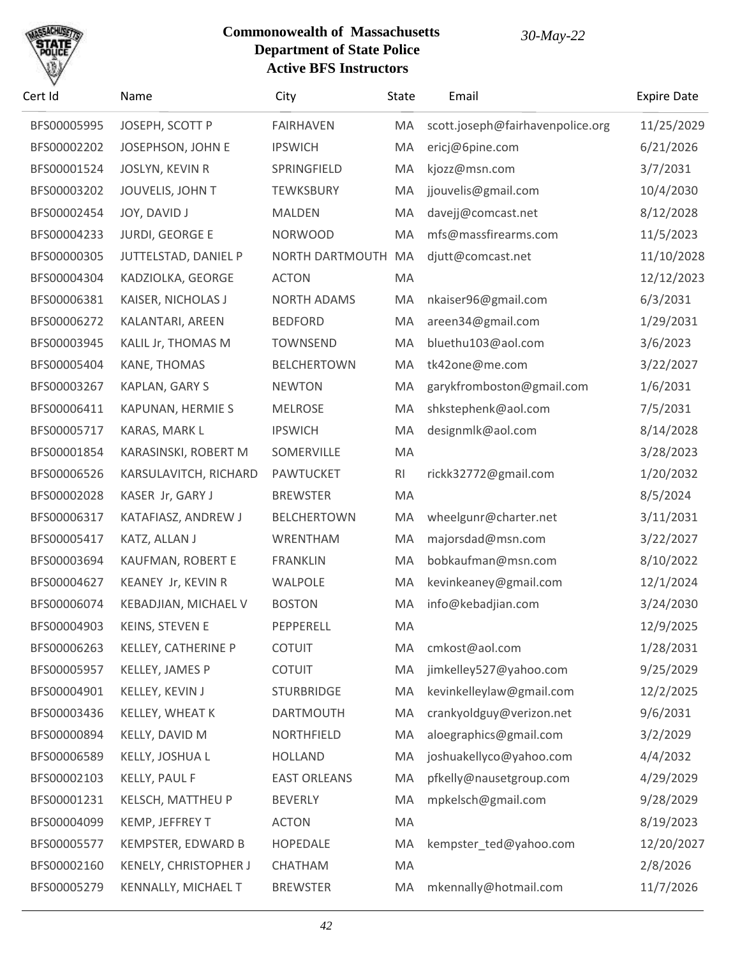

| Cert Id     | Name                   | City                | <b>State</b> | Email                            | <b>Expire Date</b> |
|-------------|------------------------|---------------------|--------------|----------------------------------|--------------------|
| BFS00005995 | JOSEPH, SCOTT P        | <b>FAIRHAVEN</b>    | MA           | scott.joseph@fairhavenpolice.org | 11/25/2029         |
| BFS00002202 | JOSEPHSON, JOHN E      | <b>IPSWICH</b>      | MA           | ericj@6pine.com                  | 6/21/2026          |
| BFS00001524 | <b>JOSLYN, KEVIN R</b> | SPRINGFIELD         | MA           | kjozz@msn.com                    | 3/7/2031           |
| BFS00003202 | JOUVELIS, JOHN T       | <b>TEWKSBURY</b>    | MA           | jjouvelis@gmail.com              | 10/4/2030          |
| BFS00002454 | JOY, DAVID J           | <b>MALDEN</b>       | MA           | davejj@comcast.net               | 8/12/2028          |
| BFS00004233 | <b>JURDI, GEORGE E</b> | <b>NORWOOD</b>      | MA           | mfs@massfirearms.com             | 11/5/2023          |
| BFS00000305 | JUTTELSTAD, DANIEL P   | NORTH DARTMOUTH     | MA           | djutt@comcast.net                | 11/10/2028         |
| BFS00004304 | KADZIOLKA, GEORGE      | <b>ACTON</b>        | MA           |                                  | 12/12/2023         |
| BFS00006381 | KAISER, NICHOLAS J     | <b>NORTH ADAMS</b>  | MA           | nkaiser96@gmail.com              | 6/3/2031           |
| BFS00006272 | KALANTARI, AREEN       | <b>BEDFORD</b>      | MA           | areen34@gmail.com                | 1/29/2031          |
| BFS00003945 | KALIL Jr, THOMAS M     | <b>TOWNSEND</b>     | MA           | bluethu103@aol.com               | 3/6/2023           |
| BFS00005404 | KANE, THOMAS           | <b>BELCHERTOWN</b>  | MA           | tk42one@me.com                   | 3/22/2027          |
| BFS00003267 | KAPLAN, GARY S         | <b>NEWTON</b>       | MA           | garykfromboston@gmail.com        | 1/6/2031           |
| BFS00006411 | KAPUNAN, HERMIE S      | <b>MELROSE</b>      | MA           | shkstephenk@aol.com              | 7/5/2031           |
| BFS00005717 | KARAS, MARK L          | <b>IPSWICH</b>      | MA           | designmlk@aol.com                | 8/14/2028          |
| BFS00001854 | KARASINSKI, ROBERT M   | SOMERVILLE          | MA           |                                  | 3/28/2023          |
| BFS00006526 | KARSULAVITCH, RICHARD  | <b>PAWTUCKET</b>    | RI           | rickk32772@gmail.com             | 1/20/2032          |
| BFS00002028 | KASER Jr, GARY J       | <b>BREWSTER</b>     | MA           |                                  | 8/5/2024           |
| BFS00006317 | KATAFIASZ, ANDREW J    | <b>BELCHERTOWN</b>  | MA           | wheelgunr@charter.net            | 3/11/2031          |
| BFS00005417 | KATZ, ALLAN J          | WRENTHAM            | MA           | majorsdad@msn.com                | 3/22/2027          |
| BFS00003694 | KAUFMAN, ROBERT E      | <b>FRANKLIN</b>     | MA           | bobkaufman@msn.com               | 8/10/2022          |
| BFS00004627 | KEANEY Jr, KEVIN R     | <b>WALPOLE</b>      | MA           | kevinkeaney@gmail.com            | 12/1/2024          |
| BFS00006074 | KEBADJIAN, MICHAEL V   | <b>BOSTON</b>       | MA           | info@kebadjian.com               | 3/24/2030          |
| BFS00004903 | <b>KEINS, STEVEN E</b> | PEPPERELL           | MA           |                                  | 12/9/2025          |
| BFS00006263 | KELLEY, CATHERINE P    | <b>COTUIT</b>       | MA           | cmkost@aol.com                   | 1/28/2031          |
| BFS00005957 | KELLEY, JAMES P        | <b>COTUIT</b>       | MA           | jimkelley527@yahoo.com           | 9/25/2029          |
| BFS00004901 | KELLEY, KEVIN J        | <b>STURBRIDGE</b>   | MA           | kevinkelleylaw@gmail.com         | 12/2/2025          |
| BFS00003436 | KELLEY, WHEAT K        | <b>DARTMOUTH</b>    | MA           | crankyoldguy@verizon.net         | 9/6/2031           |
| BFS00000894 | KELLY, DAVID M         | <b>NORTHFIELD</b>   | MA           | aloegraphics@gmail.com           | 3/2/2029           |
| BFS00006589 | KELLY, JOSHUA L        | <b>HOLLAND</b>      | MA           | joshuakellyco@yahoo.com          | 4/4/2032           |
| BFS00002103 | <b>KELLY, PAUL F</b>   | <b>EAST ORLEANS</b> | MA           | pfkelly@nausetgroup.com          | 4/29/2029          |
| BFS00001231 | KELSCH, MATTHEU P      | <b>BEVERLY</b>      | MA           | mpkelsch@gmail.com               | 9/28/2029          |
| BFS00004099 | KEMP, JEFFREY T        | <b>ACTON</b>        | MA           |                                  | 8/19/2023          |
| BFS00005577 | KEMPSTER, EDWARD B     | HOPEDALE            | MA           | kempster_ted@yahoo.com           | 12/20/2027         |
| BFS00002160 | KENELY, CHRISTOPHER J  | CHATHAM             | MA           |                                  | 2/8/2026           |
| BFS00005279 | KENNALLY, MICHAEL T    | <b>BREWSTER</b>     | MA           | mkennally@hotmail.com            | 11/7/2026          |
|             |                        |                     |              |                                  |                    |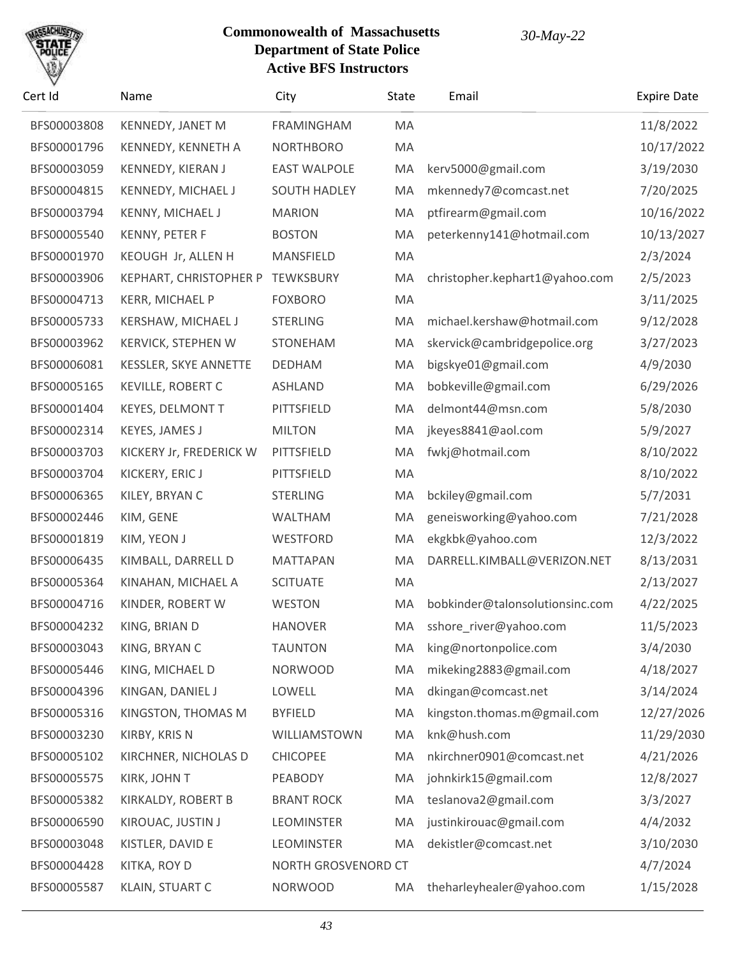

| Cert Id     | Name                      | City                | State | Email                           | <b>Expire Date</b> |
|-------------|---------------------------|---------------------|-------|---------------------------------|--------------------|
| BFS00003808 | KENNEDY, JANET M          | FRAMINGHAM          | MA    |                                 | 11/8/2022          |
| BFS00001796 | KENNEDY, KENNETH A        | <b>NORTHBORO</b>    | MA    |                                 | 10/17/2022         |
| BFS00003059 | <b>KENNEDY, KIERAN J</b>  | <b>EAST WALPOLE</b> | MA    | kerv5000@gmail.com              | 3/19/2030          |
| BFS00004815 | KENNEDY, MICHAEL J        | <b>SOUTH HADLEY</b> | MA    | mkennedy7@comcast.net           | 7/20/2025          |
| BFS00003794 | KENNY, MICHAEL J          | <b>MARION</b>       | MA    | ptfirearm@gmail.com             | 10/16/2022         |
| BFS00005540 | KENNY, PETER F            | <b>BOSTON</b>       | MA    | peterkenny141@hotmail.com       | 10/13/2027         |
| BFS00001970 | KEOUGH Jr, ALLEN H        | MANSFIELD           | MA    |                                 | 2/3/2024           |
| BFS00003906 | KEPHART, CHRISTOPHER P    | <b>TEWKSBURY</b>    | MA    | christopher.kephart1@yahoo.com  | 2/5/2023           |
| BFS00004713 | KERR, MICHAEL P           | <b>FOXBORO</b>      | MA    |                                 | 3/11/2025          |
| BFS00005733 | KERSHAW, MICHAEL J        | <b>STERLING</b>     | MA    | michael.kershaw@hotmail.com     | 9/12/2028          |
| BFS00003962 | <b>KERVICK, STEPHEN W</b> | STONEHAM            | MA    | skervick@cambridgepolice.org    | 3/27/2023          |
| BFS00006081 | KESSLER, SKYE ANNETTE     | <b>DEDHAM</b>       | MA    | bigskye01@gmail.com             | 4/9/2030           |
| BFS00005165 | <b>KEVILLE, ROBERT C</b>  | <b>ASHLAND</b>      | MA    | bobkeville@gmail.com            | 6/29/2026          |
| BFS00001404 | <b>KEYES, DELMONT T</b>   | PITTSFIELD          | MA    | delmont44@msn.com               | 5/8/2030           |
| BFS00002314 | KEYES, JAMES J            | <b>MILTON</b>       | MA    | jkeyes8841@aol.com              | 5/9/2027           |
| BFS00003703 | KICKERY Jr, FREDERICK W   | PITTSFIELD          | MA    | fwkj@hotmail.com                | 8/10/2022          |
| BFS00003704 | KICKERY, ERIC J           | PITTSFIELD          | MA    |                                 | 8/10/2022          |
| BFS00006365 | KILEY, BRYAN C            | <b>STERLING</b>     | MA    | bckiley@gmail.com               | 5/7/2031           |
| BFS00002446 | KIM, GENE                 | <b>WALTHAM</b>      | MA    | geneisworking@yahoo.com         | 7/21/2028          |
| BFS00001819 | KIM, YEON J               | WESTFORD            | MA    | ekgkbk@yahoo.com                | 12/3/2022          |
| BFS00006435 | KIMBALL, DARRELL D        | <b>MATTAPAN</b>     | MA    | DARRELL.KIMBALL@VERIZON.NET     | 8/13/2031          |
| BFS00005364 | KINAHAN, MICHAEL A        | <b>SCITUATE</b>     | MA    |                                 | 2/13/2027          |
| BFS00004716 | KINDER, ROBERT W          | WESTON              | MA    | bobkinder@talonsolutionsinc.com | 4/22/2025          |
| BFS00004232 | KING, BRIAN D             | <b>HANOVER</b>      | MA    | sshore_river@yahoo.com          | 11/5/2023          |
| BFS00003043 | KING, BRYAN C             | <b>TAUNTON</b>      | MA    | king@nortonpolice.com           | 3/4/2030           |
| BFS00005446 | KING, MICHAEL D           | <b>NORWOOD</b>      | MA    | mikeking2883@gmail.com          | 4/18/2027          |
| BFS00004396 | KINGAN, DANIEL J          | LOWELL              | MA    | dkingan@comcast.net             | 3/14/2024          |
| BFS00005316 | KINGSTON, THOMAS M        | <b>BYFIELD</b>      | MA    | kingston.thomas.m@gmail.com     | 12/27/2026         |
| BFS00003230 | KIRBY, KRIS N             | WILLIAMSTOWN        | MA    | knk@hush.com                    | 11/29/2030         |
| BFS00005102 | KIRCHNER, NICHOLAS D      | <b>CHICOPEE</b>     | MA    | nkirchner0901@comcast.net       | 4/21/2026          |
| BFS00005575 | KIRK, JOHN T              | PEABODY             | MA    | johnkirk15@gmail.com            | 12/8/2027          |
| BFS00005382 | KIRKALDY, ROBERT B        | <b>BRANT ROCK</b>   | MA    | teslanova2@gmail.com            | 3/3/2027           |
| BFS00006590 | KIROUAC, JUSTIN J         | <b>LEOMINSTER</b>   | MA    | justinkirouac@gmail.com         | 4/4/2032           |
| BFS00003048 | KISTLER, DAVID E          | <b>LEOMINSTER</b>   | MA    | dekistler@comcast.net           | 3/10/2030          |
| BFS00004428 | KITKA, ROY D              | NORTH GROSVENORD CT |       |                                 | 4/7/2024           |
| BFS00005587 | KLAIN, STUART C           | <b>NORWOOD</b>      | MA    | theharleyhealer@yahoo.com       | 1/15/2028          |
|             |                           |                     |       |                                 |                    |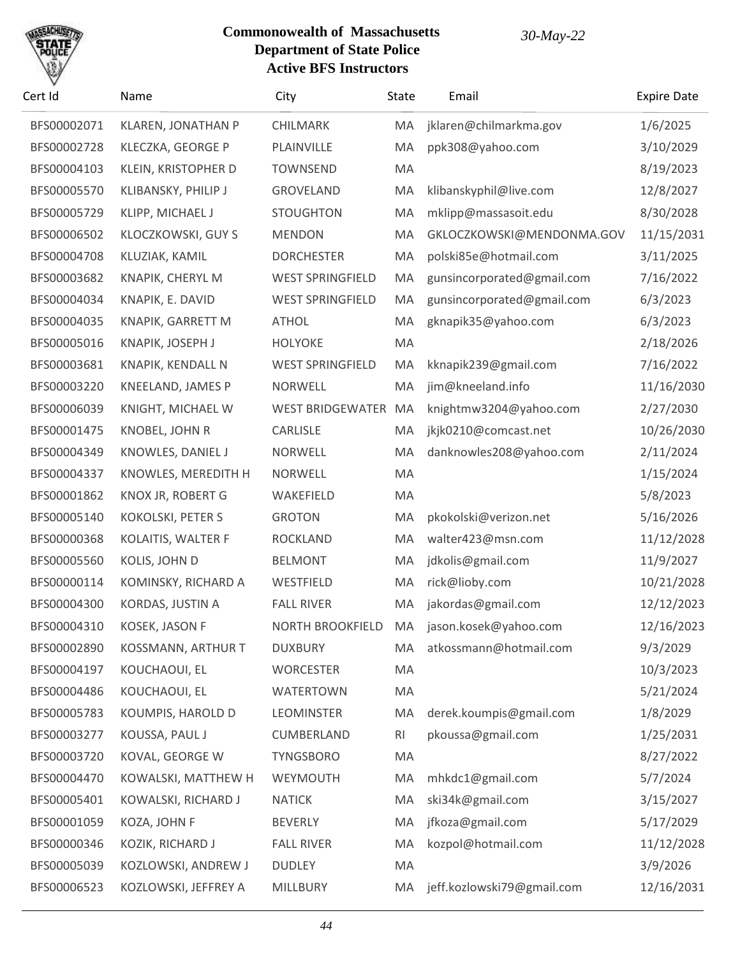

| Cert Id     | Name                 | City                    | <b>State</b> | Email                                     | <b>Expire Date</b> |
|-------------|----------------------|-------------------------|--------------|-------------------------------------------|--------------------|
| BFS00002071 | KLAREN, JONATHAN P   | CHILMARK                | MA           | jklaren@chilmarkma.gov                    | 1/6/2025           |
| BFS00002728 | KLECZKA, GEORGE P    | PLAINVILLE              | MA           | ppk308@yahoo.com                          | 3/10/2029          |
| BFS00004103 | KLEIN, KRISTOPHER D  | <b>TOWNSEND</b>         | MA           |                                           | 8/19/2023          |
| BFS00005570 | KLIBANSKY, PHILIP J  | <b>GROVELAND</b>        | MA           | klibanskyphil@live.com                    | 12/8/2027          |
| BFS00005729 | KLIPP, MICHAEL J     | <b>STOUGHTON</b>        | MA           | mklipp@massasoit.edu                      | 8/30/2028          |
| BFS00006502 | KLOCZKOWSKI, GUY S   | <b>MENDON</b>           | MA           | GKLOCZKOWSKI@MENDONMA.GOV                 | 11/15/2031         |
| BFS00004708 | KLUZIAK, KAMIL       | <b>DORCHESTER</b>       | MA           | polski85e@hotmail.com                     | 3/11/2025          |
| BFS00003682 | KNAPIK, CHERYL M     | <b>WEST SPRINGFIELD</b> | MA           | gunsincorporated@gmail.com                | 7/16/2022          |
| BFS00004034 | KNAPIK, E. DAVID     | <b>WEST SPRINGFIELD</b> | MA           | gunsincorporated@gmail.com                | 6/3/2023           |
| BFS00004035 | KNAPIK, GARRETT M    | <b>ATHOL</b>            | MA           | gknapik35@yahoo.com                       | 6/3/2023           |
| BFS00005016 | KNAPIK, JOSEPH J     | <b>HOLYOKE</b>          | MA           |                                           | 2/18/2026          |
| BFS00003681 | KNAPIK, KENDALL N    | <b>WEST SPRINGFIELD</b> | MA           | kknapik239@gmail.com                      | 7/16/2022          |
| BFS00003220 | KNEELAND, JAMES P    | <b>NORWELL</b>          | MA           | jim@kneeland.info                         | 11/16/2030         |
| BFS00006039 | KNIGHT, MICHAEL W    | <b>WEST BRIDGEWATER</b> | MA           | knightmw3204@yahoo.com                    | 2/27/2030          |
| BFS00001475 | KNOBEL, JOHN R       | CARLISLE                | MA           | jkjk0210@comcast.net                      | 10/26/2030         |
| BFS00004349 | KNOWLES, DANIEL J    | <b>NORWELL</b>          | MA           | danknowles208@yahoo.com                   | 2/11/2024          |
| BFS00004337 | KNOWLES, MEREDITH H  | <b>NORWELL</b>          | MA           |                                           | 1/15/2024          |
| BFS00001862 | KNOX JR, ROBERT G    | WAKEFIELD               | MA           |                                           | 5/8/2023           |
| BFS00005140 | KOKOLSKI, PETER S    | <b>GROTON</b>           | MA           | pkokolski@verizon.net                     | 5/16/2026          |
| BFS00000368 | KOLAITIS, WALTER F   | <b>ROCKLAND</b>         | MA           | walter423@msn.com                         | 11/12/2028         |
| BFS00005560 | KOLIS, JOHN D        | <b>BELMONT</b>          | MA           | jdkolis@gmail.com                         | 11/9/2027          |
| BFS00000114 | KOMINSKY, RICHARD A  | WESTFIELD               | MA           | rick@lioby.com                            | 10/21/2028         |
| BFS00004300 | KORDAS, JUSTIN A     | <b>FALL RIVER</b>       | MA           | jakordas@gmail.com                        | 12/12/2023         |
| BFS00004310 | KOSEK, JASON F       |                         |              | NORTH BROOKFIELD MA jason.kosek@yahoo.com | 12/16/2023         |
| BFS00002890 | KOSSMANN, ARTHUR T   | <b>DUXBURY</b>          | MA           | atkossmann@hotmail.com                    | 9/3/2029           |
| BFS00004197 | KOUCHAOUI, EL        | <b>WORCESTER</b>        | MA           |                                           | 10/3/2023          |
| BFS00004486 | KOUCHAOUI, EL        | <b>WATERTOWN</b>        | MA           |                                           | 5/21/2024          |
| BFS00005783 | KOUMPIS, HAROLD D    | <b>LEOMINSTER</b>       | MA           | derek.koumpis@gmail.com                   | 1/8/2029           |
| BFS00003277 | KOUSSA, PAUL J       | CUMBERLAND              | RI           | pkoussa@gmail.com                         | 1/25/2031          |
| BFS00003720 | KOVAL, GEORGE W      | <b>TYNGSBORO</b>        | MA           |                                           | 8/27/2022          |
| BFS00004470 | KOWALSKI, MATTHEW H  | WEYMOUTH                | MA           | mhkdc1@gmail.com                          | 5/7/2024           |
| BFS00005401 | KOWALSKI, RICHARD J  | <b>NATICK</b>           | MA           | ski34k@gmail.com                          | 3/15/2027          |
| BFS00001059 | KOZA, JOHN F         | <b>BEVERLY</b>          | MA           | jfkoza@gmail.com                          | 5/17/2029          |
| BFS00000346 | KOZIK, RICHARD J     | <b>FALL RIVER</b>       | MA           | kozpol@hotmail.com                        | 11/12/2028         |
| BFS00005039 | KOZLOWSKI, ANDREW J  | <b>DUDLEY</b>           | MA           |                                           | 3/9/2026           |
| BFS00006523 | KOZLOWSKI, JEFFREY A | MILLBURY                | MA           | jeff.kozlowski79@gmail.com                | 12/16/2031         |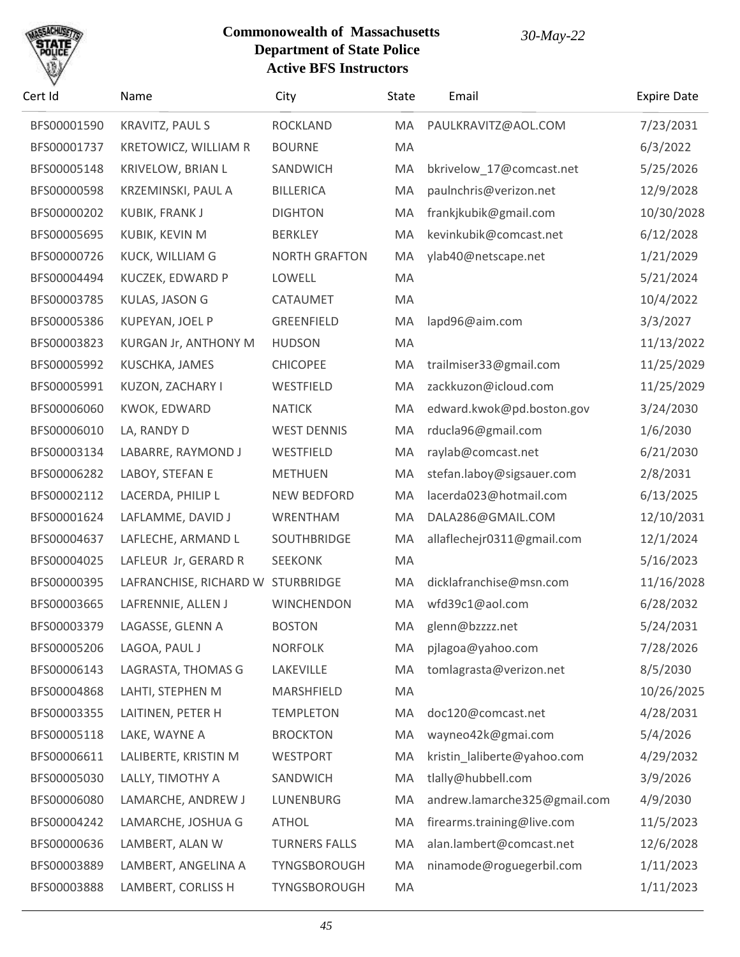# SACHU

| Cert Id     | Name                              | City                 | State | Email                        | <b>Expire Date</b> |
|-------------|-----------------------------------|----------------------|-------|------------------------------|--------------------|
| BFS00001590 | KRAVITZ, PAUL S                   | <b>ROCKLAND</b>      | MA    | PAULKRAVITZ@AOL.COM          | 7/23/2031          |
| BFS00001737 | KRETOWICZ, WILLIAM R              | <b>BOURNE</b>        | MA    |                              | 6/3/2022           |
| BFS00005148 | KRIVELOW, BRIAN L                 | SANDWICH             | MA    | bkrivelow_17@comcast.net     | 5/25/2026          |
| BFS00000598 | KRZEMINSKI, PAUL A                | <b>BILLERICA</b>     | MA    | paulnchris@verizon.net       | 12/9/2028          |
| BFS00000202 | KUBIK, FRANK J                    | <b>DIGHTON</b>       | MA    | frankjkubik@gmail.com        | 10/30/2028         |
| BFS00005695 | KUBIK, KEVIN M                    | <b>BERKLEY</b>       | MA    | kevinkubik@comcast.net       | 6/12/2028          |
| BFS00000726 | KUCK, WILLIAM G                   | <b>NORTH GRAFTON</b> | MA    | ylab40@netscape.net          | 1/21/2029          |
| BFS00004494 | KUCZEK, EDWARD P                  | LOWELL               | MA    |                              | 5/21/2024          |
| BFS00003785 | KULAS, JASON G                    | CATAUMET             | MA    |                              | 10/4/2022          |
| BFS00005386 | KUPEYAN, JOEL P                   | <b>GREENFIELD</b>    | MA    | lapd96@aim.com               | 3/3/2027           |
| BFS00003823 | KURGAN Jr, ANTHONY M              | <b>HUDSON</b>        | MA    |                              | 11/13/2022         |
| BFS00005992 | KUSCHKA, JAMES                    | <b>CHICOPEE</b>      | MA    | trailmiser33@gmail.com       | 11/25/2029         |
| BFS00005991 | KUZON, ZACHARY I                  | WESTFIELD            | MA    | zackkuzon@icloud.com         | 11/25/2029         |
| BFS00006060 | KWOK, EDWARD                      | <b>NATICK</b>        | MA    | edward.kwok@pd.boston.gov    | 3/24/2030          |
| BFS00006010 | LA, RANDY D                       | <b>WEST DENNIS</b>   | MA    | rducla96@gmail.com           | 1/6/2030           |
| BFS00003134 | LABARRE, RAYMOND J                | WESTFIELD            | MA    | raylab@comcast.net           | 6/21/2030          |
| BFS00006282 | LABOY, STEFAN E                   | <b>METHUEN</b>       | MA    | stefan.laboy@sigsauer.com    | 2/8/2031           |
| BFS00002112 | LACERDA, PHILIP L                 | <b>NEW BEDFORD</b>   | MA    | lacerda023@hotmail.com       | 6/13/2025          |
| BFS00001624 | LAFLAMME, DAVID J                 | WRENTHAM             | MA    | DALA286@GMAIL.COM            | 12/10/2031         |
| BFS00004637 | LAFLECHE, ARMAND L                | SOUTHBRIDGE          | MA    | allaflechejr0311@gmail.com   | 12/1/2024          |
| BFS00004025 | LAFLEUR Jr, GERARD R              | <b>SEEKONK</b>       | MA    |                              | 5/16/2023          |
| BFS00000395 | LAFRANCHISE, RICHARD W STURBRIDGE |                      | MA    | dicklafranchise@msn.com      | 11/16/2028         |
| BFS00003665 | LAFRENNIE, ALLEN J                | <b>WINCHENDON</b>    | MA    | wfd39c1@aol.com              | 6/28/2032          |
| BFS00003379 | LAGASSE, GLENN A                  | <b>BOSTON</b>        | MA.   | glenn@bzzzz.net              | 5/24/2031          |
| BFS00005206 | LAGOA, PAUL J                     | <b>NORFOLK</b>       | MA    | pjlagoa@yahoo.com            | 7/28/2026          |
| BFS00006143 | LAGRASTA, THOMAS G                | LAKEVILLE            | MA    | tomlagrasta@verizon.net      | 8/5/2030           |
| BFS00004868 | LAHTI, STEPHEN M                  | MARSHFIELD           | MA    |                              | 10/26/2025         |
| BFS00003355 | LAITINEN, PETER H                 | <b>TEMPLETON</b>     | MA    | doc120@comcast.net           | 4/28/2031          |
| BFS00005118 | LAKE, WAYNE A                     | <b>BROCKTON</b>      | MA    | wayneo42k@gmai.com           | 5/4/2026           |
| BFS00006611 | LALIBERTE, KRISTIN M              | <b>WESTPORT</b>      | MA    | kristin_laliberte@yahoo.com  | 4/29/2032          |
| BFS00005030 | LALLY, TIMOTHY A                  | SANDWICH             | MA    | tlally@hubbell.com           | 3/9/2026           |
| BFS00006080 | LAMARCHE, ANDREW J                | LUNENBURG            | MA    | andrew.lamarche325@gmail.com | 4/9/2030           |
| BFS00004242 | LAMARCHE, JOSHUA G                | ATHOL                | MA    | firearms.training@live.com   | 11/5/2023          |
| BFS00000636 | LAMBERT, ALAN W                   | <b>TURNERS FALLS</b> | MA    | alan.lambert@comcast.net     | 12/6/2028          |
| BFS00003889 | LAMBERT, ANGELINA A               | TYNGSBOROUGH         | MA    | ninamode@roguegerbil.com     | 1/11/2023          |
| BFS00003888 | LAMBERT, CORLISS H                | TYNGSBOROUGH         | MA    |                              | 1/11/2023          |
|             |                                   |                      |       |                              |                    |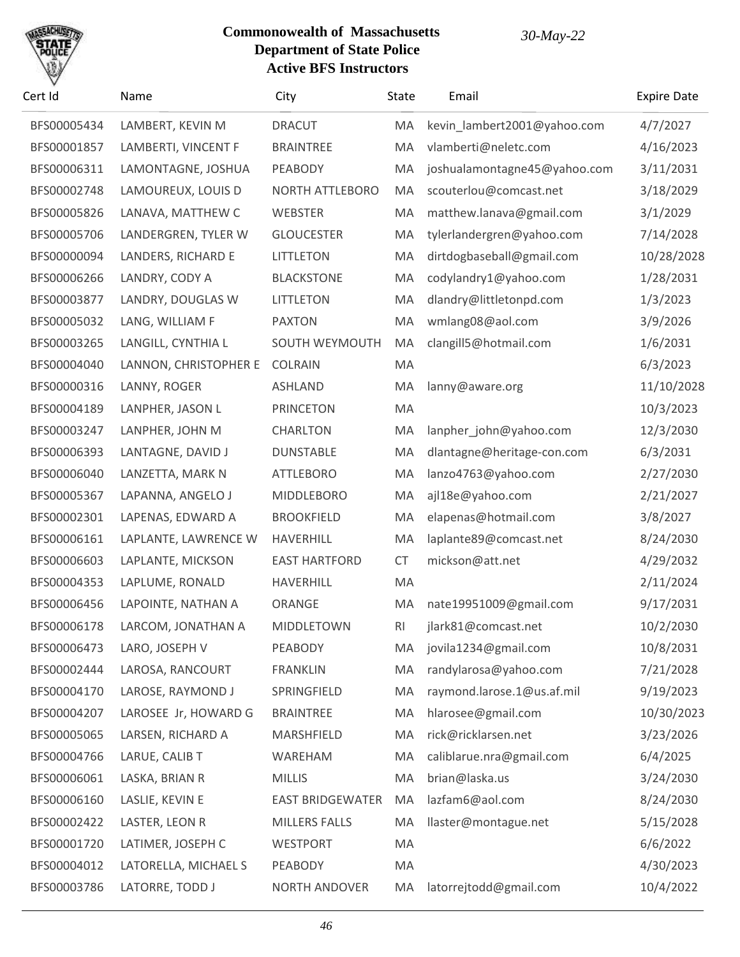

| Cert Id     | Name                  | City                    | State     | Email                        | <b>Expire Date</b> |
|-------------|-----------------------|-------------------------|-----------|------------------------------|--------------------|
| BFS00005434 | LAMBERT, KEVIN M      | <b>DRACUT</b>           | MA        | kevin_lambert2001@yahoo.com  | 4/7/2027           |
| BFS00001857 | LAMBERTI, VINCENT F   | <b>BRAINTREE</b>        | MA        | vlamberti@neletc.com         | 4/16/2023          |
| BFS00006311 | LAMONTAGNE, JOSHUA    | PEABODY                 | MA        | joshualamontagne45@yahoo.com | 3/11/2031          |
| BFS00002748 | LAMOUREUX, LOUIS D    | NORTH ATTLEBORO         | MA        | scouterlou@comcast.net       | 3/18/2029          |
| BFS00005826 | LANAVA, MATTHEW C     | WEBSTER                 | MA        | matthew.lanava@gmail.com     | 3/1/2029           |
| BFS00005706 | LANDERGREN, TYLER W   | <b>GLOUCESTER</b>       | MA        | tylerlandergren@yahoo.com    | 7/14/2028          |
| BFS00000094 | LANDERS, RICHARD E    | <b>LITTLETON</b>        | MA        | dirtdogbaseball@gmail.com    | 10/28/2028         |
| BFS00006266 | LANDRY, CODY A        | <b>BLACKSTONE</b>       | MA        | codylandry1@yahoo.com        | 1/28/2031          |
| BFS00003877 | LANDRY, DOUGLAS W     | <b>LITTLETON</b>        | MA        | dlandry@littletonpd.com      | 1/3/2023           |
| BFS00005032 | LANG, WILLIAM F       | <b>PAXTON</b>           | MA        | wmlang08@aol.com             | 3/9/2026           |
| BFS00003265 | LANGILL, CYNTHIA L    | SOUTH WEYMOUTH          | MA        | clangill5@hotmail.com        | 1/6/2031           |
| BFS00004040 | LANNON, CHRISTOPHER E | <b>COLRAIN</b>          | MA        |                              | 6/3/2023           |
| BFS00000316 | LANNY, ROGER          | <b>ASHLAND</b>          | MA        | lanny@aware.org              | 11/10/2028         |
| BFS00004189 | LANPHER, JASON L      | <b>PRINCETON</b>        | MA        |                              | 10/3/2023          |
| BFS00003247 | LANPHER, JOHN M       | <b>CHARLTON</b>         | MA        | lanpher_john@yahoo.com       | 12/3/2030          |
| BFS00006393 | LANTAGNE, DAVID J     | <b>DUNSTABLE</b>        | MA        | dlantagne@heritage-con.com   | 6/3/2031           |
| BFS00006040 | LANZETTA, MARK N      | <b>ATTLEBORO</b>        | MA        | lanzo4763@yahoo.com          | 2/27/2030          |
| BFS00005367 | LAPANNA, ANGELO J     | <b>MIDDLEBORO</b>       | MA        | ajl18e@yahoo.com             | 2/21/2027          |
| BFS00002301 | LAPENAS, EDWARD A     | <b>BROOKFIELD</b>       | MA        | elapenas@hotmail.com         | 3/8/2027           |
| BFS00006161 | LAPLANTE, LAWRENCE W  | <b>HAVERHILL</b>        | MA        | laplante89@comcast.net       | 8/24/2030          |
| BFS00006603 | LAPLANTE, MICKSON     | <b>EAST HARTFORD</b>    | <b>CT</b> | mickson@att.net              | 4/29/2032          |
| BFS00004353 | LAPLUME, RONALD       | HAVERHILL               | MA        |                              | 2/11/2024          |
| BFS00006456 | LAPOINTE, NATHAN A    | ORANGE                  | MA        | nate19951009@gmail.com       | 9/17/2031          |
| BFS00006178 | LARCOM, JONATHAN A    | MIDDLETOWN              | RI        | jlark81@comcast.net          | 10/2/2030          |
| BFS00006473 | LARO, JOSEPH V        | PEABODY                 | MA        | jovila1234@gmail.com         | 10/8/2031          |
| BFS00002444 | LAROSA, RANCOURT      | <b>FRANKLIN</b>         | MA        | randylarosa@yahoo.com        | 7/21/2028          |
| BFS00004170 | LAROSE, RAYMOND J     | SPRINGFIELD             | MA        | raymond.larose.1@us.af.mil   | 9/19/2023          |
| BFS00004207 | LAROSEE Jr, HOWARD G  | <b>BRAINTREE</b>        | MA        | hlarosee@gmail.com           | 10/30/2023         |
| BFS00005065 | LARSEN, RICHARD A     | MARSHFIELD              | MA        | rick@ricklarsen.net          | 3/23/2026          |
| BFS00004766 | LARUE, CALIB T        | WAREHAM                 | MA        | caliblarue.nra@gmail.com     | 6/4/2025           |
| BFS00006061 | LASKA, BRIAN R        | <b>MILLIS</b>           | MA        | brian@laska.us               | 3/24/2030          |
| BFS00006160 | LASLIE, KEVIN E       | <b>EAST BRIDGEWATER</b> | MA        | lazfam6@aol.com              | 8/24/2030          |
| BFS00002422 | LASTER, LEON R        | MILLERS FALLS           | MA        | llaster@montague.net         | 5/15/2028          |
| BFS00001720 | LATIMER, JOSEPH C     | <b>WESTPORT</b>         | MA        |                              | 6/6/2022           |
| BFS00004012 | LATORELLA, MICHAEL S  | PEABODY                 | MA        |                              | 4/30/2023          |
| BFS00003786 | LATORRE, TODD J       | NORTH ANDOVER           | MA        | latorrejtodd@gmail.com       | 10/4/2022          |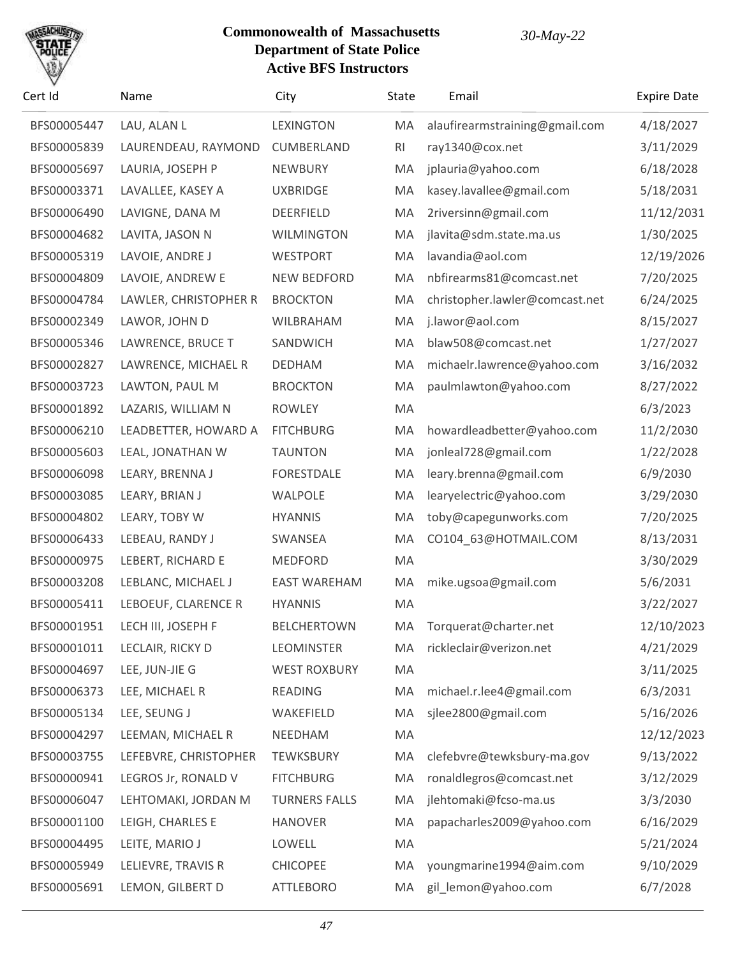

| Cert Id     | Name                  | City                 | <b>State</b> | Email                          | <b>Expire Date</b> |
|-------------|-----------------------|----------------------|--------------|--------------------------------|--------------------|
| BFS00005447 | LAU, ALAN L           | <b>LEXINGTON</b>     | MA           | alaufirearmstraining@gmail.com | 4/18/2027          |
| BFS00005839 | LAURENDEAU, RAYMOND   | <b>CUMBERLAND</b>    | RI           | ray1340@cox.net                | 3/11/2029          |
| BFS00005697 | LAURIA, JOSEPH P      | NEWBURY              | MA           | jplauria@yahoo.com             | 6/18/2028          |
| BFS00003371 | LAVALLEE, KASEY A     | <b>UXBRIDGE</b>      | MA           | kasey.lavallee@gmail.com       | 5/18/2031          |
| BFS00006490 | LAVIGNE, DANA M       | DEERFIELD            | MA           | 2riversinn@gmail.com           | 11/12/2031         |
| BFS00004682 | LAVITA, JASON N       | <b>WILMINGTON</b>    | MA           | jlavita@sdm.state.ma.us        | 1/30/2025          |
| BFS00005319 | LAVOIE, ANDRE J       | <b>WESTPORT</b>      | MA           | lavandia@aol.com               | 12/19/2026         |
| BFS00004809 | LAVOIE, ANDREW E      | <b>NEW BEDFORD</b>   | MA           | nbfirearms81@comcast.net       | 7/20/2025          |
| BFS00004784 | LAWLER, CHRISTOPHER R | <b>BROCKTON</b>      | MA           | christopher.lawler@comcast.net | 6/24/2025          |
| BFS00002349 | LAWOR, JOHN D         | WILBRAHAM            | MA           | j.lawor@aol.com                | 8/15/2027          |
| BFS00005346 | LAWRENCE, BRUCE T     | SANDWICH             | MA           | blaw508@comcast.net            | 1/27/2027          |
| BFS00002827 | LAWRENCE, MICHAEL R   | <b>DEDHAM</b>        | MA           | michaelr.lawrence@yahoo.com    | 3/16/2032          |
| BFS00003723 | LAWTON, PAUL M        | <b>BROCKTON</b>      | MA           | paulmlawton@yahoo.com          | 8/27/2022          |
| BFS00001892 | LAZARIS, WILLIAM N    | <b>ROWLEY</b>        | MA           |                                | 6/3/2023           |
| BFS00006210 | LEADBETTER, HOWARD A  | <b>FITCHBURG</b>     | MA           | howardleadbetter@yahoo.com     | 11/2/2030          |
| BFS00005603 | LEAL, JONATHAN W      | <b>TAUNTON</b>       | MA           | jonleal728@gmail.com           | 1/22/2028          |
| BFS00006098 | LEARY, BRENNA J       | <b>FORESTDALE</b>    | MA           | leary.brenna@gmail.com         | 6/9/2030           |
| BFS00003085 | LEARY, BRIAN J        | WALPOLE              | MA           | learyelectric@yahoo.com        | 3/29/2030          |
| BFS00004802 | LEARY, TOBY W         | <b>HYANNIS</b>       | MA           | toby@capegunworks.com          | 7/20/2025          |
| BFS00006433 | LEBEAU, RANDY J       | SWANSEA              | MA           | CO104_63@HOTMAIL.COM           | 8/13/2031          |
| BFS00000975 | LEBERT, RICHARD E     | <b>MEDFORD</b>       | MA           |                                | 3/30/2029          |
| BFS00003208 | LEBLANC, MICHAEL J    | <b>EAST WAREHAM</b>  | MA           | mike.ugsoa@gmail.com           | 5/6/2031           |
| BFS00005411 | LEBOEUF, CLARENCE R   | <b>HYANNIS</b>       | MA           |                                | 3/22/2027          |
| BFS00001951 | LECH III, JOSEPH F    | <b>BELCHERTOWN</b>   | MA           | Torquerat@charter.net          | 12/10/2023         |
| BFS00001011 | LECLAIR, RICKY D      | <b>LEOMINSTER</b>    | MA           | rickleclair@verizon.net        | 4/21/2029          |
| BFS00004697 | LEE, JUN-JIE G        | <b>WEST ROXBURY</b>  | MA           |                                | 3/11/2025          |
| BFS00006373 | LEE, MICHAEL R        | <b>READING</b>       | MA           | michael.r.lee4@gmail.com       | 6/3/2031           |
| BFS00005134 | LEE, SEUNG J          | WAKEFIELD            | MA           | sjlee2800@gmail.com            | 5/16/2026          |
| BFS00004297 | LEEMAN, MICHAEL R     | NEEDHAM              | MA           |                                | 12/12/2023         |
| BFS00003755 | LEFEBVRE, CHRISTOPHER | <b>TEWKSBURY</b>     | MA           | clefebvre@tewksbury-ma.gov     | 9/13/2022          |
| BFS00000941 | LEGROS Jr, RONALD V   | <b>FITCHBURG</b>     | MA           | ronaldlegros@comcast.net       | 3/12/2029          |
| BFS00006047 | LEHTOMAKI, JORDAN M   | <b>TURNERS FALLS</b> | MA           | jlehtomaki@fcso-ma.us          | 3/3/2030           |
| BFS00001100 | LEIGH, CHARLES E      | <b>HANOVER</b>       | MA           | papacharles2009@yahoo.com      | 6/16/2029          |
| BFS00004495 | LEITE, MARIO J        | LOWELL               | MA           |                                | 5/21/2024          |
| BFS00005949 | LELIEVRE, TRAVIS R    | <b>CHICOPEE</b>      | MA           | youngmarine1994@aim.com        | 9/10/2029          |
| BFS00005691 | LEMON, GILBERT D      | <b>ATTLEBORO</b>     | MA           | gil_lemon@yahoo.com            | 6/7/2028           |
|             |                       |                      |              |                                |                    |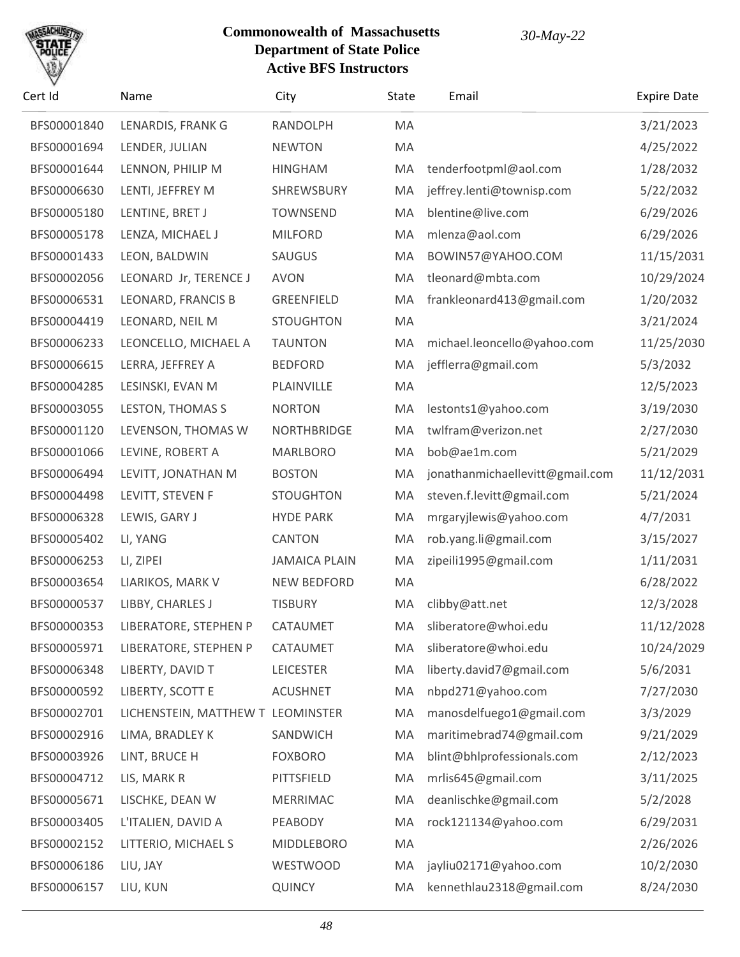

| Cert Id     | Name                              | City                 | State | Email                           | <b>Expire Date</b> |
|-------------|-----------------------------------|----------------------|-------|---------------------------------|--------------------|
| BFS00001840 | LENARDIS, FRANK G                 | RANDOLPH             | MA    |                                 | 3/21/2023          |
| BFS00001694 | LENDER, JULIAN                    | <b>NEWTON</b>        | MA    |                                 | 4/25/2022          |
| BFS00001644 | LENNON, PHILIP M                  | <b>HINGHAM</b>       | MA    | tenderfootpml@aol.com           | 1/28/2032          |
| BFS00006630 | LENTI, JEFFREY M                  | SHREWSBURY           | MA    | jeffrey.lenti@townisp.com       | 5/22/2032          |
| BFS00005180 | LENTINE, BRET J                   | <b>TOWNSEND</b>      | MA    | blentine@live.com               | 6/29/2026          |
| BFS00005178 | LENZA, MICHAEL J                  | <b>MILFORD</b>       | MA    | mlenza@aol.com                  | 6/29/2026          |
| BFS00001433 | LEON, BALDWIN                     | SAUGUS               | MA    | BOWIN57@YAHOO.COM               | 11/15/2031         |
| BFS00002056 | LEONARD Jr, TERENCE J             | <b>AVON</b>          | MA    | tleonard@mbta.com               | 10/29/2024         |
| BFS00006531 | LEONARD, FRANCIS B                | GREENFIELD           | MA    | frankleonard413@gmail.com       | 1/20/2032          |
| BFS00004419 | LEONARD, NEIL M                   | <b>STOUGHTON</b>     | MA    |                                 | 3/21/2024          |
| BFS00006233 | LEONCELLO, MICHAEL A              | <b>TAUNTON</b>       | MA    | michael.leoncello@yahoo.com     | 11/25/2030         |
| BFS00006615 | LERRA, JEFFREY A                  | <b>BEDFORD</b>       | MA    | jefflerra@gmail.com             | 5/3/2032           |
| BFS00004285 | LESINSKI, EVAN M                  | PLAINVILLE           | MA    |                                 | 12/5/2023          |
| BFS00003055 | LESTON, THOMAS S                  | <b>NORTON</b>        | MA    | lestonts1@yahoo.com             | 3/19/2030          |
| BFS00001120 | LEVENSON, THOMAS W                | <b>NORTHBRIDGE</b>   | MA    | twlfram@verizon.net             | 2/27/2030          |
| BFS00001066 | LEVINE, ROBERT A                  | <b>MARLBORO</b>      | MA    | bob@ae1m.com                    | 5/21/2029          |
| BFS00006494 | LEVITT, JONATHAN M                | <b>BOSTON</b>        | MA    | jonathanmichaellevitt@gmail.com | 11/12/2031         |
| BFS00004498 | LEVITT, STEVEN F                  | <b>STOUGHTON</b>     | MA    | steven.f.levitt@gmail.com       | 5/21/2024          |
| BFS00006328 | LEWIS, GARY J                     | <b>HYDE PARK</b>     | MA    | mrgaryjlewis@yahoo.com          | 4/7/2031           |
| BFS00005402 | LI, YANG                          | <b>CANTON</b>        | MA    | rob.yang.li@gmail.com           | 3/15/2027          |
| BFS00006253 | LI, ZIPEI                         | <b>JAMAICA PLAIN</b> | MA    | zipeili1995@gmail.com           | 1/11/2031          |
| BFS00003654 | LIARIKOS, MARK V                  | <b>NEW BEDFORD</b>   | MA    |                                 | 6/28/2022          |
| BFS00000537 | LIBBY, CHARLES J                  | <b>TISBURY</b>       | MA    | clibby@att.net                  | 12/3/2028          |
| BFS00000353 | LIBERATORE, STEPHEN P             | CATAUMET             | MA    | sliberatore@whoi.edu            | 11/12/2028         |
| BFS00005971 | LIBERATORE, STEPHEN P             | CATAUMET             | MA    | sliberatore@whoi.edu            | 10/24/2029         |
| BFS00006348 | LIBERTY, DAVID T                  | <b>LEICESTER</b>     | MA    | liberty.david7@gmail.com        | 5/6/2031           |
| BFS00000592 | LIBERTY, SCOTT E                  | <b>ACUSHNET</b>      | MA    | nbpd271@yahoo.com               | 7/27/2030          |
| BFS00002701 | LICHENSTEIN, MATTHEW T LEOMINSTER |                      | MA    | manosdelfuego1@gmail.com        | 3/3/2029           |
| BFS00002916 | LIMA, BRADLEY K                   | SANDWICH             | MA    | maritimebrad74@gmail.com        | 9/21/2029          |
| BFS00003926 | LINT, BRUCE H                     | <b>FOXBORO</b>       | MA    | blint@bhlprofessionals.com      | 2/12/2023          |
| BFS00004712 | LIS, MARK R                       | PITTSFIELD           | MA    | mrlis645@gmail.com              | 3/11/2025          |
| BFS00005671 | LISCHKE, DEAN W                   | <b>MERRIMAC</b>      | MA    | deanlischke@gmail.com           | 5/2/2028           |
| BFS00003405 | L'ITALIEN, DAVID A                | PEABODY              | MA    | rock121134@yahoo.com            | 6/29/2031          |
| BFS00002152 | LITTERIO, MICHAEL S               | <b>MIDDLEBORO</b>    | MA    |                                 | 2/26/2026          |
| BFS00006186 | LIU, JAY                          | <b>WESTWOOD</b>      | MA    | jayliu02171@yahoo.com           | 10/2/2030          |
| BFS00006157 | LIU, KUN                          | QUINCY               | MA    | kennethlau2318@gmail.com        | 8/24/2030          |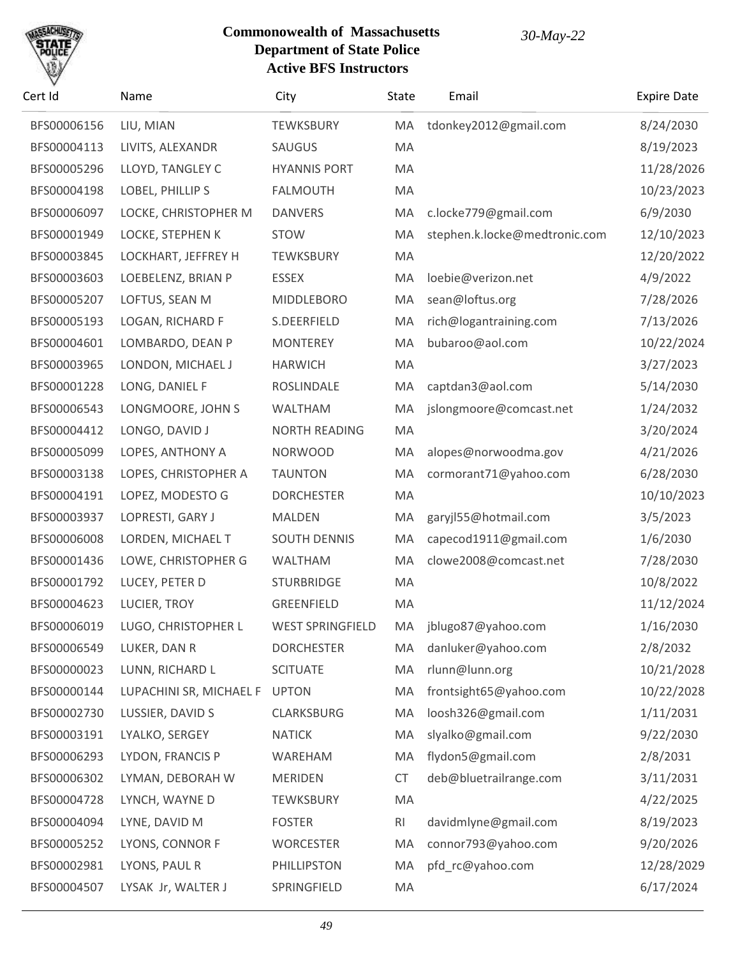

| Cert Id     | Name                          | City                    | State          | Email                         | <b>Expire Date</b> |
|-------------|-------------------------------|-------------------------|----------------|-------------------------------|--------------------|
| BFS00006156 | LIU, MIAN                     | <b>TEWKSBURY</b>        | MA             | tdonkey2012@gmail.com         | 8/24/2030          |
| BFS00004113 | LIVITS, ALEXANDR              | SAUGUS                  | MA             |                               | 8/19/2023          |
| BFS00005296 | LLOYD, TANGLEY C              | <b>HYANNIS PORT</b>     | MA             |                               | 11/28/2026         |
| BFS00004198 | LOBEL, PHILLIP S              | <b>FALMOUTH</b>         | MA             |                               | 10/23/2023         |
| BFS00006097 | LOCKE, CHRISTOPHER M          | <b>DANVERS</b>          | MA             | c.locke779@gmail.com          | 6/9/2030           |
| BFS00001949 | LOCKE, STEPHEN K              | <b>STOW</b>             | MA             | stephen.k.locke@medtronic.com | 12/10/2023         |
| BFS00003845 | LOCKHART, JEFFREY H           | <b>TEWKSBURY</b>        | MA             |                               | 12/20/2022         |
| BFS00003603 | LOEBELENZ, BRIAN P            | <b>ESSEX</b>            | MA             | loebie@verizon.net            | 4/9/2022           |
| BFS00005207 | LOFTUS, SEAN M                | <b>MIDDLEBORO</b>       | MA             | sean@loftus.org               | 7/28/2026          |
| BFS00005193 | LOGAN, RICHARD F              | S.DEERFIELD             | MA             | rich@logantraining.com        | 7/13/2026          |
| BFS00004601 | LOMBARDO, DEAN P              | <b>MONTEREY</b>         | MA             | bubaroo@aol.com               | 10/22/2024         |
| BFS00003965 | LONDON, MICHAEL J             | <b>HARWICH</b>          | MA             |                               | 3/27/2023          |
| BFS00001228 | LONG, DANIEL F                | ROSLINDALE              | MA             | captdan3@aol.com              | 5/14/2030          |
| BFS00006543 | LONGMOORE, JOHN S             | <b>WALTHAM</b>          | MA             | jslongmoore@comcast.net       | 1/24/2032          |
| BFS00004412 | LONGO, DAVID J                | <b>NORTH READING</b>    | MA             |                               | 3/20/2024          |
| BFS00005099 | LOPES, ANTHONY A              | <b>NORWOOD</b>          | MA             | alopes@norwoodma.gov          | 4/21/2026          |
| BFS00003138 | LOPES, CHRISTOPHER A          | <b>TAUNTON</b>          | MA             | cormorant71@yahoo.com         | 6/28/2030          |
| BFS00004191 | LOPEZ, MODESTO G              | <b>DORCHESTER</b>       | MA             |                               | 10/10/2023         |
| BFS00003937 | LOPRESTI, GARY J              | MALDEN                  | MA             | garyjl55@hotmail.com          | 3/5/2023           |
| BFS00006008 | LORDEN, MICHAEL T             | <b>SOUTH DENNIS</b>     | MA             | capecod1911@gmail.com         | 1/6/2030           |
| BFS00001436 | LOWE, CHRISTOPHER G           | <b>WALTHAM</b>          | MA             | clowe2008@comcast.net         | 7/28/2030          |
| BFS00001792 | LUCEY, PETER D                | <b>STURBRIDGE</b>       | MA             |                               | 10/8/2022          |
| BFS00004623 | LUCIER, TROY                  | <b>GREENFIELD</b>       | MA             |                               | 11/12/2024         |
| BFS00006019 | LUGO, CHRISTOPHER L           | <b>WEST SPRINGFIELD</b> | МA             | jblugo87@yahoo.com            | 1/16/2030          |
| BFS00006549 | LUKER, DAN R                  | <b>DORCHESTER</b>       | MA             | danluker@yahoo.com            | 2/8/2032           |
| BFS00000023 | LUNN, RICHARD L               | <b>SCITUATE</b>         | MA             | rlunn@lunn.org                | 10/21/2028         |
| BFS00000144 | LUPACHINI SR, MICHAEL F UPTON |                         | MA             | frontsight65@yahoo.com        | 10/22/2028         |
| BFS00002730 | LUSSIER, DAVID S              | <b>CLARKSBURG</b>       | MA             | loosh326@gmail.com            | 1/11/2031          |
| BFS00003191 | LYALKO, SERGEY                | <b>NATICK</b>           | MA             | slyalko@gmail.com             | 9/22/2030          |
| BFS00006293 | LYDON, FRANCIS P              | WAREHAM                 | MA             | flydon5@gmail.com             | 2/8/2031           |
| BFS00006302 | LYMAN, DEBORAH W              | <b>MERIDEN</b>          | CT             | deb@bluetrailrange.com        | 3/11/2031          |
| BFS00004728 | LYNCH, WAYNE D                | <b>TEWKSBURY</b>        | MA             |                               | 4/22/2025          |
| BFS00004094 | LYNE, DAVID M                 | <b>FOSTER</b>           | R <sub>l</sub> | davidmlyne@gmail.com          | 8/19/2023          |
| BFS00005252 | LYONS, CONNOR F               | <b>WORCESTER</b>        | MA             | connor793@yahoo.com           | 9/20/2026          |
| BFS00002981 | LYONS, PAUL R                 | PHILLIPSTON             | MA             | pfd_rc@yahoo.com              | 12/28/2029         |
| BFS00004507 | LYSAK Jr, WALTER J            | SPRINGFIELD             | MA             |                               | 6/17/2024          |
|             |                               |                         |                |                               |                    |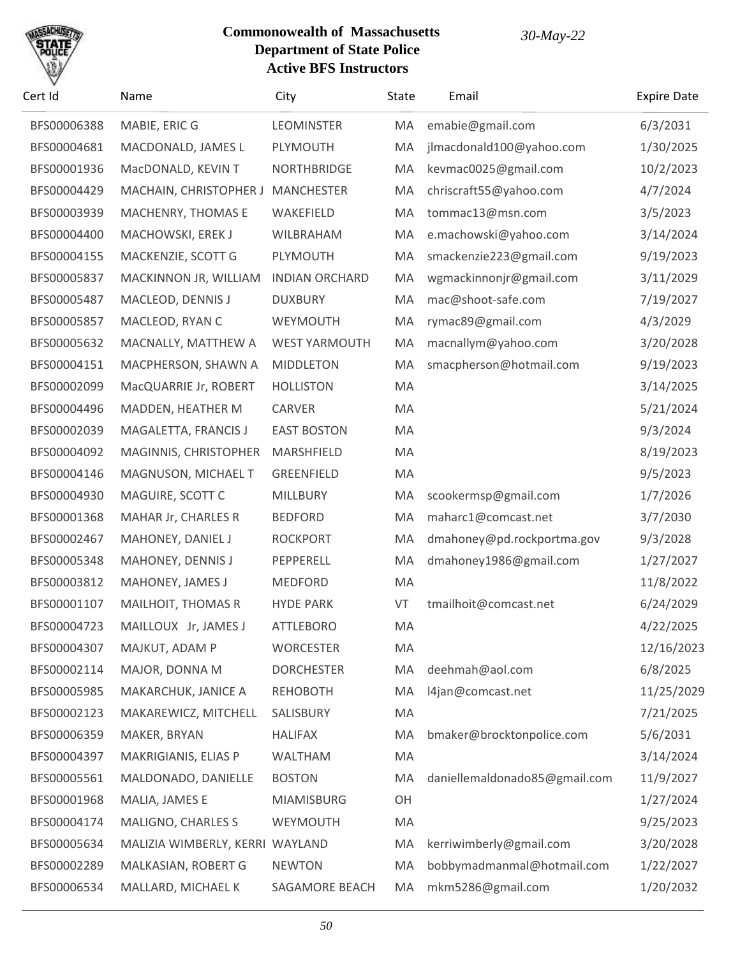# SACHU

| Cert Id     | Name                            | City                  | <b>State</b> | Email                         | <b>Expire Date</b> |
|-------------|---------------------------------|-----------------------|--------------|-------------------------------|--------------------|
| BFS00006388 | MABIE, ERIC G                   | <b>LEOMINSTER</b>     | MA           | emabie@gmail.com              | 6/3/2031           |
| BFS00004681 | MACDONALD, JAMES L              | PLYMOUTH              | MA           | jlmacdonald100@yahoo.com      | 1/30/2025          |
| BFS00001936 | MacDONALD, KEVIN T              | <b>NORTHBRIDGE</b>    | MA           | kevmac0025@gmail.com          | 10/2/2023          |
| BFS00004429 | MACHAIN, CHRISTOPHER J          | <b>MANCHESTER</b>     | MA           | chriscraft55@yahoo.com        | 4/7/2024           |
| BFS00003939 | MACHENRY, THOMAS E              | WAKEFIELD             | MA           | tommac13@msn.com              | 3/5/2023           |
| BFS00004400 | MACHOWSKI, EREK J               | WILBRAHAM             | MA           | e.machowski@yahoo.com         | 3/14/2024          |
| BFS00004155 | MACKENZIE, SCOTT G              | PLYMOUTH              | MA           | smackenzie223@gmail.com       | 9/19/2023          |
| BFS00005837 | MACKINNON JR, WILLIAM           | <b>INDIAN ORCHARD</b> | MA           | wgmackinnonjr@gmail.com       | 3/11/2029          |
| BFS00005487 | MACLEOD, DENNIS J               | <b>DUXBURY</b>        | MA           | mac@shoot-safe.com            | 7/19/2027          |
| BFS00005857 | MACLEOD, RYAN C                 | WEYMOUTH              | MA           | rymac89@gmail.com             | 4/3/2029           |
| BFS00005632 | MACNALLY, MATTHEW A             | <b>WEST YARMOUTH</b>  | MA           | macnallym@yahoo.com           | 3/20/2028          |
| BFS00004151 | MACPHERSON, SHAWN A             | <b>MIDDLETON</b>      | MA           | smacpherson@hotmail.com       | 9/19/2023          |
| BFS00002099 | MacQUARRIE Jr, ROBERT           | <b>HOLLISTON</b>      | MA           |                               | 3/14/2025          |
| BFS00004496 | MADDEN, HEATHER M               | <b>CARVER</b>         | MA           |                               | 5/21/2024          |
| BFS00002039 | MAGALETTA, FRANCIS J            | <b>EAST BOSTON</b>    | MA           |                               | 9/3/2024           |
| BFS00004092 | MAGINNIS, CHRISTOPHER           | MARSHFIELD            | MA           |                               | 8/19/2023          |
| BFS00004146 | MAGNUSON, MICHAEL T             | <b>GREENFIELD</b>     | MA           |                               | 9/5/2023           |
| BFS00004930 | MAGUIRE, SCOTT C                | <b>MILLBURY</b>       | MA           | scookermsp@gmail.com          | 1/7/2026           |
| BFS00001368 | MAHAR Jr, CHARLES R             | <b>BEDFORD</b>        | MA           | maharc1@comcast.net           | 3/7/2030           |
| BFS00002467 | MAHONEY, DANIEL J               | <b>ROCKPORT</b>       | MA           | dmahoney@pd.rockportma.gov    | 9/3/2028           |
| BFS00005348 | MAHONEY, DENNIS J               | PEPPERELL             | MA           | dmahoney1986@gmail.com        | 1/27/2027          |
| BFS00003812 | MAHONEY, JAMES J                | <b>MEDFORD</b>        | MA           |                               | 11/8/2022          |
| BFS00001107 | <b>MAILHOIT, THOMAS R</b>       | <b>HYDE PARK</b>      | VT           | tmailhoit@comcast.net         | 6/24/2029          |
| BFS00004723 | MAILLOUX Jr, JAMES J            | <b>ATTLEBORO</b>      | MA           |                               | 4/22/2025          |
| BFS00004307 | MAJKUT, ADAM P                  | <b>WORCESTER</b>      | MA           |                               | 12/16/2023         |
| BFS00002114 | MAJOR, DONNA M                  | <b>DORCHESTER</b>     | MA           | deehmah@aol.com               | 6/8/2025           |
| BFS00005985 | MAKARCHUK, JANICE A             | <b>REHOBOTH</b>       | MA           | l4jan@comcast.net             | 11/25/2029         |
| BFS00002123 | MAKAREWICZ, MITCHELL            | SALISBURY             | MA           |                               | 7/21/2025          |
| BFS00006359 | MAKER, BRYAN                    | <b>HALIFAX</b>        | MA           | bmaker@brocktonpolice.com     | 5/6/2031           |
| BFS00004397 | MAKRIGIANIS, ELIAS P            | <b>WALTHAM</b>        | MA           |                               | 3/14/2024          |
| BFS00005561 | MALDONADO, DANIELLE             | <b>BOSTON</b>         | MA           | daniellemaldonado85@gmail.com | 11/9/2027          |
| BFS00001968 | MALIA, JAMES E                  | <b>MIAMISBURG</b>     | OH           |                               | 1/27/2024          |
| BFS00004174 | <b>MALIGNO, CHARLES S</b>       | WEYMOUTH              | MA           |                               | 9/25/2023          |
| BFS00005634 | MALIZIA WIMBERLY, KERRI WAYLAND |                       | MA           | kerriwimberly@gmail.com       | 3/20/2028          |
| BFS00002289 | MALKASIAN, ROBERT G             | <b>NEWTON</b>         | MA           | bobbymadmanmal@hotmail.com    | 1/22/2027          |
| BFS00006534 | MALLARD, MICHAEL K              | SAGAMORE BEACH        | MA           | mkm5286@gmail.com             | 1/20/2032          |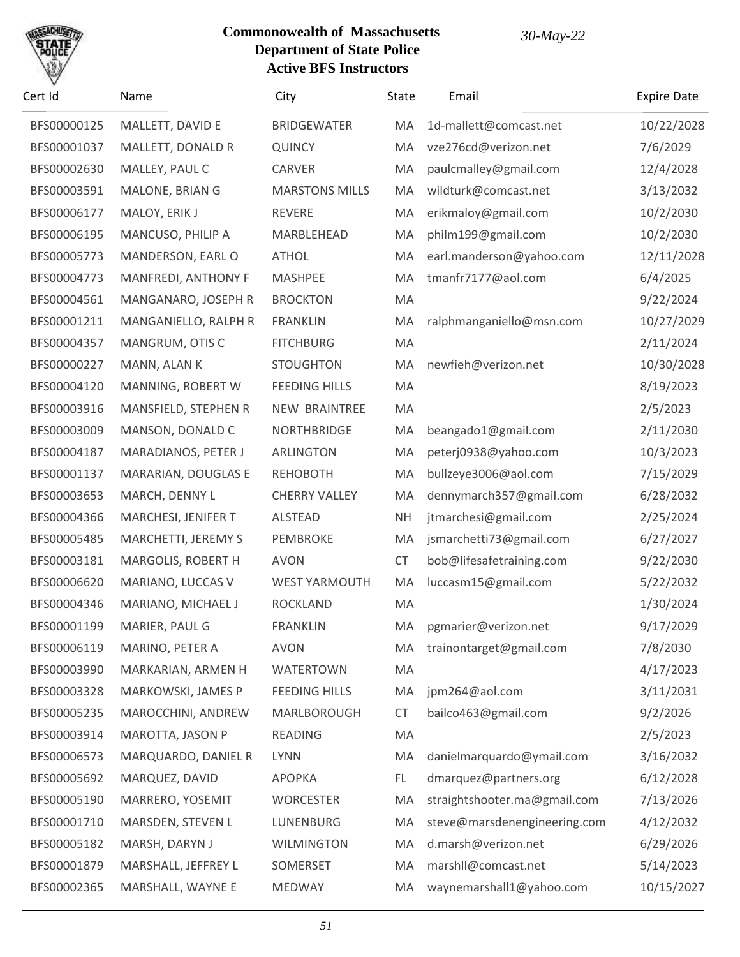

| Cert Id     | Name                 | City                  | State     | Email                        | <b>Expire Date</b> |
|-------------|----------------------|-----------------------|-----------|------------------------------|--------------------|
| BFS00000125 | MALLETT, DAVID E     | <b>BRIDGEWATER</b>    | MA        | 1d-mallett@comcast.net       | 10/22/2028         |
| BFS00001037 | MALLETT, DONALD R    | <b>QUINCY</b>         | MA        | vze276cd@verizon.net         | 7/6/2029           |
| BFS00002630 | MALLEY, PAUL C       | CARVER                | MA        | paulcmalley@gmail.com        | 12/4/2028          |
| BFS00003591 | MALONE, BRIAN G      | <b>MARSTONS MILLS</b> | MA        | wildturk@comcast.net         | 3/13/2032          |
| BFS00006177 | MALOY, ERIK J        | <b>REVERE</b>         | MA        | erikmaloy@gmail.com          | 10/2/2030          |
| BFS00006195 | MANCUSO, PHILIP A    | MARBLEHEAD            | MA        | philm199@gmail.com           | 10/2/2030          |
| BFS00005773 | MANDERSON, EARL O    | <b>ATHOL</b>          | MA        | earl.manderson@yahoo.com     | 12/11/2028         |
| BFS00004773 | MANFREDI, ANTHONY F  | <b>MASHPEE</b>        | MA        | tmanfr7177@aol.com           | 6/4/2025           |
| BFS00004561 | MANGANARO, JOSEPH R  | <b>BROCKTON</b>       | MA        |                              | 9/22/2024          |
| BFS00001211 | MANGANIELLO, RALPH R | <b>FRANKLIN</b>       | MA        | ralphmanganiello@msn.com     | 10/27/2029         |
| BFS00004357 | MANGRUM, OTIS C      | <b>FITCHBURG</b>      | MA        |                              | 2/11/2024          |
| BFS00000227 | MANN, ALAN K         | <b>STOUGHTON</b>      | MA        | newfieh@verizon.net          | 10/30/2028         |
| BFS00004120 | MANNING, ROBERT W    | <b>FEEDING HILLS</b>  | MA        |                              | 8/19/2023          |
| BFS00003916 | MANSFIELD, STEPHEN R | NEW BRAINTREE         | MA        |                              | 2/5/2023           |
| BFS00003009 | MANSON, DONALD C     | <b>NORTHBRIDGE</b>    | MA        | beangado1@gmail.com          | 2/11/2030          |
| BFS00004187 | MARADIANOS, PETER J  | <b>ARLINGTON</b>      | MA        | peterj0938@yahoo.com         | 10/3/2023          |
| BFS00001137 | MARARIAN, DOUGLAS E  | <b>REHOBOTH</b>       | MA        | bullzeye3006@aol.com         | 7/15/2029          |
| BFS00003653 | MARCH, DENNY L       | <b>CHERRY VALLEY</b>  | MA        | dennymarch357@gmail.com      | 6/28/2032          |
| BFS00004366 | MARCHESI, JENIFER T  | <b>ALSTEAD</b>        | <b>NH</b> | jtmarchesi@gmail.com         | 2/25/2024          |
| BFS00005485 | MARCHETTI, JEREMY S  | PEMBROKE              | MA        | jsmarchetti73@gmail.com      | 6/27/2027          |
| BFS00003181 | MARGOLIS, ROBERT H   | <b>AVON</b>           | <b>CT</b> | bob@lifesafetraining.com     | 9/22/2030          |
| BFS00006620 | MARIANO, LUCCAS V    | <b>WEST YARMOUTH</b>  | MA        | luccasm15@gmail.com          | 5/22/2032          |
| BFS00004346 | MARIANO, MICHAEL J   | <b>ROCKLAND</b>       | MA        |                              | 1/30/2024          |
| BFS00001199 | MARIER, PAUL G       | FRANKLIN              | MA        | pgmarier@verizon.net         | 9/17/2029          |
| BFS00006119 | MARINO, PETER A      | <b>AVON</b>           | MA        | trainontarget@gmail.com      | 7/8/2030           |
| BFS00003990 | MARKARIAN, ARMEN H   | <b>WATERTOWN</b>      | MA        |                              | 4/17/2023          |
| BFS00003328 | MARKOWSKI, JAMES P   | <b>FEEDING HILLS</b>  | MA        | jpm264@aol.com               | 3/11/2031          |
| BFS00005235 | MAROCCHINI, ANDREW   | MARLBOROUGH           | <b>CT</b> | bailco463@gmail.com          | 9/2/2026           |
| BFS00003914 | MAROTTA, JASON P     | <b>READING</b>        | MA        |                              | 2/5/2023           |
| BFS00006573 | MARQUARDO, DANIEL R  | <b>LYNN</b>           | MA        | danielmarquardo@ymail.com    | 3/16/2032          |
| BFS00005692 | MARQUEZ, DAVID       | <b>APOPKA</b>         | FL        | dmarquez@partners.org        | 6/12/2028          |
| BFS00005190 | MARRERO, YOSEMIT     | <b>WORCESTER</b>      | MA        | straightshooter.ma@gmail.com | 7/13/2026          |
| BFS00001710 | MARSDEN, STEVEN L    | LUNENBURG             | MA        | steve@marsdenengineering.com | 4/12/2032          |
| BFS00005182 | MARSH, DARYN J       | <b>WILMINGTON</b>     | MA        | d.marsh@verizon.net          | 6/29/2026          |
| BFS00001879 | MARSHALL, JEFFREY L  | SOMERSET              | MA        | marshll@comcast.net          | 5/14/2023          |
| BFS00002365 | MARSHALL, WAYNE E    | MEDWAY                | MA        | waynemarshall1@yahoo.com     | 10/15/2027         |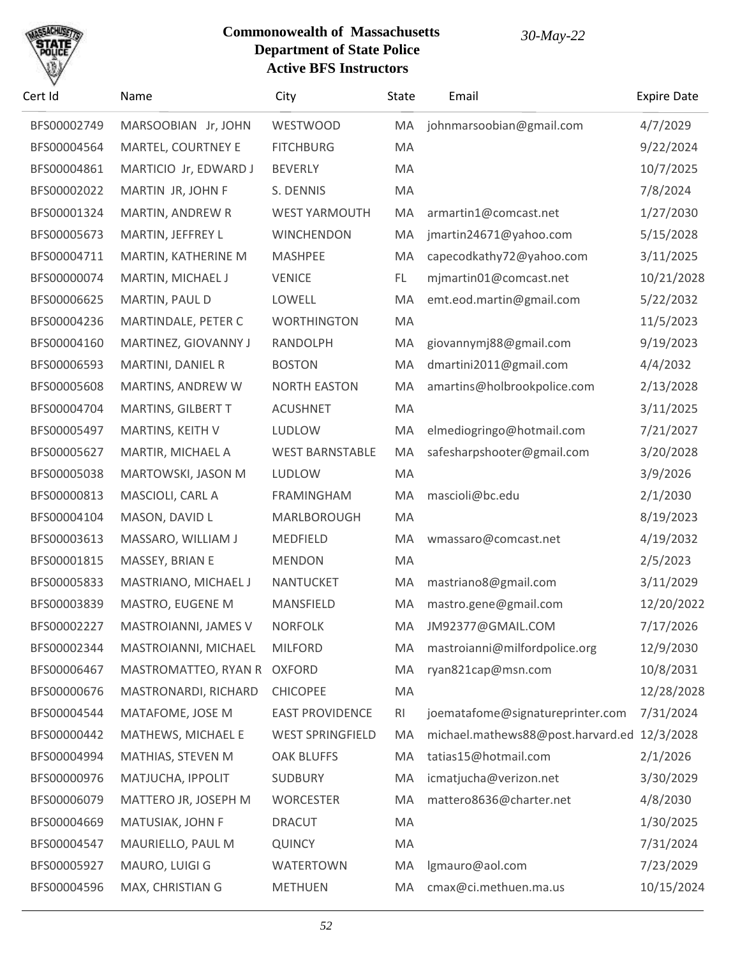# SACHU

| Cert Id     | Name                    | City                    | State | Email                             | <b>Expire Date</b> |
|-------------|-------------------------|-------------------------|-------|-----------------------------------|--------------------|
| BFS00002749 | MARSOOBIAN Jr, JOHN     | WESTWOOD                | MA    | johnmarsoobian@gmail.com          | 4/7/2029           |
| BFS00004564 | MARTEL, COURTNEY E      | <b>FITCHBURG</b>        | MA    |                                   | 9/22/2024          |
| BFS00004861 | MARTICIO Jr, EDWARD J   | <b>BEVERLY</b>          | MA    |                                   | 10/7/2025          |
| BFS00002022 | MARTIN JR, JOHN F       | S. DENNIS               | MA    |                                   | 7/8/2024           |
| BFS00001324 | <b>MARTIN, ANDREW R</b> | <b>WEST YARMOUTH</b>    | MA    | armartin1@comcast.net             | 1/27/2030          |
| BFS00005673 | MARTIN, JEFFREY L       | <b>WINCHENDON</b>       | MA    | jmartin24671@yahoo.com            | 5/15/2028          |
| BFS00004711 | MARTIN, KATHERINE M     | <b>MASHPEE</b>          | MA    | capecodkathy72@yahoo.com          | 3/11/2025          |
| BFS00000074 | MARTIN, MICHAEL J       | <b>VENICE</b>           | FL.   | mjmartin01@comcast.net            | 10/21/2028         |
| BFS00006625 | MARTIN, PAUL D          | LOWELL                  | MA    | emt.eod.martin@gmail.com          | 5/22/2032          |
| BFS00004236 | MARTINDALE, PETER C     | <b>WORTHINGTON</b>      | MA    |                                   | 11/5/2023          |
| BFS00004160 | MARTINEZ, GIOVANNY J    | RANDOLPH                | MA    | giovannymj88@gmail.com            | 9/19/2023          |
| BFS00006593 | MARTINI, DANIEL R       | <b>BOSTON</b>           | MA    | dmartini2011@gmail.com            | 4/4/2032           |
| BFS00005608 | MARTINS, ANDREW W       | <b>NORTH EASTON</b>     | MA    | amartins@holbrookpolice.com       | 2/13/2028          |
| BFS00004704 | MARTINS, GILBERT T      | <b>ACUSHNET</b>         | MA    |                                   | 3/11/2025          |
| BFS00005497 | MARTINS, KEITH V        | LUDLOW                  | MA    | elmediogringo@hotmail.com         | 7/21/2027          |
| BFS00005627 | MARTIR, MICHAEL A       | <b>WEST BARNSTABLE</b>  | MA    | safesharpshooter@gmail.com        | 3/20/2028          |
| BFS00005038 | MARTOWSKI, JASON M      | LUDLOW                  | MA    |                                   | 3/9/2026           |
| BFS00000813 | MASCIOLI, CARL A        | <b>FRAMINGHAM</b>       | MA    | mascioli@bc.edu                   | 2/1/2030           |
| BFS00004104 | MASON, DAVID L          | MARLBOROUGH             | MA    |                                   | 8/19/2023          |
| BFS00003613 | MASSARO, WILLIAM J      | <b>MEDFIELD</b>         | MA    | wmassaro@comcast.net              | 4/19/2032          |
| BFS00001815 | MASSEY, BRIAN E         | <b>MENDON</b>           | MA    |                                   | 2/5/2023           |
| BFS00005833 | MASTRIANO, MICHAEL J    | <b>NANTUCKET</b>        | MA    | mastriano8@gmail.com              | 3/11/2029          |
| BFS00003839 | MASTRO, EUGENE M        | MANSFIELD               | MA    | mastro.gene@gmail.com             | 12/20/2022         |
| BFS00002227 | MASTROIANNI, JAMES V    | <b>NORFOLK</b>          | MA    | JM92377@GMAIL.COM                 | 7/17/2026          |
| BFS00002344 | MASTROIANNI, MICHAEL    | <b>MILFORD</b>          | MA    | mastroianni@milfordpolice.org     | 12/9/2030          |
| BFS00006467 | MASTROMATTEO, RYAN R    | <b>OXFORD</b>           | MA    | ryan821cap@msn.com                | 10/8/2031          |
| BFS00000676 | MASTRONARDI, RICHARD    | <b>CHICOPEE</b>         | MA    |                                   | 12/28/2028         |
| BFS00004544 | MATAFOME, JOSE M        | <b>EAST PROVIDENCE</b>  | RI    | joematafome@signatureprinter.com  | 7/31/2024          |
| BFS00000442 | MATHEWS, MICHAEL E      | <b>WEST SPRINGFIELD</b> | MA    | michael.mathews88@post.harvard.ed | 12/3/2028          |
| BFS00004994 | MATHIAS, STEVEN M       | <b>OAK BLUFFS</b>       | MA    | tatias15@hotmail.com              | 2/1/2026           |
| BFS00000976 | MATJUCHA, IPPOLIT       | <b>SUDBURY</b>          | MA    | icmatjucha@verizon.net            | 3/30/2029          |
| BFS00006079 | MATTERO JR, JOSEPH M    | <b>WORCESTER</b>        | MA    | mattero8636@charter.net           | 4/8/2030           |
| BFS00004669 | MATUSIAK, JOHN F        | <b>DRACUT</b>           | MA    |                                   | 1/30/2025          |
| BFS00004547 | MAURIELLO, PAUL M       | <b>QUINCY</b>           | MA    |                                   | 7/31/2024          |
| BFS00005927 | MAURO, LUIGI G          | <b>WATERTOWN</b>        | MA    | lgmauro@aol.com                   | 7/23/2029          |
| BFS00004596 | MAX, CHRISTIAN G        | <b>METHUEN</b>          | MA    | cmax@ci.methuen.ma.us             | 10/15/2024         |
|             |                         |                         |       |                                   |                    |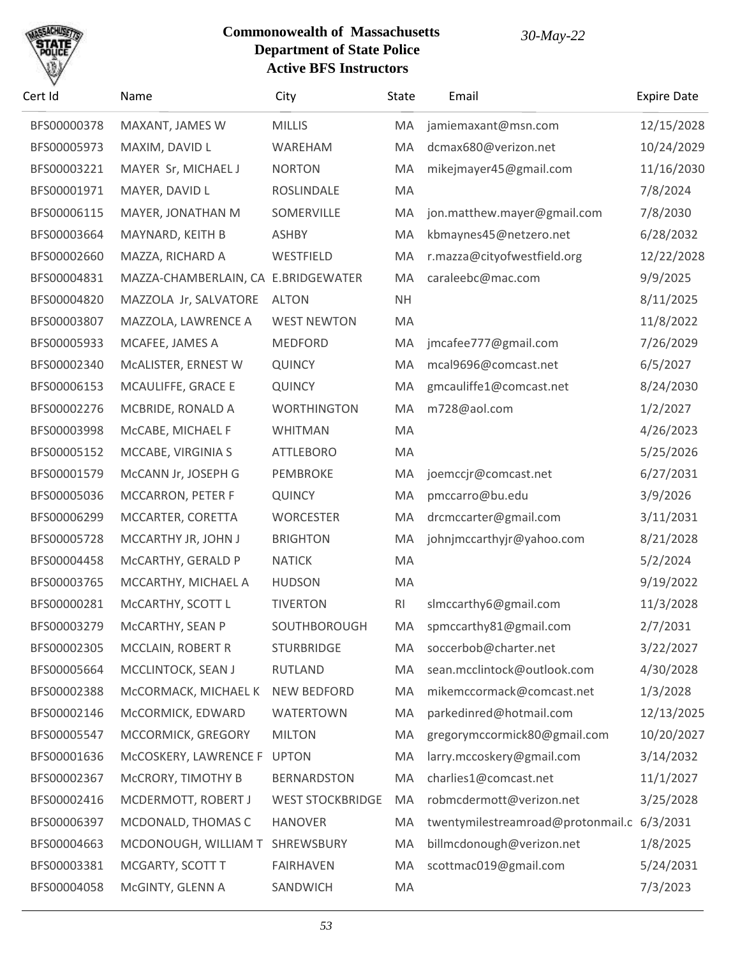

| Cert Id     | Name                                | City                    | <b>State</b>   | Email                             | <b>Expire Date</b> |
|-------------|-------------------------------------|-------------------------|----------------|-----------------------------------|--------------------|
| BFS00000378 | MAXANT, JAMES W                     | <b>MILLIS</b>           | MA             | jamiemaxant@msn.com               | 12/15/2028         |
| BFS00005973 | MAXIM, DAVID L                      | WAREHAM                 | MA             | dcmax680@verizon.net              | 10/24/2029         |
| BFS00003221 | MAYER Sr, MICHAEL J                 | <b>NORTON</b>           | MA             | mikejmayer45@gmail.com            | 11/16/2030         |
| BFS00001971 | MAYER, DAVID L                      | ROSLINDALE              | MA             |                                   | 7/8/2024           |
| BFS00006115 | MAYER, JONATHAN M                   | SOMERVILLE              | MA             | jon.matthew.mayer@gmail.com       | 7/8/2030           |
| BFS00003664 | MAYNARD, KEITH B                    | <b>ASHBY</b>            | MA             | kbmaynes45@netzero.net            | 6/28/2032          |
| BFS00002660 | MAZZA, RICHARD A                    | WESTFIELD               | MA             | r.mazza@cityofwestfield.org       | 12/22/2028         |
| BFS00004831 | MAZZA-CHAMBERLAIN, CA E.BRIDGEWATER |                         | MA             | caraleebc@mac.com                 | 9/9/2025           |
| BFS00004820 | MAZZOLA Jr, SALVATORE               | <b>ALTON</b>            | <b>NH</b>      |                                   | 8/11/2025          |
| BFS00003807 | MAZZOLA, LAWRENCE A                 | <b>WEST NEWTON</b>      | MA             |                                   | 11/8/2022          |
| BFS00005933 | MCAFEE, JAMES A                     | <b>MEDFORD</b>          | MA             | jmcafee777@gmail.com              | 7/26/2029          |
| BFS00002340 | MCALISTER, ERNEST W                 | <b>QUINCY</b>           | MA             | mcal9696@comcast.net              | 6/5/2027           |
| BFS00006153 | MCAULIFFE, GRACE E                  | <b>QUINCY</b>           | MA             | gmcauliffe1@comcast.net           | 8/24/2030          |
| BFS00002276 | MCBRIDE, RONALD A                   | <b>WORTHINGTON</b>      | MA             | m728@aol.com                      | 1/2/2027           |
| BFS00003998 | McCABE, MICHAEL F                   | <b>WHITMAN</b>          | MA             |                                   | 4/26/2023          |
| BFS00005152 | MCCABE, VIRGINIA S                  | <b>ATTLEBORO</b>        | MA             |                                   | 5/25/2026          |
| BFS00001579 | McCANN Jr, JOSEPH G                 | PEMBROKE                | MA             | joemccjr@comcast.net              | 6/27/2031          |
| BFS00005036 | MCCARRON, PETER F                   | <b>QUINCY</b>           | MA             | pmccarro@bu.edu                   | 3/9/2026           |
| BFS00006299 | MCCARTER, CORETTA                   | <b>WORCESTER</b>        | MA             | drcmccarter@gmail.com             | 3/11/2031          |
| BFS00005728 | MCCARTHY JR, JOHN J                 | <b>BRIGHTON</b>         | MA             | johnjmccarthyjr@yahoo.com         | 8/21/2028          |
| BFS00004458 | McCARTHY, GERALD P                  | <b>NATICK</b>           | MA             |                                   | 5/2/2024           |
| BFS00003765 | MCCARTHY, MICHAEL A                 | <b>HUDSON</b>           | MA             |                                   | 9/19/2022          |
| BFS00000281 | McCARTHY, SCOTT L                   | <b>TIVERTON</b>         | R <sub>l</sub> | slmccarthy6@gmail.com             | 11/3/2028          |
| BFS00003279 | MCCARTHY, SEAN P                    | SOUTHBOROUGH            | MA             | spmccarthy81@gmail.com            | 2/7/2031           |
| BFS00002305 | <b>MCCLAIN, ROBERT R</b>            | <b>STURBRIDGE</b>       | MA             | soccerbob@charter.net             | 3/22/2027          |
| BFS00005664 | MCCLINTOCK, SEAN J                  | <b>RUTLAND</b>          | MA             | sean.mcclintock@outlook.com       | 4/30/2028          |
| BFS00002388 | MCCORMACK, MICHAEL K                | NEW BEDFORD             | MA             | mikemccormack@comcast.net         | 1/3/2028           |
| BFS00002146 | McCORMICK, EDWARD                   | <b>WATERTOWN</b>        | MA             | parkedinred@hotmail.com           | 12/13/2025         |
| BFS00005547 | MCCORMICK, GREGORY                  | <b>MILTON</b>           | MA             | gregorymccormick80@gmail.com      | 10/20/2027         |
| BFS00001636 | McCOSKERY, LAWRENCE F               | <b>UPTON</b>            | MA             | larry.mccoskery@gmail.com         | 3/14/2032          |
| BFS00002367 | McCRORY, TIMOTHY B                  | <b>BERNARDSTON</b>      | MA             | charlies1@comcast.net             | 11/1/2027          |
| BFS00002416 | MCDERMOTT, ROBERT J                 | <b>WEST STOCKBRIDGE</b> | MA             | robmcdermott@verizon.net          | 3/25/2028          |
| BFS00006397 | MCDONALD, THOMAS C                  | <b>HANOVER</b>          | MA             | twentymilestreamroad@protonmail.c | 6/3/2031           |
| BFS00004663 | MCDONOUGH, WILLIAM T                | SHREWSBURY              | MA             | billmcdonough@verizon.net         | 1/8/2025           |
| BFS00003381 | MCGARTY, SCOTT T                    | <b>FAIRHAVEN</b>        | MA             | scottmac019@gmail.com             | 5/24/2031          |
| BFS00004058 | McGINTY, GLENN A                    | SANDWICH                | MA             |                                   | 7/3/2023           |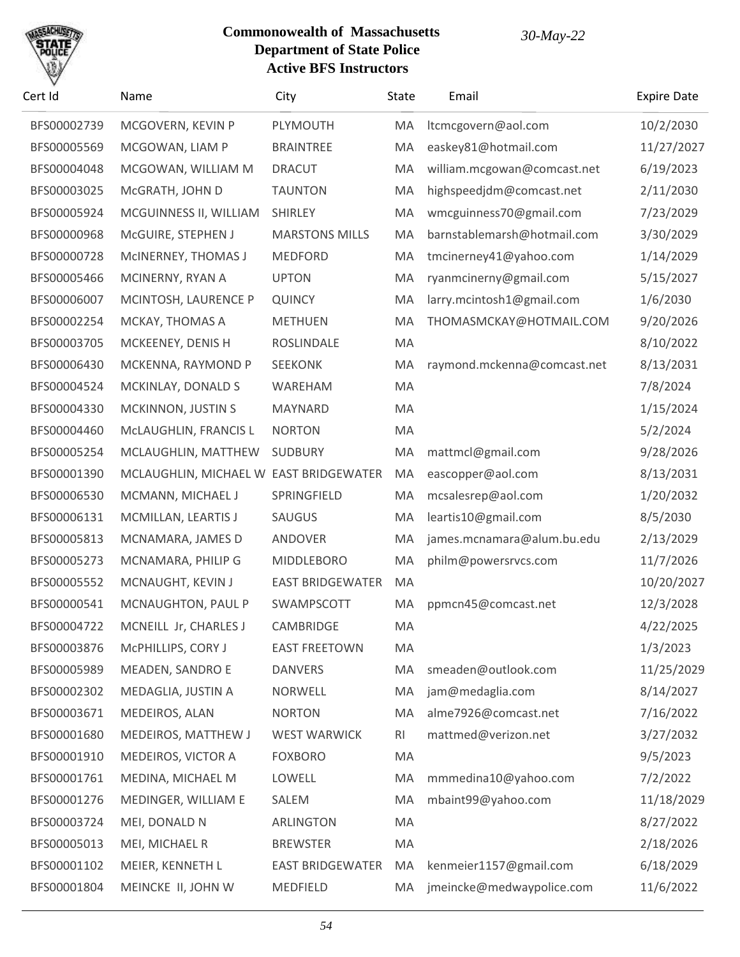# SACHU

| BFS00002739<br>BFS00005569<br>BFS00004048<br>BFS00003025<br>BFS00005924 | MCGOVERN, KEVIN P<br>MCGOWAN, LIAM P<br>MCGOWAN, WILLIAM M<br>McGRATH, JOHN D<br>MCGUINNESS II, WILLIAM<br>McGUIRE, STEPHEN J<br>MCINERNEY, THOMAS J<br>MCINERNY, RYAN A | PLYMOUTH<br><b>BRAINTREE</b><br><b>DRACUT</b><br><b>TAUNTON</b><br><b>SHIRLEY</b><br><b>MARSTONS MILLS</b><br><b>MEDFORD</b> | MA<br>MA<br>MA<br>MA<br>MA<br>MA | ltcmcgovern@aol.com<br>easkey81@hotmail.com<br>william.mcgowan@comcast.net<br>highspeedjdm@comcast.net<br>wmcguinness70@gmail.com | 10/2/2030<br>11/27/2027<br>6/19/2023<br>2/11/2030<br>7/23/2029 |
|-------------------------------------------------------------------------|--------------------------------------------------------------------------------------------------------------------------------------------------------------------------|------------------------------------------------------------------------------------------------------------------------------|----------------------------------|-----------------------------------------------------------------------------------------------------------------------------------|----------------------------------------------------------------|
|                                                                         |                                                                                                                                                                          |                                                                                                                              |                                  |                                                                                                                                   |                                                                |
|                                                                         |                                                                                                                                                                          |                                                                                                                              |                                  |                                                                                                                                   |                                                                |
|                                                                         |                                                                                                                                                                          |                                                                                                                              |                                  |                                                                                                                                   |                                                                |
|                                                                         |                                                                                                                                                                          |                                                                                                                              |                                  |                                                                                                                                   |                                                                |
|                                                                         |                                                                                                                                                                          |                                                                                                                              |                                  |                                                                                                                                   |                                                                |
| BFS00000968                                                             |                                                                                                                                                                          |                                                                                                                              |                                  | barnstablemarsh@hotmail.com                                                                                                       | 3/30/2029                                                      |
| BFS00000728                                                             |                                                                                                                                                                          |                                                                                                                              | MA                               | tmcinerney41@yahoo.com                                                                                                            | 1/14/2029                                                      |
| BFS00005466                                                             |                                                                                                                                                                          | <b>UPTON</b>                                                                                                                 | MA                               | ryanmcinerny@gmail.com                                                                                                            | 5/15/2027                                                      |
| BFS00006007                                                             | MCINTOSH, LAURENCE P                                                                                                                                                     | <b>QUINCY</b>                                                                                                                | MA                               | larry.mcintosh1@gmail.com                                                                                                         | 1/6/2030                                                       |
| BFS00002254                                                             | MCKAY, THOMAS A                                                                                                                                                          | <b>METHUEN</b>                                                                                                               | MA                               | THOMASMCKAY@HOTMAIL.COM                                                                                                           | 9/20/2026                                                      |
| BFS00003705                                                             | MCKEENEY, DENIS H                                                                                                                                                        | ROSLINDALE                                                                                                                   | MA                               |                                                                                                                                   | 8/10/2022                                                      |
| BFS00006430                                                             | MCKENNA, RAYMOND P                                                                                                                                                       | <b>SEEKONK</b>                                                                                                               | MA                               | raymond.mckenna@comcast.net                                                                                                       | 8/13/2031                                                      |
| BFS00004524                                                             | MCKINLAY, DONALD S                                                                                                                                                       | WAREHAM                                                                                                                      | MA                               |                                                                                                                                   | 7/8/2024                                                       |
| BFS00004330                                                             | MCKINNON, JUSTIN S                                                                                                                                                       | MAYNARD                                                                                                                      | MA                               |                                                                                                                                   | 1/15/2024                                                      |
| BFS00004460                                                             | McLAUGHLIN, FRANCIS L                                                                                                                                                    | <b>NORTON</b>                                                                                                                | MA                               |                                                                                                                                   | 5/2/2024                                                       |
| BFS00005254                                                             | MCLAUGHLIN, MATTHEW                                                                                                                                                      | <b>SUDBURY</b>                                                                                                               | MA                               | mattmcl@gmail.com                                                                                                                 | 9/28/2026                                                      |
| BFS00001390                                                             | MCLAUGHLIN, MICHAEL W EAST BRIDGEWATER                                                                                                                                   |                                                                                                                              | MA                               | eascopper@aol.com                                                                                                                 | 8/13/2031                                                      |
| BFS00006530                                                             | MCMANN, MICHAEL J                                                                                                                                                        | SPRINGFIELD                                                                                                                  | MA                               | mcsalesrep@aol.com                                                                                                                | 1/20/2032                                                      |
| BFS00006131                                                             | MCMILLAN, LEARTIS J                                                                                                                                                      | SAUGUS                                                                                                                       | MA                               | leartis10@gmail.com                                                                                                               | 8/5/2030                                                       |
| BFS00005813                                                             | MCNAMARA, JAMES D                                                                                                                                                        | ANDOVER                                                                                                                      | MA                               | james.mcnamara@alum.bu.edu                                                                                                        | 2/13/2029                                                      |
| BFS00005273                                                             | MCNAMARA, PHILIP G                                                                                                                                                       | <b>MIDDLEBORO</b>                                                                                                            | MA                               | philm@powersrvcs.com                                                                                                              | 11/7/2026                                                      |
| BFS00005552                                                             | MCNAUGHT, KEVIN J                                                                                                                                                        | <b>EAST BRIDGEWATER</b>                                                                                                      | MA                               |                                                                                                                                   | 10/20/2027                                                     |
| BFS00000541                                                             | MCNAUGHTON, PAUL P                                                                                                                                                       | SWAMPSCOTT                                                                                                                   | MA                               | ppmcn45@comcast.net                                                                                                               | 12/3/2028                                                      |
| BFS00004722                                                             | MCNEILL Jr, CHARLES J                                                                                                                                                    | CAMBRIDGE                                                                                                                    | МA                               |                                                                                                                                   | 4/22/2025                                                      |
| BFS00003876                                                             | McPHILLIPS, CORY J                                                                                                                                                       | <b>EAST FREETOWN</b>                                                                                                         | MA                               |                                                                                                                                   | 1/3/2023                                                       |
| BFS00005989                                                             | MEADEN, SANDRO E                                                                                                                                                         | <b>DANVERS</b>                                                                                                               | MA                               | smeaden@outlook.com                                                                                                               | 11/25/2029                                                     |
| BFS00002302                                                             | MEDAGLIA, JUSTIN A                                                                                                                                                       | <b>NORWELL</b>                                                                                                               | MA                               | jam@medaglia.com                                                                                                                  | 8/14/2027                                                      |
| BFS00003671                                                             | MEDEIROS, ALAN                                                                                                                                                           | <b>NORTON</b>                                                                                                                | MA                               | alme7926@comcast.net                                                                                                              | 7/16/2022                                                      |
| BFS00001680                                                             | MEDEIROS, MATTHEW J                                                                                                                                                      | <b>WEST WARWICK</b>                                                                                                          | RI                               | mattmed@verizon.net                                                                                                               | 3/27/2032                                                      |
| BFS00001910                                                             | MEDEIROS, VICTOR A                                                                                                                                                       | <b>FOXBORO</b>                                                                                                               | MA                               |                                                                                                                                   | 9/5/2023                                                       |
| BFS00001761                                                             | MEDINA, MICHAEL M                                                                                                                                                        | LOWELL                                                                                                                       | MA                               | mmmedina10@yahoo.com                                                                                                              | 7/2/2022                                                       |
| BFS00001276                                                             | MEDINGER, WILLIAM E                                                                                                                                                      | SALEM                                                                                                                        | MA                               | mbaint99@yahoo.com                                                                                                                | 11/18/2029                                                     |
| BFS00003724                                                             | MEI, DONALD N                                                                                                                                                            | <b>ARLINGTON</b>                                                                                                             | MA                               |                                                                                                                                   | 8/27/2022                                                      |
| BFS00005013                                                             | MEI, MICHAEL R                                                                                                                                                           | <b>BREWSTER</b>                                                                                                              | MA                               |                                                                                                                                   | 2/18/2026                                                      |
| BFS00001102                                                             | MEIER, KENNETH L                                                                                                                                                         | <b>EAST BRIDGEWATER</b>                                                                                                      | MA                               | kenmeier1157@gmail.com                                                                                                            | 6/18/2029                                                      |
| BFS00001804                                                             | MEINCKE II, JOHN W                                                                                                                                                       | MEDFIELD                                                                                                                     | MA                               | jmeincke@medwaypolice.com                                                                                                         | 11/6/2022                                                      |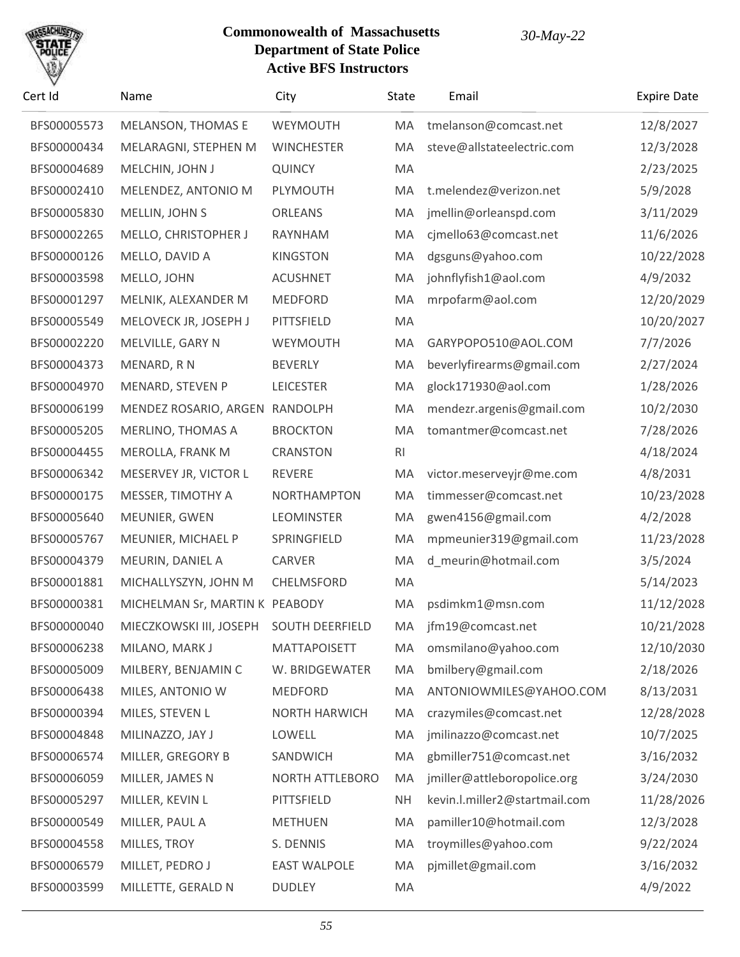

| Cert Id     | Name                           | City                   | <b>State</b>   | Email                         | <b>Expire Date</b> |
|-------------|--------------------------------|------------------------|----------------|-------------------------------|--------------------|
| BFS00005573 | MELANSON, THOMAS E             | WEYMOUTH               | MA             | tmelanson@comcast.net         | 12/8/2027          |
| BFS00000434 | MELARAGNI, STEPHEN M           | <b>WINCHESTER</b>      | MA             | steve@allstateelectric.com    | 12/3/2028          |
| BFS00004689 | MELCHIN, JOHN J                | <b>QUINCY</b>          | MA             |                               | 2/23/2025          |
| BFS00002410 | MELENDEZ, ANTONIO M            | PLYMOUTH               | MA             | t.melendez@verizon.net        | 5/9/2028           |
| BFS00005830 | MELLIN, JOHN S                 | <b>ORLEANS</b>         | MA             | jmellin@orleanspd.com         | 3/11/2029          |
| BFS00002265 | MELLO, CHRISTOPHER J           | RAYNHAM                | MA             | cjmello63@comcast.net         | 11/6/2026          |
| BFS00000126 | MELLO, DAVID A                 | <b>KINGSTON</b>        | MA             | dgsguns@yahoo.com             | 10/22/2028         |
| BFS00003598 | MELLO, JOHN                    | <b>ACUSHNET</b>        | MA             | johnflyfish1@aol.com          | 4/9/2032           |
| BFS00001297 | MELNIK, ALEXANDER M            | <b>MEDFORD</b>         | MA             | mrpofarm@aol.com              | 12/20/2029         |
| BFS00005549 | MELOVECK JR, JOSEPH J          | PITTSFIELD             | MA             |                               | 10/20/2027         |
| BFS00002220 | MELVILLE, GARY N               | WEYMOUTH               | MA             | GARYPOPO510@AOL.COM           | 7/7/2026           |
| BFS00004373 | MENARD, RN                     | <b>BEVERLY</b>         | MA             | beverlyfirearms@gmail.com     | 2/27/2024          |
| BFS00004970 | MENARD, STEVEN P               | <b>LEICESTER</b>       | MA             | glock171930@aol.com           | 1/28/2026          |
| BFS00006199 | MENDEZ ROSARIO, ARGEN RANDOLPH |                        | MA             | mendezr.argenis@gmail.com     | 10/2/2030          |
| BFS00005205 | MERLINO, THOMAS A              | <b>BROCKTON</b>        | MA             | tomantmer@comcast.net         | 7/28/2026          |
| BFS00004455 | MEROLLA, FRANK M               | <b>CRANSTON</b>        | R <sub>l</sub> |                               | 4/18/2024          |
| BFS00006342 | MESERVEY JR, VICTOR L          | <b>REVERE</b>          | MA             | victor.meserveyjr@me.com      | 4/8/2031           |
| BFS00000175 | MESSER, TIMOTHY A              | <b>NORTHAMPTON</b>     | MA             | timmesser@comcast.net         | 10/23/2028         |
| BFS00005640 | MEUNIER, GWEN                  | <b>LEOMINSTER</b>      | MA             | gwen4156@gmail.com            | 4/2/2028           |
| BFS00005767 | MEUNIER, MICHAEL P             | SPRINGFIELD            | MA             | mpmeunier319@gmail.com        | 11/23/2028         |
| BFS00004379 | MEURIN, DANIEL A               | <b>CARVER</b>          | MA             | d_meurin@hotmail.com          | 3/5/2024           |
| BFS00001881 | MICHALLYSZYN, JOHN M           | CHELMSFORD             | MA             |                               | 5/14/2023          |
| BFS00000381 | MICHELMAN Sr, MARTIN K PEABODY |                        | MA             | psdimkm1@msn.com              | 11/12/2028         |
| BFS00000040 | MIECZKOWSKI III, JOSEPH        | <b>SOUTH DEERFIELD</b> | MA             | jfm19@comcast.net             | 10/21/2028         |
| BFS00006238 | MILANO, MARK J                 | <b>MATTAPOISETT</b>    | MA             | omsmilano@yahoo.com           | 12/10/2030         |
| BFS00005009 | MILBERY, BENJAMIN C            | W. BRIDGEWATER         | MA             | bmilbery@gmail.com            | 2/18/2026          |
| BFS00006438 | MILES, ANTONIO W               | <b>MEDFORD</b>         | MA             | ANTONIOWMILES@YAHOO.COM       | 8/13/2031          |
| BFS00000394 | MILES, STEVEN L                | NORTH HARWICH          | MA             | crazymiles@comcast.net        | 12/28/2028         |
| BFS00004848 | MILINAZZO, JAY J               | LOWELL                 | MA             | jmilinazzo@comcast.net        | 10/7/2025          |
| BFS00006574 | MILLER, GREGORY B              | SANDWICH               | MA             | gbmiller751@comcast.net       | 3/16/2032          |
| BFS00006059 | MILLER, JAMES N                | <b>NORTH ATTLEBORO</b> | MA             | jmiller@attleboropolice.org   | 3/24/2030          |
| BFS00005297 | MILLER, KEVIN L                | PITTSFIELD             | <b>NH</b>      | kevin.l.miller2@startmail.com | 11/28/2026         |
| BFS00000549 | MILLER, PAUL A                 | <b>METHUEN</b>         | MA             | pamiller10@hotmail.com        | 12/3/2028          |
| BFS00004558 | MILLES, TROY                   | S. DENNIS              | MA             | troymilles@yahoo.com          | 9/22/2024          |
| BFS00006579 | MILLET, PEDRO J                | <b>EAST WALPOLE</b>    | MA             | pjmillet@gmail.com            | 3/16/2032          |
| BFS00003599 | MILLETTE, GERALD N             | <b>DUDLEY</b>          | MA             |                               | 4/9/2022           |
|             |                                |                        |                |                               |                    |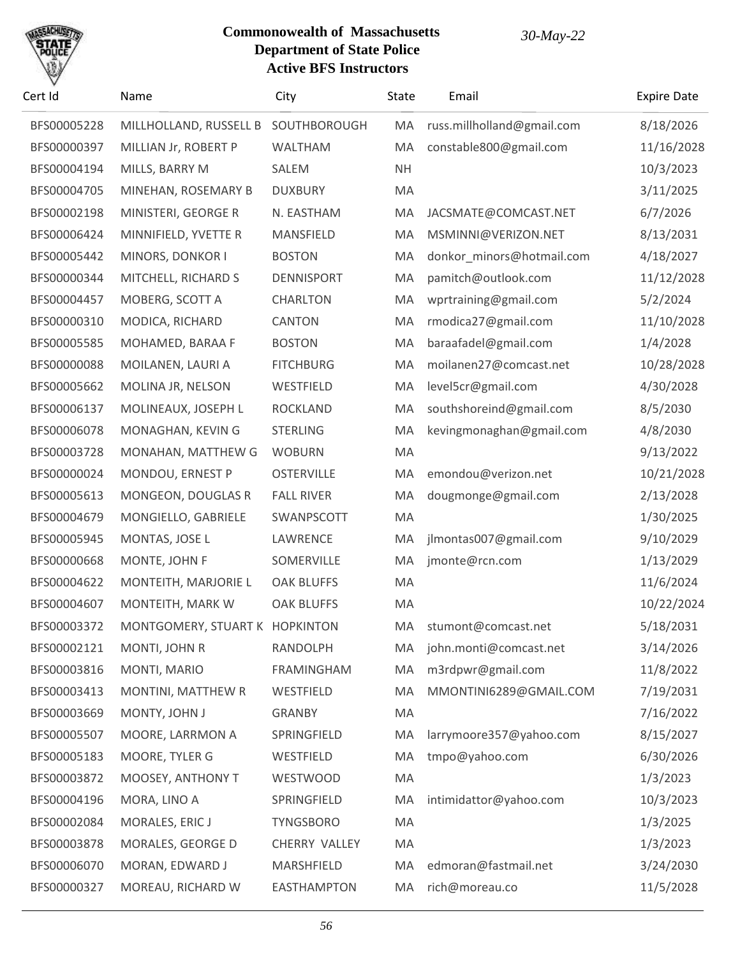# SACHU

| Cert Id     | Name                   | City              | State     | Email                      | <b>Expire Date</b> |
|-------------|------------------------|-------------------|-----------|----------------------------|--------------------|
| BFS00005228 | MILLHOLLAND, RUSSELL B | SOUTHBOROUGH      | MA        | russ.millholland@gmail.com | 8/18/2026          |
| BFS00000397 | MILLIAN Jr, ROBERT P   | <b>WALTHAM</b>    | MA        | constable800@gmail.com     | 11/16/2028         |
| BFS00004194 | MILLS, BARRY M         | SALEM             | <b>NH</b> |                            | 10/3/2023          |
| BFS00004705 | MINEHAN, ROSEMARY B    | <b>DUXBURY</b>    | MA        |                            | 3/11/2025          |
| BFS00002198 | MINISTERI, GEORGE R    | N. EASTHAM        | MA        | JACSMATE@COMCAST.NET       | 6/7/2026           |
| BFS00006424 | MINNIFIELD, YVETTE R   | MANSFIELD         | MA        | MSMINNI@VERIZON.NET        | 8/13/2031          |
| BFS00005442 | MINORS, DONKOR I       | <b>BOSTON</b>     | MA        | donkor minors@hotmail.com  | 4/18/2027          |
| BFS00000344 | MITCHELL, RICHARD S    | <b>DENNISPORT</b> | MA        | pamitch@outlook.com        | 11/12/2028         |
| BFS00004457 | MOBERG, SCOTT A        | <b>CHARLTON</b>   | MA        | wprtraining@gmail.com      | 5/2/2024           |
| BFS00000310 | MODICA, RICHARD        | <b>CANTON</b>     | MA        | rmodica27@gmail.com        | 11/10/2028         |
| BFS00005585 | MOHAMED, BARAA F       | <b>BOSTON</b>     | MA        | baraafadel@gmail.com       | 1/4/2028           |
| BFS00000088 | MOILANEN, LAURI A      | <b>FITCHBURG</b>  | MA        | moilanen27@comcast.net     | 10/28/2028         |
| BFS00005662 | MOLINA JR, NELSON      | WESTFIELD         | MA        | level5cr@gmail.com         | 4/30/2028          |
| BFS00006137 | MOLINEAUX, JOSEPH L    | <b>ROCKLAND</b>   | MA        | southshoreind@gmail.com    | 8/5/2030           |
| BFS00006078 | MONAGHAN, KEVIN G      | <b>STERLING</b>   | MA        | kevingmonaghan@gmail.com   | 4/8/2030           |
| BFS00003728 | MONAHAN, MATTHEW G     | <b>WOBURN</b>     | MA        |                            | 9/13/2022          |
| BFS00000024 | MONDOU, ERNEST P       | <b>OSTERVILLE</b> | MA        | emondou@verizon.net        | 10/21/2028         |
| BFS00005613 | MONGEON, DOUGLAS R     | <b>FALL RIVER</b> | MA        | dougmonge@gmail.com        | 2/13/2028          |
| BFS00004679 | MONGIELLO, GABRIELE    | SWANPSCOTT        | MA        |                            | 1/30/2025          |
| BFS00005945 | MONTAS, JOSE L         | LAWRENCE          | MA        | jlmontas007@gmail.com      | 9/10/2029          |
| BFS00000668 | MONTE, JOHN F          | SOMERVILLE        | MA        | jmonte@rcn.com             | 1/13/2029          |
| BFS00004622 | MONTEITH, MARJORIE L   | <b>OAK BLUFFS</b> | MA        |                            | 11/6/2024          |
| BFS00004607 | MONTEITH, MARK W       | <b>OAK BLUFFS</b> | MA        |                            | 10/22/2024         |
| BFS00003372 | MONTGOMERY, STUART K   | <b>HOPKINTON</b>  | MA        | stumont@comcast.net        | 5/18/2031          |
| BFS00002121 | MONTI, JOHN R          | RANDOLPH          | MA        | john.monti@comcast.net     | 3/14/2026          |
| BFS00003816 | MONTI, MARIO           | FRAMINGHAM        | MA        | m3rdpwr@gmail.com          | 11/8/2022          |
| BFS00003413 | MONTINI, MATTHEW R     | WESTFIELD         | MA        | MMONTINI6289@GMAIL.COM     | 7/19/2031          |
| BFS00003669 | MONTY, JOHN J          | <b>GRANBY</b>     | MA        |                            | 7/16/2022          |
| BFS00005507 | MOORE, LARRMON A       | SPRINGFIELD       | MA        | larrymoore357@yahoo.com    | 8/15/2027          |
| BFS00005183 | MOORE, TYLER G         | WESTFIELD         | MA        | tmpo@yahoo.com             | 6/30/2026          |
| BFS00003872 | MOOSEY, ANTHONY T      | <b>WESTWOOD</b>   | MA        |                            | 1/3/2023           |
| BFS00004196 | MORA, LINO A           | SPRINGFIELD       | MA        | intimidattor@yahoo.com     | 10/3/2023          |
| BFS00002084 | MORALES, ERIC J        | <b>TYNGSBORO</b>  | MA        |                            | 1/3/2025           |
| BFS00003878 | MORALES, GEORGE D      | CHERRY VALLEY     | MA        |                            | 1/3/2023           |
| BFS00006070 | MORAN, EDWARD J        | MARSHFIELD        | MA        | edmoran@fastmail.net       | 3/24/2030          |
| BFS00000327 | MOREAU, RICHARD W      | EASTHAMPTON       | МA        | rich@moreau.co             | 11/5/2028          |
|             |                        |                   |           |                            |                    |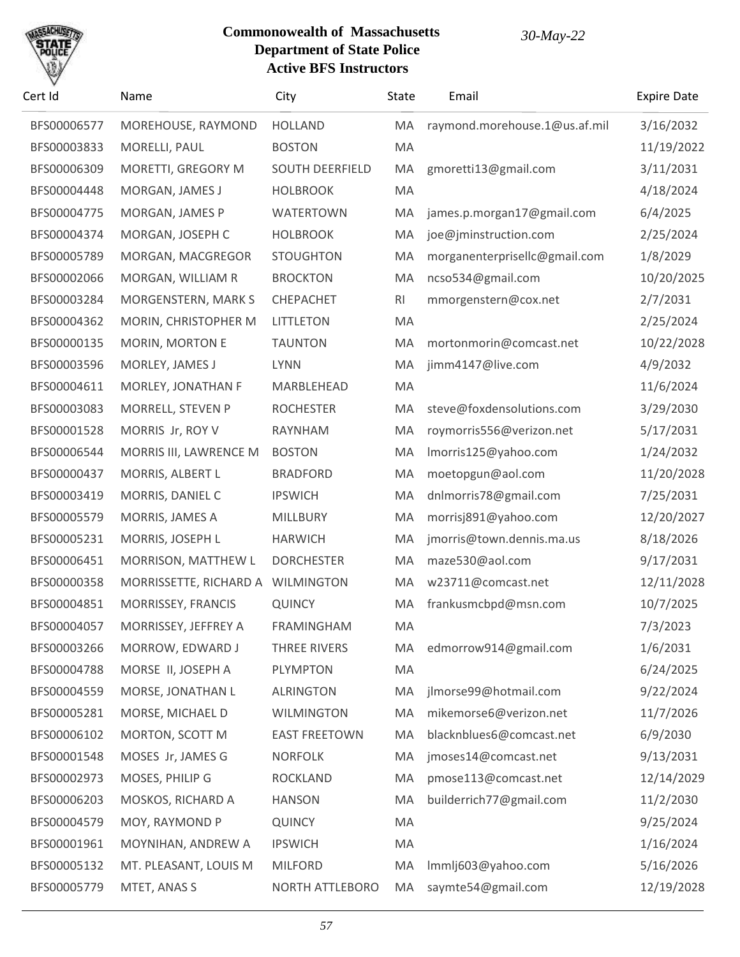

| Cert Id     | Name                              | City                   | <b>State</b> | Email                         | <b>Expire Date</b> |
|-------------|-----------------------------------|------------------------|--------------|-------------------------------|--------------------|
| BFS00006577 | MOREHOUSE, RAYMOND                | <b>HOLLAND</b>         | MA           | raymond.morehouse.1@us.af.mil | 3/16/2032          |
| BFS00003833 | MORELLI, PAUL                     | <b>BOSTON</b>          | MA           |                               | 11/19/2022         |
| BFS00006309 | MORETTI, GREGORY M                | <b>SOUTH DEERFIELD</b> | MA           | gmoretti13@gmail.com          | 3/11/2031          |
| BFS00004448 | MORGAN, JAMES J                   | <b>HOLBROOK</b>        | MA           |                               | 4/18/2024          |
| BFS00004775 | MORGAN, JAMES P                   | <b>WATERTOWN</b>       | MA           | james.p.morgan17@gmail.com    | 6/4/2025           |
| BFS00004374 | MORGAN, JOSEPH C                  | <b>HOLBROOK</b>        | MA           | joe@jminstruction.com         | 2/25/2024          |
| BFS00005789 | MORGAN, MACGREGOR                 | <b>STOUGHTON</b>       | MA           | morganenterprisellc@gmail.com | 1/8/2029           |
| BFS00002066 | MORGAN, WILLIAM R                 | <b>BROCKTON</b>        | MA           | ncso534@gmail.com             | 10/20/2025         |
| BFS00003284 | MORGENSTERN, MARK S               | CHEPACHET              | RI           | mmorgenstern@cox.net          | 2/7/2031           |
| BFS00004362 | MORIN, CHRISTOPHER M              | <b>LITTLETON</b>       | MA           |                               | 2/25/2024          |
| BFS00000135 | MORIN, MORTON E                   | <b>TAUNTON</b>         | MA           | mortonmorin@comcast.net       | 10/22/2028         |
| BFS00003596 | MORLEY, JAMES J                   | <b>LYNN</b>            | MA           | jimm4147@live.com             | 4/9/2032           |
| BFS00004611 | MORLEY, JONATHAN F                | MARBLEHEAD             | MA           |                               | 11/6/2024          |
| BFS00003083 | MORRELL, STEVEN P                 | <b>ROCHESTER</b>       | MA           | steve@foxdensolutions.com     | 3/29/2030          |
| BFS00001528 | MORRIS Jr, ROY V                  | RAYNHAM                | MA           | roymorris556@verizon.net      | 5/17/2031          |
| BFS00006544 | MORRIS III, LAWRENCE M            | <b>BOSTON</b>          | MA           | Imorris125@yahoo.com          | 1/24/2032          |
| BFS00000437 | MORRIS, ALBERT L                  | <b>BRADFORD</b>        | MA           | moetopgun@aol.com             | 11/20/2028         |
| BFS00003419 | MORRIS, DANIEL C                  | <b>IPSWICH</b>         | MA           | dnlmorris78@gmail.com         | 7/25/2031          |
| BFS00005579 | MORRIS, JAMES A                   | MILLBURY               | MA           | morrisj891@yahoo.com          | 12/20/2027         |
| BFS00005231 | MORRIS, JOSEPH L                  | <b>HARWICH</b>         | MA           | jmorris@town.dennis.ma.us     | 8/18/2026          |
| BFS00006451 | MORRISON, MATTHEW L               | <b>DORCHESTER</b>      | MA           | maze530@aol.com               | 9/17/2031          |
| BFS00000358 | MORRISSETTE, RICHARD A WILMINGTON |                        | MA           | w23711@comcast.net            | 12/11/2028         |
| BFS00004851 | MORRISSEY, FRANCIS                | <b>QUINCY</b>          | MA           | frankusmcbpd@msn.com          | 10/7/2025          |
| BFS00004057 | MORRISSEY, JEFFREY A              | <b>FRAMINGHAM</b>      | MA           |                               | 7/3/2023           |
| BFS00003266 | MORROW, EDWARD J                  | THREE RIVERS           | MA           | edmorrow914@gmail.com         | 1/6/2031           |
| BFS00004788 | MORSE II, JOSEPH A                | <b>PLYMPTON</b>        | MA           |                               | 6/24/2025          |
| BFS00004559 | MORSE, JONATHAN L                 | <b>ALRINGTON</b>       | MA           | jlmorse99@hotmail.com         | 9/22/2024          |
| BFS00005281 | MORSE, MICHAEL D                  | <b>WILMINGTON</b>      | MA           | mikemorse6@verizon.net        | 11/7/2026          |
| BFS00006102 | MORTON, SCOTT M                   | <b>EAST FREETOWN</b>   | MA           | blacknblues6@comcast.net      | 6/9/2030           |
| BFS00001548 | MOSES Jr, JAMES G                 | <b>NORFOLK</b>         | MA           | jmoses14@comcast.net          | 9/13/2031          |
| BFS00002973 | MOSES, PHILIP G                   | <b>ROCKLAND</b>        | MA           | pmose113@comcast.net          | 12/14/2029         |
| BFS00006203 | MOSKOS, RICHARD A                 | <b>HANSON</b>          | MA           | builderrich77@gmail.com       | 11/2/2030          |
| BFS00004579 | MOY, RAYMOND P                    | <b>QUINCY</b>          | MA           |                               | 9/25/2024          |
| BFS00001961 | MOYNIHAN, ANDREW A                | <b>IPSWICH</b>         | MA           |                               | 1/16/2024          |
| BFS00005132 | MT. PLEASANT, LOUIS M             | <b>MILFORD</b>         | MA           | lmmlj603@yahoo.com            | 5/16/2026          |
| BFS00005779 | MTET, ANAS S                      | NORTH ATTLEBORO        | MA           | saymte54@gmail.com            | 12/19/2028         |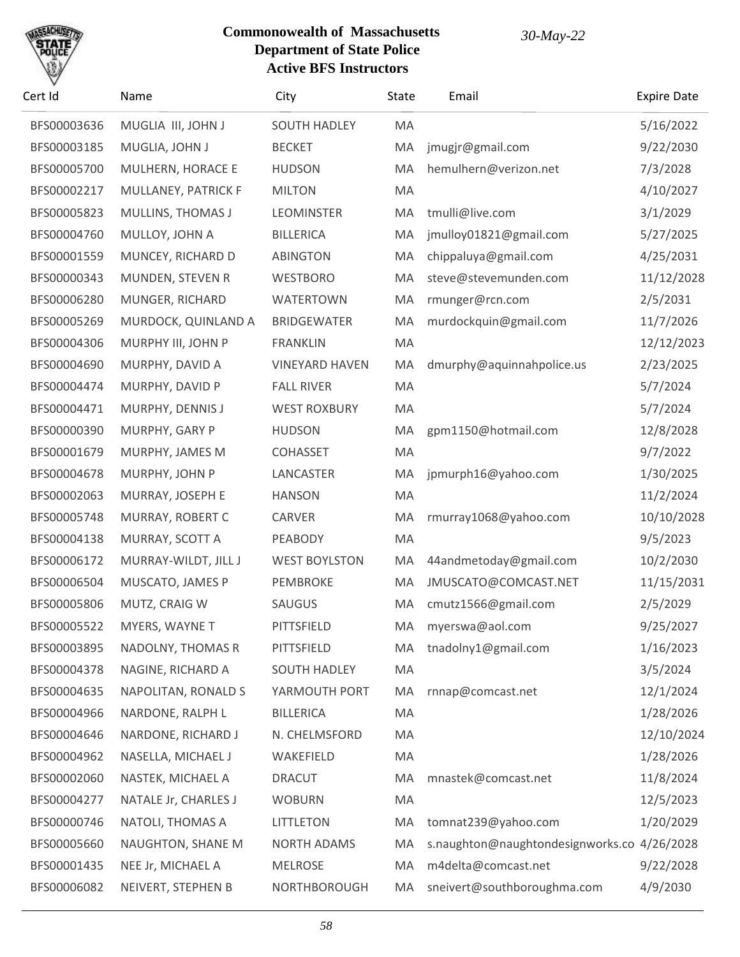

| Cert Id     | Name                 | City                  | State | Email                                       | <b>Expire Date</b> |
|-------------|----------------------|-----------------------|-------|---------------------------------------------|--------------------|
| BFS00003636 | MUGLIA III, JOHN J   | <b>SOUTH HADLEY</b>   | MA    |                                             | 5/16/2022          |
| BFS00003185 | MUGLIA, JOHN J       | <b>BECKET</b>         | MA    | jmugjr@gmail.com                            | 9/22/2030          |
| BFS00005700 | MULHERN, HORACE E    | <b>HUDSON</b>         | MA    | hemulhern@verizon.net                       | 7/3/2028           |
| BFS00002217 | MULLANEY, PATRICK F  | <b>MILTON</b>         | MA    |                                             | 4/10/2027          |
| BFS00005823 | MULLINS, THOMAS J    | <b>LEOMINSTER</b>     | MA    | tmulli@live.com                             | 3/1/2029           |
| BFS00004760 | MULLOY, JOHN A       | <b>BILLERICA</b>      | MA    | jmulloy01821@gmail.com                      | 5/27/2025          |
| BFS00001559 | MUNCEY, RICHARD D    | <b>ABINGTON</b>       | MA    | chippaluya@gmail.com                        | 4/25/2031          |
| BFS00000343 | MUNDEN, STEVEN R     | <b>WESTBORO</b>       | MA    | steve@stevemunden.com                       | 11/12/2028         |
| BFS00006280 | MUNGER, RICHARD      | <b>WATERTOWN</b>      | MA    | rmunger@rcn.com                             | 2/5/2031           |
| BFS00005269 | MURDOCK, QUINLAND A  | <b>BRIDGEWATER</b>    | MA    | murdockquin@gmail.com                       | 11/7/2026          |
| BFS00004306 | MURPHY III, JOHN P   | <b>FRANKLIN</b>       | MA    |                                             | 12/12/2023         |
| BFS00004690 | MURPHY, DAVID A      | <b>VINEYARD HAVEN</b> | MA    | dmurphy@aquinnahpolice.us                   | 2/23/2025          |
| BFS00004474 | MURPHY, DAVID P      | <b>FALL RIVER</b>     | MA    |                                             | 5/7/2024           |
| BFS00004471 | MURPHY, DENNIS J     | <b>WEST ROXBURY</b>   | MA    |                                             | 5/7/2024           |
| BFS00000390 | MURPHY, GARY P       | <b>HUDSON</b>         | MA    | gpm1150@hotmail.com                         | 12/8/2028          |
| BFS00001679 | MURPHY, JAMES M      | <b>COHASSET</b>       | MA    |                                             | 9/7/2022           |
| BFS00004678 | MURPHY, JOHN P       | LANCASTER             | MA    | jpmurph16@yahoo.com                         | 1/30/2025          |
| BFS00002063 | MURRAY, JOSEPH E     | <b>HANSON</b>         | MA    |                                             | 11/2/2024          |
| BFS00005748 | MURRAY, ROBERT C     | CARVER                | MA    | rmurray1068@yahoo.com                       | 10/10/2028         |
| BFS00004138 | MURRAY, SCOTT A      | PEABODY               | MA    |                                             | 9/5/2023           |
| BFS00006172 | MURRAY-WILDT, JILL J | <b>WEST BOYLSTON</b>  | MA    | 44andmetoday@gmail.com                      | 10/2/2030          |
| BFS00006504 | MUSCATO, JAMES P     | <b>PEMBROKE</b>       | MA    | JMUSCATO@COMCAST.NET                        | 11/15/2031         |
| BFS00005806 | MUTZ, CRAIG W        | SAUGUS                | MA    | cmutz1566@gmail.com                         | 2/5/2029           |
| BFS00005522 | MYERS, WAYNE T       | PITTSFIELD            |       | MA myerswa@aol.com                          | 9/25/2027          |
| BFS00003895 | NADOLNY, THOMAS R    | PITTSFIELD            | MA    | tnadolny1@gmail.com                         | 1/16/2023          |
| BFS00004378 | NAGINE, RICHARD A    | <b>SOUTH HADLEY</b>   | MA    |                                             | 3/5/2024           |
| BFS00004635 | NAPOLITAN, RONALD S  | YARMOUTH PORT         | MA    | rnnap@comcast.net                           | 12/1/2024          |
| BFS00004966 | NARDONE, RALPH L     | <b>BILLERICA</b>      | MA    |                                             | 1/28/2026          |
| BFS00004646 | NARDONE, RICHARD J   | N. CHELMSFORD         | MA    |                                             | 12/10/2024         |
| BFS00004962 | NASELLA, MICHAEL J   | WAKEFIELD             | MA    |                                             | 1/28/2026          |
| BFS00002060 | NASTEK, MICHAEL A    | <b>DRACUT</b>         | MA    | mnastek@comcast.net                         | 11/8/2024          |
| BFS00004277 | NATALE Jr, CHARLES J | <b>WOBURN</b>         | MA    |                                             | 12/5/2023          |
| BFS00000746 | NATOLI, THOMAS A     | <b>LITTLETON</b>      | MA    | tomnat239@yahoo.com                         | 1/20/2029          |
| BFS00005660 | NAUGHTON, SHANE M    | <b>NORTH ADAMS</b>    | MA    | s.naughton@naughtondesignworks.co 4/26/2028 |                    |
| BFS00001435 | NEE Jr, MICHAEL A    | <b>MELROSE</b>        | MA    | m4delta@comcast.net                         | 9/22/2028          |
| BFS00006082 | NEIVERT, STEPHEN B   | NORTHBOROUGH          | MA    | sneivert@southboroughma.com                 | 4/9/2030           |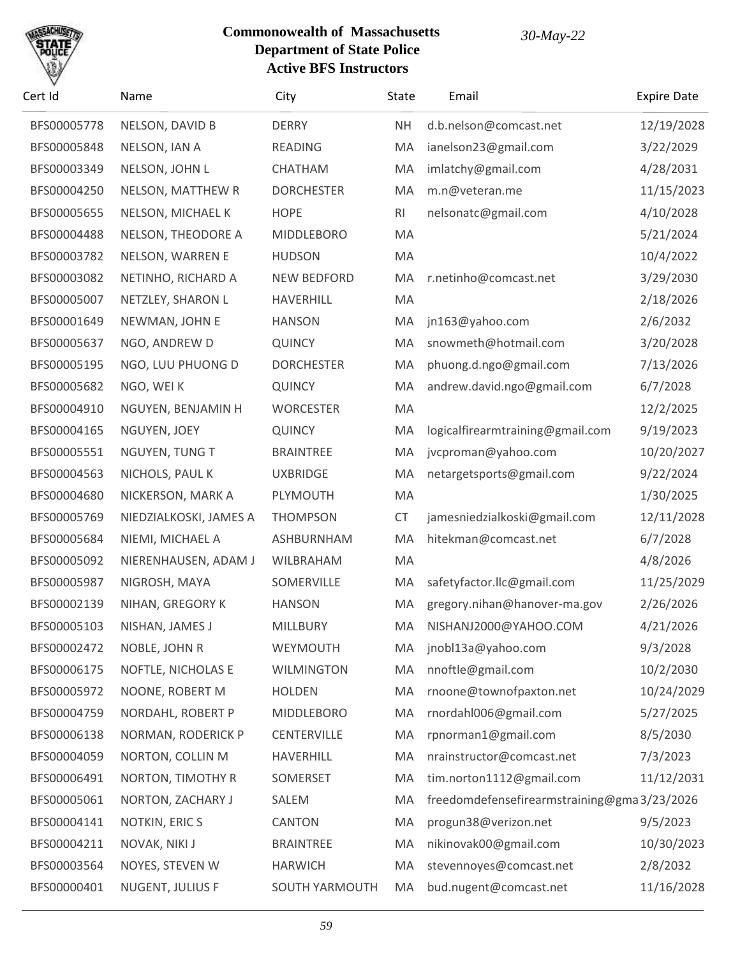

| Cert Id     | Name                   | City               | <b>State</b>   | Email                                       | <b>Expire Date</b> |
|-------------|------------------------|--------------------|----------------|---------------------------------------------|--------------------|
| BFS00005778 | NELSON, DAVID B        | <b>DERRY</b>       | <b>NH</b>      | d.b.nelson@comcast.net                      | 12/19/2028         |
| BFS00005848 | NELSON, IAN A          | <b>READING</b>     | MA             | ianelson23@gmail.com                        | 3/22/2029          |
| BFS00003349 | NELSON, JOHN L         | CHATHAM            | MA             | imlatchy@gmail.com                          | 4/28/2031          |
| BFS00004250 | NELSON, MATTHEW R      | <b>DORCHESTER</b>  | MA             | m.n@veteran.me                              | 11/15/2023         |
| BFS00005655 | NELSON, MICHAEL K      | <b>HOPE</b>        | R <sub>l</sub> | nelsonatc@gmail.com                         | 4/10/2028          |
| BFS00004488 | NELSON, THEODORE A     | <b>MIDDLEBORO</b>  | MA             |                                             | 5/21/2024          |
| BFS00003782 | NELSON, WARREN E       | <b>HUDSON</b>      | MA             |                                             | 10/4/2022          |
| BFS00003082 | NETINHO, RICHARD A     | <b>NEW BEDFORD</b> | MA             | r.netinho@comcast.net                       | 3/29/2030          |
| BFS00005007 | NETZLEY, SHARON L      | <b>HAVERHILL</b>   | MA             |                                             | 2/18/2026          |
| BFS00001649 | NEWMAN, JOHN E         | <b>HANSON</b>      | MA             | jn163@yahoo.com                             | 2/6/2032           |
| BFS00005637 | NGO, ANDREW D          | <b>QUINCY</b>      | MA             | snowmeth@hotmail.com                        | 3/20/2028          |
| BFS00005195 | NGO, LUU PHUONG D      | <b>DORCHESTER</b>  | MA             | phuong.d.ngo@gmail.com                      | 7/13/2026          |
| BFS00005682 | NGO, WEI K             | <b>QUINCY</b>      | MA             | andrew.david.ngo@gmail.com                  | 6/7/2028           |
| BFS00004910 | NGUYEN, BENJAMIN H     | <b>WORCESTER</b>   | MA             |                                             | 12/2/2025          |
| BFS00004165 | NGUYEN, JOEY           | <b>QUINCY</b>      | MA             | logicalfirearmtraining@gmail.com            | 9/19/2023          |
| BFS00005551 | NGUYEN, TUNG T         | <b>BRAINTREE</b>   | MA             | jvcproman@yahoo.com                         | 10/20/2027         |
| BFS00004563 | NICHOLS, PAUL K        | <b>UXBRIDGE</b>    | MA             | netargetsports@gmail.com                    | 9/22/2024          |
| BFS00004680 | NICKERSON, MARK A      | PLYMOUTH           | MA             |                                             | 1/30/2025          |
| BFS00005769 | NIEDZIALKOSKI, JAMES A | <b>THOMPSON</b>    | <b>CT</b>      | jamesniedzialkoski@gmail.com                | 12/11/2028         |
| BFS00005684 | NIEMI, MICHAEL A       | ASHBURNHAM         | MA             | hitekman@comcast.net                        | 6/7/2028           |
| BFS00005092 | NIERENHAUSEN, ADAM J   | <b>WILBRAHAM</b>   | MA             |                                             | 4/8/2026           |
| BFS00005987 | NIGROSH, MAYA          | SOMERVILLE         | MA             | safetyfactor.llc@gmail.com                  | 11/25/2029         |
| BFS00002139 | NIHAN, GREGORY K       | <b>HANSON</b>      | MA             | gregory.nihan@hanover-ma.gov                | 2/26/2026          |
| BFS00005103 | NISHAN, JAMES J        | MILLBURY           | MA.            | NISHANJ2000@YAHOO.COM                       | 4/21/2026          |
| BFS00002472 | NOBLE, JOHN R          | WEYMOUTH           | MA             | jnobl13a@yahoo.com                          | 9/3/2028           |
| BFS00006175 | NOFTLE, NICHOLAS E     | <b>WILMINGTON</b>  | MA             | nnoftle@gmail.com                           | 10/2/2030          |
| BFS00005972 | NOONE, ROBERT M        | <b>HOLDEN</b>      | MA             | rnoone@townofpaxton.net                     | 10/24/2029         |
| BFS00004759 | NORDAHL, ROBERT P      | <b>MIDDLEBORO</b>  | MA             | rnordahl006@gmail.com                       | 5/27/2025          |
| BFS00006138 | NORMAN, RODERICK P     | <b>CENTERVILLE</b> | MA             | rpnorman1@gmail.com                         | 8/5/2030           |
| BFS00004059 | NORTON, COLLIN M       | HAVERHILL          | MA             | nrainstructor@comcast.net                   | 7/3/2023           |
| BFS00006491 | NORTON, TIMOTHY R      | SOMERSET           | MA             | tim.norton1112@gmail.com                    | 11/12/2031         |
| BFS00005061 | NORTON, ZACHARY J      | SALEM              | MA             | freedomdefensefirearmstraining@gma3/23/2026 |                    |
| BFS00004141 | NOTKIN, ERIC S         | CANTON             | MA             | progun38@verizon.net                        | 9/5/2023           |
| BFS00004211 | NOVAK, NIKI J          | <b>BRAINTREE</b>   | MA             | nikinovak00@gmail.com                       | 10/30/2023         |
| BFS00003564 | NOYES, STEVEN W        | <b>HARWICH</b>     | MA             | stevennoyes@comcast.net                     | 2/8/2032           |
| BFS00000401 | NUGENT, JULIUS F       | SOUTH YARMOUTH     | MA             | bud.nugent@comcast.net                      | 11/16/2028         |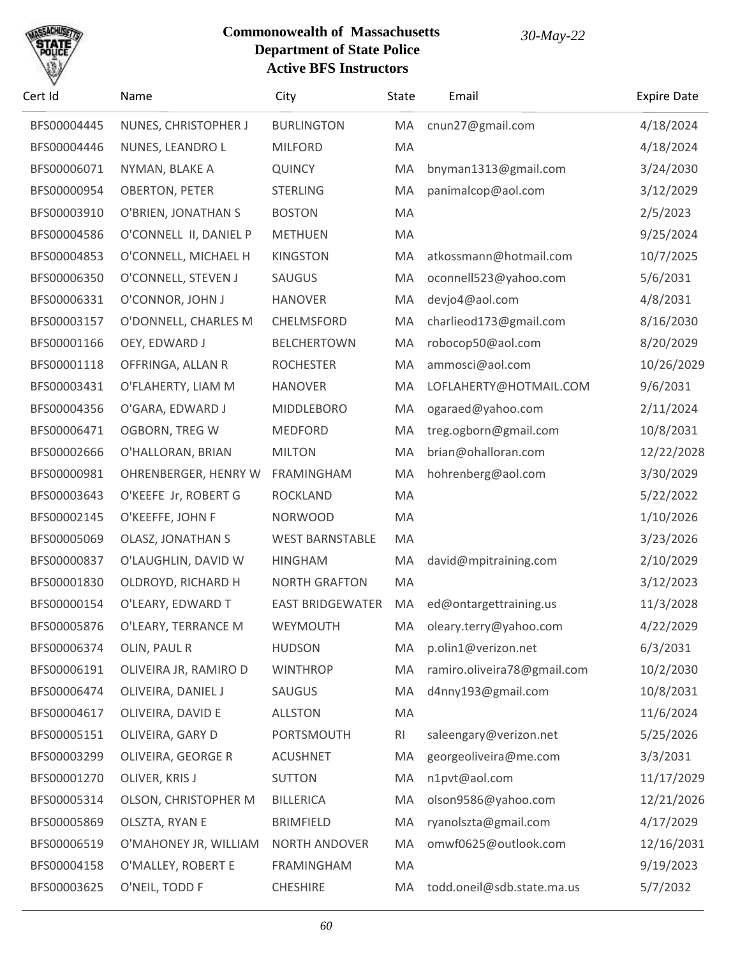

| Cert Id     | Name                     | City                    | <b>State</b> | Email                       | <b>Expire Date</b> |
|-------------|--------------------------|-------------------------|--------------|-----------------------------|--------------------|
| BFS00004445 | NUNES, CHRISTOPHER J     | <b>BURLINGTON</b>       | MA           | cnun27@gmail.com            | 4/18/2024          |
| BFS00004446 | NUNES, LEANDRO L         | <b>MILFORD</b>          | MA           |                             | 4/18/2024          |
| BFS00006071 | NYMAN, BLAKE A           | <b>QUINCY</b>           | MA           | bnyman1313@gmail.com        | 3/24/2030          |
| BFS00000954 | <b>OBERTON, PETER</b>    | <b>STERLING</b>         | MA           | panimalcop@aol.com          | 3/12/2029          |
| BFS00003910 | O'BRIEN, JONATHAN S      | <b>BOSTON</b>           | MA           |                             | 2/5/2023           |
| BFS00004586 | O'CONNELL II, DANIEL P   | <b>METHUEN</b>          | MA           |                             | 9/25/2024          |
| BFS00004853 | O'CONNELL, MICHAEL H     | <b>KINGSTON</b>         | MA           | atkossmann@hotmail.com      | 10/7/2025          |
| BFS00006350 | O'CONNELL, STEVEN J      | SAUGUS                  | MA           | oconnell523@yahoo.com       | 5/6/2031           |
| BFS00006331 | O'CONNOR, JOHN J         | <b>HANOVER</b>          | MA           | devjo4@aol.com              | 4/8/2031           |
| BFS00003157 | O'DONNELL, CHARLES M     | CHELMSFORD              | MA           | charlieod173@gmail.com      | 8/16/2030          |
| BFS00001166 | OEY, EDWARD J            | <b>BELCHERTOWN</b>      | MA           | robocop50@aol.com           | 8/20/2029          |
| BFS00001118 | OFFRINGA, ALLAN R        | <b>ROCHESTER</b>        | MA           | ammosci@aol.com             | 10/26/2029         |
| BFS00003431 | O'FLAHERTY, LIAM M       | <b>HANOVER</b>          | MA           | LOFLAHERTY@HOTMAIL.COM      | 9/6/2031           |
| BFS00004356 | O'GARA, EDWARD J         | <b>MIDDLEBORO</b>       | MA           | ogaraed@yahoo.com           | 2/11/2024          |
| BFS00006471 | <b>OGBORN, TREG W</b>    | <b>MEDFORD</b>          | MA           | treg.ogborn@gmail.com       | 10/8/2031          |
| BFS00002666 | O'HALLORAN, BRIAN        | <b>MILTON</b>           | MA           | brian@ohalloran.com         | 12/22/2028         |
| BFS00000981 | OHRENBERGER, HENRY W     | <b>FRAMINGHAM</b>       | MA           | hohrenberg@aol.com          | 3/30/2029          |
| BFS00003643 | O'KEEFE Jr, ROBERT G     | <b>ROCKLAND</b>         | MA           |                             | 5/22/2022          |
| BFS00002145 | O'KEEFFE, JOHN F         | <b>NORWOOD</b>          | MA           |                             | 1/10/2026          |
| BFS00005069 | <b>OLASZ, JONATHAN S</b> | <b>WEST BARNSTABLE</b>  | MA           |                             | 3/23/2026          |
| BFS00000837 | O'LAUGHLIN, DAVID W      | <b>HINGHAM</b>          | MA           | david@mpitraining.com       | 2/10/2029          |
| BFS00001830 | OLDROYD, RICHARD H       | <b>NORTH GRAFTON</b>    | MA           |                             | 3/12/2023          |
| BFS00000154 | O'LEARY, EDWARD T        | <b>EAST BRIDGEWATER</b> | MA           | ed@ontargettraining.us      | 11/3/2028          |
| BFS00005876 | O'LEARY, TERRANCE M      | <b>WEYMOUTH</b>         | MA           | oleary.terry@yahoo.com      | 4/22/2029          |
| BFS00006374 | OLIN, PAUL R             | <b>HUDSON</b>           | MA           | p.olin1@verizon.net         | 6/3/2031           |
| BFS00006191 | OLIVEIRA JR, RAMIRO D    | <b>WINTHROP</b>         | MA           | ramiro.oliveira78@gmail.com | 10/2/2030          |
| BFS00006474 | OLIVEIRA, DANIEL J       | <b>SAUGUS</b>           | MA           | d4nny193@gmail.com          | 10/8/2031          |
| BFS00004617 | OLIVEIRA, DAVID E        | <b>ALLSTON</b>          | MA           |                             | 11/6/2024          |
| BFS00005151 | OLIVEIRA, GARY D         | PORTSMOUTH              | RI           | saleengary@verizon.net      | 5/25/2026          |
| BFS00003299 | OLIVEIRA, GEORGE R       | <b>ACUSHNET</b>         | MA           | georgeoliveira@me.com       | 3/3/2031           |
| BFS00001270 | OLIVER, KRIS J           | <b>SUTTON</b>           | MA           | n1pvt@aol.com               | 11/17/2029         |
| BFS00005314 | OLSON, CHRISTOPHER M     | <b>BILLERICA</b>        | MA           | olson9586@yahoo.com         | 12/21/2026         |
| BFS00005869 | OLSZTA, RYAN E           | <b>BRIMFIELD</b>        | MA           | ryanolszta@gmail.com        | 4/17/2029          |
| BFS00006519 | O'MAHONEY JR, WILLIAM    | NORTH ANDOVER           | MA           | omwf0625@outlook.com        | 12/16/2031         |
| BFS00004158 | O'MALLEY, ROBERT E       | <b>FRAMINGHAM</b>       | MA           |                             | 9/19/2023          |
| BFS00003625 | O'NEIL, TODD F           | <b>CHESHIRE</b>         | МA           | todd.oneil@sdb.state.ma.us  | 5/7/2032           |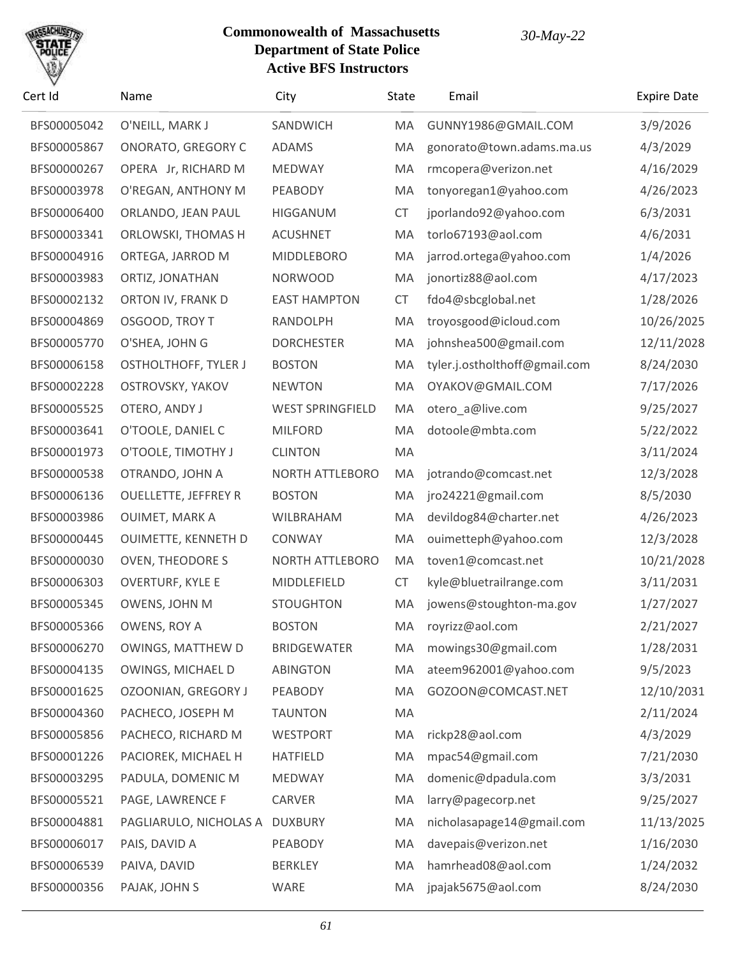

| BFS00005042<br>O'NEILL, MARK J<br>SANDWICH<br>GUNNY1986@GMAIL.COM<br>MA<br>BFS00005867<br><b>ONORATO, GREGORY C</b><br><b>ADAMS</b><br>gonorato@town.adams.ma.us<br>MA<br>BFS00000267<br>OPERA Jr, RICHARD M<br>MEDWAY<br>MA<br>rmcopera@verizon.net<br>BFS00003978<br>O'REGAN, ANTHONY M<br>PEABODY<br>MA<br>tonyoregan1@yahoo.com<br>BFS00006400<br>ORLANDO, JEAN PAUL<br><b>CT</b><br>jporlando92@yahoo.com<br><b>HIGGANUM</b><br>BFS00003341<br>ORLOWSKI, THOMAS H<br>MA<br>torlo67193@aol.com<br><b>ACUSHNET</b><br>BFS00004916<br>ORTEGA, JARROD M<br><b>MIDDLEBORO</b><br>MA<br>jarrod.ortega@yahoo.com<br>BFS00003983<br>ORTIZ, JONATHAN<br>jonortiz88@aol.com<br><b>NORWOOD</b><br>MA<br>BFS00002132<br>ORTON IV, FRANK D<br><b>EAST HAMPTON</b><br><b>CT</b><br>fdo4@sbcglobal.net<br>BFS00004869<br>OSGOOD, TROY T<br>RANDOLPH<br>MA<br>troyosgood@icloud.com<br>BFS00005770<br>O'SHEA, JOHN G<br>MA<br>johnshea500@gmail.com<br><b>DORCHESTER</b><br>BFS00006158<br><b>OSTHOLTHOFF, TYLER J</b><br>tyler.j.ostholthoff@gmail.com<br><b>BOSTON</b><br>MA<br>BFS00002228<br>OSTROVSKY, YAKOV<br>MA<br>OYAKOV@GMAIL.COM<br><b>NEWTON</b><br>BFS00005525<br>OTERO, ANDY J<br><b>WEST SPRINGFIELD</b><br>otero_a@live.com<br>MA<br>BFS00003641<br>O'TOOLE, DANIEL C<br><b>MILFORD</b><br>MA<br>dotoole@mbta.com | <b>Expire Date</b> |
|------------------------------------------------------------------------------------------------------------------------------------------------------------------------------------------------------------------------------------------------------------------------------------------------------------------------------------------------------------------------------------------------------------------------------------------------------------------------------------------------------------------------------------------------------------------------------------------------------------------------------------------------------------------------------------------------------------------------------------------------------------------------------------------------------------------------------------------------------------------------------------------------------------------------------------------------------------------------------------------------------------------------------------------------------------------------------------------------------------------------------------------------------------------------------------------------------------------------------------------------------------------------------------------------------------------------|--------------------|
|                                                                                                                                                                                                                                                                                                                                                                                                                                                                                                                                                                                                                                                                                                                                                                                                                                                                                                                                                                                                                                                                                                                                                                                                                                                                                                                        | 3/9/2026           |
|                                                                                                                                                                                                                                                                                                                                                                                                                                                                                                                                                                                                                                                                                                                                                                                                                                                                                                                                                                                                                                                                                                                                                                                                                                                                                                                        | 4/3/2029           |
|                                                                                                                                                                                                                                                                                                                                                                                                                                                                                                                                                                                                                                                                                                                                                                                                                                                                                                                                                                                                                                                                                                                                                                                                                                                                                                                        | 4/16/2029          |
|                                                                                                                                                                                                                                                                                                                                                                                                                                                                                                                                                                                                                                                                                                                                                                                                                                                                                                                                                                                                                                                                                                                                                                                                                                                                                                                        | 4/26/2023          |
|                                                                                                                                                                                                                                                                                                                                                                                                                                                                                                                                                                                                                                                                                                                                                                                                                                                                                                                                                                                                                                                                                                                                                                                                                                                                                                                        | 6/3/2031           |
|                                                                                                                                                                                                                                                                                                                                                                                                                                                                                                                                                                                                                                                                                                                                                                                                                                                                                                                                                                                                                                                                                                                                                                                                                                                                                                                        | 4/6/2031           |
|                                                                                                                                                                                                                                                                                                                                                                                                                                                                                                                                                                                                                                                                                                                                                                                                                                                                                                                                                                                                                                                                                                                                                                                                                                                                                                                        | 1/4/2026           |
|                                                                                                                                                                                                                                                                                                                                                                                                                                                                                                                                                                                                                                                                                                                                                                                                                                                                                                                                                                                                                                                                                                                                                                                                                                                                                                                        | 4/17/2023          |
|                                                                                                                                                                                                                                                                                                                                                                                                                                                                                                                                                                                                                                                                                                                                                                                                                                                                                                                                                                                                                                                                                                                                                                                                                                                                                                                        | 1/28/2026          |
|                                                                                                                                                                                                                                                                                                                                                                                                                                                                                                                                                                                                                                                                                                                                                                                                                                                                                                                                                                                                                                                                                                                                                                                                                                                                                                                        | 10/26/2025         |
|                                                                                                                                                                                                                                                                                                                                                                                                                                                                                                                                                                                                                                                                                                                                                                                                                                                                                                                                                                                                                                                                                                                                                                                                                                                                                                                        | 12/11/2028         |
|                                                                                                                                                                                                                                                                                                                                                                                                                                                                                                                                                                                                                                                                                                                                                                                                                                                                                                                                                                                                                                                                                                                                                                                                                                                                                                                        | 8/24/2030          |
|                                                                                                                                                                                                                                                                                                                                                                                                                                                                                                                                                                                                                                                                                                                                                                                                                                                                                                                                                                                                                                                                                                                                                                                                                                                                                                                        | 7/17/2026          |
|                                                                                                                                                                                                                                                                                                                                                                                                                                                                                                                                                                                                                                                                                                                                                                                                                                                                                                                                                                                                                                                                                                                                                                                                                                                                                                                        | 9/25/2027          |
|                                                                                                                                                                                                                                                                                                                                                                                                                                                                                                                                                                                                                                                                                                                                                                                                                                                                                                                                                                                                                                                                                                                                                                                                                                                                                                                        | 5/22/2022          |
| BFS00001973<br>O'TOOLE, TIMOTHY J<br>MA<br><b>CLINTON</b>                                                                                                                                                                                                                                                                                                                                                                                                                                                                                                                                                                                                                                                                                                                                                                                                                                                                                                                                                                                                                                                                                                                                                                                                                                                              | 3/11/2024          |
| BFS00000538<br>OTRANDO, JOHN A<br>NORTH ATTLEBORO<br>MA<br>jotrando@comcast.net                                                                                                                                                                                                                                                                                                                                                                                                                                                                                                                                                                                                                                                                                                                                                                                                                                                                                                                                                                                                                                                                                                                                                                                                                                        | 12/3/2028          |
| BFS00006136<br><b>OUELLETTE, JEFFREY R</b><br>jro24221@gmail.com<br><b>BOSTON</b><br>MA                                                                                                                                                                                                                                                                                                                                                                                                                                                                                                                                                                                                                                                                                                                                                                                                                                                                                                                                                                                                                                                                                                                                                                                                                                | 8/5/2030           |
| BFS00003986<br><b>OUIMET, MARK A</b><br>WILBRAHAM<br>MA<br>devildog84@charter.net                                                                                                                                                                                                                                                                                                                                                                                                                                                                                                                                                                                                                                                                                                                                                                                                                                                                                                                                                                                                                                                                                                                                                                                                                                      | 4/26/2023          |
| BFS00000445<br>OUIMETTE, KENNETH D<br>ouimetteph@yahoo.com<br>CONWAY<br>MA                                                                                                                                                                                                                                                                                                                                                                                                                                                                                                                                                                                                                                                                                                                                                                                                                                                                                                                                                                                                                                                                                                                                                                                                                                             | 12/3/2028          |
| BFS00000030<br><b>OVEN, THEODORE S</b><br><b>NORTH ATTLEBORO</b><br>MA<br>toven1@comcast.net                                                                                                                                                                                                                                                                                                                                                                                                                                                                                                                                                                                                                                                                                                                                                                                                                                                                                                                                                                                                                                                                                                                                                                                                                           | 10/21/2028         |
| BFS00006303<br><b>OVERTURF, KYLE E</b><br><b>CT</b><br>kyle@bluetrailrange.com<br>MIDDLEFIELD                                                                                                                                                                                                                                                                                                                                                                                                                                                                                                                                                                                                                                                                                                                                                                                                                                                                                                                                                                                                                                                                                                                                                                                                                          | 3/11/2031          |
| BFS00005345<br>OWENS, JOHN M<br>jowens@stoughton-ma.gov<br><b>STOUGHTON</b><br>MA                                                                                                                                                                                                                                                                                                                                                                                                                                                                                                                                                                                                                                                                                                                                                                                                                                                                                                                                                                                                                                                                                                                                                                                                                                      | 1/27/2027          |
| BFS00005366<br>OWENS, ROY A<br><b>BOSTON</b><br>royrizz@aol.com<br>MA                                                                                                                                                                                                                                                                                                                                                                                                                                                                                                                                                                                                                                                                                                                                                                                                                                                                                                                                                                                                                                                                                                                                                                                                                                                  | 2/21/2027          |
| BFS00006270<br>OWINGS, MATTHEW D<br>mowings30@gmail.com<br><b>BRIDGEWATER</b><br>MA                                                                                                                                                                                                                                                                                                                                                                                                                                                                                                                                                                                                                                                                                                                                                                                                                                                                                                                                                                                                                                                                                                                                                                                                                                    | 1/28/2031          |
| BFS00004135<br>OWINGS, MICHAEL D<br><b>ABINGTON</b><br>MA<br>ateem962001@yahoo.com                                                                                                                                                                                                                                                                                                                                                                                                                                                                                                                                                                                                                                                                                                                                                                                                                                                                                                                                                                                                                                                                                                                                                                                                                                     | 9/5/2023           |
| BFS00001625<br>OZOONIAN, GREGORY J<br>PEABODY<br>MA<br>GOZOON@COMCAST.NET                                                                                                                                                                                                                                                                                                                                                                                                                                                                                                                                                                                                                                                                                                                                                                                                                                                                                                                                                                                                                                                                                                                                                                                                                                              | 12/10/2031         |
| BFS00004360<br>PACHECO, JOSEPH M<br><b>TAUNTON</b><br>MA                                                                                                                                                                                                                                                                                                                                                                                                                                                                                                                                                                                                                                                                                                                                                                                                                                                                                                                                                                                                                                                                                                                                                                                                                                                               | 2/11/2024          |
| BFS00005856<br>PACHECO, RICHARD M<br><b>WESTPORT</b><br>MA<br>rickp28@aol.com                                                                                                                                                                                                                                                                                                                                                                                                                                                                                                                                                                                                                                                                                                                                                                                                                                                                                                                                                                                                                                                                                                                                                                                                                                          | 4/3/2029           |
| PACIOREK, MICHAEL H<br>mpac54@gmail.com<br>BFS00001226<br><b>HATFIELD</b><br>MA                                                                                                                                                                                                                                                                                                                                                                                                                                                                                                                                                                                                                                                                                                                                                                                                                                                                                                                                                                                                                                                                                                                                                                                                                                        | 7/21/2030          |
| domenic@dpadula.com<br>BFS00003295<br>PADULA, DOMENIC M<br>MEDWAY<br>MA                                                                                                                                                                                                                                                                                                                                                                                                                                                                                                                                                                                                                                                                                                                                                                                                                                                                                                                                                                                                                                                                                                                                                                                                                                                | 3/3/2031           |
| PAGE, LAWRENCE F<br>BFS00005521<br>CARVER<br>MA<br>larry@pagecorp.net                                                                                                                                                                                                                                                                                                                                                                                                                                                                                                                                                                                                                                                                                                                                                                                                                                                                                                                                                                                                                                                                                                                                                                                                                                                  | 9/25/2027          |
| BFS00004881<br>PAGLIARULO, NICHOLAS A<br><b>DUXBURY</b><br>nicholasapage14@gmail.com<br>MA                                                                                                                                                                                                                                                                                                                                                                                                                                                                                                                                                                                                                                                                                                                                                                                                                                                                                                                                                                                                                                                                                                                                                                                                                             | 11/13/2025         |
| BFS00006017<br>PAIS, DAVID A<br>PEABODY<br>davepais@verizon.net<br>MA                                                                                                                                                                                                                                                                                                                                                                                                                                                                                                                                                                                                                                                                                                                                                                                                                                                                                                                                                                                                                                                                                                                                                                                                                                                  | 1/16/2030          |
| hamrhead08@aol.com<br>BFS00006539<br>PAIVA, DAVID<br><b>BERKLEY</b><br>MA                                                                                                                                                                                                                                                                                                                                                                                                                                                                                                                                                                                                                                                                                                                                                                                                                                                                                                                                                                                                                                                                                                                                                                                                                                              | 1/24/2032          |
| jpajak5675@aol.com<br>BFS00000356<br>PAJAK, JOHN S<br>WARE<br>MA                                                                                                                                                                                                                                                                                                                                                                                                                                                                                                                                                                                                                                                                                                                                                                                                                                                                                                                                                                                                                                                                                                                                                                                                                                                       | 8/24/2030          |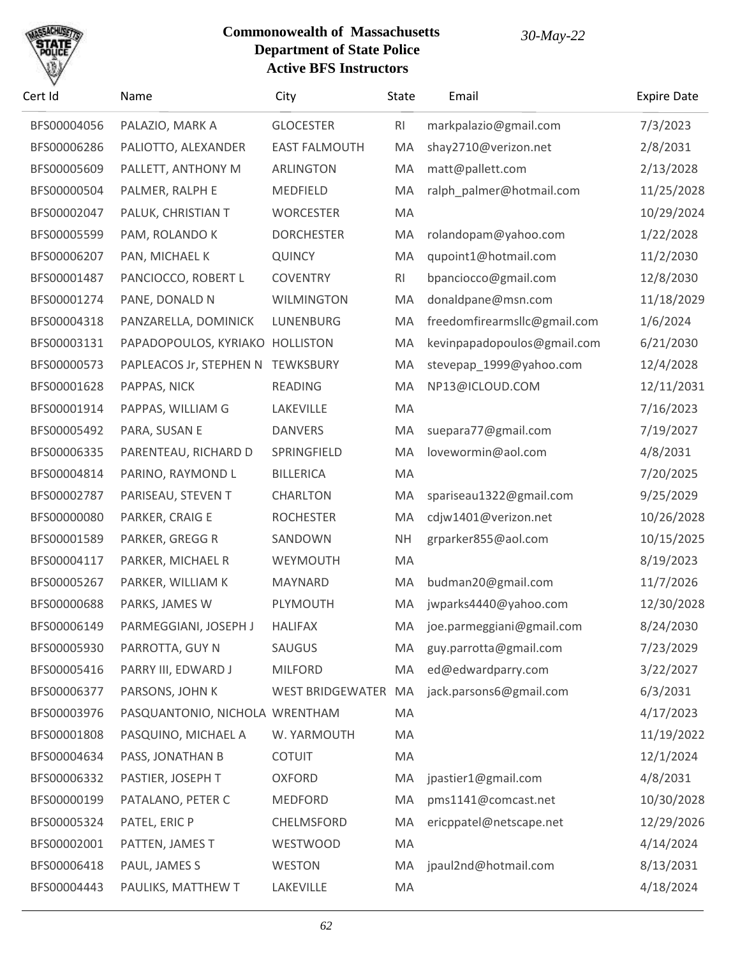

| Cert Id     | Name                            | City                 | State          | Email                        | <b>Expire Date</b> |
|-------------|---------------------------------|----------------------|----------------|------------------------------|--------------------|
| BFS00004056 | PALAZIO, MARK A                 | <b>GLOCESTER</b>     | R <sub>l</sub> | markpalazio@gmail.com        | 7/3/2023           |
| BFS00006286 | PALIOTTO, ALEXANDER             | <b>EAST FALMOUTH</b> | MA             | shay2710@verizon.net         | 2/8/2031           |
| BFS00005609 | PALLETT, ANTHONY M              | <b>ARLINGTON</b>     | MA             | matt@pallett.com             | 2/13/2028          |
| BFS00000504 | PALMER, RALPH E                 | MEDFIELD             | MA             | ralph_palmer@hotmail.com     | 11/25/2028         |
| BFS00002047 | PALUK, CHRISTIAN T              | <b>WORCESTER</b>     | MA             |                              | 10/29/2024         |
| BFS00005599 | PAM, ROLANDO K                  | <b>DORCHESTER</b>    | MA             | rolandopam@yahoo.com         | 1/22/2028          |
| BFS00006207 | PAN, MICHAEL K                  | <b>QUINCY</b>        | MA             | qupoint1@hotmail.com         | 11/2/2030          |
| BFS00001487 | PANCIOCCO, ROBERT L             | <b>COVENTRY</b>      | R <sub>l</sub> | bpanciocco@gmail.com         | 12/8/2030          |
| BFS00001274 | PANE, DONALD N                  | <b>WILMINGTON</b>    | MA             | donaldpane@msn.com           | 11/18/2029         |
| BFS00004318 | PANZARELLA, DOMINICK            | LUNENBURG            | MA             | freedomfirearmsllc@gmail.com | 1/6/2024           |
| BFS00003131 | PAPADOPOULOS, KYRIAKO HOLLISTON |                      | MA             | kevinpapadopoulos@gmail.com  | 6/21/2030          |
| BFS00000573 | PAPLEACOS Jr, STEPHEN N         | <b>TEWKSBURY</b>     | MA             | stevepap_1999@yahoo.com      | 12/4/2028          |
| BFS00001628 | PAPPAS, NICK                    | <b>READING</b>       | MA             | NP13@ICLOUD.COM              | 12/11/2031         |
| BFS00001914 | PAPPAS, WILLIAM G               | LAKEVILLE            | MA             |                              | 7/16/2023          |
| BFS00005492 | PARA, SUSAN E                   | <b>DANVERS</b>       | MA             | suepara77@gmail.com          | 7/19/2027          |
| BFS00006335 | PARENTEAU, RICHARD D            | SPRINGFIELD          | MA             | lovewormin@aol.com           | 4/8/2031           |
| BFS00004814 | PARINO, RAYMOND L               | <b>BILLERICA</b>     | MA             |                              | 7/20/2025          |
| BFS00002787 | PARISEAU, STEVEN T              | <b>CHARLTON</b>      | MA             | spariseau1322@gmail.com      | 9/25/2029          |
| BFS00000080 | PARKER, CRAIG E                 | <b>ROCHESTER</b>     | MA             | cdjw1401@verizon.net         | 10/26/2028         |
| BFS00001589 | PARKER, GREGG R                 | SANDOWN              | <b>NH</b>      | grparker855@aol.com          | 10/15/2025         |
| BFS00004117 | PARKER, MICHAEL R               | WEYMOUTH             | MA             |                              | 8/19/2023          |
| BFS00005267 | PARKER, WILLIAM K               | MAYNARD              | MA             | budman20@gmail.com           | 11/7/2026          |
| BFS00000688 | PARKS, JAMES W                  | PLYMOUTH             | MA             | jwparks4440@yahoo.com        | 12/30/2028         |
| BFS00006149 | PARMEGGIANI, JOSEPH J           | HALIFAX              |                | MA joe.parmeggiani@gmail.com | 8/24/2030          |
| BFS00005930 | PARROTTA, GUY N                 | SAUGUS               | MA             | guy.parrotta@gmail.com       | 7/23/2029          |
| BFS00005416 | PARRY III, EDWARD J             | <b>MILFORD</b>       | MA             | ed@edwardparry.com           | 3/22/2027          |
| BFS00006377 | PARSONS, JOHN K                 | WEST BRIDGEWATER     | MA             | jack.parsons6@gmail.com      | 6/3/2031           |
| BFS00003976 | PASQUANTONIO, NICHOLA WRENTHAM  |                      | MA             |                              | 4/17/2023          |
| BFS00001808 | PASQUINO, MICHAEL A             | W. YARMOUTH          | MA             |                              | 11/19/2022         |
| BFS00004634 | PASS, JONATHAN B                | <b>COTUIT</b>        | MA             |                              | 12/1/2024          |
| BFS00006332 | PASTIER, JOSEPH T               | <b>OXFORD</b>        | MA             | jpastier1@gmail.com          | 4/8/2031           |
| BFS00000199 | PATALANO, PETER C               | <b>MEDFORD</b>       | MA             | pms1141@comcast.net          | 10/30/2028         |
| BFS00005324 | PATEL, ERIC P                   | CHELMSFORD           | MA             | ericppatel@netscape.net      | 12/29/2026         |
| BFS00002001 | PATTEN, JAMES T                 | WESTWOOD             | MA             |                              | 4/14/2024          |
| BFS00006418 | PAUL, JAMES S                   | <b>WESTON</b>        | MA             | jpaul2nd@hotmail.com         | 8/13/2031          |
| BFS00004443 | PAULIKS, MATTHEW T              | LAKEVILLE            | MA             |                              | 4/18/2024          |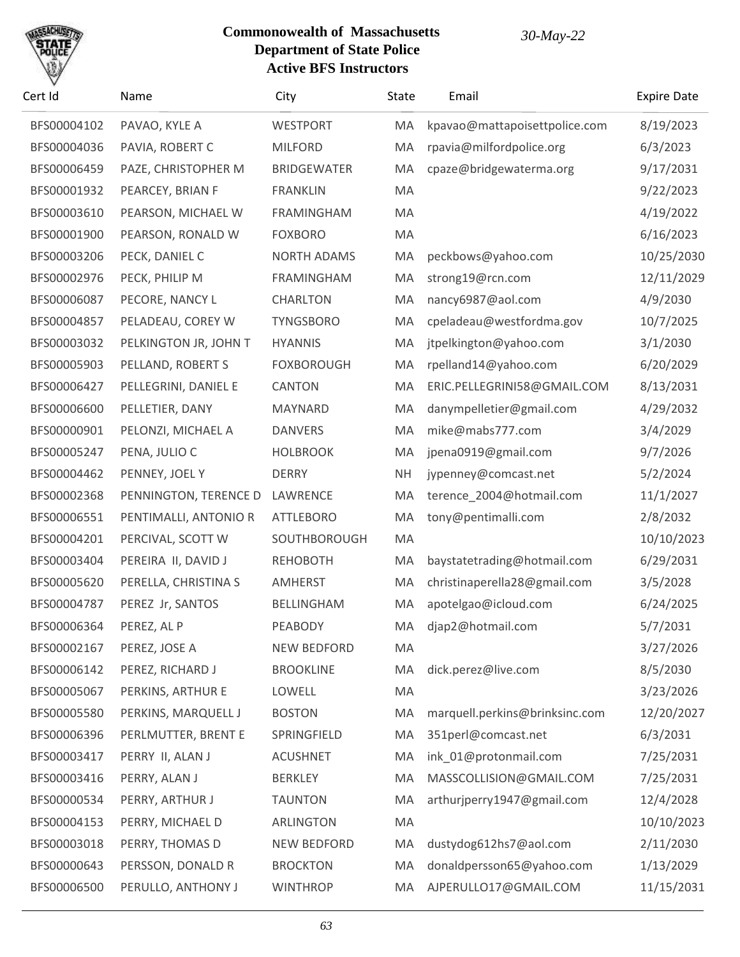

| Cert Id     | Name                  | City               | <b>State</b> | Email                          | <b>Expire Date</b> |
|-------------|-----------------------|--------------------|--------------|--------------------------------|--------------------|
| BFS00004102 | PAVAO, KYLE A         | <b>WESTPORT</b>    | MA           | kpavao@mattapoisettpolice.com  | 8/19/2023          |
| BFS00004036 | PAVIA, ROBERT C       | <b>MILFORD</b>     | MA           | rpavia@milfordpolice.org       | 6/3/2023           |
| BFS00006459 | PAZE, CHRISTOPHER M   | <b>BRIDGEWATER</b> | MA           | cpaze@bridgewaterma.org        | 9/17/2031          |
| BFS00001932 | PEARCEY, BRIAN F      | <b>FRANKLIN</b>    | MA           |                                | 9/22/2023          |
| BFS00003610 | PEARSON, MICHAEL W    | <b>FRAMINGHAM</b>  | MA           |                                | 4/19/2022          |
| BFS00001900 | PEARSON, RONALD W     | <b>FOXBORO</b>     | MA           |                                | 6/16/2023          |
| BFS00003206 | PECK, DANIEL C        | <b>NORTH ADAMS</b> | MA           | peckbows@yahoo.com             | 10/25/2030         |
| BFS00002976 | PECK, PHILIP M        | <b>FRAMINGHAM</b>  | MA           | strong19@rcn.com               | 12/11/2029         |
| BFS00006087 | PECORE, NANCY L       | <b>CHARLTON</b>    | MA           | nancy6987@aol.com              | 4/9/2030           |
| BFS00004857 | PELADEAU, COREY W     | <b>TYNGSBORO</b>   | MA           | cpeladeau@westfordma.gov       | 10/7/2025          |
| BFS00003032 | PELKINGTON JR, JOHN T | <b>HYANNIS</b>     | MA           | jtpelkington@yahoo.com         | 3/1/2030           |
| BFS00005903 | PELLAND, ROBERT S     | <b>FOXBOROUGH</b>  | MA           | rpelland14@yahoo.com           | 6/20/2029          |
| BFS00006427 | PELLEGRINI, DANIEL E  | CANTON             | MA           | ERIC.PELLEGRINI58@GMAIL.COM    | 8/13/2031          |
| BFS00006600 | PELLETIER, DANY       | MAYNARD            | MA           | danympelletier@gmail.com       | 4/29/2032          |
| BFS00000901 | PELONZI, MICHAEL A    | <b>DANVERS</b>     | MA           | mike@mabs777.com               | 3/4/2029           |
| BFS00005247 | PENA, JULIO C         | <b>HOLBROOK</b>    | MA           | jpena0919@gmail.com            | 9/7/2026           |
| BFS00004462 | PENNEY, JOEL Y        | <b>DERRY</b>       | <b>NH</b>    | jypenney@comcast.net           | 5/2/2024           |
| BFS00002368 | PENNINGTON, TERENCE D | LAWRENCE           | MA           | terence_2004@hotmail.com       | 11/1/2027          |
| BFS00006551 | PENTIMALLI, ANTONIO R | <b>ATTLEBORO</b>   | MA           | tony@pentimalli.com            | 2/8/2032           |
| BFS00004201 | PERCIVAL, SCOTT W     | SOUTHBOROUGH       | MA           |                                | 10/10/2023         |
| BFS00003404 | PEREIRA II, DAVID J   | <b>REHOBOTH</b>    | MA           | baystatetrading@hotmail.com    | 6/29/2031          |
| BFS00005620 | PERELLA, CHRISTINA S  | <b>AMHERST</b>     | MA           | christinaperella28@gmail.com   | 3/5/2028           |
| BFS00004787 | PEREZ Jr, SANTOS      | <b>BELLINGHAM</b>  | MA           | apotelgao@icloud.com           | 6/24/2025          |
| BFS00006364 | PEREZ, AL P           | PEABODY            | MA           | djap2@hotmail.com              | 5/7/2031           |
| BFS00002167 | PEREZ, JOSE A         | NEW BEDFORD        | MA           |                                | 3/27/2026          |
| BFS00006142 | PEREZ, RICHARD J      | <b>BROOKLINE</b>   | MA           | dick.perez@live.com            | 8/5/2030           |
| BFS00005067 | PERKINS, ARTHUR E     | LOWELL             | MA           |                                | 3/23/2026          |
| BFS00005580 | PERKINS, MARQUELL J   | <b>BOSTON</b>      | MA           | marquell.perkins@brinksinc.com | 12/20/2027         |
| BFS00006396 | PERLMUTTER, BRENT E   | SPRINGFIELD        | MA           | 351perl@comcast.net            | 6/3/2031           |
| BFS00003417 | PERRY II, ALAN J      | <b>ACUSHNET</b>    | MA           | ink_01@protonmail.com          | 7/25/2031          |
| BFS00003416 | PERRY, ALAN J         | <b>BERKLEY</b>     | MA           | MASSCOLLISION@GMAIL.COM        | 7/25/2031          |
| BFS00000534 | PERRY, ARTHUR J       | <b>TAUNTON</b>     | MA           | arthurjperry1947@gmail.com     | 12/4/2028          |
| BFS00004153 | PERRY, MICHAEL D      | ARLINGTON          | MA           |                                | 10/10/2023         |
| BFS00003018 | PERRY, THOMAS D       | NEW BEDFORD        | MA           | dustydog612hs7@aol.com         | 2/11/2030          |
| BFS00000643 | PERSSON, DONALD R     | <b>BROCKTON</b>    | MA           | donaldpersson65@yahoo.com      | 1/13/2029          |
| BFS00006500 | PERULLO, ANTHONY J    | <b>WINTHROP</b>    | МA           | AJPERULLO17@GMAIL.COM          | 11/15/2031         |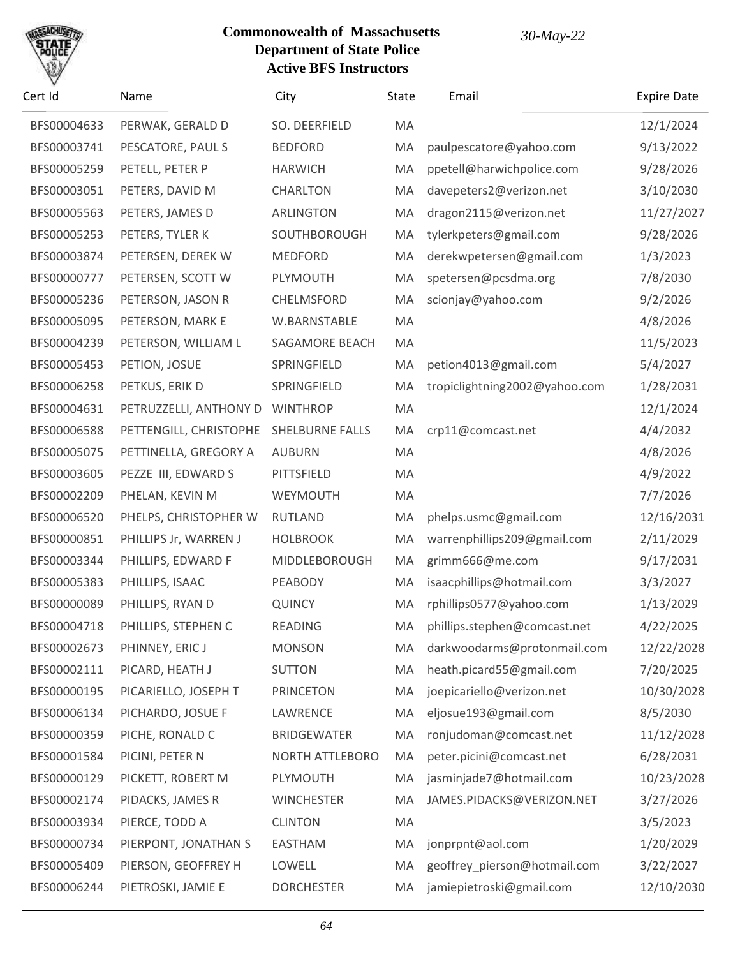

| Cert Id     | Name                   | City                   | State | Email                         | <b>Expire Date</b> |
|-------------|------------------------|------------------------|-------|-------------------------------|--------------------|
| BFS00004633 | PERWAK, GERALD D       | SO. DEERFIELD          | MA    |                               | 12/1/2024          |
| BFS00003741 | PESCATORE, PAUL S      | <b>BEDFORD</b>         | MA    | paulpescatore@yahoo.com       | 9/13/2022          |
| BFS00005259 | PETELL, PETER P        | <b>HARWICH</b>         | MA    | ppetell@harwichpolice.com     | 9/28/2026          |
| BFS00003051 | PETERS, DAVID M        | <b>CHARLTON</b>        | MA    | davepeters2@verizon.net       | 3/10/2030          |
| BFS00005563 | PETERS, JAMES D        | <b>ARLINGTON</b>       | MA    | dragon2115@verizon.net        | 11/27/2027         |
| BFS00005253 | PETERS, TYLER K        | SOUTHBOROUGH           | MA    | tylerkpeters@gmail.com        | 9/28/2026          |
| BFS00003874 | PETERSEN, DEREK W      | <b>MEDFORD</b>         | MA    | derekwpetersen@gmail.com      | 1/3/2023           |
| BFS00000777 | PETERSEN, SCOTT W      | PLYMOUTH               | MA    | spetersen@pcsdma.org          | 7/8/2030           |
| BFS00005236 | PETERSON, JASON R      | CHELMSFORD             | MA    | scionjay@yahoo.com            | 9/2/2026           |
| BFS00005095 | PETERSON, MARK E       | W.BARNSTABLE           | MA    |                               | 4/8/2026           |
| BFS00004239 | PETERSON, WILLIAM L    | SAGAMORE BEACH         | MA    |                               | 11/5/2023          |
| BFS00005453 | PETION, JOSUE          | SPRINGFIELD            | MA    | petion4013@gmail.com          | 5/4/2027           |
| BFS00006258 | PETKUS, ERIK D         | SPRINGFIELD            | MA    | tropiclightning2002@yahoo.com | 1/28/2031          |
| BFS00004631 | PETRUZZELLI, ANTHONY D | <b>WINTHROP</b>        | MA    |                               | 12/1/2024          |
| BFS00006588 | PETTENGILL, CHRISTOPHE | <b>SHELBURNE FALLS</b> | MA    | crp11@comcast.net             | 4/4/2032           |
| BFS00005075 | PETTINELLA, GREGORY A  | <b>AUBURN</b>          | MA    |                               | 4/8/2026           |
| BFS00003605 | PEZZE III, EDWARD S    | PITTSFIELD             | MA    |                               | 4/9/2022           |
| BFS00002209 | PHELAN, KEVIN M        | WEYMOUTH               | MA    |                               | 7/7/2026           |
| BFS00006520 | PHELPS, CHRISTOPHER W  | <b>RUTLAND</b>         | MA    | phelps.usmc@gmail.com         | 12/16/2031         |
| BFS00000851 | PHILLIPS Jr, WARREN J  | <b>HOLBROOK</b>        | MA    | warrenphillips209@gmail.com   | 2/11/2029          |
| BFS00003344 | PHILLIPS, EDWARD F     | MIDDLEBOROUGH          | MA    | grimm666@me.com               | 9/17/2031          |
| BFS00005383 | PHILLIPS, ISAAC        | PEABODY                | MA    | isaacphillips@hotmail.com     | 3/3/2027           |
| BFS00000089 | PHILLIPS, RYAN D       | QUINCY                 | MA    | rphillips0577@yahoo.com       | 1/13/2029          |
| BFS00004718 | PHILLIPS, STEPHEN C    | READING                | MA    | phillips.stephen@comcast.net  | 4/22/2025          |
| BFS00002673 | PHINNEY, ERIC J        | <b>MONSON</b>          | MA    | darkwoodarms@protonmail.com   | 12/22/2028         |
| BFS00002111 | PICARD, HEATH J        | <b>SUTTON</b>          | MA    | heath.picard55@gmail.com      | 7/20/2025          |
| BFS00000195 | PICARIELLO, JOSEPH T   | <b>PRINCETON</b>       | MA    | joepicariello@verizon.net     | 10/30/2028         |
| BFS00006134 | PICHARDO, JOSUE F      | LAWRENCE               | MA    | eljosue193@gmail.com          | 8/5/2030           |
| BFS00000359 | PICHE, RONALD C        | <b>BRIDGEWATER</b>     | MA    | ronjudoman@comcast.net        | 11/12/2028         |
| BFS00001584 | PICINI, PETER N        | <b>NORTH ATTLEBORO</b> | MA    | peter.picini@comcast.net      | 6/28/2031          |
| BFS00000129 | PICKETT, ROBERT M      | PLYMOUTH               | MA    | jasminjade7@hotmail.com       | 10/23/2028         |
| BFS00002174 | PIDACKS, JAMES R       | <b>WINCHESTER</b>      | MA    | JAMES.PIDACKS@VERIZON.NET     | 3/27/2026          |
| BFS00003934 | PIERCE, TODD A         | <b>CLINTON</b>         | MA    |                               | 3/5/2023           |
| BFS00000734 | PIERPONT, JONATHAN S   | <b>EASTHAM</b>         | MA    | jonprpnt@aol.com              | 1/20/2029          |
| BFS00005409 | PIERSON, GEOFFREY H    | LOWELL                 | MA    | geoffrey_pierson@hotmail.com  | 3/22/2027          |
| BFS00006244 | PIETROSKI, JAMIE E     | <b>DORCHESTER</b>      | MA    | jamiepietroski@gmail.com      | 12/10/2030         |
|             |                        |                        |       |                               |                    |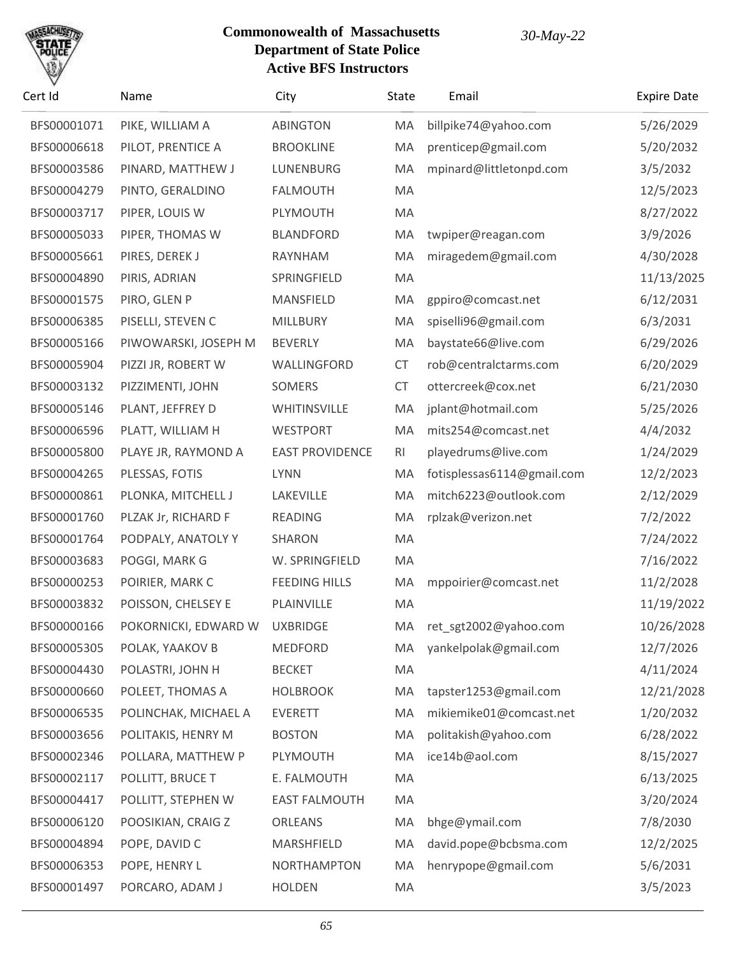

| Cert Id     | Name                          | City                   | <b>State</b>   | Email                      | <b>Expire Date</b> |
|-------------|-------------------------------|------------------------|----------------|----------------------------|--------------------|
| BFS00001071 | PIKE, WILLIAM A               | <b>ABINGTON</b>        | MA             | billpike74@yahoo.com       | 5/26/2029          |
| BFS00006618 | PILOT, PRENTICE A             | <b>BROOKLINE</b>       | MA             | prenticep@gmail.com        | 5/20/2032          |
| BFS00003586 | PINARD, MATTHEW J             | LUNENBURG              | MA             | mpinard@littletonpd.com    | 3/5/2032           |
| BFS00004279 | PINTO, GERALDINO              | <b>FALMOUTH</b>        | MA             |                            | 12/5/2023          |
| BFS00003717 | PIPER, LOUIS W                | PLYMOUTH               | MA             |                            | 8/27/2022          |
| BFS00005033 | PIPER, THOMAS W               | <b>BLANDFORD</b>       | MA             | twpiper@reagan.com         | 3/9/2026           |
| BFS00005661 | PIRES, DEREK J                | RAYNHAM                | MA             | miragedem@gmail.com        | 4/30/2028          |
| BFS00004890 | PIRIS, ADRIAN                 | SPRINGFIELD            | MA             |                            | 11/13/2025         |
| BFS00001575 | PIRO, GLEN P                  | MANSFIELD              | MA             | gppiro@comcast.net         | 6/12/2031          |
| BFS00006385 | PISELLI, STEVEN C             | MILLBURY               | MA             | spiselli96@gmail.com       | 6/3/2031           |
| BFS00005166 | PIWOWARSKI, JOSEPH M          | <b>BEVERLY</b>         | MA             | baystate66@live.com        | 6/29/2026          |
| BFS00005904 | PIZZI JR, ROBERT W            | WALLINGFORD            | CT             | rob@centralctarms.com      | 6/20/2029          |
| BFS00003132 | PIZZIMENTI, JOHN              | SOMERS                 | CT             | ottercreek@cox.net         | 6/21/2030          |
| BFS00005146 | PLANT, JEFFREY D              | WHITINSVILLE           | MA             | jplant@hotmail.com         | 5/25/2026          |
| BFS00006596 | PLATT, WILLIAM H              | <b>WESTPORT</b>        | MA             | mits254@comcast.net        | 4/4/2032           |
| BFS00005800 | PLAYE JR, RAYMOND A           | <b>EAST PROVIDENCE</b> | R <sub>l</sub> | playedrums@live.com        | 1/24/2029          |
| BFS00004265 | PLESSAS, FOTIS                | <b>LYNN</b>            | MA             | fotisplessas6114@gmail.com | 12/2/2023          |
| BFS00000861 | PLONKA, MITCHELL J            | LAKEVILLE              | MA             | mitch6223@outlook.com      | 2/12/2029          |
| BFS00001760 | PLZAK Jr, RICHARD F           | <b>READING</b>         | MA             | rplzak@verizon.net         | 7/2/2022           |
| BFS00001764 | PODPALY, ANATOLY Y            | SHARON                 | MA             |                            | 7/24/2022          |
| BFS00003683 | POGGI, MARK G                 | W. SPRINGFIELD         | MA             |                            | 7/16/2022          |
| BFS00000253 | POIRIER, MARK C               | <b>FEEDING HILLS</b>   | MA             | mppoirier@comcast.net      | 11/2/2028          |
| BFS00003832 | POISSON, CHELSEY E            | PLAINVILLE             | MA             |                            | 11/19/2022         |
| BFS00000166 | POKORNICKI, EDWARD W UXBRIDGE |                        | MA             | ret_sgt2002@yahoo.com      | 10/26/2028         |
| BFS00005305 | POLAK, YAAKOV B               | <b>MEDFORD</b>         | MA             | yankelpolak@gmail.com      | 12/7/2026          |
| BFS00004430 | POLASTRI, JOHN H              | <b>BECKET</b>          | MA             |                            | 4/11/2024          |
| BFS00000660 | POLEET, THOMAS A              | <b>HOLBROOK</b>        | MA             | tapster1253@gmail.com      | 12/21/2028         |
| BFS00006535 | POLINCHAK, MICHAEL A          | <b>EVERETT</b>         | MA             | mikiemike01@comcast.net    | 1/20/2032          |
| BFS00003656 | POLITAKIS, HENRY M            | <b>BOSTON</b>          | MA             | politakish@yahoo.com       | 6/28/2022          |
| BFS00002346 | POLLARA, MATTHEW P            | PLYMOUTH               | MA             | ice14b@aol.com             | 8/15/2027          |
| BFS00002117 | POLLITT, BRUCE T              | E. FALMOUTH            | MA             |                            | 6/13/2025          |
| BFS00004417 | POLLITT, STEPHEN W            | <b>EAST FALMOUTH</b>   | MA             |                            | 3/20/2024          |
| BFS00006120 | POOSIKIAN, CRAIG Z            | <b>ORLEANS</b>         | MA             | bhge@ymail.com             | 7/8/2030           |
| BFS00004894 | POPE, DAVID C                 | MARSHFIELD             | MA             | david.pope@bcbsma.com      | 12/2/2025          |
| BFS00006353 | POPE, HENRY L                 | <b>NORTHAMPTON</b>     | MA             | henrypope@gmail.com        | 5/6/2031           |
| BFS00001497 | PORCARO, ADAM J               | <b>HOLDEN</b>          | MA             |                            | 3/5/2023           |
|             |                               |                        |                |                            |                    |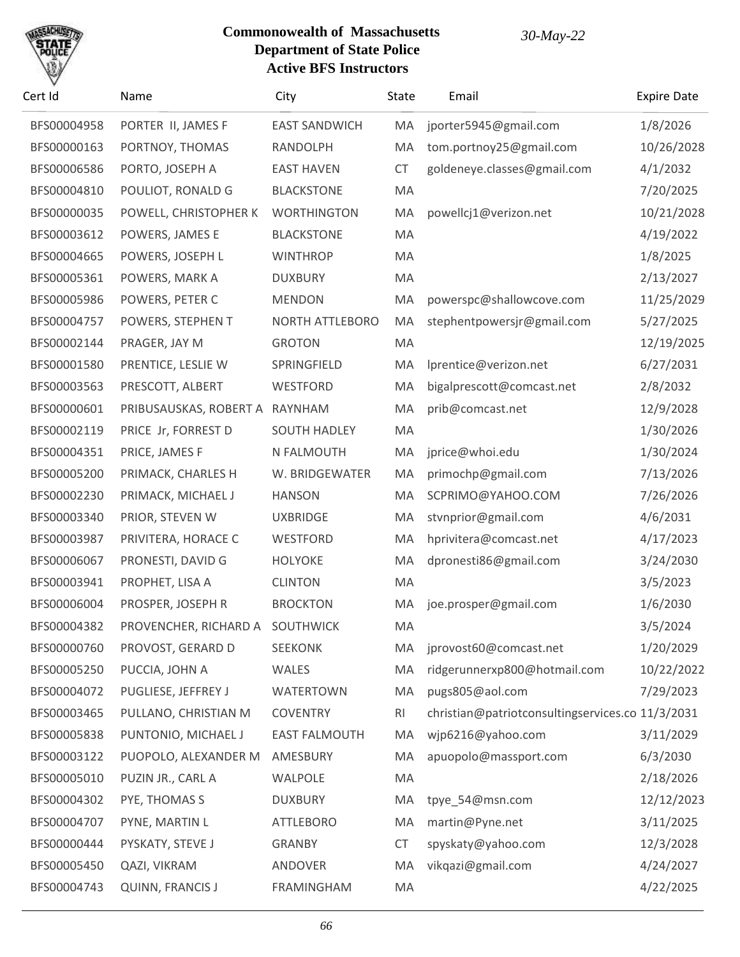

| Cert Id     | Name                            | City                 | <b>State</b> | Email                                            | <b>Expire Date</b> |
|-------------|---------------------------------|----------------------|--------------|--------------------------------------------------|--------------------|
| BFS00004958 | PORTER II, JAMES F              | <b>EAST SANDWICH</b> | MA           | jporter5945@gmail.com                            | 1/8/2026           |
| BFS00000163 | PORTNOY, THOMAS                 | RANDOLPH             | MA           | tom.portnoy25@gmail.com                          | 10/26/2028         |
| BFS00006586 | PORTO, JOSEPH A                 | <b>EAST HAVEN</b>    | <b>CT</b>    | goldeneye.classes@gmail.com                      | 4/1/2032           |
| BFS00004810 | POULIOT, RONALD G               | <b>BLACKSTONE</b>    | MA           |                                                  | 7/20/2025          |
| BFS00000035 | POWELL, CHRISTOPHER K           | <b>WORTHINGTON</b>   | MA           | powellcj1@verizon.net                            | 10/21/2028         |
| BFS00003612 | POWERS, JAMES E                 | <b>BLACKSTONE</b>    | MA           |                                                  | 4/19/2022          |
| BFS00004665 | POWERS, JOSEPH L                | <b>WINTHROP</b>      | MA           |                                                  | 1/8/2025           |
| BFS00005361 | POWERS, MARK A                  | <b>DUXBURY</b>       | MA           |                                                  | 2/13/2027          |
| BFS00005986 | POWERS, PETER C                 | <b>MENDON</b>        | MA           | powerspc@shallowcove.com                         | 11/25/2029         |
| BFS00004757 | POWERS, STEPHEN T               | NORTH ATTLEBORO      | MA           | stephentpowersjr@gmail.com                       | 5/27/2025          |
| BFS00002144 | PRAGER, JAY M                   | <b>GROTON</b>        | MA           |                                                  | 12/19/2025         |
| BFS00001580 | PRENTICE, LESLIE W              | SPRINGFIELD          | MA           | Iprentice@verizon.net                            | 6/27/2031          |
| BFS00003563 | PRESCOTT, ALBERT                | WESTFORD             | MA           | bigalprescott@comcast.net                        | 2/8/2032           |
| BFS00000601 | PRIBUSAUSKAS, ROBERT A          | RAYNHAM              | MA           | prib@comcast.net                                 | 12/9/2028          |
| BFS00002119 | PRICE Jr, FORREST D             | <b>SOUTH HADLEY</b>  | MA           |                                                  | 1/30/2026          |
| BFS00004351 | PRICE, JAMES F                  | N FALMOUTH           | MA           | jprice@whoi.edu                                  | 1/30/2024          |
| BFS00005200 | PRIMACK, CHARLES H              | W. BRIDGEWATER       | MA           | primochp@gmail.com                               | 7/13/2026          |
| BFS00002230 | PRIMACK, MICHAEL J              | <b>HANSON</b>        | MA           | SCPRIMO@YAHOO.COM                                | 7/26/2026          |
| BFS00003340 | PRIOR, STEVEN W                 | <b>UXBRIDGE</b>      | MA           | stvnprior@gmail.com                              | 4/6/2031           |
| BFS00003987 | PRIVITERA, HORACE C             | WESTFORD             | MA           | hprivitera@comcast.net                           | 4/17/2023          |
| BFS00006067 | PRONESTI, DAVID G               | <b>HOLYOKE</b>       | MA           | dpronesti86@gmail.com                            | 3/24/2030          |
| BFS00003941 | PROPHET, LISA A                 | <b>CLINTON</b>       | MA           |                                                  | 3/5/2023           |
| BFS00006004 | PROSPER, JOSEPH R               | <b>BROCKTON</b>      | MA           | joe.prosper@gmail.com                            | 1/6/2030           |
| BFS00004382 | PROVENCHER, RICHARD A SOUTHWICK |                      | MA           |                                                  | 3/5/2024           |
| BFS00000760 | PROVOST, GERARD D               | <b>SEEKONK</b>       | МA           | jprovost60@comcast.net                           | 1/20/2029          |
| BFS00005250 | PUCCIA, JOHN A                  | WALES                | MA           | ridgerunnerxp800@hotmail.com                     | 10/22/2022         |
| BFS00004072 | PUGLIESE, JEFFREY J             | <b>WATERTOWN</b>     | MA           | pugs805@aol.com                                  | 7/29/2023          |
| BFS00003465 | PULLANO, CHRISTIAN M            | <b>COVENTRY</b>      | <b>RI</b>    | christian@patriotconsultingservices.co 11/3/2031 |                    |
| BFS00005838 | PUNTONIO, MICHAEL J             | <b>EAST FALMOUTH</b> | MA           | wjp6216@yahoo.com                                | 3/11/2029          |
| BFS00003122 | PUOPOLO, ALEXANDER M            | AMESBURY             | MA           | apuopolo@massport.com                            | 6/3/2030           |
| BFS00005010 | PUZIN JR., CARL A               | WALPOLE              | MA           |                                                  | 2/18/2026          |
| BFS00004302 | PYE, THOMAS S                   | <b>DUXBURY</b>       | MA           | tpye_54@msn.com                                  | 12/12/2023         |
| BFS00004707 | PYNE, MARTIN L                  | <b>ATTLEBORO</b>     | MA           | martin@Pyne.net                                  | 3/11/2025          |
| BFS00000444 | PYSKATY, STEVE J                | <b>GRANBY</b>        | <b>CT</b>    | spyskaty@yahoo.com                               | 12/3/2028          |
| BFS00005450 | QAZI, VIKRAM                    | ANDOVER              | MA           | vikqazi@gmail.com                                | 4/24/2027          |
| BFS00004743 | QUINN, FRANCIS J                | FRAMINGHAM           | MA           |                                                  | 4/22/2025          |
|             |                                 |                      |              |                                                  |                    |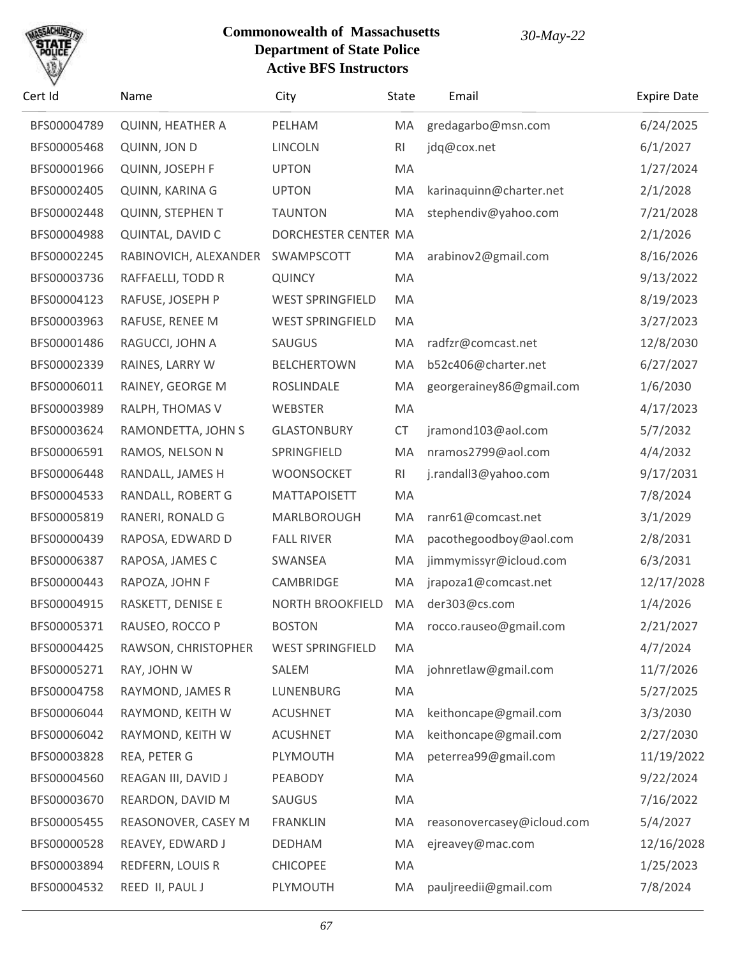

| Cert Id     | Name                    | City                    | <b>State</b> | Email                      | <b>Expire Date</b> |
|-------------|-------------------------|-------------------------|--------------|----------------------------|--------------------|
| BFS00004789 | <b>QUINN, HEATHER A</b> | PELHAM                  | MA           | gredagarbo@msn.com         | 6/24/2025          |
| BFS00005468 | QUINN, JON D            | <b>LINCOLN</b>          | RI           | jdq@cox.net                | 6/1/2027           |
| BFS00001966 | QUINN, JOSEPH F         | <b>UPTON</b>            | MA           |                            | 1/27/2024          |
| BFS00002405 | QUINN, KARINA G         | <b>UPTON</b>            | MA           | karinaquinn@charter.net    | 2/1/2028           |
| BFS00002448 | <b>QUINN, STEPHEN T</b> | <b>TAUNTON</b>          | MA           | stephendiv@yahoo.com       | 7/21/2028          |
| BFS00004988 | QUINTAL, DAVID C        | DORCHESTER CENTER MA    |              |                            | 2/1/2026           |
| BFS00002245 | RABINOVICH, ALEXANDER   | SWAMPSCOTT              | MA           | arabinov2@gmail.com        | 8/16/2026          |
| BFS00003736 | RAFFAELLI, TODD R       | <b>QUINCY</b>           | MA           |                            | 9/13/2022          |
| BFS00004123 | RAFUSE, JOSEPH P        | <b>WEST SPRINGFIELD</b> | MA           |                            | 8/19/2023          |
| BFS00003963 | RAFUSE, RENEE M         | <b>WEST SPRINGFIELD</b> | MA           |                            | 3/27/2023          |
| BFS00001486 | RAGUCCI, JOHN A         | SAUGUS                  | MA           | radfzr@comcast.net         | 12/8/2030          |
| BFS00002339 | RAINES, LARRY W         | <b>BELCHERTOWN</b>      | MA           | b52c406@charter.net        | 6/27/2027          |
| BFS00006011 | RAINEY, GEORGE M        | ROSLINDALE              | MA           | georgerainey86@gmail.com   | 1/6/2030           |
| BFS00003989 | RALPH, THOMAS V         | WEBSTER                 | MA           |                            | 4/17/2023          |
| BFS00003624 | RAMONDETTA, JOHN S      | <b>GLASTONBURY</b>      | CT           | jramond103@aol.com         | 5/7/2032           |
| BFS00006591 | RAMOS, NELSON N         | SPRINGFIELD             | MA           | nramos2799@aol.com         | 4/4/2032           |
| BFS00006448 | RANDALL, JAMES H        | WOONSOCKET              | RI           | j.randall3@yahoo.com       | 9/17/2031          |
| BFS00004533 | RANDALL, ROBERT G       | <b>MATTAPOISETT</b>     | MA           |                            | 7/8/2024           |
| BFS00005819 | RANERI, RONALD G        | MARLBOROUGH             | MA           | ranr61@comcast.net         | 3/1/2029           |
| BFS00000439 | RAPOSA, EDWARD D        | <b>FALL RIVER</b>       | MA           | pacothegoodboy@aol.com     | 2/8/2031           |
| BFS00006387 | RAPOSA, JAMES C         | SWANSEA                 | MA           | jimmymissyr@icloud.com     | 6/3/2031           |
| BFS00000443 | RAPOZA, JOHN F          | CAMBRIDGE               | MA           | jrapoza1@comcast.net       | 12/17/2028         |
| BFS00004915 | RASKETT, DENISE E       | <b>NORTH BROOKFIELD</b> | MA           | der303@cs.com              | 1/4/2026           |
| BFS00005371 | RAUSEO, ROCCO P         | <b>BOSTON</b>           | MA.          | rocco.rauseo@gmail.com     | 2/21/2027          |
| BFS00004425 | RAWSON, CHRISTOPHER     | <b>WEST SPRINGFIELD</b> | MA           |                            | 4/7/2024           |
| BFS00005271 | RAY, JOHN W             | SALEM                   | MA           | johnretlaw@gmail.com       | 11/7/2026          |
| BFS00004758 | RAYMOND, JAMES R        | LUNENBURG               | MA           |                            | 5/27/2025          |
| BFS00006044 | RAYMOND, KEITH W        | <b>ACUSHNET</b>         | MA           | keithoncape@gmail.com      | 3/3/2030           |
| BFS00006042 | RAYMOND, KEITH W        | <b>ACUSHNET</b>         | MA           | keithoncape@gmail.com      | 2/27/2030          |
| BFS00003828 | REA, PETER G            | PLYMOUTH                | MA           | peterrea99@gmail.com       | 11/19/2022         |
| BFS00004560 | REAGAN III, DAVID J     | PEABODY                 | MA           |                            | 9/22/2024          |
| BFS00003670 | REARDON, DAVID M        | SAUGUS                  | MA           |                            | 7/16/2022          |
| BFS00005455 | REASONOVER, CASEY M     | <b>FRANKLIN</b>         | MA           | reasonovercasey@icloud.com | 5/4/2027           |
| BFS00000528 | REAVEY, EDWARD J        | <b>DEDHAM</b>           | MA           | ejreavey@mac.com           | 12/16/2028         |
| BFS00003894 | REDFERN, LOUIS R        | <b>CHICOPEE</b>         | MA           |                            | 1/25/2023          |
| BFS00004532 | REED II, PAUL J         | PLYMOUTH                | MA           | pauljreedii@gmail.com      | 7/8/2024           |
|             |                         |                         |              |                            |                    |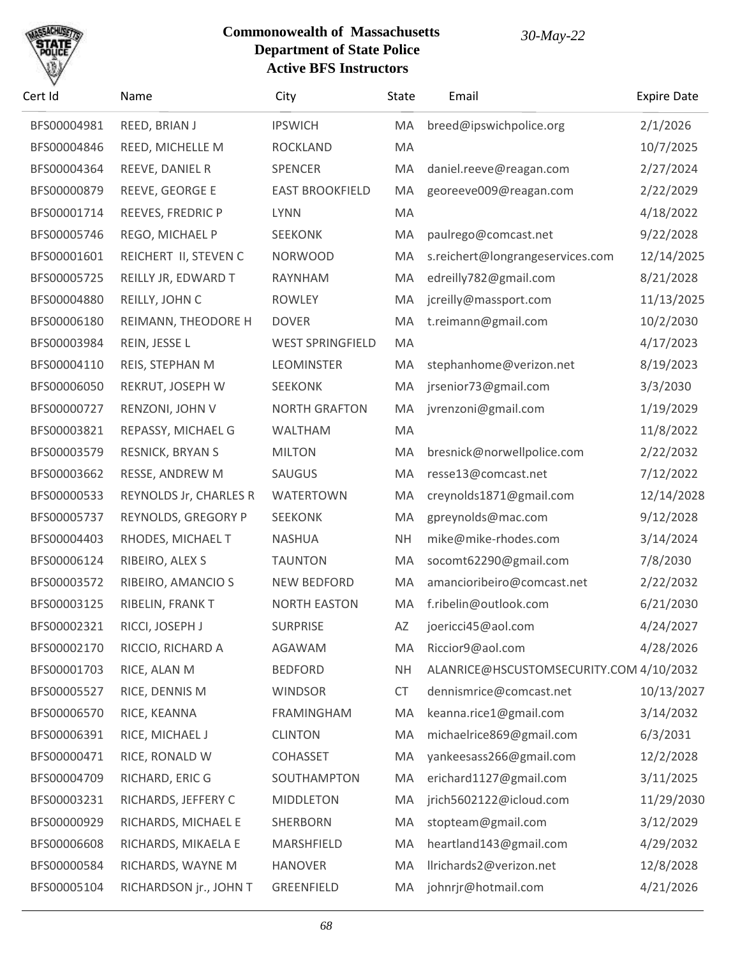

| Cert Id     | Name                   | City                    | <b>State</b> | Email                                   | <b>Expire Date</b> |
|-------------|------------------------|-------------------------|--------------|-----------------------------------------|--------------------|
| BFS00004981 | REED, BRIAN J          | <b>IPSWICH</b>          | MA           | breed@ipswichpolice.org                 | 2/1/2026           |
| BFS00004846 | REED, MICHELLE M       | <b>ROCKLAND</b>         | MA           |                                         | 10/7/2025          |
| BFS00004364 | REEVE, DANIEL R        | SPENCER                 | MA           | daniel.reeve@reagan.com                 | 2/27/2024          |
| BFS00000879 | REEVE, GEORGE E        | <b>EAST BROOKFIELD</b>  | MA           | georeeve009@reagan.com                  | 2/22/2029          |
| BFS00001714 | REEVES, FREDRIC P      | <b>LYNN</b>             | MA           |                                         | 4/18/2022          |
| BFS00005746 | REGO, MICHAEL P        | <b>SEEKONK</b>          | MA           | paulrego@comcast.net                    | 9/22/2028          |
| BFS00001601 | REICHERT II, STEVEN C  | <b>NORWOOD</b>          | MA           | s.reichert@longrangeservices.com        | 12/14/2025         |
| BFS00005725 | REILLY JR, EDWARD T    | RAYNHAM                 | MA           | edreilly782@gmail.com                   | 8/21/2028          |
| BFS00004880 | REILLY, JOHN C         | <b>ROWLEY</b>           | MA           | jcreilly@massport.com                   | 11/13/2025         |
| BFS00006180 | REIMANN, THEODORE H    | <b>DOVER</b>            | MA           | t.reimann@gmail.com                     | 10/2/2030          |
| BFS00003984 | REIN, JESSE L          | <b>WEST SPRINGFIELD</b> | MA           |                                         | 4/17/2023          |
| BFS00004110 | REIS, STEPHAN M        | <b>LEOMINSTER</b>       | MA           | stephanhome@verizon.net                 | 8/19/2023          |
| BFS00006050 | REKRUT, JOSEPH W       | <b>SEEKONK</b>          | MA           | jrsenior73@gmail.com                    | 3/3/2030           |
| BFS00000727 | RENZONI, JOHN V        | <b>NORTH GRAFTON</b>    | MA           | jvrenzoni@gmail.com                     | 1/19/2029          |
| BFS00003821 | REPASSY, MICHAEL G     | WALTHAM                 | MA           |                                         | 11/8/2022          |
| BFS00003579 | RESNICK, BRYAN S       | <b>MILTON</b>           | MA           | bresnick@norwellpolice.com              | 2/22/2032          |
| BFS00003662 | RESSE, ANDREW M        | SAUGUS                  | MA           | resse13@comcast.net                     | 7/12/2022          |
| BFS00000533 | REYNOLDS Jr, CHARLES R | <b>WATERTOWN</b>        | MA           | creynolds1871@gmail.com                 | 12/14/2028         |
| BFS00005737 | REYNOLDS, GREGORY P    | <b>SEEKONK</b>          | MA           | gpreynolds@mac.com                      | 9/12/2028          |
| BFS00004403 | RHODES, MICHAEL T      | <b>NASHUA</b>           | <b>NH</b>    | mike@mike-rhodes.com                    | 3/14/2024          |
| BFS00006124 | RIBEIRO, ALEX S        | <b>TAUNTON</b>          | MA           | socomt62290@gmail.com                   | 7/8/2030           |
| BFS00003572 | RIBEIRO, AMANCIO S     | <b>NEW BEDFORD</b>      | MA           | amancioribeiro@comcast.net              | 2/22/2032          |
| BFS00003125 | RIBELIN, FRANK T       | <b>NORTH EASTON</b>     | MA           | f.ribelin@outlook.com                   | 6/21/2030          |
| BFS00002321 | RICCI, JOSEPH J        | <b>SURPRISE</b>         | AZ           | joericci45@aol.com                      | 4/24/2027          |
| BFS00002170 | RICCIO, RICHARD A      | AGAWAM                  | MA           | Riccior9@aol.com                        | 4/28/2026          |
| BFS00001703 | RICE, ALAN M           | <b>BEDFORD</b>          | <b>NH</b>    | ALANRICE@HSCUSTOMSECURITY.COM 4/10/2032 |                    |
| BFS00005527 | RICE, DENNIS M         | <b>WINDSOR</b>          | <b>CT</b>    | dennismrice@comcast.net                 | 10/13/2027         |
| BFS00006570 | RICE, KEANNA           | <b>FRAMINGHAM</b>       | MA           | keanna.rice1@gmail.com                  | 3/14/2032          |
| BFS00006391 | RICE, MICHAEL J        | <b>CLINTON</b>          | MA           | michaelrice869@gmail.com                | 6/3/2031           |
| BFS00000471 | RICE, RONALD W         | <b>COHASSET</b>         | MA           | yankeesass266@gmail.com                 | 12/2/2028          |
| BFS00004709 | RICHARD, ERIC G        | SOUTHAMPTON             | MA           | erichard1127@gmail.com                  | 3/11/2025          |
| BFS00003231 | RICHARDS, JEFFERY C    | <b>MIDDLETON</b>        | MA           | jrich5602122@icloud.com                 | 11/29/2030         |
| BFS00000929 | RICHARDS, MICHAEL E    | SHERBORN                | MA           | stopteam@gmail.com                      | 3/12/2029          |
| BFS00006608 | RICHARDS, MIKAELA E    | MARSHFIELD              | MA           | heartland143@gmail.com                  | 4/29/2032          |
| BFS00000584 | RICHARDS, WAYNE M      | <b>HANOVER</b>          | MA           | llrichards2@verizon.net                 | 12/8/2028          |
| BFS00005104 | RICHARDSON jr., JOHN T | GREENFIELD              | MA           | johnrjr@hotmail.com                     | 4/21/2026          |
|             |                        |                         |              |                                         |                    |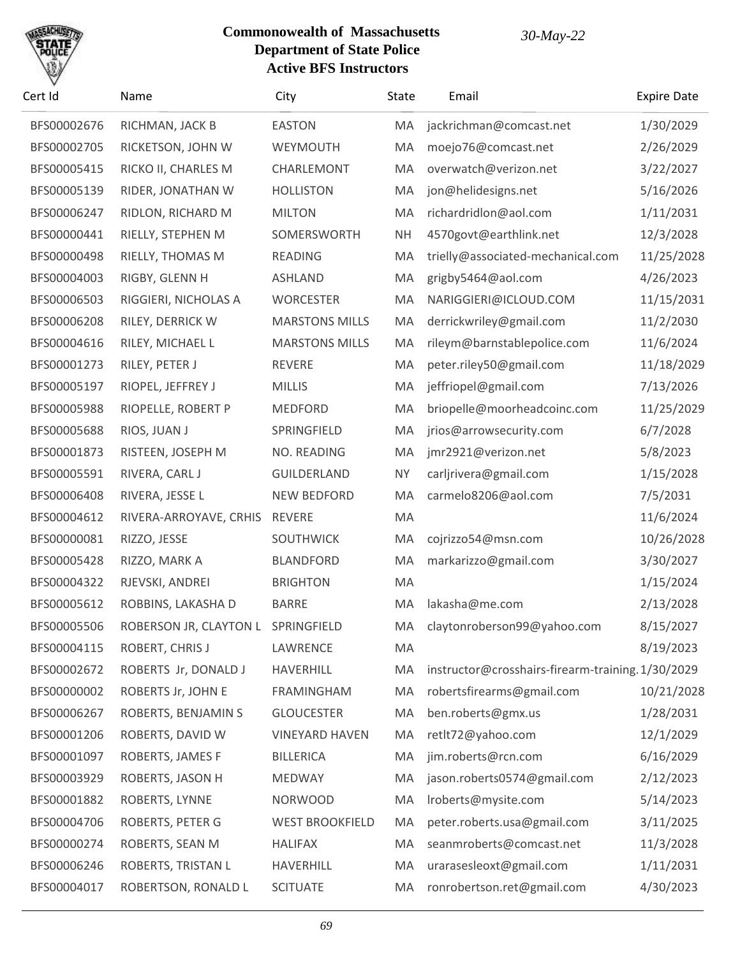

| Cert Id     | Name                               | City                   | State     | Email                                             | <b>Expire Date</b> |
|-------------|------------------------------------|------------------------|-----------|---------------------------------------------------|--------------------|
| BFS00002676 | RICHMAN, JACK B                    | <b>EASTON</b>          | MA        | jackrichman@comcast.net                           | 1/30/2029          |
| BFS00002705 | RICKETSON, JOHN W                  | WEYMOUTH               | MA        | moejo76@comcast.net                               | 2/26/2029          |
| BFS00005415 | RICKO II, CHARLES M                | CHARLEMONT             | MA        | overwatch@verizon.net                             | 3/22/2027          |
| BFS00005139 | RIDER, JONATHAN W                  | <b>HOLLISTON</b>       | MA        | jon@helidesigns.net                               | 5/16/2026          |
| BFS00006247 | RIDLON, RICHARD M                  | <b>MILTON</b>          | MA        | richardridlon@aol.com                             | 1/11/2031          |
| BFS00000441 | RIELLY, STEPHEN M                  | SOMERSWORTH            | <b>NH</b> | 4570govt@earthlink.net                            | 12/3/2028          |
| BFS00000498 | RIELLY, THOMAS M                   | <b>READING</b>         | MA        | trielly@associated-mechanical.com                 | 11/25/2028         |
| BFS00004003 | RIGBY, GLENN H                     | <b>ASHLAND</b>         | MA        | grigby5464@aol.com                                | 4/26/2023          |
| BFS00006503 | RIGGIERI, NICHOLAS A               | <b>WORCESTER</b>       | MA        | NARIGGIERI@ICLOUD.COM                             | 11/15/2031         |
| BFS00006208 | RILEY, DERRICK W                   | <b>MARSTONS MILLS</b>  | MA        | derrickwriley@gmail.com                           | 11/2/2030          |
| BFS00004616 | RILEY, MICHAEL L                   | <b>MARSTONS MILLS</b>  | MA        | rileym@barnstablepolice.com                       | 11/6/2024          |
| BFS00001273 | RILEY, PETER J                     | <b>REVERE</b>          | MA        | peter.riley50@gmail.com                           | 11/18/2029         |
| BFS00005197 | RIOPEL, JEFFREY J                  | <b>MILLIS</b>          | MA        | jeffriopel@gmail.com                              | 7/13/2026          |
| BFS00005988 | RIOPELLE, ROBERT P                 | <b>MEDFORD</b>         | MA        | briopelle@moorheadcoinc.com                       | 11/25/2029         |
| BFS00005688 | RIOS, JUAN J                       | SPRINGFIELD            | MA        | jrios@arrowsecurity.com                           | 6/7/2028           |
| BFS00001873 | RISTEEN, JOSEPH M                  | NO. READING            | MA        | jmr2921@verizon.net                               | 5/8/2023           |
| BFS00005591 | RIVERA, CARL J                     | GUILDERLAND            | <b>NY</b> | carljrivera@gmail.com                             | 1/15/2028          |
| BFS00006408 | RIVERA, JESSE L                    | <b>NEW BEDFORD</b>     | MA        | carmelo8206@aol.com                               | 7/5/2031           |
| BFS00004612 | RIVERA-ARROYAVE, CRHIS             | <b>REVERE</b>          | MA        |                                                   | 11/6/2024          |
| BFS00000081 | RIZZO, JESSE                       | SOUTHWICK              | MA        | cojrizzo54@msn.com                                | 10/26/2028         |
| BFS00005428 | RIZZO, MARK A                      | <b>BLANDFORD</b>       | MA        | markarizzo@gmail.com                              | 3/30/2027          |
| BFS00004322 | RJEVSKI, ANDREI                    | <b>BRIGHTON</b>        | MA        |                                                   | 1/15/2024          |
| BFS00005612 | ROBBINS, LAKASHA D                 | <b>BARRE</b>           | MA        | lakasha@me.com                                    | 2/13/2028          |
| BFS00005506 | ROBERSON JR, CLAYTON L SPRINGFIELD |                        | MA        | claytonroberson99@yahoo.com                       | 8/15/2027          |
| BFS00004115 | ROBERT, CHRIS J                    | LAWRENCE               | MA        |                                                   | 8/19/2023          |
| BFS00002672 | ROBERTS Jr, DONALD J               | HAVERHILL              | MA        | instructor@crosshairs-firearm-training. 1/30/2029 |                    |
| BFS00000002 | ROBERTS Jr, JOHN E                 | <b>FRAMINGHAM</b>      | MA        | robertsfirearms@gmail.com                         | 10/21/2028         |
| BFS00006267 | ROBERTS, BENJAMIN S                | <b>GLOUCESTER</b>      | MA        | ben.roberts@gmx.us                                | 1/28/2031          |
| BFS00001206 | ROBERTS, DAVID W                   | <b>VINEYARD HAVEN</b>  | MA        | retlt72@yahoo.com                                 | 12/1/2029          |
| BFS00001097 | ROBERTS, JAMES F                   | <b>BILLERICA</b>       | MA        | jim.roberts@rcn.com                               | 6/16/2029          |
| BFS00003929 | ROBERTS, JASON H                   | <b>MEDWAY</b>          | MA        | jason.roberts0574@gmail.com                       | 2/12/2023          |
| BFS00001882 | ROBERTS, LYNNE                     | <b>NORWOOD</b>         | MA        | Iroberts@mysite.com                               | 5/14/2023          |
| BFS00004706 | ROBERTS, PETER G                   | <b>WEST BROOKFIELD</b> | MA        | peter.roberts.usa@gmail.com                       | 3/11/2025          |
| BFS00000274 | ROBERTS, SEAN M                    | <b>HALIFAX</b>         | MA        | seanmroberts@comcast.net                          | 11/3/2028          |
| BFS00006246 | ROBERTS, TRISTAN L                 | <b>HAVERHILL</b>       | MA        | urarasesleoxt@gmail.com                           | 1/11/2031          |
| BFS00004017 | ROBERTSON, RONALD L                | <b>SCITUATE</b>        | MA        | ronrobertson.ret@gmail.com                        | 4/30/2023          |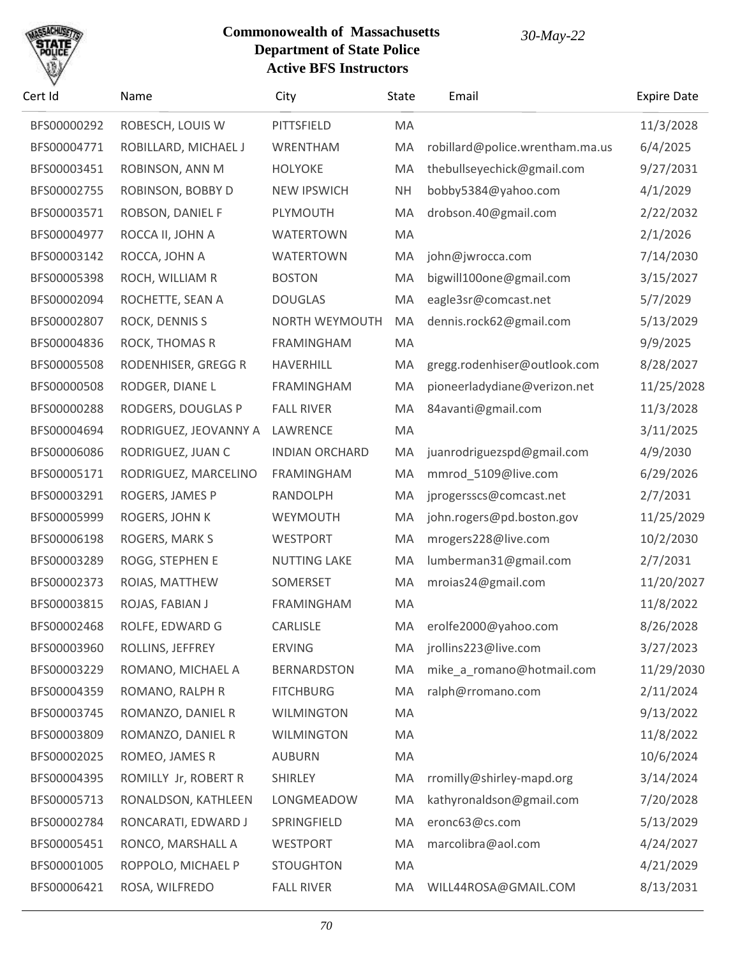

| Cert Id     | Name                  | City                  | State     | Email                           | <b>Expire Date</b> |
|-------------|-----------------------|-----------------------|-----------|---------------------------------|--------------------|
| BFS00000292 | ROBESCH, LOUIS W      | PITTSFIELD            | MA        |                                 | 11/3/2028          |
| BFS00004771 | ROBILLARD, MICHAEL J  | WRENTHAM              | MA        | robillard@police.wrentham.ma.us | 6/4/2025           |
| BFS00003451 | ROBINSON, ANN M       | <b>HOLYOKE</b>        | MA        | thebullseyechick@gmail.com      | 9/27/2031          |
| BFS00002755 | ROBINSON, BOBBY D     | <b>NEW IPSWICH</b>    | <b>NH</b> | bobby5384@yahoo.com             | 4/1/2029           |
| BFS00003571 | ROBSON, DANIEL F      | PLYMOUTH              | MA        | drobson.40@gmail.com            | 2/22/2032          |
| BFS00004977 | ROCCA II, JOHN A      | <b>WATERTOWN</b>      | MA        |                                 | 2/1/2026           |
| BFS00003142 | ROCCA, JOHN A         | <b>WATERTOWN</b>      | MA        | john@jwrocca.com                | 7/14/2030          |
| BFS00005398 | ROCH, WILLIAM R       | <b>BOSTON</b>         | MA        | bigwill100one@gmail.com         | 3/15/2027          |
| BFS00002094 | ROCHETTE, SEAN A      | <b>DOUGLAS</b>        | MA        | eagle3sr@comcast.net            | 5/7/2029           |
| BFS00002807 | ROCK, DENNIS S        | NORTH WEYMOUTH        | MA        | dennis.rock62@gmail.com         | 5/13/2029          |
| BFS00004836 | ROCK, THOMAS R        | <b>FRAMINGHAM</b>     | MA        |                                 | 9/9/2025           |
| BFS00005508 | RODENHISER, GREGG R   | <b>HAVERHILL</b>      | MA        | gregg.rodenhiser@outlook.com    | 8/28/2027          |
| BFS00000508 | RODGER, DIANE L       | <b>FRAMINGHAM</b>     | MA        | pioneerladydiane@verizon.net    | 11/25/2028         |
| BFS00000288 | RODGERS, DOUGLAS P    | <b>FALL RIVER</b>     | MA        | 84avanti@gmail.com              | 11/3/2028          |
| BFS00004694 | RODRIGUEZ, JEOVANNY A | LAWRENCE              | MA        |                                 | 3/11/2025          |
| BFS00006086 | RODRIGUEZ, JUAN C     | <b>INDIAN ORCHARD</b> | MA        | juanrodriguezspd@gmail.com      | 4/9/2030           |
| BFS00005171 | RODRIGUEZ, MARCELINO  | <b>FRAMINGHAM</b>     | MA        | mmrod_5109@live.com             | 6/29/2026          |
| BFS00003291 | ROGERS, JAMES P       | <b>RANDOLPH</b>       | MA        | jprogersscs@comcast.net         | 2/7/2031           |
| BFS00005999 | ROGERS, JOHN K        | WEYMOUTH              | MA        | john.rogers@pd.boston.gov       | 11/25/2029         |
| BFS00006198 | ROGERS, MARK S        | <b>WESTPORT</b>       | MA        | mrogers228@live.com             | 10/2/2030          |
| BFS00003289 | ROGG, STEPHEN E       | <b>NUTTING LAKE</b>   | MA        | lumberman31@gmail.com           | 2/7/2031           |
| BFS00002373 | ROIAS, MATTHEW        | SOMERSET              | MA        | mroias24@gmail.com              | 11/20/2027         |
| BFS00003815 | ROJAS, FABIAN J       | <b>FRAMINGHAM</b>     | MA        |                                 | 11/8/2022          |
| BFS00002468 | ROLFE, EDWARD G       | CARLISLE              | MA.       | erolfe2000@yahoo.com            | 8/26/2028          |
| BFS00003960 | ROLLINS, JEFFREY      | <b>ERVING</b>         | MA        | jrollins223@live.com            | 3/27/2023          |
| BFS00003229 | ROMANO, MICHAEL A     | <b>BERNARDSTON</b>    | MA        | mike_a_romano@hotmail.com       | 11/29/2030         |
| BFS00004359 | ROMANO, RALPH R       | <b>FITCHBURG</b>      | MA        | ralph@rromano.com               | 2/11/2024          |
| BFS00003745 | ROMANZO, DANIEL R     | <b>WILMINGTON</b>     | MA        |                                 | 9/13/2022          |
| BFS00003809 | ROMANZO, DANIEL R     | <b>WILMINGTON</b>     | MA        |                                 | 11/8/2022          |
| BFS00002025 | ROMEO, JAMES R        | <b>AUBURN</b>         | MA        |                                 | 10/6/2024          |
| BFS00004395 | ROMILLY Jr, ROBERT R  | <b>SHIRLEY</b>        | MA        | rromilly@shirley-mapd.org       | 3/14/2024          |
| BFS00005713 | RONALDSON, KATHLEEN   | LONGMEADOW            | MA        | kathyronaldson@gmail.com        | 7/20/2028          |
| BFS00002784 | RONCARATI, EDWARD J   | SPRINGFIELD           | MA        | eronc63@cs.com                  | 5/13/2029          |
| BFS00005451 | RONCO, MARSHALL A     | <b>WESTPORT</b>       | MA        | marcolibra@aol.com              | 4/24/2027          |
| BFS00001005 | ROPPOLO, MICHAEL P    | <b>STOUGHTON</b>      | MA        |                                 | 4/21/2029          |
| BFS00006421 | ROSA, WILFREDO        | <b>FALL RIVER</b>     | МA        | WILL44ROSA@GMAIL.COM            | 8/13/2031          |
|             |                       |                       |           |                                 |                    |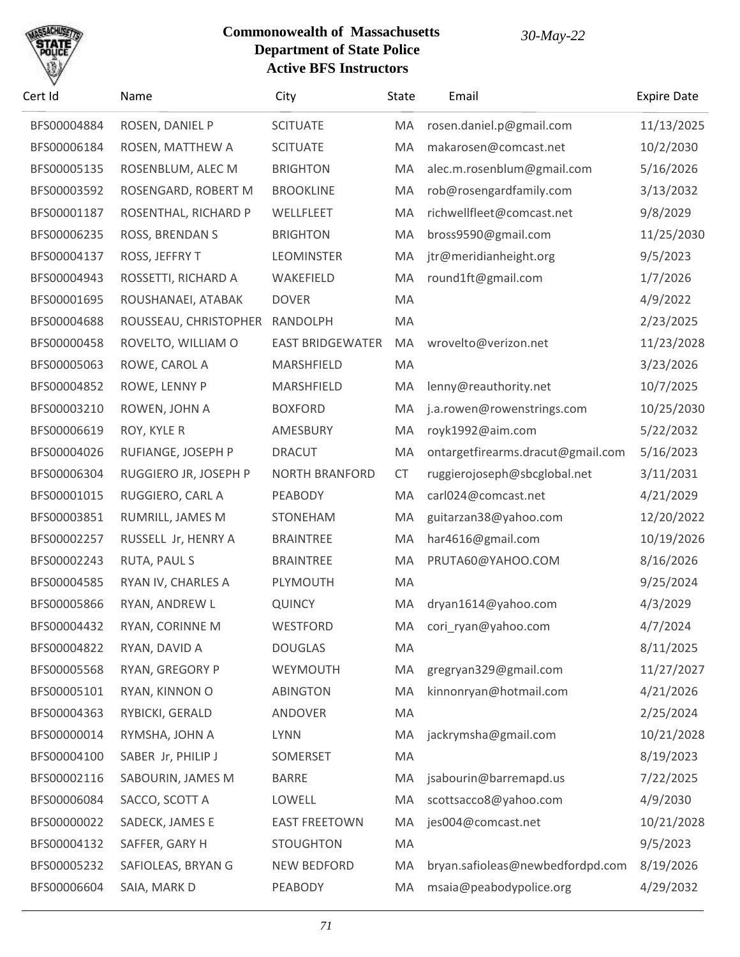

| Cert Id     | Name                  | City                    | State     | Email                             | <b>Expire Date</b> |
|-------------|-----------------------|-------------------------|-----------|-----------------------------------|--------------------|
| BFS00004884 | ROSEN, DANIEL P       | <b>SCITUATE</b>         | MA        | rosen.daniel.p@gmail.com          | 11/13/2025         |
| BFS00006184 | ROSEN, MATTHEW A      | <b>SCITUATE</b>         | MA        | makarosen@comcast.net             | 10/2/2030          |
| BFS00005135 | ROSENBLUM, ALEC M     | <b>BRIGHTON</b>         | MA        | alec.m.rosenblum@gmail.com        | 5/16/2026          |
| BFS00003592 | ROSENGARD, ROBERT M   | <b>BROOKLINE</b>        | MA        | rob@rosengardfamily.com           | 3/13/2032          |
| BFS00001187 | ROSENTHAL, RICHARD P  | WELLFLEET               | MA        | richwellfleet@comcast.net         | 9/8/2029           |
| BFS00006235 | ROSS, BRENDAN S       | <b>BRIGHTON</b>         | MA        | bross9590@gmail.com               | 11/25/2030         |
| BFS00004137 | ROSS, JEFFRY T        | <b>LEOMINSTER</b>       | MA        | jtr@meridianheight.org            | 9/5/2023           |
| BFS00004943 | ROSSETTI, RICHARD A   | WAKEFIELD               | MA        | round1ft@gmail.com                | 1/7/2026           |
| BFS00001695 | ROUSHANAEI, ATABAK    | <b>DOVER</b>            | MA        |                                   | 4/9/2022           |
| BFS00004688 | ROUSSEAU, CHRISTOPHER | RANDOLPH                | MA        |                                   | 2/23/2025          |
| BFS00000458 | ROVELTO, WILLIAM O    | <b>EAST BRIDGEWATER</b> | MA        | wrovelto@verizon.net              | 11/23/2028         |
| BFS00005063 | ROWE, CAROL A         | MARSHFIELD              | MA        |                                   | 3/23/2026          |
| BFS00004852 | ROWE, LENNY P         | MARSHFIELD              | MA        | lenny@reauthority.net             | 10/7/2025          |
| BFS00003210 | ROWEN, JOHN A         | <b>BOXFORD</b>          | MA        | j.a.rowen@rowenstrings.com        | 10/25/2030         |
| BFS00006619 | ROY, KYLE R           | AMESBURY                | MA        | royk1992@aim.com                  | 5/22/2032          |
| BFS00004026 | RUFIANGE, JOSEPH P    | <b>DRACUT</b>           | MA        | ontargetfirearms.dracut@gmail.com | 5/16/2023          |
| BFS00006304 | RUGGIERO JR, JOSEPH P | <b>NORTH BRANFORD</b>   | <b>CT</b> | ruggierojoseph@sbcglobal.net      | 3/11/2031          |
| BFS00001015 | RUGGIERO, CARL A      | PEABODY                 | MA        | carl024@comcast.net               | 4/21/2029          |
| BFS00003851 | RUMRILL, JAMES M      | STONEHAM                | MA        | guitarzan38@yahoo.com             | 12/20/2022         |
| BFS00002257 | RUSSELL Jr, HENRY A   | <b>BRAINTREE</b>        | MA        | har4616@gmail.com                 | 10/19/2026         |
| BFS00002243 | RUTA, PAUL S          | <b>BRAINTREE</b>        | MA        | PRUTA60@YAHOO.COM                 | 8/16/2026          |
| BFS00004585 | RYAN IV, CHARLES A    | PLYMOUTH                | MA        |                                   | 9/25/2024          |
| BFS00005866 | RYAN, ANDREW L        | <b>QUINCY</b>           | MA        | dryan1614@yahoo.com               | 4/3/2029           |
| BFS00004432 | RYAN, CORINNE M       | WESTFORD                |           | MA cori_ryan@yahoo.com            | 4/7/2024           |
| BFS00004822 | RYAN, DAVID A         | <b>DOUGLAS</b>          | MA        |                                   | 8/11/2025          |
| BFS00005568 | RYAN, GREGORY P       | WEYMOUTH                | MA        | gregryan329@gmail.com             | 11/27/2027         |
| BFS00005101 | RYAN, KINNON O        | <b>ABINGTON</b>         | MA        | kinnonryan@hotmail.com            | 4/21/2026          |
| BFS00004363 | RYBICKI, GERALD       | ANDOVER                 | MA        |                                   | 2/25/2024          |
| BFS00000014 | RYMSHA, JOHN A        | <b>LYNN</b>             | MA        | jackrymsha@gmail.com              | 10/21/2028         |
| BFS00004100 | SABER Jr, PHILIP J    | SOMERSET                | MA        |                                   | 8/19/2023          |
| BFS00002116 | SABOURIN, JAMES M     | <b>BARRE</b>            | MA        | jsabourin@barremapd.us            | 7/22/2025          |
| BFS00006084 | SACCO, SCOTT A        | LOWELL                  | MA        | scottsacco8@yahoo.com             | 4/9/2030           |
| BFS00000022 | SADECK, JAMES E       | <b>EAST FREETOWN</b>    | MA        | jes004@comcast.net                | 10/21/2028         |
| BFS00004132 | SAFFER, GARY H        | <b>STOUGHTON</b>        | MA        |                                   | 9/5/2023           |
| BFS00005232 | SAFIOLEAS, BRYAN G    | <b>NEW BEDFORD</b>      | MA        | bryan.safioleas@newbedfordpd.com  | 8/19/2026          |
| BFS00006604 | SAIA, MARK D          | PEABODY                 | MA        | msaia@peabodypolice.org           | 4/29/2032          |
|             |                       |                         |           |                                   |                    |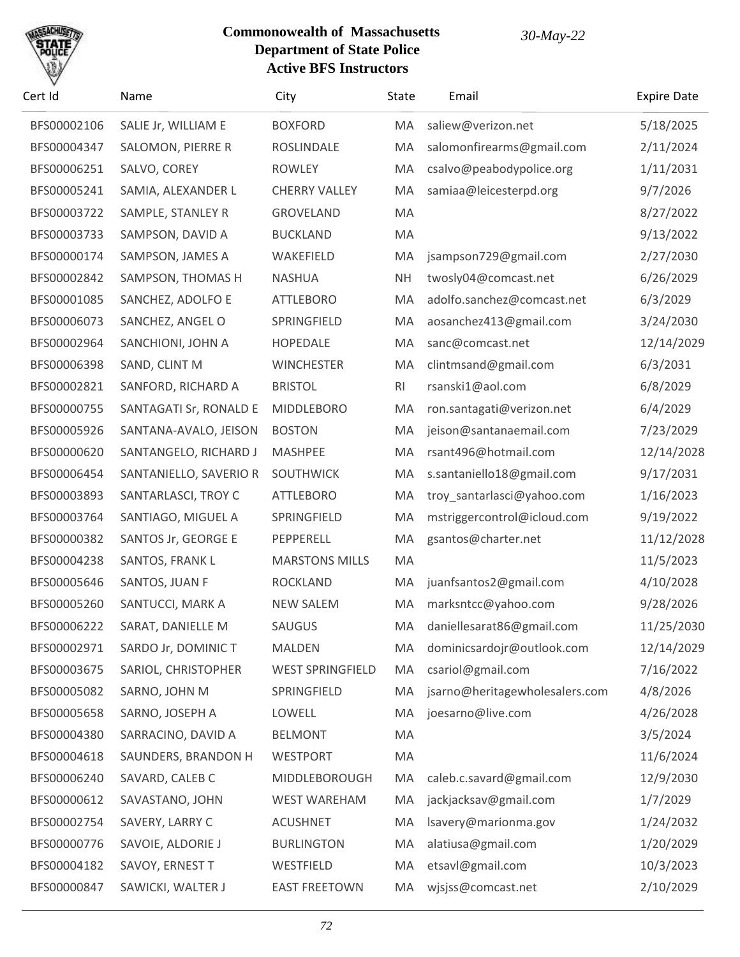

| Cert Id     | Name                   | City                    | <b>State</b>   | Email                          | <b>Expire Date</b> |
|-------------|------------------------|-------------------------|----------------|--------------------------------|--------------------|
| BFS00002106 | SALIE Jr, WILLIAM E    | <b>BOXFORD</b>          | MA             | saliew@verizon.net             | 5/18/2025          |
| BFS00004347 | SALOMON, PIERRE R      | ROSLINDALE              | MA             | salomonfirearms@gmail.com      | 2/11/2024          |
| BFS00006251 | SALVO, COREY           | <b>ROWLEY</b>           | MA             | csalvo@peabodypolice.org       | 1/11/2031          |
| BFS00005241 | SAMIA, ALEXANDER L     | <b>CHERRY VALLEY</b>    | MA             | samiaa@leicesterpd.org         | 9/7/2026           |
| BFS00003722 | SAMPLE, STANLEY R      | <b>GROVELAND</b>        | MA             |                                | 8/27/2022          |
| BFS00003733 | SAMPSON, DAVID A       | <b>BUCKLAND</b>         | MA             |                                | 9/13/2022          |
| BFS00000174 | SAMPSON, JAMES A       | WAKEFIELD               | MA             | jsampson729@gmail.com          | 2/27/2030          |
| BFS00002842 | SAMPSON, THOMAS H      | <b>NASHUA</b>           | <b>NH</b>      | twosly04@comcast.net           | 6/26/2029          |
| BFS00001085 | SANCHEZ, ADOLFO E      | <b>ATTLEBORO</b>        | MA             | adolfo.sanchez@comcast.net     | 6/3/2029           |
| BFS00006073 | SANCHEZ, ANGEL O       | SPRINGFIELD             | MA             | aosanchez413@gmail.com         | 3/24/2030          |
| BFS00002964 | SANCHIONI, JOHN A      | <b>HOPEDALE</b>         | MA             | sanc@comcast.net               | 12/14/2029         |
| BFS00006398 | SAND, CLINT M          | <b>WINCHESTER</b>       | MA             | clintmsand@gmail.com           | 6/3/2031           |
| BFS00002821 | SANFORD, RICHARD A     | <b>BRISTOL</b>          | R <sub>l</sub> | rsanski1@aol.com               | 6/8/2029           |
| BFS00000755 | SANTAGATI Sr, RONALD E | MIDDLEBORO              | MA             | ron.santagati@verizon.net      | 6/4/2029           |
| BFS00005926 | SANTANA-AVALO, JEISON  | <b>BOSTON</b>           | MA             | jeison@santanaemail.com        | 7/23/2029          |
| BFS00000620 | SANTANGELO, RICHARD J  | <b>MASHPEE</b>          | MA             | rsant496@hotmail.com           | 12/14/2028         |
| BFS00006454 | SANTANIELLO, SAVERIO R | SOUTHWICK               | MA             | s.santaniello18@gmail.com      | 9/17/2031          |
| BFS00003893 | SANTARLASCI, TROY C    | <b>ATTLEBORO</b>        | MA             | troy_santarlasci@yahoo.com     | 1/16/2023          |
| BFS00003764 | SANTIAGO, MIGUEL A     | SPRINGFIELD             | MA             | mstriggercontrol@icloud.com    | 9/19/2022          |
| BFS00000382 | SANTOS Jr, GEORGE E    | PEPPERELL               | MA             | gsantos@charter.net            | 11/12/2028         |
| BFS00004238 | SANTOS, FRANK L        | <b>MARSTONS MILLS</b>   | MA             |                                | 11/5/2023          |
| BFS00005646 | SANTOS, JUAN F         | <b>ROCKLAND</b>         | MA             | juanfsantos2@gmail.com         | 4/10/2028          |
| BFS00005260 | SANTUCCI, MARK A       | <b>NEW SALEM</b>        | MA             | marksntcc@yahoo.com            | 9/28/2026          |
| BFS00006222 | SARAT, DANIELLE M      | <b>SAUGUS</b>           | MA             | daniellesarat86@gmail.com      | 11/25/2030         |
| BFS00002971 | SARDO Jr, DOMINIC T    | <b>MALDEN</b>           | MA             | dominicsardojr@outlook.com     | 12/14/2029         |
| BFS00003675 | SARIOL, CHRISTOPHER    | <b>WEST SPRINGFIELD</b> | MA             | csariol@gmail.com              | 7/16/2022          |
| BFS00005082 | SARNO, JOHN M          | SPRINGFIELD             | MA             | jsarno@heritagewholesalers.com | 4/8/2026           |
| BFS00005658 | SARNO, JOSEPH A        | LOWELL                  | MA             | joesarno@live.com              | 4/26/2028          |
| BFS00004380 | SARRACINO, DAVID A     | <b>BELMONT</b>          | MA             |                                | 3/5/2024           |
| BFS00004618 | SAUNDERS, BRANDON H    | <b>WESTPORT</b>         | MA             |                                | 11/6/2024          |
| BFS00006240 | SAVARD, CALEB C        | MIDDLEBOROUGH           | MA             | caleb.c.savard@gmail.com       | 12/9/2030          |
| BFS00000612 | SAVASTANO, JOHN        | <b>WEST WAREHAM</b>     | MA             | jackjacksav@gmail.com          | 1/7/2029           |
| BFS00002754 | SAVERY, LARRY C        | <b>ACUSHNET</b>         | MA             | Isavery@marionma.gov           | 1/24/2032          |
| BFS00000776 | SAVOIE, ALDORIE J      | <b>BURLINGTON</b>       | MA             | alatiusa@gmail.com             | 1/20/2029          |
| BFS00004182 | SAVOY, ERNEST T        | WESTFIELD               | MA             | etsavl@gmail.com               | 10/3/2023          |
| BFS00000847 | SAWICKI, WALTER J      | <b>EAST FREETOWN</b>    | MA             | wjsjss@comcast.net             | 2/10/2029          |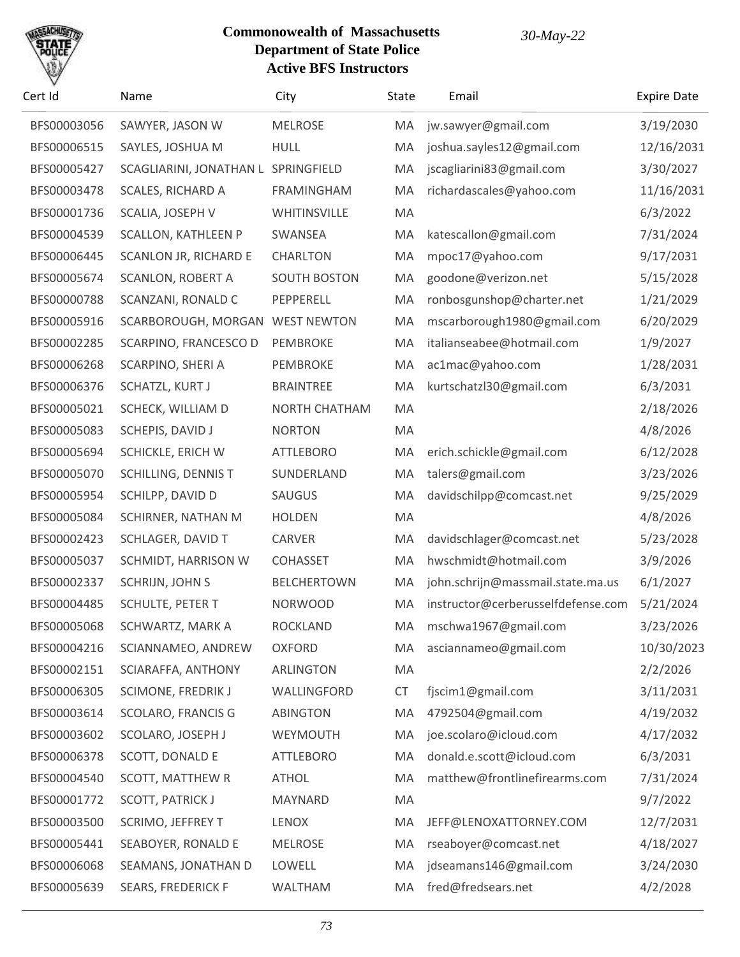

| Cert Id     | Name                                | City                | State     | Email                              | <b>Expire Date</b> |
|-------------|-------------------------------------|---------------------|-----------|------------------------------------|--------------------|
| BFS00003056 | SAWYER, JASON W                     | <b>MELROSE</b>      | MA        | jw.sawyer@gmail.com                | 3/19/2030          |
| BFS00006515 | SAYLES, JOSHUA M                    | <b>HULL</b>         | MA        | joshua.sayles12@gmail.com          | 12/16/2031         |
| BFS00005427 | SCAGLIARINI, JONATHAN L SPRINGFIELD |                     | MA        | jscagliarini83@gmail.com           | 3/30/2027          |
| BFS00003478 | SCALES, RICHARD A                   | FRAMINGHAM          | MA        | richardascales@yahoo.com           | 11/16/2031         |
| BFS00001736 | SCALIA, JOSEPH V                    | WHITINSVILLE        | MA        |                                    | 6/3/2022           |
| BFS00004539 | <b>SCALLON, KATHLEEN P</b>          | SWANSEA             | MA        | katescallon@gmail.com              | 7/31/2024          |
| BFS00006445 | SCANLON JR, RICHARD E               | <b>CHARLTON</b>     | MA        | mpoc17@yahoo.com                   | 9/17/2031          |
| BFS00005674 | <b>SCANLON, ROBERT A</b>            | <b>SOUTH BOSTON</b> | MA        | goodone@verizon.net                | 5/15/2028          |
| BFS00000788 | SCANZANI, RONALD C                  | PEPPERELL           | MA        | ronbosgunshop@charter.net          | 1/21/2029          |
| BFS00005916 | SCARBOROUGH, MORGAN                 | <b>WEST NEWTON</b>  | MA        | mscarborough1980@gmail.com         | 6/20/2029          |
| BFS00002285 | SCARPINO, FRANCESCO D               | PEMBROKE            | MA        | italianseabee@hotmail.com          | 1/9/2027           |
| BFS00006268 | SCARPINO, SHERI A                   | PEMBROKE            | MA        | ac1mac@yahoo.com                   | 1/28/2031          |
| BFS00006376 | SCHATZL, KURT J                     | <b>BRAINTREE</b>    | MA        | kurtschatzl30@gmail.com            | 6/3/2031           |
| BFS00005021 | SCHECK, WILLIAM D                   | NORTH CHATHAM       | MA        |                                    | 2/18/2026          |
| BFS00005083 | SCHEPIS, DAVID J                    | <b>NORTON</b>       | MA        |                                    | 4/8/2026           |
| BFS00005694 | SCHICKLE, ERICH W                   | <b>ATTLEBORO</b>    | MA        | erich.schickle@gmail.com           | 6/12/2028          |
| BFS00005070 | <b>SCHILLING, DENNIS T</b>          | SUNDERLAND          | MA        | talers@gmail.com                   | 3/23/2026          |
| BFS00005954 | SCHILPP, DAVID D                    | SAUGUS              | MA        | davidschilpp@comcast.net           | 9/25/2029          |
| BFS00005084 | SCHIRNER, NATHAN M                  | <b>HOLDEN</b>       | MA        |                                    | 4/8/2026           |
| BFS00002423 | SCHLAGER, DAVID T                   | CARVER              | MA        | davidschlager@comcast.net          | 5/23/2028          |
| BFS00005037 | SCHMIDT, HARRISON W                 | <b>COHASSET</b>     | MA        | hwschmidt@hotmail.com              | 3/9/2026           |
| BFS00002337 | SCHRIJN, JOHN S                     | <b>BELCHERTOWN</b>  | MA        | john.schrijn@massmail.state.ma.us  | 6/1/2027           |
| BFS00004485 | SCHULTE, PETER T                    | <b>NORWOOD</b>      | MA        | instructor@cerberusselfdefense.com | 5/21/2024          |
| BFS00005068 | SCHWARTZ, MARK A                    | <b>ROCKLAND</b>     | MA        | mschwa1967@gmail.com               | 3/23/2026          |
| BFS00004216 | SCIANNAMEO, ANDREW                  | <b>OXFORD</b>       | MA        | asciannameo@gmail.com              | 10/30/2023         |
| BFS00002151 | SCIARAFFA, ANTHONY                  | ARLINGTON           | MA        |                                    | 2/2/2026           |
| BFS00006305 | SCIMONE, FREDRIK J                  | WALLINGFORD         | <b>CT</b> | fjscim1@gmail.com                  | 3/11/2031          |
| BFS00003614 | SCOLARO, FRANCIS G                  | <b>ABINGTON</b>     | MA        | 4792504@gmail.com                  | 4/19/2032          |
| BFS00003602 | SCOLARO, JOSEPH J                   | WEYMOUTH            | MA        | joe.scolaro@icloud.com             | 4/17/2032          |
| BFS00006378 | SCOTT, DONALD E                     | <b>ATTLEBORO</b>    | MA        | donald.e.scott@icloud.com          | 6/3/2031           |
| BFS00004540 | <b>SCOTT, MATTHEW R</b>             | <b>ATHOL</b>        | MA        | matthew@frontlinefirearms.com      | 7/31/2024          |
| BFS00001772 | <b>SCOTT, PATRICK J</b>             | MAYNARD             | MA        |                                    | 9/7/2022           |
| BFS00003500 | SCRIMO, JEFFREY T                   | <b>LENOX</b>        | MA        | JEFF@LENOXATTORNEY.COM             | 12/7/2031          |
| BFS00005441 | SEABOYER, RONALD E                  | <b>MELROSE</b>      | MA        | rseaboyer@comcast.net              | 4/18/2027          |
| BFS00006068 | SEAMANS, JONATHAN D                 | LOWELL              | MA        | jdseamans146@gmail.com             | 3/24/2030          |
| BFS00005639 | <b>SEARS, FREDERICK F</b>           | WALTHAM             | MA        | fred@fredsears.net                 | 4/2/2028           |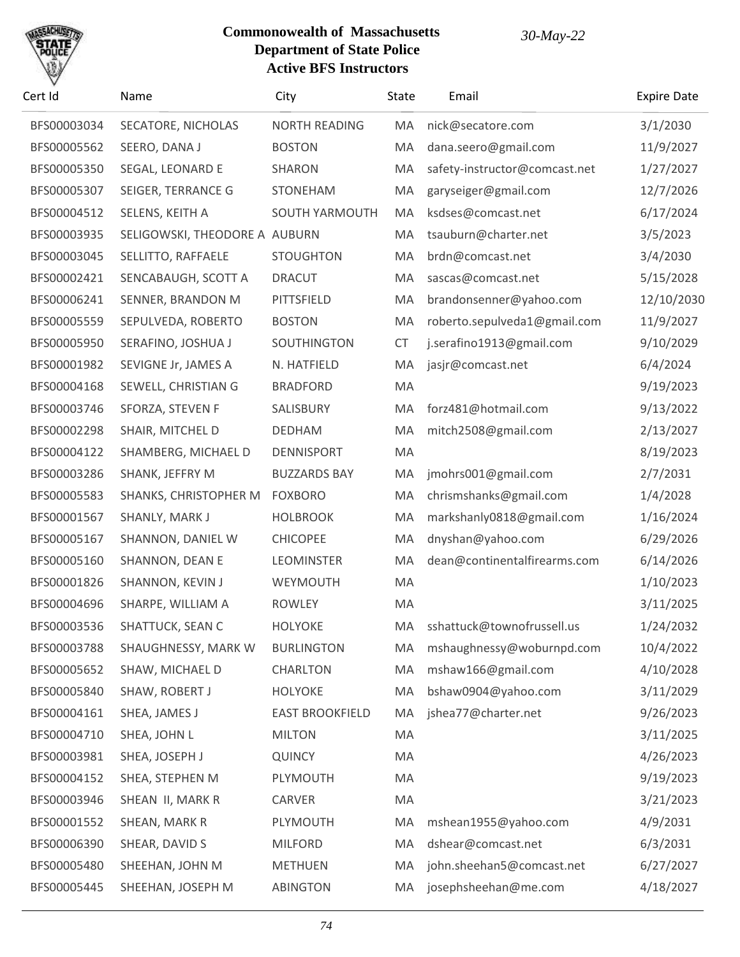

| Cert Id     | Name                          | City                   | State     | Email                         | <b>Expire Date</b> |
|-------------|-------------------------------|------------------------|-----------|-------------------------------|--------------------|
| BFS00003034 | SECATORE, NICHOLAS            | <b>NORTH READING</b>   | MA        | nick@secatore.com             | 3/1/2030           |
| BFS00005562 | SEERO, DANA J                 | <b>BOSTON</b>          | MA        | dana.seero@gmail.com          | 11/9/2027          |
| BFS00005350 | SEGAL, LEONARD E              | SHARON                 | MA        | safety-instructor@comcast.net | 1/27/2027          |
| BFS00005307 | SEIGER, TERRANCE G            | <b>STONEHAM</b>        | MA        | garyseiger@gmail.com          | 12/7/2026          |
| BFS00004512 | SELENS, KEITH A               | <b>SOUTH YARMOUTH</b>  | MA        | ksdses@comcast.net            | 6/17/2024          |
| BFS00003935 | SELIGOWSKI, THEODORE A AUBURN |                        | MA        | tsauburn@charter.net          | 3/5/2023           |
| BFS00003045 | SELLITTO, RAFFAELE            | <b>STOUGHTON</b>       | MA        | brdn@comcast.net              | 3/4/2030           |
| BFS00002421 | SENCABAUGH, SCOTT A           | <b>DRACUT</b>          | MA        | sascas@comcast.net            | 5/15/2028          |
| BFS00006241 | SENNER, BRANDON M             | PITTSFIELD             | MA        | brandonsenner@yahoo.com       | 12/10/2030         |
| BFS00005559 | SEPULVEDA, ROBERTO            | <b>BOSTON</b>          | MA        | roberto.sepulveda1@gmail.com  | 11/9/2027          |
| BFS00005950 | SERAFINO, JOSHUA J            | SOUTHINGTON            | <b>CT</b> | j.serafino1913@gmail.com      | 9/10/2029          |
| BFS00001982 | SEVIGNE Jr, JAMES A           | N. HATFIELD            | MA        | jasjr@comcast.net             | 6/4/2024           |
| BFS00004168 | SEWELL, CHRISTIAN G           | <b>BRADFORD</b>        | MA        |                               | 9/19/2023          |
| BFS00003746 | SFORZA, STEVEN F              | SALISBURY              | MA        | forz481@hotmail.com           | 9/13/2022          |
| BFS00002298 | SHAIR, MITCHEL D              | <b>DEDHAM</b>          | MA        | mitch2508@gmail.com           | 2/13/2027          |
| BFS00004122 | SHAMBERG, MICHAEL D           | <b>DENNISPORT</b>      | MA        |                               | 8/19/2023          |
| BFS00003286 | SHANK, JEFFRY M               | <b>BUZZARDS BAY</b>    | MA        | jmohrs001@gmail.com           | 2/7/2031           |
| BFS00005583 | SHANKS, CHRISTOPHER M         | <b>FOXBORO</b>         | MA        | chrismshanks@gmail.com        | 1/4/2028           |
| BFS00001567 | SHANLY, MARK J                | <b>HOLBROOK</b>        | MA        | markshanly0818@gmail.com      | 1/16/2024          |
| BFS00005167 | SHANNON, DANIEL W             | <b>CHICOPEE</b>        | MA        | dnyshan@yahoo.com             | 6/29/2026          |
| BFS00005160 | SHANNON, DEAN E               | <b>LEOMINSTER</b>      | MA        | dean@continentalfirearms.com  | 6/14/2026          |
| BFS00001826 | SHANNON, KEVIN J              | WEYMOUTH               | MA        |                               | 1/10/2023          |
| BFS00004696 | SHARPE, WILLIAM A             | <b>ROWLEY</b>          | MA        |                               | 3/11/2025          |
| BFS00003536 | SHATTUCK, SEAN C              | <b>HOLYOKE</b>         |           | MA sshattuck@townofrussell.us | 1/24/2032          |
| BFS00003788 | SHAUGHNESSY, MARK W           | <b>BURLINGTON</b>      | MA        | mshaughnessy@woburnpd.com     | 10/4/2022          |
| BFS00005652 | SHAW, MICHAEL D               | <b>CHARLTON</b>        | MA        | mshaw166@gmail.com            | 4/10/2028          |
| BFS00005840 | SHAW, ROBERT J                | <b>HOLYOKE</b>         | MA        | bshaw0904@yahoo.com           | 3/11/2029          |
| BFS00004161 | SHEA, JAMES J                 | <b>EAST BROOKFIELD</b> | MA        | jshea77@charter.net           | 9/26/2023          |
| BFS00004710 | SHEA, JOHN L                  | <b>MILTON</b>          | MA        |                               | 3/11/2025          |
| BFS00003981 | SHEA, JOSEPH J                | <b>QUINCY</b>          | MA        |                               | 4/26/2023          |
| BFS00004152 | SHEA, STEPHEN M               | PLYMOUTH               | MA        |                               | 9/19/2023          |
| BFS00003946 | SHEAN II, MARK R              | CARVER                 | MA        |                               | 3/21/2023          |
| BFS00001552 | SHEAN, MARK R                 | PLYMOUTH               | MA        | mshean1955@yahoo.com          | 4/9/2031           |
| BFS00006390 | SHEAR, DAVID S                | <b>MILFORD</b>         | MA        | dshear@comcast.net            | 6/3/2031           |
| BFS00005480 | SHEEHAN, JOHN M               | <b>METHUEN</b>         | MA        | john.sheehan5@comcast.net     | 6/27/2027          |
| BFS00005445 | SHEEHAN, JOSEPH M             | <b>ABINGTON</b>        | MA        | josephsheehan@me.com          | 4/18/2027          |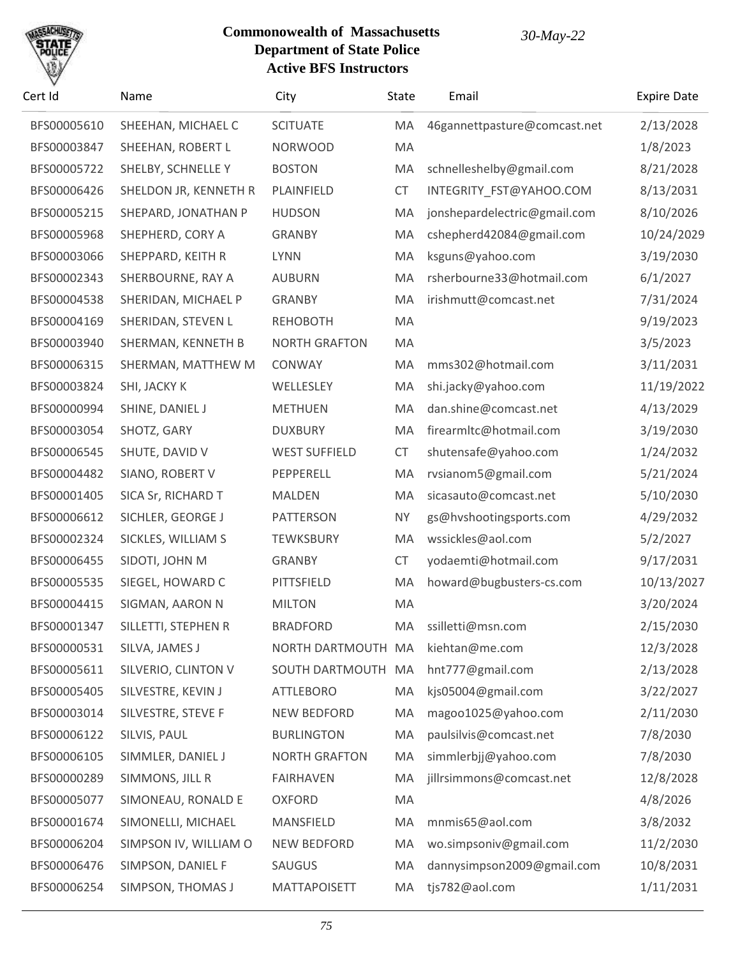# SACHU

| Cert Id     | Name                  | City                 | State     | Email                        | <b>Expire Date</b> |
|-------------|-----------------------|----------------------|-----------|------------------------------|--------------------|
| BFS00005610 | SHEEHAN, MICHAEL C    | <b>SCITUATE</b>      | МA        | 46gannettpasture@comcast.net | 2/13/2028          |
| BFS00003847 | SHEEHAN, ROBERT L     | <b>NORWOOD</b>       | MA        |                              | 1/8/2023           |
| BFS00005722 | SHELBY, SCHNELLE Y    | <b>BOSTON</b>        | MA        | schnelleshelby@gmail.com     | 8/21/2028          |
| BFS00006426 | SHELDON JR, KENNETH R | PLAINFIELD           | <b>CT</b> | INTEGRITY_FST@YAHOO.COM      | 8/13/2031          |
| BFS00005215 | SHEPARD, JONATHAN P   | <b>HUDSON</b>        | MA        | jonshepardelectric@gmail.com | 8/10/2026          |
| BFS00005968 | SHEPHERD, CORY A      | <b>GRANBY</b>        | MA        | cshepherd42084@gmail.com     | 10/24/2029         |
| BFS00003066 | SHEPPARD, KEITH R     | <b>LYNN</b>          | MA        | ksguns@yahoo.com             | 3/19/2030          |
| BFS00002343 | SHERBOURNE, RAY A     | <b>AUBURN</b>        | MA        | rsherbourne33@hotmail.com    | 6/1/2027           |
| BFS00004538 | SHERIDAN, MICHAEL P   | <b>GRANBY</b>        | MA        | irishmutt@comcast.net        | 7/31/2024          |
| BFS00004169 | SHERIDAN, STEVEN L    | <b>REHOBOTH</b>      | MA        |                              | 9/19/2023          |
| BFS00003940 | SHERMAN, KENNETH B    | <b>NORTH GRAFTON</b> | MA        |                              | 3/5/2023           |
| BFS00006315 | SHERMAN, MATTHEW M    | CONWAY               | MA        | mms302@hotmail.com           | 3/11/2031          |
| BFS00003824 | SHI, JACKY K          | WELLESLEY            | MA        | shi.jacky@yahoo.com          | 11/19/2022         |
| BFS00000994 | SHINE, DANIEL J       | <b>METHUEN</b>       | MA        | dan.shine@comcast.net        | 4/13/2029          |
| BFS00003054 | SHOTZ, GARY           | <b>DUXBURY</b>       | MA        | firearmltc@hotmail.com       | 3/19/2030          |
| BFS00006545 | SHUTE, DAVID V        | <b>WEST SUFFIELD</b> | <b>CT</b> | shutensafe@yahoo.com         | 1/24/2032          |
| BFS00004482 | SIANO, ROBERT V       | PEPPERELL            | MA        | rvsianom5@gmail.com          | 5/21/2024          |
| BFS00001405 | SICA Sr, RICHARD T    | MALDEN               | MA        | sicasauto@comcast.net        | 5/10/2030          |
| BFS00006612 | SICHLER, GEORGE J     | <b>PATTERSON</b>     | <b>NY</b> | gs@hvshootingsports.com      | 4/29/2032          |
| BFS00002324 | SICKLES, WILLIAM S    | <b>TEWKSBURY</b>     | MA        | wssickles@aol.com            | 5/2/2027           |
| BFS00006455 | SIDOTI, JOHN M        | <b>GRANBY</b>        | <b>CT</b> | yodaemti@hotmail.com         | 9/17/2031          |
| BFS00005535 | SIEGEL, HOWARD C      | PITTSFIELD           | MA        | howard@bugbusters-cs.com     | 10/13/2027         |
| BFS00004415 | SIGMAN, AARON N       | <b>MILTON</b>        | MA        |                              | 3/20/2024          |
| BFS00001347 | SILLETTI, STEPHEN R   | <b>BRADFORD</b>      | МA        | ssilletti@msn.com            | 2/15/2030          |
| BFS00000531 | SILVA, JAMES J        | NORTH DARTMOUTH MA   |           | kiehtan@me.com               | 12/3/2028          |
| BFS00005611 | SILVERIO, CLINTON V   | SOUTH DARTMOUTH MA   |           | hnt777@gmail.com             | 2/13/2028          |
| BFS00005405 | SILVESTRE, KEVIN J    | <b>ATTLEBORO</b>     | MA        | kjs05004@gmail.com           | 3/22/2027          |
| BFS00003014 | SILVESTRE, STEVE F    | <b>NEW BEDFORD</b>   | MA        | magoo1025@yahoo.com          | 2/11/2030          |
| BFS00006122 | SILVIS, PAUL          | <b>BURLINGTON</b>    | MA        | paulsilvis@comcast.net       | 7/8/2030           |
| BFS00006105 | SIMMLER, DANIEL J     | <b>NORTH GRAFTON</b> | MA        | simmlerbjj@yahoo.com         | 7/8/2030           |
| BFS00000289 | SIMMONS, JILL R       | <b>FAIRHAVEN</b>     | MA        | jillrsimmons@comcast.net     | 12/8/2028          |
| BFS00005077 | SIMONEAU, RONALD E    | <b>OXFORD</b>        | MA        |                              | 4/8/2026           |
| BFS00001674 | SIMONELLI, MICHAEL    | MANSFIELD            | MA        | mnmis65@aol.com              | 3/8/2032           |
| BFS00006204 | SIMPSON IV, WILLIAM O | NEW BEDFORD          | MA        | wo.simpsoniv@gmail.com       | 11/2/2030          |
| BFS00006476 | SIMPSON, DANIEL F     | <b>SAUGUS</b>        | MA        | dannysimpson2009@gmail.com   | 10/8/2031          |
| BFS00006254 | SIMPSON, THOMAS J     | <b>MATTAPOISETT</b>  | MA        | tjs782@aol.com               | 1/11/2031          |
|             |                       |                      |           |                              |                    |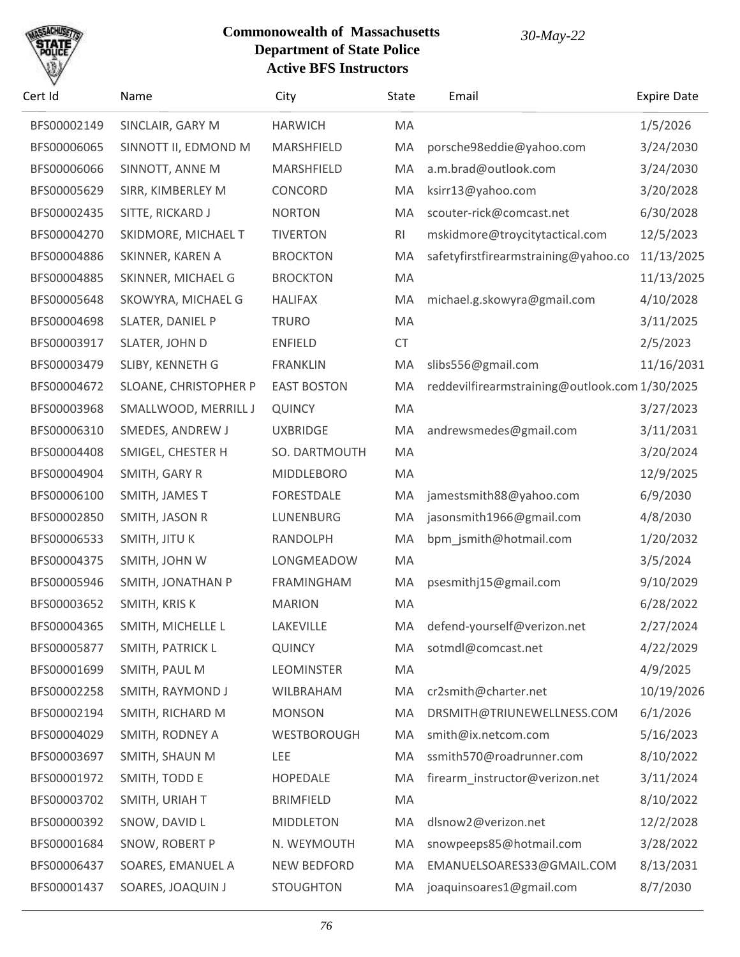

| Cert Id     | Name                  | City               | State     | Email                                          | <b>Expire Date</b> |
|-------------|-----------------------|--------------------|-----------|------------------------------------------------|--------------------|
| BFS00002149 | SINCLAIR, GARY M      | <b>HARWICH</b>     | MA        |                                                | 1/5/2026           |
| BFS00006065 | SINNOTT II, EDMOND M  | MARSHFIELD         | MA        | porsche98eddie@yahoo.com                       | 3/24/2030          |
| BFS00006066 | SINNOTT, ANNE M       | MARSHFIELD         | MA        | a.m.brad@outlook.com                           | 3/24/2030          |
| BFS00005629 | SIRR, KIMBERLEY M     | CONCORD            | MA        | ksirr13@yahoo.com                              | 3/20/2028          |
| BFS00002435 | SITTE, RICKARD J      | <b>NORTON</b>      | MA        | scouter-rick@comcast.net                       | 6/30/2028          |
| BFS00004270 | SKIDMORE, MICHAEL T   | <b>TIVERTON</b>    | RI        | mskidmore@troycitytactical.com                 | 12/5/2023          |
| BFS00004886 | SKINNER, KAREN A      | <b>BROCKTON</b>    | MA        | safetyfirstfirearmstraining@yahoo.co           | 11/13/2025         |
| BFS00004885 | SKINNER, MICHAEL G    | <b>BROCKTON</b>    | MA        |                                                | 11/13/2025         |
| BFS00005648 | SKOWYRA, MICHAEL G    | <b>HALIFAX</b>     | MA        | michael.g.skowyra@gmail.com                    | 4/10/2028          |
| BFS00004698 | SLATER, DANIEL P      | <b>TRURO</b>       | MA        |                                                | 3/11/2025          |
| BFS00003917 | SLATER, JOHN D        | <b>ENFIELD</b>     | <b>CT</b> |                                                | 2/5/2023           |
| BFS00003479 | SLIBY, KENNETH G      | <b>FRANKLIN</b>    | MA        | slibs556@gmail.com                             | 11/16/2031         |
| BFS00004672 | SLOANE, CHRISTOPHER P | <b>EAST BOSTON</b> | MA        | reddevilfirearmstraining@outlook.com 1/30/2025 |                    |
| BFS00003968 | SMALLWOOD, MERRILL J  | <b>QUINCY</b>      | MA        |                                                | 3/27/2023          |
| BFS00006310 | SMEDES, ANDREW J      | <b>UXBRIDGE</b>    | MA        | andrewsmedes@gmail.com                         | 3/11/2031          |
| BFS00004408 | SMIGEL, CHESTER H     | SO. DARTMOUTH      | MA        |                                                | 3/20/2024          |
| BFS00004904 | SMITH, GARY R         | <b>MIDDLEBORO</b>  | MA        |                                                | 12/9/2025          |
| BFS00006100 | SMITH, JAMES T        | <b>FORESTDALE</b>  | MA        | jamestsmith88@yahoo.com                        | 6/9/2030           |
| BFS00002850 | SMITH, JASON R        | LUNENBURG          | MA        | jasonsmith1966@gmail.com                       | 4/8/2030           |
| BFS00006533 | SMITH, JITU K         | RANDOLPH           | MA        | bpm_jsmith@hotmail.com                         | 1/20/2032          |
| BFS00004375 | SMITH, JOHN W         | LONGMEADOW         | MA        |                                                | 3/5/2024           |
| BFS00005946 | SMITH, JONATHAN P     | <b>FRAMINGHAM</b>  | MA        | psesmithj15@gmail.com                          | 9/10/2029          |
| BFS00003652 | SMITH, KRIS K         | <b>MARION</b>      | MA        |                                                | 6/28/2022          |
| BFS00004365 | SMITH, MICHELLE L     | LAKEVILLE          | MA        | defend-yourself@verizon.net                    | 2/27/2024          |
| BFS00005877 | SMITH, PATRICK L      | <b>QUINCY</b>      | MA        | sotmdl@comcast.net                             | 4/22/2029          |
| BFS00001699 | SMITH, PAUL M         | <b>LEOMINSTER</b>  | MA        |                                                | 4/9/2025           |
| BFS00002258 | SMITH, RAYMOND J      | WILBRAHAM          | MA        | cr2smith@charter.net                           | 10/19/2026         |
| BFS00002194 | SMITH, RICHARD M      | <b>MONSON</b>      | MA        | DRSMITH@TRIUNEWELLNESS.COM                     | 6/1/2026           |
| BFS00004029 | SMITH, RODNEY A       | WESTBOROUGH        | MA        | smith@ix.netcom.com                            | 5/16/2023          |
| BFS00003697 | SMITH, SHAUN M        | LEE                | MA        | ssmith570@roadrunner.com                       | 8/10/2022          |
| BFS00001972 | SMITH, TODD E         | <b>HOPEDALE</b>    | MA        | firearm_instructor@verizon.net                 | 3/11/2024          |
| BFS00003702 | SMITH, URIAH T        | <b>BRIMFIELD</b>   | MA        |                                                | 8/10/2022          |
| BFS00000392 | SNOW, DAVID L         | <b>MIDDLETON</b>   | MA        | dlsnow2@verizon.net                            | 12/2/2028          |
| BFS00001684 | SNOW, ROBERT P        | N. WEYMOUTH        | MA        | snowpeeps85@hotmail.com                        | 3/28/2022          |
| BFS00006437 | SOARES, EMANUEL A     | NEW BEDFORD        | MA        | EMANUELSOARES33@GMAIL.COM                      | 8/13/2031          |
| BFS00001437 | SOARES, JOAQUIN J     | <b>STOUGHTON</b>   | MA        | joaquinsoares1@gmail.com                       | 8/7/2030           |
|             |                       |                    |           |                                                |                    |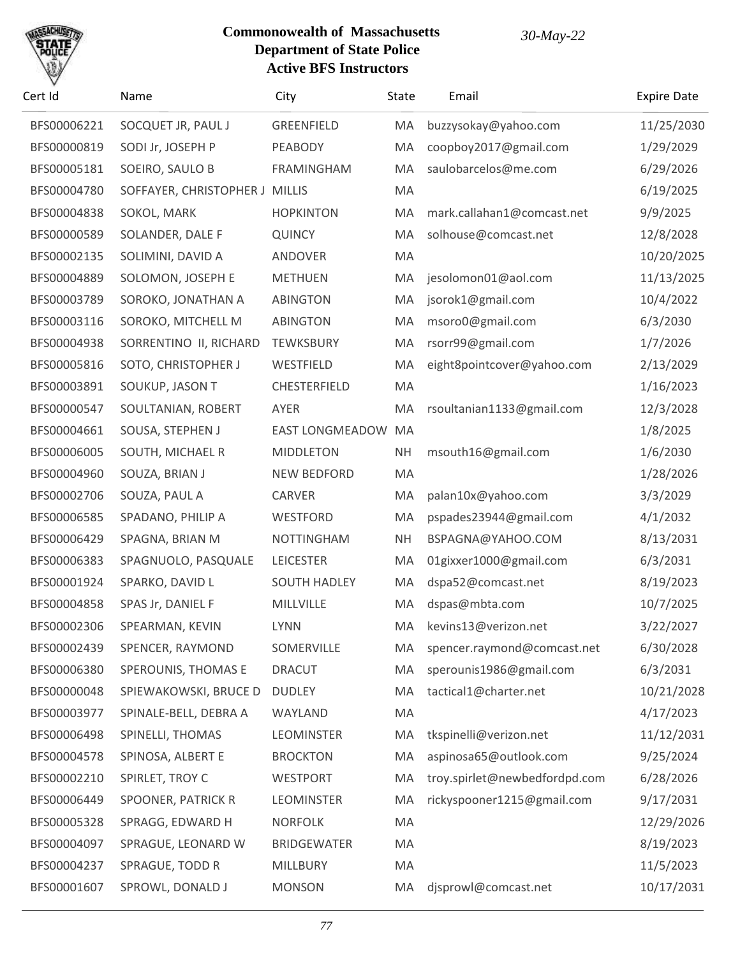

| Cert Id     | Name                           | City                | State     | Email                         | <b>Expire Date</b> |
|-------------|--------------------------------|---------------------|-----------|-------------------------------|--------------------|
| BFS00006221 | SOCQUET JR, PAUL J             | <b>GREENFIELD</b>   | MA        | buzzysokay@yahoo.com          | 11/25/2030         |
| BFS00000819 | SODI Jr, JOSEPH P              | PEABODY             | MA        | coopboy2017@gmail.com         | 1/29/2029          |
| BFS00005181 | SOEIRO, SAULO B                | <b>FRAMINGHAM</b>   | MA        | saulobarcelos@me.com          | 6/29/2026          |
| BFS00004780 | SOFFAYER, CHRISTOPHER J MILLIS |                     | MA        |                               | 6/19/2025          |
| BFS00004838 | SOKOL, MARK                    | <b>HOPKINTON</b>    | MA        | mark.callahan1@comcast.net    | 9/9/2025           |
| BFS00000589 | SOLANDER, DALE F               | <b>QUINCY</b>       | MA        | solhouse@comcast.net          | 12/8/2028          |
| BFS00002135 | SOLIMINI, DAVID A              | ANDOVER             | MA        |                               | 10/20/2025         |
| BFS00004889 | SOLOMON, JOSEPH E              | <b>METHUEN</b>      | MA        | jesolomon01@aol.com           | 11/13/2025         |
| BFS00003789 | SOROKO, JONATHAN A             | <b>ABINGTON</b>     | MA        | jsorok1@gmail.com             | 10/4/2022          |
| BFS00003116 | SOROKO, MITCHELL M             | <b>ABINGTON</b>     | MA        | msoro0@gmail.com              | 6/3/2030           |
| BFS00004938 | SORRENTINO II, RICHARD         | <b>TEWKSBURY</b>    | MA        | rsorr99@gmail.com             | 1/7/2026           |
| BFS00005816 | SOTO, CHRISTOPHER J            | WESTFIELD           | MA        | eight8pointcover@yahoo.com    | 2/13/2029          |
| BFS00003891 | SOUKUP, JASON T                | CHESTERFIELD        | MA        |                               | 1/16/2023          |
| BFS00000547 | SOULTANIAN, ROBERT             | AYER                | MA        | rsoultanian1133@gmail.com     | 12/3/2028          |
| BFS00004661 | SOUSA, STEPHEN J               | EAST LONGMEADOW     | MA        |                               | 1/8/2025           |
| BFS00006005 | SOUTH, MICHAEL R               | <b>MIDDLETON</b>    | <b>NH</b> | msouth16@gmail.com            | 1/6/2030           |
| BFS00004960 | SOUZA, BRIAN J                 | NEW BEDFORD         | MA        |                               | 1/28/2026          |
| BFS00002706 | SOUZA, PAUL A                  | <b>CARVER</b>       | MA        | palan10x@yahoo.com            | 3/3/2029           |
| BFS00006585 | SPADANO, PHILIP A              | WESTFORD            | MA        | pspades23944@gmail.com        | 4/1/2032           |
| BFS00006429 | SPAGNA, BRIAN M                | <b>NOTTINGHAM</b>   | <b>NH</b> | BSPAGNA@YAHOO.COM             | 8/13/2031          |
| BFS00006383 | SPAGNUOLO, PASQUALE            | <b>LEICESTER</b>    | MA        | 01gixxer1000@gmail.com        | 6/3/2031           |
| BFS00001924 | SPARKO, DAVID L                | <b>SOUTH HADLEY</b> | MA        | dspa52@comcast.net            | 8/19/2023          |
| BFS00004858 | SPAS Jr, DANIEL F              | MILLVILLE           | MA        | dspas@mbta.com                | 10/7/2025          |
| BFS00002306 | SPEARMAN, KEVIN                | LYNN                | MA        | kevins13@verizon.net          | 3/22/2027          |
| BFS00002439 | SPENCER, RAYMOND               | SOMERVILLE          | MA        | spencer.raymond@comcast.net   | 6/30/2028          |
| BFS00006380 | SPEROUNIS, THOMAS E            | <b>DRACUT</b>       | MA        | sperounis1986@gmail.com       | 6/3/2031           |
| BFS00000048 | SPIEWAKOWSKI, BRUCE D          | <b>DUDLEY</b>       | MA        | tactical1@charter.net         | 10/21/2028         |
| BFS00003977 | SPINALE-BELL, DEBRA A          | WAYLAND             | MA        |                               | 4/17/2023          |
| BFS00006498 | SPINELLI, THOMAS               | <b>LEOMINSTER</b>   | MA        | tkspinelli@verizon.net        | 11/12/2031         |
| BFS00004578 | SPINOSA, ALBERT E              | <b>BROCKTON</b>     | MA        | aspinosa65@outlook.com        | 9/25/2024          |
| BFS00002210 | SPIRLET, TROY C                | <b>WESTPORT</b>     | MA        | troy.spirlet@newbedfordpd.com | 6/28/2026          |
| BFS00006449 | SPOONER, PATRICK R             | <b>LEOMINSTER</b>   | MA        | rickyspooner1215@gmail.com    | 9/17/2031          |
| BFS00005328 | SPRAGG, EDWARD H               | <b>NORFOLK</b>      | MA        |                               | 12/29/2026         |
| BFS00004097 | SPRAGUE, LEONARD W             | <b>BRIDGEWATER</b>  | MA        |                               | 8/19/2023          |
| BFS00004237 | SPRAGUE, TODD R                | MILLBURY            | MA        |                               | 11/5/2023          |
| BFS00001607 | SPROWL, DONALD J               | <b>MONSON</b>       | MA        | djsprowl@comcast.net          | 10/17/2031         |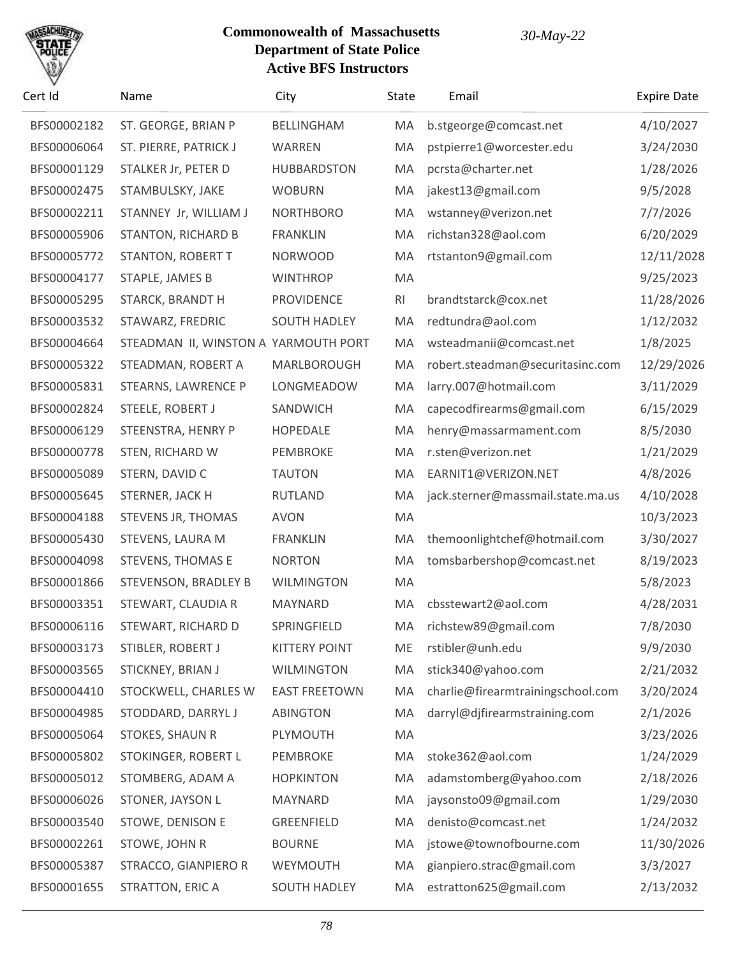

| Cert Id     | Name                                 | City                 | State | Email                             | <b>Expire Date</b> |
|-------------|--------------------------------------|----------------------|-------|-----------------------------------|--------------------|
| BFS00002182 | ST. GEORGE, BRIAN P                  | BELLINGHAM           | MA    | b.stgeorge@comcast.net            | 4/10/2027          |
| BFS00006064 | ST. PIERRE, PATRICK J                | <b>WARREN</b>        | MA    | pstpierre1@worcester.edu          | 3/24/2030          |
| BFS00001129 | STALKER Jr, PETER D                  | <b>HUBBARDSTON</b>   | MA    | pcrsta@charter.net                | 1/28/2026          |
| BFS00002475 | STAMBULSKY, JAKE                     | <b>WOBURN</b>        | MA    | jakest13@gmail.com                | 9/5/2028           |
| BFS00002211 | STANNEY Jr, WILLIAM J                | <b>NORTHBORO</b>     | MA    | wstanney@verizon.net              | 7/7/2026           |
| BFS00005906 | <b>STANTON, RICHARD B</b>            | <b>FRANKLIN</b>      | MA    | richstan328@aol.com               | 6/20/2029          |
| BFS00005772 | <b>STANTON, ROBERT T</b>             | <b>NORWOOD</b>       | MA    | rtstanton9@gmail.com              | 12/11/2028         |
| BFS00004177 | STAPLE, JAMES B                      | <b>WINTHROP</b>      | MA    |                                   | 9/25/2023          |
| BFS00005295 | STARCK, BRANDT H                     | <b>PROVIDENCE</b>    | RI.   | brandtstarck@cox.net              | 11/28/2026         |
| BFS00003532 | STAWARZ, FREDRIC                     | <b>SOUTH HADLEY</b>  | MA    | redtundra@aol.com                 | 1/12/2032          |
| BFS00004664 | STEADMAN II, WINSTON A YARMOUTH PORT |                      | MA    | wsteadmanii@comcast.net           | 1/8/2025           |
| BFS00005322 | STEADMAN, ROBERT A                   | MARLBOROUGH          | MA    | robert.steadman@securitasinc.com  | 12/29/2026         |
| BFS00005831 | <b>STEARNS, LAWRENCE P</b>           | LONGMEADOW           | MA    | larry.007@hotmail.com             | 3/11/2029          |
| BFS00002824 | STEELE, ROBERT J                     | SANDWICH             | MA    | capecodfirearms@gmail.com         | 6/15/2029          |
| BFS00006129 | STEENSTRA, HENRY P                   | <b>HOPEDALE</b>      | MA    | henry@massarmament.com            | 8/5/2030           |
| BFS00000778 | STEN, RICHARD W                      | PEMBROKE             | MA    | r.sten@verizon.net                | 1/21/2029          |
| BFS00005089 | STERN, DAVID C                       | <b>TAUTON</b>        | MA    | EARNIT1@VERIZON.NET               | 4/8/2026           |
| BFS00005645 | STERNER, JACK H                      | <b>RUTLAND</b>       | MA    | jack.sterner@massmail.state.ma.us | 4/10/2028          |
| BFS00004188 | STEVENS JR, THOMAS                   | <b>AVON</b>          | MA    |                                   | 10/3/2023          |
| BFS00005430 | STEVENS, LAURA M                     | <b>FRANKLIN</b>      | MA    | themoonlightchef@hotmail.com      | 3/30/2027          |
| BFS00004098 | <b>STEVENS, THOMAS E</b>             | <b>NORTON</b>        | MA    | tomsbarbershop@comcast.net        | 8/19/2023          |
| BFS00001866 | STEVENSON, BRADLEY B                 | <b>WILMINGTON</b>    | MA    |                                   | 5/8/2023           |
| BFS00003351 | STEWART, CLAUDIA R                   | MAYNARD              | MA    | cbsstewart2@aol.com               | 4/28/2031          |
| BFS00006116 | STEWART, RICHARD D                   | SPRINGFIELD          | MA    | richstew89@gmail.com              | 7/8/2030           |
| BFS00003173 | STIBLER, ROBERT J                    | <b>KITTERY POINT</b> | ME    | rstibler@unh.edu                  | 9/9/2030           |
| BFS00003565 | STICKNEY, BRIAN J                    | <b>WILMINGTON</b>    | MA    | stick340@yahoo.com                | 2/21/2032          |
| BFS00004410 | STOCKWELL, CHARLES W                 | <b>EAST FREETOWN</b> | MA    | charlie@firearmtrainingschool.com | 3/20/2024          |
| BFS00004985 | STODDARD, DARRYL J                   | <b>ABINGTON</b>      | MA    | darryl@djfirearmstraining.com     | 2/1/2026           |
| BFS00005064 | STOKES, SHAUN R                      | PLYMOUTH             | MA    |                                   | 3/23/2026          |
| BFS00005802 | STOKINGER, ROBERT L                  | PEMBROKE             | MA    | stoke362@aol.com                  | 1/24/2029          |
| BFS00005012 | STOMBERG, ADAM A                     | <b>HOPKINTON</b>     | MA    | adamstomberg@yahoo.com            | 2/18/2026          |
| BFS00006026 | STONER, JAYSON L                     | MAYNARD              | MA    | jaysonsto09@gmail.com             | 1/29/2030          |
| BFS00003540 | STOWE, DENISON E                     | GREENFIELD           | MA    | denisto@comcast.net               | 1/24/2032          |
| BFS00002261 | STOWE, JOHN R                        | <b>BOURNE</b>        | MA    | jstowe@townofbourne.com           | 11/30/2026         |
| BFS00005387 | STRACCO, GIANPIERO R                 | WEYMOUTH             | MA    | gianpiero.strac@gmail.com         | 3/3/2027           |
| BFS00001655 | STRATTON, ERIC A                     | <b>SOUTH HADLEY</b>  | MA    | estratton625@gmail.com            | 2/13/2032          |
|             |                                      |                      |       |                                   |                    |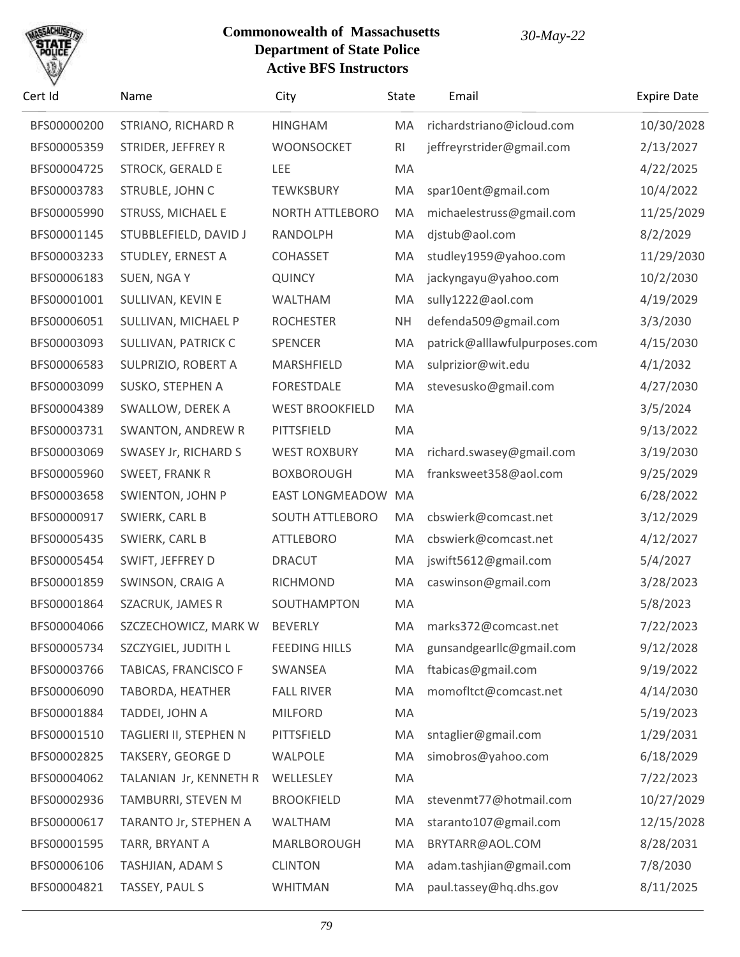

| Cert Id     | Name                     | City                   | State          | Email                         | <b>Expire Date</b> |
|-------------|--------------------------|------------------------|----------------|-------------------------------|--------------------|
| BFS00000200 | STRIANO, RICHARD R       | <b>HINGHAM</b>         | MA             | richardstriano@icloud.com     | 10/30/2028         |
| BFS00005359 | STRIDER, JEFFREY R       | <b>WOONSOCKET</b>      | R <sub>l</sub> | jeffreyrstrider@gmail.com     | 2/13/2027          |
| BFS00004725 | <b>STROCK, GERALD E</b>  | <b>LEE</b>             | MA             |                               | 4/22/2025          |
| BFS00003783 | STRUBLE, JOHN C          | <b>TEWKSBURY</b>       | MA             | spar10ent@gmail.com           | 10/4/2022          |
| BFS00005990 | <b>STRUSS, MICHAEL E</b> | <b>NORTH ATTLEBORO</b> | MA             | michaelestruss@gmail.com      | 11/25/2029         |
| BFS00001145 | STUBBLEFIELD, DAVID J    | RANDOLPH               | MA             | djstub@aol.com                | 8/2/2029           |
| BFS00003233 | STUDLEY, ERNEST A        | <b>COHASSET</b>        | MA             | studley1959@yahoo.com         | 11/29/2030         |
| BFS00006183 | SUEN, NGA Y              | <b>QUINCY</b>          | MA             | jackyngayu@yahoo.com          | 10/2/2030          |
| BFS00001001 | SULLIVAN, KEVIN E        | WALTHAM                | MA             | sully1222@aol.com             | 4/19/2029          |
| BFS00006051 | SULLIVAN, MICHAEL P      | <b>ROCHESTER</b>       | <b>NH</b>      | defenda509@gmail.com          | 3/3/2030           |
| BFS00003093 | SULLIVAN, PATRICK C      | SPENCER                | MA             | patrick@alllawfulpurposes.com | 4/15/2030          |
| BFS00006583 | SULPRIZIO, ROBERT A      | MARSHFIELD             | MA             | sulprizior@wit.edu            | 4/1/2032           |
| BFS00003099 | SUSKO, STEPHEN A         | <b>FORESTDALE</b>      | MA             | stevesusko@gmail.com          | 4/27/2030          |
| BFS00004389 | SWALLOW, DEREK A         | <b>WEST BROOKFIELD</b> | MA             |                               | 3/5/2024           |
| BFS00003731 | <b>SWANTON, ANDREW R</b> | PITTSFIELD             | MA             |                               | 9/13/2022          |
| BFS00003069 | SWASEY Jr, RICHARD S     | <b>WEST ROXBURY</b>    | MA             | richard.swasey@gmail.com      | 3/19/2030          |
| BFS00005960 | SWEET, FRANK R           | <b>BOXBOROUGH</b>      | MA             | franksweet358@aol.com         | 9/25/2029          |
| BFS00003658 | SWIENTON, JOHN P         | <b>EAST LONGMEADOW</b> | MA             |                               | 6/28/2022          |
| BFS00000917 | SWIERK, CARL B           | <b>SOUTH ATTLEBORO</b> | MA             | cbswierk@comcast.net          | 3/12/2029          |
| BFS00005435 | SWIERK, CARL B           | <b>ATTLEBORO</b>       | MA             | cbswierk@comcast.net          | 4/12/2027          |
| BFS00005454 | SWIFT, JEFFREY D         | <b>DRACUT</b>          | MA             | jswift5612@gmail.com          | 5/4/2027           |
| BFS00001859 | SWINSON, CRAIG A         | <b>RICHMOND</b>        | MA             | caswinson@gmail.com           | 3/28/2023          |
| BFS00001864 | SZACRUK, JAMES R         | SOUTHAMPTON            | MA             |                               | 5/8/2023           |
| BFS00004066 | SZCZECHOWICZ, MARK W     | <b>BEVERLY</b>         | MA.            | marks372@comcast.net          | 7/22/2023          |
| BFS00005734 | SZCZYGIEL, JUDITH L      | <b>FEEDING HILLS</b>   | MA             | gunsandgearllc@gmail.com      | 9/12/2028          |
| BFS00003766 | TABICAS, FRANCISCO F     | SWANSEA                | MA             | ftabicas@gmail.com            | 9/19/2022          |
| BFS00006090 | TABORDA, HEATHER         | <b>FALL RIVER</b>      | MA             | momofltct@comcast.net         | 4/14/2030          |
| BFS00001884 | TADDEI, JOHN A           | <b>MILFORD</b>         | MA             |                               | 5/19/2023          |
| BFS00001510 | TAGLIERI II, STEPHEN N   | PITTSFIELD             | MA             | sntaglier@gmail.com           | 1/29/2031          |
| BFS00002825 | TAKSERY, GEORGE D        | WALPOLE                | MA             | simobros@yahoo.com            | 6/18/2029          |
| BFS00004062 | TALANIAN Jr, KENNETH R   | WELLESLEY              | MA             |                               | 7/22/2023          |
| BFS00002936 | TAMBURRI, STEVEN M       | <b>BROOKFIELD</b>      | MA             | stevenmt77@hotmail.com        | 10/27/2029         |
| BFS00000617 | TARANTO Jr, STEPHEN A    | WALTHAM                | MA             | staranto107@gmail.com         | 12/15/2028         |
| BFS00001595 | TARR, BRYANT A           | MARLBOROUGH            | MA             | BRYTARR@AOL.COM               | 8/28/2031          |
| BFS00006106 | TASHJIAN, ADAM S         | <b>CLINTON</b>         | MA             | adam.tashjian@gmail.com       | 7/8/2030           |
| BFS00004821 | TASSEY, PAUL S           | WHITMAN                | MA             | paul.tassey@hq.dhs.gov        | 8/11/2025          |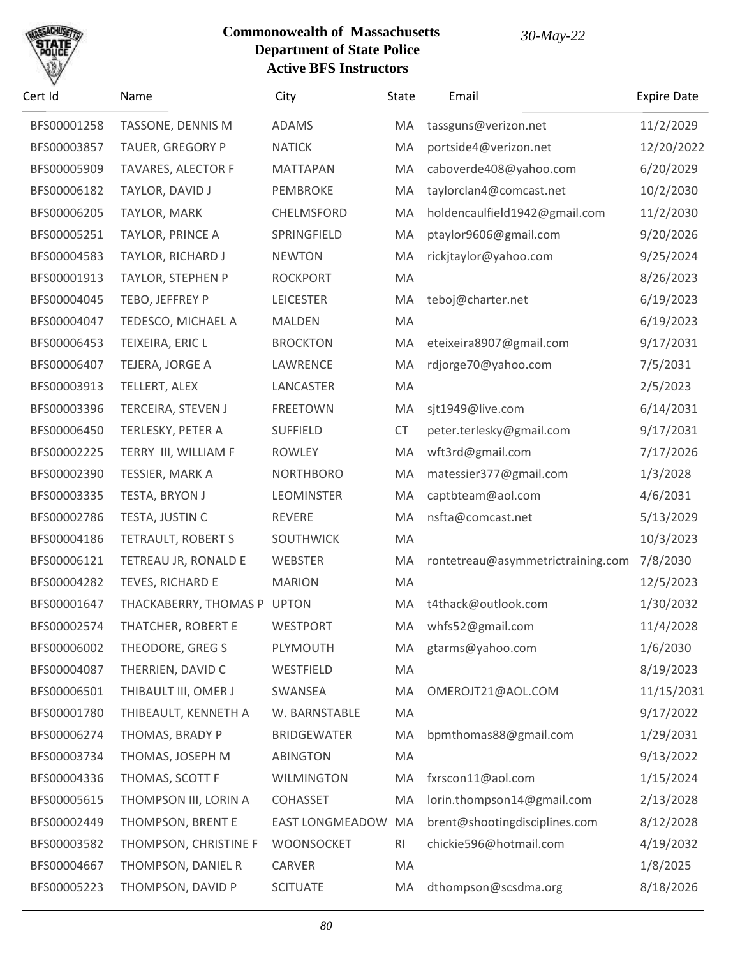

| Cert Id     | Name                        | City                   | State     | Email                             | <b>Expire Date</b> |
|-------------|-----------------------------|------------------------|-----------|-----------------------------------|--------------------|
| BFS00001258 | TASSONE, DENNIS M           | <b>ADAMS</b>           | MA        | tassguns@verizon.net              | 11/2/2029          |
| BFS00003857 | TAUER, GREGORY P            | <b>NATICK</b>          | MA        | portside4@verizon.net             | 12/20/2022         |
| BFS00005909 | TAVARES, ALECTOR F          | <b>MATTAPAN</b>        | MA        | caboverde408@yahoo.com            | 6/20/2029          |
| BFS00006182 | TAYLOR, DAVID J             | PEMBROKE               | MA        | taylorclan4@comcast.net           | 10/2/2030          |
| BFS00006205 | TAYLOR, MARK                | CHELMSFORD             | MA        | holdencaulfield1942@gmail.com     | 11/2/2030          |
| BFS00005251 | <b>TAYLOR, PRINCE A</b>     | SPRINGFIELD            | MA        | ptaylor9606@gmail.com             | 9/20/2026          |
| BFS00004583 | TAYLOR, RICHARD J           | <b>NEWTON</b>          | MA        | rickjtaylor@yahoo.com             | 9/25/2024          |
| BFS00001913 | TAYLOR, STEPHEN P           | <b>ROCKPORT</b>        | MA        |                                   | 8/26/2023          |
| BFS00004045 | TEBO, JEFFREY P             | <b>LEICESTER</b>       | MA        | teboj@charter.net                 | 6/19/2023          |
| BFS00004047 | TEDESCO, MICHAEL A          | <b>MALDEN</b>          | MA        |                                   | 6/19/2023          |
| BFS00006453 | TEIXEIRA, ERIC L            | <b>BROCKTON</b>        | MA        | eteixeira8907@gmail.com           | 9/17/2031          |
| BFS00006407 | TEJERA, JORGE A             | LAWRENCE               | MA        | rdjorge70@yahoo.com               | 7/5/2031           |
| BFS00003913 | TELLERT, ALEX               | LANCASTER              | MA        |                                   | 2/5/2023           |
| BFS00003396 | TERCEIRA, STEVEN J          | <b>FREETOWN</b>        | MA        | sjt1949@live.com                  | 6/14/2031          |
| BFS00006450 | TERLESKY, PETER A           | <b>SUFFIELD</b>        | <b>CT</b> | peter.terlesky@gmail.com          | 9/17/2031          |
| BFS00002225 | TERRY III, WILLIAM F        | <b>ROWLEY</b>          | MA        | wft3rd@gmail.com                  | 7/17/2026          |
| BFS00002390 | TESSIER, MARK A             | <b>NORTHBORO</b>       | MA        | matessier377@gmail.com            | 1/3/2028           |
| BFS00003335 | TESTA, BRYON J              | <b>LEOMINSTER</b>      | MA        | captbteam@aol.com                 | 4/6/2031           |
| BFS00002786 | TESTA, JUSTIN C             | <b>REVERE</b>          | MA        | nsfta@comcast.net                 | 5/13/2029          |
| BFS00004186 | TETRAULT, ROBERT S          | SOUTHWICK              | MA        |                                   | 10/3/2023          |
| BFS00006121 | TETREAU JR, RONALD E        | WEBSTER                | MA        | rontetreau@asymmetrictraining.com | 7/8/2030           |
| BFS00004282 | TEVES, RICHARD E            | <b>MARION</b>          | MA        |                                   | 12/5/2023          |
| BFS00001647 | THACKABERRY, THOMAS P UPTON |                        | MA        | t4thack@outlook.com               | 1/30/2032          |
| BFS00002574 | THATCHER, ROBERT E          | <b>WESTPORT</b>        | MA        | whfs52@gmail.com                  | 11/4/2028          |
| BFS00006002 | THEODORE, GREG S            | PLYMOUTH               | MA        | gtarms@yahoo.com                  | 1/6/2030           |
| BFS00004087 | THERRIEN, DAVID C           | WESTFIELD              | MA        |                                   | 8/19/2023          |
| BFS00006501 | THIBAULT III, OMER J        | SWANSEA                | MA        | OMEROJT21@AOL.COM                 | 11/15/2031         |
| BFS00001780 | THIBEAULT, KENNETH A        | W. BARNSTABLE          | MA        |                                   | 9/17/2022          |
| BFS00006274 | THOMAS, BRADY P             | <b>BRIDGEWATER</b>     | MA        | bpmthomas88@gmail.com             | 1/29/2031          |
| BFS00003734 | THOMAS, JOSEPH M            | <b>ABINGTON</b>        | MA        |                                   | 9/13/2022          |
| BFS00004336 | THOMAS, SCOTT F             | <b>WILMINGTON</b>      | MA        | fxrscon11@aol.com                 | 1/15/2024          |
| BFS00005615 | THOMPSON III, LORIN A       | <b>COHASSET</b>        | MA        | lorin.thompson14@gmail.com        | 2/13/2028          |
| BFS00002449 | THOMPSON, BRENT E           | <b>EAST LONGMEADOW</b> | MA        | brent@shootingdisciplines.com     | 8/12/2028          |
| BFS00003582 | THOMPSON, CHRISTINE F       | WOONSOCKET             | <b>RI</b> | chickie596@hotmail.com            | 4/19/2032          |
| BFS00004667 | THOMPSON, DANIEL R          | CARVER                 | MA        |                                   | 1/8/2025           |
| BFS00005223 | THOMPSON, DAVID P           | <b>SCITUATE</b>        | MA        | dthompson@scsdma.org              | 8/18/2026          |
|             |                             |                        |           |                                   |                    |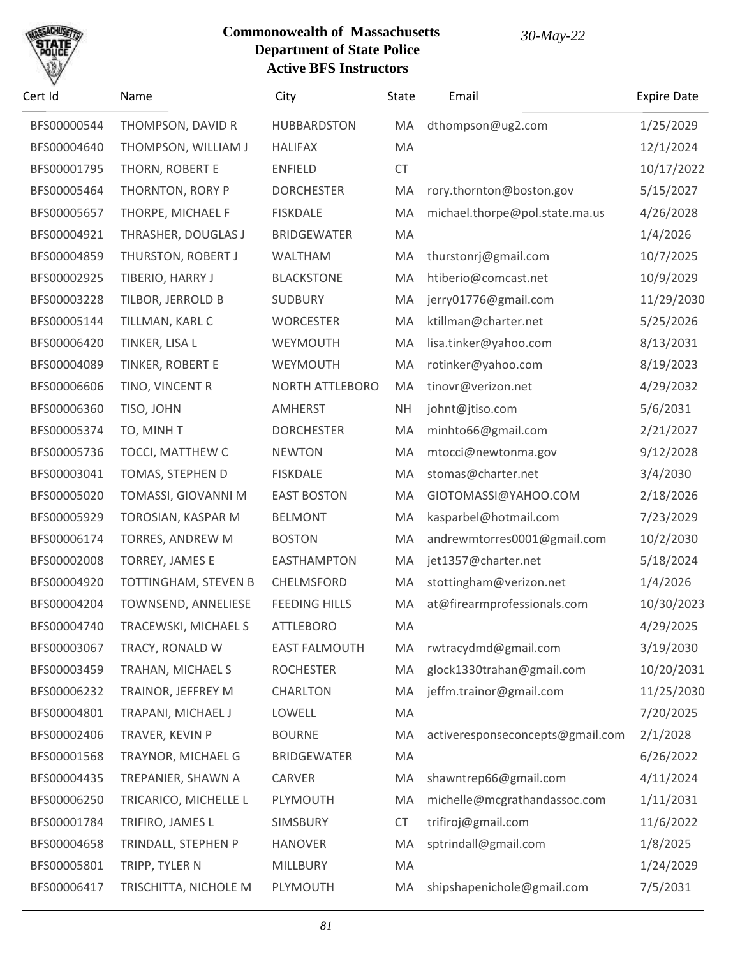# SACHU

| Cert Id     | Name                   | City                 | State     | Email                            | <b>Expire Date</b> |
|-------------|------------------------|----------------------|-----------|----------------------------------|--------------------|
| BFS00000544 | THOMPSON, DAVID R      | <b>HUBBARDSTON</b>   | MA        | dthompson@ug2.com                | 1/25/2029          |
| BFS00004640 | THOMPSON, WILLIAM J    | <b>HALIFAX</b>       | MA        |                                  | 12/1/2024          |
| BFS00001795 | THORN, ROBERT E        | <b>ENFIELD</b>       | <b>CT</b> |                                  | 10/17/2022         |
| BFS00005464 | THORNTON, RORY P       | <b>DORCHESTER</b>    | MA        | rory.thornton@boston.gov         | 5/15/2027          |
| BFS00005657 | THORPE, MICHAEL F      | <b>FISKDALE</b>      | MA        | michael.thorpe@pol.state.ma.us   | 4/26/2028          |
| BFS00004921 | THRASHER, DOUGLAS J    | <b>BRIDGEWATER</b>   | MA        |                                  | 1/4/2026           |
| BFS00004859 | THURSTON, ROBERT J     | WALTHAM              | MA        | thurstonrj@gmail.com             | 10/7/2025          |
| BFS00002925 | TIBERIO, HARRY J       | <b>BLACKSTONE</b>    | MA        | htiberio@comcast.net             | 10/9/2029          |
| BFS00003228 | TILBOR, JERROLD B      | <b>SUDBURY</b>       | MA        | jerry01776@gmail.com             | 11/29/2030         |
| BFS00005144 | TILLMAN, KARL C        | <b>WORCESTER</b>     | MA        | ktillman@charter.net             | 5/25/2026          |
| BFS00006420 | TINKER, LISA L         | WEYMOUTH             | MA        | lisa.tinker@yahoo.com            | 8/13/2031          |
| BFS00004089 | TINKER, ROBERT E       | WEYMOUTH             | MA        | rotinker@yahoo.com               | 8/19/2023          |
| BFS00006606 | TINO, VINCENT R        | NORTH ATTLEBORO      | MA        | tinovr@verizon.net               | 4/29/2032          |
| BFS00006360 | TISO, JOHN             | <b>AMHERST</b>       | <b>NH</b> | johnt@jtiso.com                  | 5/6/2031           |
| BFS00005374 | TO, MINHT              | <b>DORCHESTER</b>    | MA        | minhto66@gmail.com               | 2/21/2027          |
| BFS00005736 | TOCCI, MATTHEW C       | <b>NEWTON</b>        | MA        | mtocci@newtonma.gov              | 9/12/2028          |
| BFS00003041 | TOMAS, STEPHEN D       | <b>FISKDALE</b>      | MA        | stomas@charter.net               | 3/4/2030           |
| BFS00005020 | TOMASSI, GIOVANNI M    | <b>EAST BOSTON</b>   | MA        | GIOTOMASSI@YAHOO.COM             | 2/18/2026          |
| BFS00005929 | TOROSIAN, KASPAR M     | <b>BELMONT</b>       | MA        | kasparbel@hotmail.com            | 7/23/2029          |
| BFS00006174 | TORRES, ANDREW M       | <b>BOSTON</b>        | MA        | andrewmtorres0001@gmail.com      | 10/2/2030          |
| BFS00002008 | <b>TORREY, JAMES E</b> | <b>EASTHAMPTON</b>   | MA        | jet1357@charter.net              | 5/18/2024          |
| BFS00004920 | TOTTINGHAM, STEVEN B   | CHELMSFORD           | MA        | stottingham@verizon.net          | 1/4/2026           |
| BFS00004204 | TOWNSEND, ANNELIESE    | <b>FEEDING HILLS</b> | MA        | at@firearmprofessionals.com      | 10/30/2023         |
| BFS00004740 | TRACEWSKI, MICHAEL S   | <b>ATTLEBORO</b>     | MA        |                                  | 4/29/2025          |
| BFS00003067 | TRACY, RONALD W        | <b>EAST FALMOUTH</b> | MA        | rwtracydmd@gmail.com             | 3/19/2030          |
| BFS00003459 | TRAHAN, MICHAEL S      | <b>ROCHESTER</b>     | MA        | glock1330trahan@gmail.com        | 10/20/2031         |
| BFS00006232 | TRAINOR, JEFFREY M     | <b>CHARLTON</b>      | MA        | jeffm.trainor@gmail.com          | 11/25/2030         |
| BFS00004801 | TRAPANI, MICHAEL J     | LOWELL               | MA        |                                  | 7/20/2025          |
| BFS00002406 | TRAVER, KEVIN P        | <b>BOURNE</b>        | MA        | activeresponseconcepts@gmail.com | 2/1/2028           |
| BFS00001568 | TRAYNOR, MICHAEL G     | <b>BRIDGEWATER</b>   | MA        |                                  | 6/26/2022          |
| BFS00004435 | TREPANIER, SHAWN A     | CARVER               | MA        | shawntrep66@gmail.com            | 4/11/2024          |
| BFS00006250 | TRICARICO, MICHELLE L  | PLYMOUTH             | MA        | michelle@mcgrathandassoc.com     | 1/11/2031          |
| BFS00001784 | TRIFIRO, JAMES L       | SIMSBURY             | <b>CT</b> | trifiroj@gmail.com               | 11/6/2022          |
| BFS00004658 | TRINDALL, STEPHEN P    | <b>HANOVER</b>       | MA        | sptrindall@gmail.com             | 1/8/2025           |
| BFS00005801 | TRIPP, TYLER N         | MILLBURY             | MA        |                                  | 1/24/2029          |
| BFS00006417 | TRISCHITTA, NICHOLE M  | PLYMOUTH             | МA        | shipshapenichole@gmail.com       | 7/5/2031           |
|             |                        |                      |           |                                  |                    |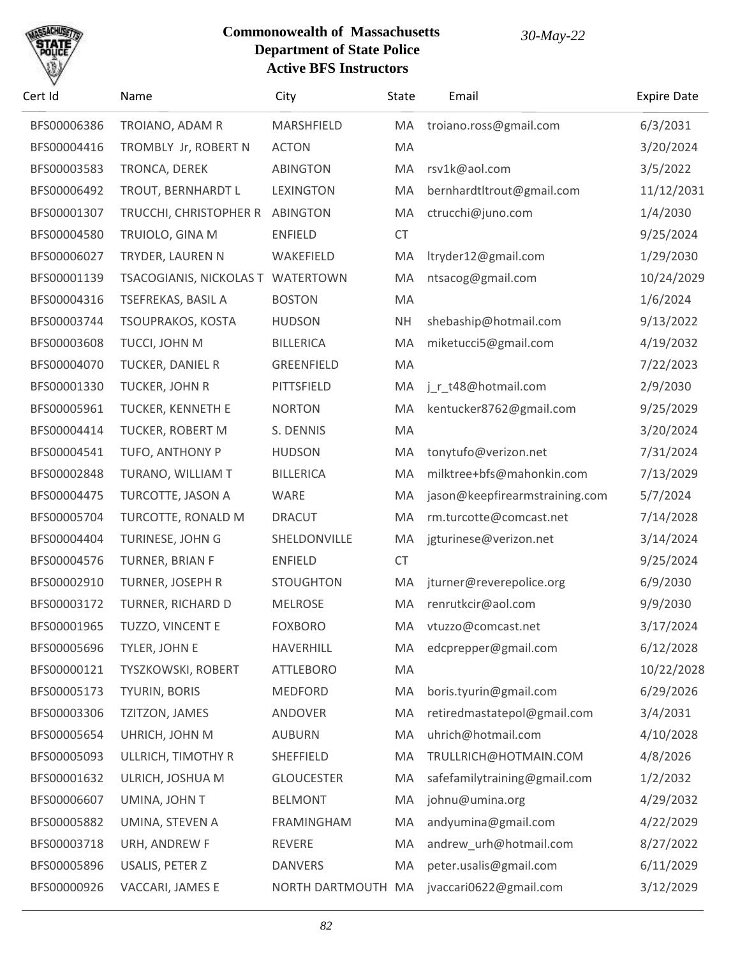# SACHU

| Cert Id     | Name                              | City               | <b>State</b> | Email                          | <b>Expire Date</b> |
|-------------|-----------------------------------|--------------------|--------------|--------------------------------|--------------------|
| BFS00006386 | TROIANO, ADAM R                   | MARSHFIELD         | MA           | troiano.ross@gmail.com         | 6/3/2031           |
| BFS00004416 | TROMBLY Jr, ROBERT N              | <b>ACTON</b>       | MA           |                                | 3/20/2024          |
| BFS00003583 | TRONCA, DEREK                     | <b>ABINGTON</b>    | MA           | rsv1k@aol.com                  | 3/5/2022           |
| BFS00006492 | TROUT, BERNHARDT L                | <b>LEXINGTON</b>   | MA           | bernhardtltrout@gmail.com      | 11/12/2031         |
| BFS00001307 | TRUCCHI, CHRISTOPHER R            | <b>ABINGTON</b>    | MA           | ctrucchi@juno.com              | 1/4/2030           |
| BFS00004580 | TRUIOLO, GINA M                   | <b>ENFIELD</b>     | <b>CT</b>    |                                | 9/25/2024          |
| BFS00006027 | TRYDER, LAUREN N                  | WAKEFIELD          | MA           | ltryder12@gmail.com            | 1/29/2030          |
| BFS00001139 | TSACOGIANIS, NICKOLAS T WATERTOWN |                    | MA           | ntsacog@gmail.com              | 10/24/2029         |
| BFS00004316 | TSEFREKAS, BASIL A                | <b>BOSTON</b>      | MA           |                                | 1/6/2024           |
| BFS00003744 | TSOUPRAKOS, KOSTA                 | <b>HUDSON</b>      | <b>NH</b>    | shebaship@hotmail.com          | 9/13/2022          |
| BFS00003608 | TUCCI, JOHN M                     | <b>BILLERICA</b>   | MA           | miketucci5@gmail.com           | 4/19/2032          |
| BFS00004070 | TUCKER, DANIEL R                  | GREENFIELD         | MA           |                                | 7/22/2023          |
| BFS00001330 | TUCKER, JOHN R                    | PITTSFIELD         | MA           | j_r_t48@hotmail.com            | 2/9/2030           |
| BFS00005961 | TUCKER, KENNETH E                 | <b>NORTON</b>      | MA           | kentucker8762@gmail.com        | 9/25/2029          |
| BFS00004414 | TUCKER, ROBERT M                  | S. DENNIS          | MA           |                                | 3/20/2024          |
| BFS00004541 | TUFO, ANTHONY P                   | <b>HUDSON</b>      | MA           | tonytufo@verizon.net           | 7/31/2024          |
| BFS00002848 | TURANO, WILLIAM T                 | <b>BILLERICA</b>   | MA           | milktree+bfs@mahonkin.com      | 7/13/2029          |
| BFS00004475 | TURCOTTE, JASON A                 | WARE               | MA           | jason@keepfirearmstraining.com | 5/7/2024           |
| BFS00005704 | TURCOTTE, RONALD M                | <b>DRACUT</b>      | MA           | rm.turcotte@comcast.net        | 7/14/2028          |
| BFS00004404 | TURINESE, JOHN G                  | SHELDONVILLE       | MA           | jgturinese@verizon.net         | 3/14/2024          |
| BFS00004576 | TURNER, BRIAN F                   | <b>ENFIELD</b>     | <b>CT</b>    |                                | 9/25/2024          |
| BFS00002910 | TURNER, JOSEPH R                  | <b>STOUGHTON</b>   | MA           | jturner@reverepolice.org       | 6/9/2030           |
| BFS00003172 | TURNER, RICHARD D                 | <b>MELROSE</b>     | MA           | renrutkcir@aol.com             | 9/9/2030           |
| BFS00001965 | TUZZO, VINCENT E                  | <b>FOXBORO</b>     | MA           | vtuzzo@comcast.net             | 3/17/2024          |
| BFS00005696 | TYLER, JOHN E                     | <b>HAVERHILL</b>   | МA           | edcprepper@gmail.com           | 6/12/2028          |
| BFS00000121 | TYSZKOWSKI, ROBERT                | <b>ATTLEBORO</b>   | MA           |                                | 10/22/2028         |
| BFS00005173 | TYURIN, BORIS                     | MEDFORD            | MA           | boris.tyurin@gmail.com         | 6/29/2026          |
| BFS00003306 | TZITZON, JAMES                    | ANDOVER            | MA           | retiredmastatepol@gmail.com    | 3/4/2031           |
| BFS00005654 | UHRICH, JOHN M                    | <b>AUBURN</b>      | MA           | uhrich@hotmail.com             | 4/10/2028          |
| BFS00005093 | ULLRICH, TIMOTHY R                | <b>SHEFFIELD</b>   | MA           | TRULLRICH@HOTMAIN.COM          | 4/8/2026           |
| BFS00001632 | ULRICH, JOSHUA M                  | <b>GLOUCESTER</b>  | MA           | safefamilytraining@gmail.com   | 1/2/2032           |
| BFS00006607 | UMINA, JOHN T                     | <b>BELMONT</b>     | MA           | johnu@umina.org                | 4/29/2032          |
| BFS00005882 | UMINA, STEVEN A                   | <b>FRAMINGHAM</b>  | MA           | andyumina@gmail.com            | 4/22/2029          |
| BFS00003718 | URH, ANDREW F                     | REVERE             | MA           | andrew_urh@hotmail.com         | 8/27/2022          |
| BFS00005896 | USALIS, PETER Z                   | <b>DANVERS</b>     | MA           | peter.usalis@gmail.com         | 6/11/2029          |
| BFS00000926 | VACCARI, JAMES E                  | NORTH DARTMOUTH MA |              | jvaccari0622@gmail.com         | 3/12/2029          |
|             |                                   |                    |              |                                |                    |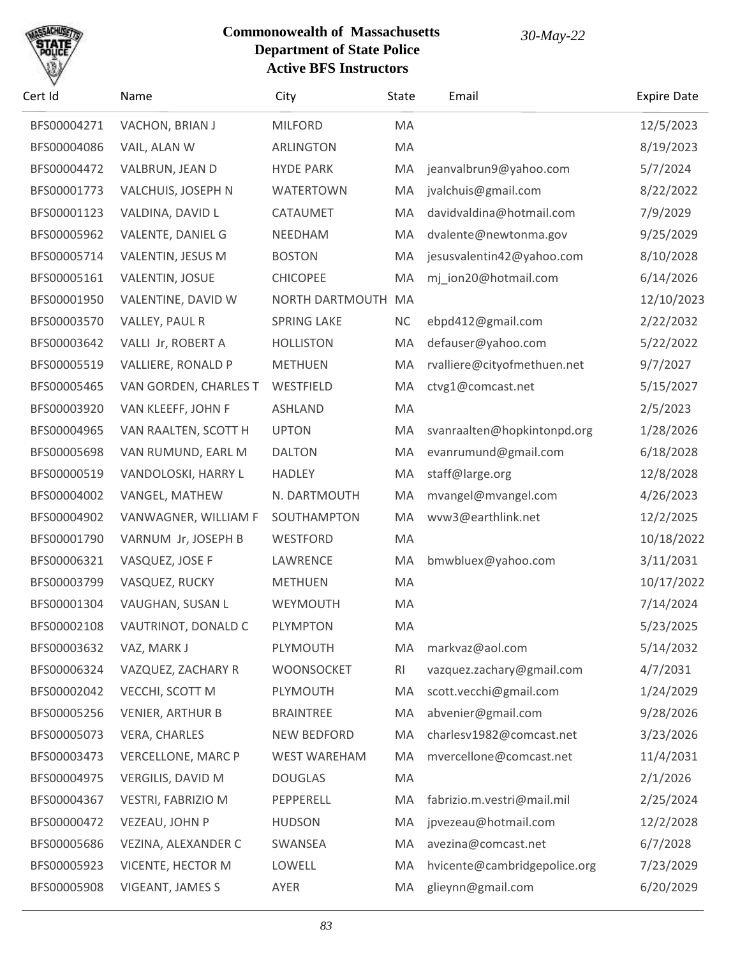

| Cert Id     | Name                      | City                | State          | Email                        | <b>Expire Date</b> |
|-------------|---------------------------|---------------------|----------------|------------------------------|--------------------|
| BFS00004271 | VACHON, BRIAN J           | <b>MILFORD</b>      | MA             |                              | 12/5/2023          |
| BFS00004086 | VAIL, ALAN W              | <b>ARLINGTON</b>    | MA             |                              | 8/19/2023          |
| BFS00004472 | VALBRUN, JEAN D           | <b>HYDE PARK</b>    | MA             | jeanvalbrun9@yahoo.com       | 5/7/2024           |
| BFS00001773 | VALCHUIS, JOSEPH N        | <b>WATERTOWN</b>    | MA             | jvalchuis@gmail.com          | 8/22/2022          |
| BFS00001123 | VALDINA, DAVID L          | CATAUMET            | MA             | davidvaldina@hotmail.com     | 7/9/2029           |
| BFS00005962 | VALENTE, DANIEL G         | NEEDHAM             | MA             | dvalente@newtonma.gov        | 9/25/2029          |
| BFS00005714 | VALENTIN, JESUS M         | <b>BOSTON</b>       | MA             | jesusvalentin42@yahoo.com    | 8/10/2028          |
| BFS00005161 | <b>VALENTIN, JOSUE</b>    | <b>CHICOPEE</b>     | MA             | mj_ion20@hotmail.com         | 6/14/2026          |
| BFS00001950 | VALENTINE, DAVID W        | NORTH DARTMOUTH MA  |                |                              | 12/10/2023         |
| BFS00003570 | VALLEY, PAUL R            | <b>SPRING LAKE</b>  | <b>NC</b>      | ebpd412@gmail.com            | 2/22/2032          |
| BFS00003642 | VALLI Jr, ROBERT A        | <b>HOLLISTON</b>    | MA             | defauser@yahoo.com           | 5/22/2022          |
| BFS00005519 | VALLIERE, RONALD P        | <b>METHUEN</b>      | MA             | rvalliere@cityofmethuen.net  | 9/7/2027           |
| BFS00005465 | VAN GORDEN, CHARLES T     | WESTFIELD           | MA             | ctvg1@comcast.net            | 5/15/2027          |
| BFS00003920 | VAN KLEEFF, JOHN F        | <b>ASHLAND</b>      | MA             |                              | 2/5/2023           |
| BFS00004965 | VAN RAALTEN, SCOTT H      | <b>UPTON</b>        | MA             | svanraalten@hopkintonpd.org  | 1/28/2026          |
| BFS00005698 | VAN RUMUND, EARL M        | <b>DALTON</b>       | MA             | evanrumund@gmail.com         | 6/18/2028          |
| BFS00000519 | VANDOLOSKI, HARRY L       | <b>HADLEY</b>       | MA             | staff@large.org              | 12/8/2028          |
| BFS00004002 | VANGEL, MATHEW            | N. DARTMOUTH        | MA             | mvangel@mvangel.com          | 4/26/2023          |
| BFS00004902 | VANWAGNER, WILLIAM F      | SOUTHAMPTON         | MA             | wvw3@earthlink.net           | 12/2/2025          |
| BFS00001790 | VARNUM Jr, JOSEPH B       | WESTFORD            | MA             |                              | 10/18/2022         |
| BFS00006321 | VASQUEZ, JOSE F           | LAWRENCE            | MA             | bmwbluex@yahoo.com           | 3/11/2031          |
| BFS00003799 | VASQUEZ, RUCKY            | <b>METHUEN</b>      | MA             |                              | 10/17/2022         |
| BFS00001304 | VAUGHAN, SUSAN L          | WEYMOUTH            | MA             |                              | 7/14/2024          |
| BFS00002108 | VAUTRINOT, DONALD C       | <b>PLYMPTON</b>     | MA             |                              | 5/23/2025          |
| BFS00003632 | VAZ, MARK J               | PLYMOUTH            | MA             | markvaz@aol.com              | 5/14/2032          |
| BFS00006324 | VAZQUEZ, ZACHARY R        | WOONSOCKET          | R <sub>l</sub> | vazquez.zachary@gmail.com    | 4/7/2031           |
| BFS00002042 | VECCHI, SCOTT M           | PLYMOUTH            | MA             | scott.vecchi@gmail.com       | 1/24/2029          |
| BFS00005256 | <b>VENIER, ARTHUR B</b>   | <b>BRAINTREE</b>    | MA             | abvenier@gmail.com           | 9/28/2026          |
| BFS00005073 | <b>VERA, CHARLES</b>      | <b>NEW BEDFORD</b>  | MA             | charlesv1982@comcast.net     | 3/23/2026          |
| BFS00003473 | <b>VERCELLONE, MARC P</b> | <b>WEST WAREHAM</b> | MA             | mvercellone@comcast.net      | 11/4/2031          |
| BFS00004975 | <b>VERGILIS, DAVID M</b>  | <b>DOUGLAS</b>      | MA             |                              | 2/1/2026           |
| BFS00004367 | VESTRI, FABRIZIO M        | PEPPERELL           | MA             | fabrizio.m.vestri@mail.mil   | 2/25/2024          |
| BFS00000472 | VEZEAU, JOHN P            | <b>HUDSON</b>       | MA             | jpvezeau@hotmail.com         | 12/2/2028          |
| BFS00005686 | VEZINA, ALEXANDER C       | SWANSEA             | MA             | avezina@comcast.net          | 6/7/2028           |
| BFS00005923 | VICENTE, HECTOR M         | LOWELL              | MA             | hvicente@cambridgepolice.org | 7/23/2029          |
| BFS00005908 | VIGEANT, JAMES S          | AYER                | MA             | glieynn@gmail.com            | 6/20/2029          |
|             |                           |                     |                |                              |                    |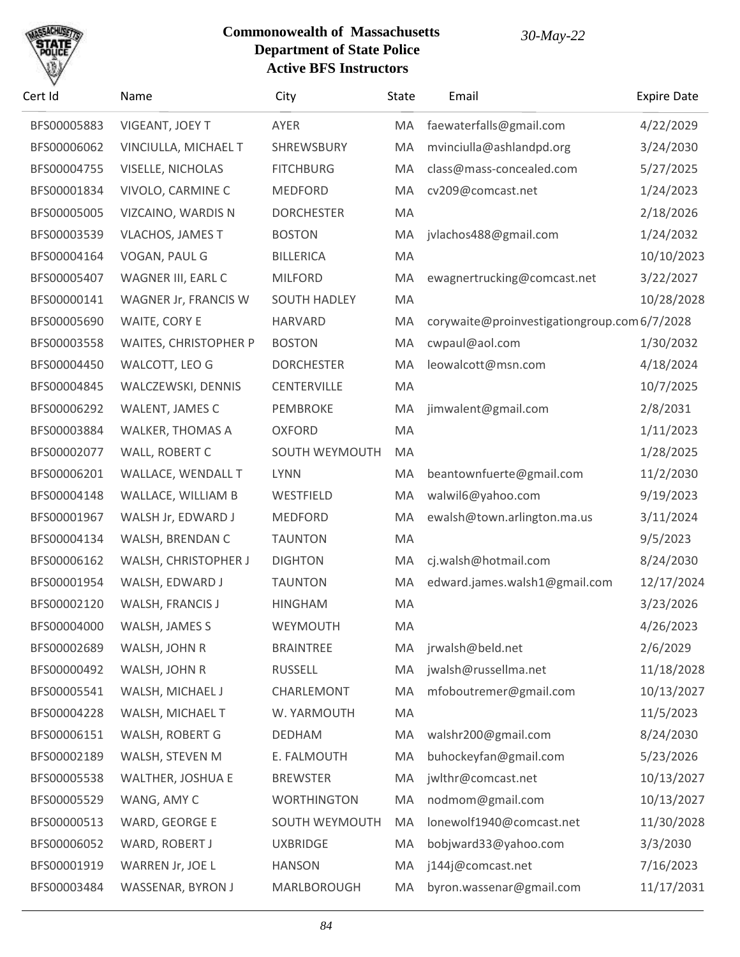

| Cert Id     | Name                         | City                | State | Email                                       | <b>Expire Date</b> |
|-------------|------------------------------|---------------------|-------|---------------------------------------------|--------------------|
| BFS00005883 | VIGEANT, JOEY T              | AYER                | MA    | faewaterfalls@gmail.com                     | 4/22/2029          |
| BFS00006062 | VINCIULLA, MICHAEL T         | SHREWSBURY          | MA    | mvinciulla@ashlandpd.org                    | 3/24/2030          |
| BFS00004755 | <b>VISELLE, NICHOLAS</b>     | <b>FITCHBURG</b>    | MA    | class@mass-concealed.com                    | 5/27/2025          |
| BFS00001834 | VIVOLO, CARMINE C            | <b>MEDFORD</b>      | MA    | cv209@comcast.net                           | 1/24/2023          |
| BFS00005005 | VIZCAINO, WARDIS N           | <b>DORCHESTER</b>   | MA    |                                             | 2/18/2026          |
| BFS00003539 | <b>VLACHOS, JAMES T</b>      | <b>BOSTON</b>       | MA    | jvlachos488@gmail.com                       | 1/24/2032          |
| BFS00004164 | VOGAN, PAUL G                | <b>BILLERICA</b>    | MA    |                                             | 10/10/2023         |
| BFS00005407 | WAGNER III, EARL C           | <b>MILFORD</b>      | MA    | ewagnertrucking@comcast.net                 | 3/22/2027          |
| BFS00000141 | WAGNER Jr, FRANCIS W         | <b>SOUTH HADLEY</b> | MA    |                                             | 10/28/2028         |
| BFS00005690 | WAITE, CORY E                | <b>HARVARD</b>      | MA    | corywaite@proinvestigationgroup.com6/7/2028 |                    |
| BFS00003558 | <b>WAITES, CHRISTOPHER P</b> | <b>BOSTON</b>       | MA    | cwpaul@aol.com                              | 1/30/2032          |
| BFS00004450 | WALCOTT, LEO G               | <b>DORCHESTER</b>   | MA    | leowalcott@msn.com                          | 4/18/2024          |
| BFS00004845 | WALCZEWSKI, DENNIS           | CENTERVILLE         | MA    |                                             | 10/7/2025          |
| BFS00006292 | WALENT, JAMES C              | PEMBROKE            | MA    | jimwalent@gmail.com                         | 2/8/2031           |
| BFS00003884 | WALKER, THOMAS A             | <b>OXFORD</b>       | MA    |                                             | 1/11/2023          |
| BFS00002077 | WALL, ROBERT C               | SOUTH WEYMOUTH      | MA    |                                             | 1/28/2025          |
| BFS00006201 | WALLACE, WENDALL T           | <b>LYNN</b>         | MA    | beantownfuerte@gmail.com                    | 11/2/2030          |
| BFS00004148 | WALLACE, WILLIAM B           | WESTFIELD           | MA    | walwil6@yahoo.com                           | 9/19/2023          |
| BFS00001967 | WALSH Jr, EDWARD J           | <b>MEDFORD</b>      | MA    | ewalsh@town.arlington.ma.us                 | 3/11/2024          |
| BFS00004134 | WALSH, BRENDAN C             | <b>TAUNTON</b>      | MA    |                                             | 9/5/2023           |
| BFS00006162 | WALSH, CHRISTOPHER J         | <b>DIGHTON</b>      | MA    | cj.walsh@hotmail.com                        | 8/24/2030          |
| BFS00001954 | WALSH, EDWARD J              | <b>TAUNTON</b>      | MA    | edward.james.walsh1@gmail.com               | 12/17/2024         |
| BFS00002120 | WALSH, FRANCIS J             | <b>HINGHAM</b>      | MA    |                                             | 3/23/2026          |
| BFS00004000 | WALSH, JAMES S               | WEYMOUTH            | MA    |                                             | 4/26/2023          |
| BFS00002689 | WALSH, JOHN R                | <b>BRAINTREE</b>    | MA    | jrwalsh@beld.net                            | 2/6/2029           |
| BFS00000492 | WALSH, JOHN R                | <b>RUSSELL</b>      | MA    | jwalsh@russellma.net                        | 11/18/2028         |
| BFS00005541 | WALSH, MICHAEL J             | CHARLEMONT          | MA    | mfoboutremer@gmail.com                      | 10/13/2027         |
| BFS00004228 | WALSH, MICHAEL T             | W. YARMOUTH         | MA    |                                             | 11/5/2023          |
| BFS00006151 | WALSH, ROBERT G              | <b>DEDHAM</b>       | MA    | walshr200@gmail.com                         | 8/24/2030          |
| BFS00002189 | WALSH, STEVEN M              | E. FALMOUTH         | MA    | buhockeyfan@gmail.com                       | 5/23/2026          |
| BFS00005538 | <b>WALTHER, JOSHUA E</b>     | <b>BREWSTER</b>     | MA    | jwlthr@comcast.net                          | 10/13/2027         |
| BFS00005529 | WANG, AMY C                  | <b>WORTHINGTON</b>  | MA    | nodmom@gmail.com                            | 10/13/2027         |
| BFS00000513 | WARD, GEORGE E               | SOUTH WEYMOUTH      | MA    | lonewolf1940@comcast.net                    | 11/30/2028         |
| BFS00006052 | WARD, ROBERT J               | <b>UXBRIDGE</b>     | MA    | bobjward33@yahoo.com                        | 3/3/2030           |
| BFS00001919 | WARREN Jr, JOE L             | <b>HANSON</b>       | MA    | j144j@comcast.net                           | 7/16/2023          |
| BFS00003484 | WASSENAR, BYRON J            | MARLBOROUGH         | MA    | byron.wassenar@gmail.com                    | 11/17/2031         |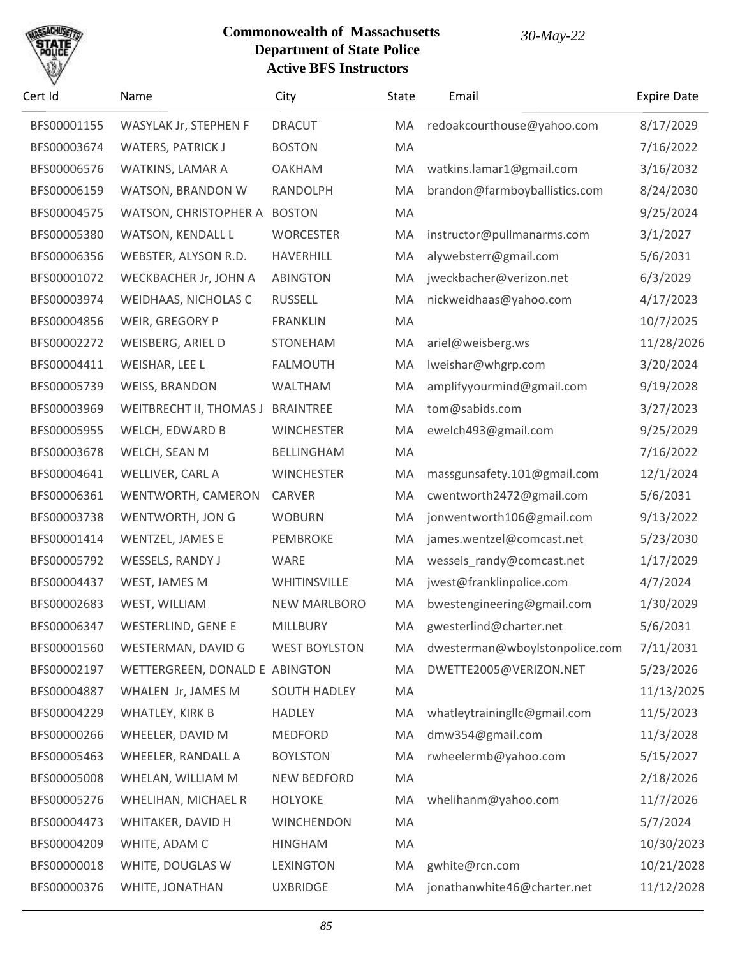

| Cert Id     | Name                              | City                 | State | Email                          | <b>Expire Date</b> |
|-------------|-----------------------------------|----------------------|-------|--------------------------------|--------------------|
| BFS00001155 | WASYLAK Jr, STEPHEN F             | <b>DRACUT</b>        | MA    | redoakcourthouse@yahoo.com     | 8/17/2029          |
| BFS00003674 | <b>WATERS, PATRICK J</b>          | <b>BOSTON</b>        | MA    |                                | 7/16/2022          |
| BFS00006576 | WATKINS, LAMAR A                  | <b>OAKHAM</b>        | MA    | watkins.lamar1@gmail.com       | 3/16/2032          |
| BFS00006159 | WATSON, BRANDON W                 | RANDOLPH             | MA    | brandon@farmboyballistics.com  | 8/24/2030          |
| BFS00004575 | WATSON, CHRISTOPHER A             | <b>BOSTON</b>        | MA    |                                | 9/25/2024          |
| BFS00005380 | <b>WATSON, KENDALL L</b>          | <b>WORCESTER</b>     | MA    | instructor@pullmanarms.com     | 3/1/2027           |
| BFS00006356 | WEBSTER, ALYSON R.D.              | <b>HAVERHILL</b>     | MA    | alywebsterr@gmail.com          | 5/6/2031           |
| BFS00001072 | WECKBACHER Jr, JOHN A             | <b>ABINGTON</b>      | MA    | jweckbacher@verizon.net        | 6/3/2029           |
| BFS00003974 | WEIDHAAS, NICHOLAS C              | <b>RUSSELL</b>       | MA    | nickweidhaas@yahoo.com         | 4/17/2023          |
| BFS00004856 | WEIR, GREGORY P                   | <b>FRANKLIN</b>      | MA    |                                | 10/7/2025          |
| BFS00002272 | WEISBERG, ARIEL D                 | <b>STONEHAM</b>      | MA    | ariel@weisberg.ws              | 11/28/2026         |
| BFS00004411 | WEISHAR, LEE L                    | <b>FALMOUTH</b>      | MA    | lweishar@whgrp.com             | 3/20/2024          |
| BFS00005739 | <b>WEISS, BRANDON</b>             | <b>WALTHAM</b>       | MA    | amplifyyourmind@gmail.com      | 9/19/2028          |
| BFS00003969 | WEITBRECHT II, THOMAS J BRAINTREE |                      | MA    | tom@sabids.com                 | 3/27/2023          |
| BFS00005955 | WELCH, EDWARD B                   | <b>WINCHESTER</b>    | MA    | ewelch493@gmail.com            | 9/25/2029          |
| BFS00003678 | WELCH, SEAN M                     | <b>BELLINGHAM</b>    | MA    |                                | 7/16/2022          |
| BFS00004641 | WELLIVER, CARL A                  | <b>WINCHESTER</b>    | MA    | massgunsafety.101@gmail.com    | 12/1/2024          |
| BFS00006361 | WENTWORTH, CAMERON                | <b>CARVER</b>        | MA    | cwentworth2472@gmail.com       | 5/6/2031           |
| BFS00003738 | WENTWORTH, JON G                  | <b>WOBURN</b>        | MA    | jonwentworth106@gmail.com      | 9/13/2022          |
| BFS00001414 | WENTZEL, JAMES E                  | PEMBROKE             | MA    | james.wentzel@comcast.net      | 5/23/2030          |
| BFS00005792 | WESSELS, RANDY J                  | WARE                 | MA    | wessels_randy@comcast.net      | 1/17/2029          |
| BFS00004437 | WEST, JAMES M                     | WHITINSVILLE         | MA    | jwest@franklinpolice.com       | 4/7/2024           |
| BFS00002683 | WEST, WILLIAM                     | <b>NEW MARLBORO</b>  | MA    | bwestengineering@gmail.com     | 1/30/2029          |
| BFS00006347 | WESTERLIND, GENE E                | MILLBURY             | MA    | gwesterlind@charter.net        | 5/6/2031           |
| BFS00001560 | WESTERMAN, DAVID G                | <b>WEST BOYLSTON</b> | MA    | dwesterman@wboylstonpolice.com | 7/11/2031          |
| BFS00002197 | WETTERGREEN, DONALD E ABINGTON    |                      | MA    | DWETTE2005@VERIZON.NET         | 5/23/2026          |
| BFS00004887 | WHALEN Jr, JAMES M                | <b>SOUTH HADLEY</b>  | MA    |                                | 11/13/2025         |
| BFS00004229 | WHATLEY, KIRK B                   | <b>HADLEY</b>        | MA    | whatleytrainingllc@gmail.com   | 11/5/2023          |
| BFS00000266 | WHEELER, DAVID M                  | MEDFORD              | MA    | dmw354@gmail.com               | 11/3/2028          |
| BFS00005463 | WHEELER, RANDALL A                | <b>BOYLSTON</b>      | MA    | rwheelermb@yahoo.com           | 5/15/2027          |
| BFS00005008 | WHELAN, WILLIAM M                 | <b>NEW BEDFORD</b>   | MA    |                                | 2/18/2026          |
| BFS00005276 | WHELIHAN, MICHAEL R               | <b>HOLYOKE</b>       | MA    | whelihanm@yahoo.com            | 11/7/2026          |
| BFS00004473 | WHITAKER, DAVID H                 | <b>WINCHENDON</b>    | MA    |                                | 5/7/2024           |
| BFS00004209 | WHITE, ADAM C                     | <b>HINGHAM</b>       | MA    |                                | 10/30/2023         |
| BFS00000018 | WHITE, DOUGLAS W                  | LEXINGTON            | MA    | gwhite@rcn.com                 | 10/21/2028         |
| BFS00000376 | WHITE, JONATHAN                   | <b>UXBRIDGE</b>      | MA.   | jonathanwhite46@charter.net    | 11/12/2028         |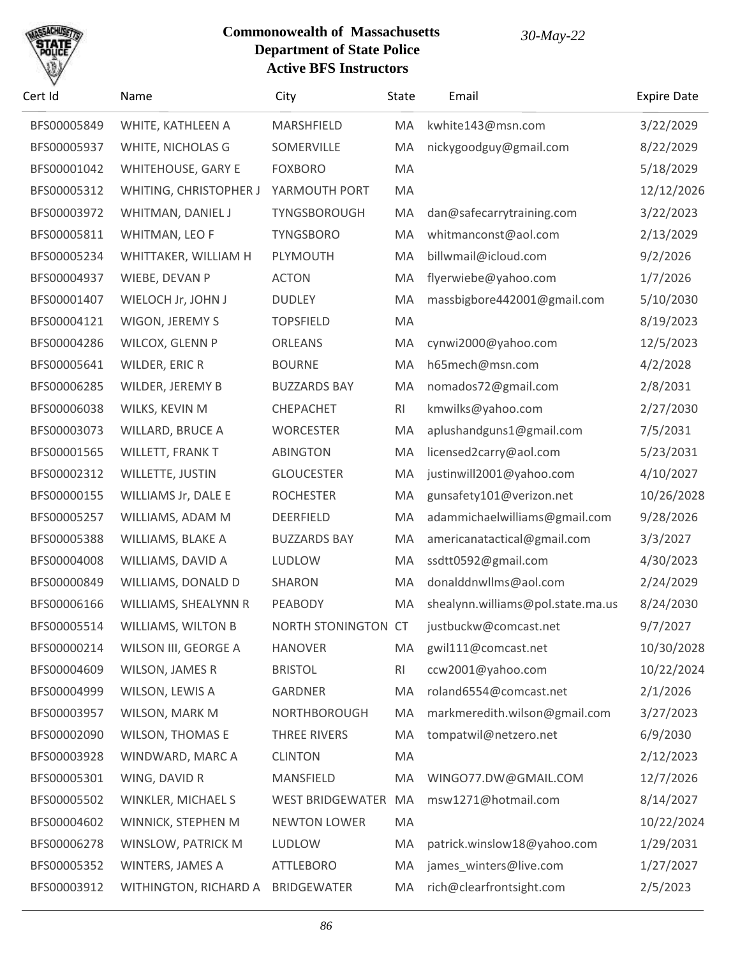

| Cert Id     | Name                      | City                    | State     | Email                             | <b>Expire Date</b> |
|-------------|---------------------------|-------------------------|-----------|-----------------------------------|--------------------|
| BFS00005849 | WHITE, KATHLEEN A         | MARSHFIELD              | MA        | kwhite143@msn.com                 | 3/22/2029          |
| BFS00005937 | WHITE, NICHOLAS G         | SOMERVILLE              | MA        | nickygoodguy@gmail.com            | 8/22/2029          |
| BFS00001042 | <b>WHITEHOUSE, GARY E</b> | <b>FOXBORO</b>          | MA        |                                   | 5/18/2029          |
| BFS00005312 | WHITING, CHRISTOPHER J    | YARMOUTH PORT           | MA        |                                   | 12/12/2026         |
| BFS00003972 | WHITMAN, DANIEL J         | TYNGSBOROUGH            | MA        | dan@safecarrytraining.com         | 3/22/2023          |
| BFS00005811 | WHITMAN, LEO F            | <b>TYNGSBORO</b>        | MA        | whitmanconst@aol.com              | 2/13/2029          |
| BFS00005234 | WHITTAKER, WILLIAM H      | PLYMOUTH                | MA        | billwmail@icloud.com              | 9/2/2026           |
| BFS00004937 | WIEBE, DEVAN P            | <b>ACTON</b>            | MA        | flyerwiebe@yahoo.com              | 1/7/2026           |
| BFS00001407 | WIELOCH Jr, JOHN J        | <b>DUDLEY</b>           | MA        | massbigbore442001@gmail.com       | 5/10/2030          |
| BFS00004121 | WIGON, JEREMY S           | <b>TOPSFIELD</b>        | MA        |                                   | 8/19/2023          |
| BFS00004286 | WILCOX, GLENN P           | <b>ORLEANS</b>          | MA        | cynwi2000@yahoo.com               | 12/5/2023          |
| BFS00005641 | WILDER, ERIC R            | <b>BOURNE</b>           | MA        | h65mech@msn.com                   | 4/2/2028           |
| BFS00006285 | WILDER, JEREMY B          | <b>BUZZARDS BAY</b>     | MA        | nomados72@gmail.com               | 2/8/2031           |
| BFS00006038 | WILKS, KEVIN M            | CHEPACHET               | RI        | kmwilks@yahoo.com                 | 2/27/2030          |
| BFS00003073 | WILLARD, BRUCE A          | <b>WORCESTER</b>        | MA        | aplushandguns1@gmail.com          | 7/5/2031           |
| BFS00001565 | WILLETT, FRANK T          | <b>ABINGTON</b>         | MA        | licensed2carry@aol.com            | 5/23/2031          |
| BFS00002312 | WILLETTE, JUSTIN          | <b>GLOUCESTER</b>       | MA        | justinwill2001@yahoo.com          | 4/10/2027          |
| BFS00000155 | WILLIAMS Jr, DALE E       | <b>ROCHESTER</b>        | MA        | gunsafety101@verizon.net          | 10/26/2028         |
| BFS00005257 | WILLIAMS, ADAM M          | DEERFIELD               | MA        | adammichaelwilliams@gmail.com     | 9/28/2026          |
| BFS00005388 | WILLIAMS, BLAKE A         | <b>BUZZARDS BAY</b>     | MA        | americanatactical@gmail.com       | 3/3/2027           |
| BFS00004008 | WILLIAMS, DAVID A         | LUDLOW                  | MA        | ssdtt0592@gmail.com               | 4/30/2023          |
| BFS00000849 | WILLIAMS, DONALD D        | SHARON                  | MA        | donalddnwllms@aol.com             | 2/24/2029          |
| BFS00006166 | WILLIAMS, SHEALYNN R      | PEABODY                 | MA        | shealynn.williams@pol.state.ma.us | 8/24/2030          |
| BFS00005514 | <b>WILLIAMS, WILTON B</b> | NORTH STONINGTON CT     |           | justbuckw@comcast.net             | 9/7/2027           |
| BFS00000214 | WILSON III, GEORGE A      | <b>HANOVER</b>          | MA        | gwil111@comcast.net               | 10/30/2028         |
| BFS00004609 | <b>WILSON, JAMES R</b>    | <b>BRISTOL</b>          | <b>RI</b> | ccw2001@yahoo.com                 | 10/22/2024         |
| BFS00004999 | WILSON, LEWIS A           | GARDNER                 | MA        | roland6554@comcast.net            | 2/1/2026           |
| BFS00003957 | WILSON, MARK M            | NORTHBOROUGH            | MA        | markmeredith.wilson@gmail.com     | 3/27/2023          |
| BFS00002090 | <b>WILSON, THOMAS E</b>   | THREE RIVERS            | MA        | tompatwil@netzero.net             | 6/9/2030           |
| BFS00003928 | WINDWARD, MARC A          | <b>CLINTON</b>          | MA        |                                   | 2/12/2023          |
| BFS00005301 | WING, DAVID R             | MANSFIELD               | MA        | WINGO77.DW@GMAIL.COM              | 12/7/2026          |
| BFS00005502 | WINKLER, MICHAEL S        | <b>WEST BRIDGEWATER</b> | MA        | msw1271@hotmail.com               | 8/14/2027          |
| BFS00004602 | WINNICK, STEPHEN M        | <b>NEWTON LOWER</b>     | MA        |                                   | 10/22/2024         |
| BFS00006278 | WINSLOW, PATRICK M        | LUDLOW                  | MA        | patrick.winslow18@yahoo.com       | 1/29/2031          |
| BFS00005352 | WINTERS, JAMES A          | <b>ATTLEBORO</b>        | MA        | james_winters@live.com            | 1/27/2027          |
| BFS00003912 | WITHINGTON, RICHARD A     | BRIDGEWATER             | MA        | rich@clearfrontsight.com          | 2/5/2023           |
|             |                           |                         |           |                                   |                    |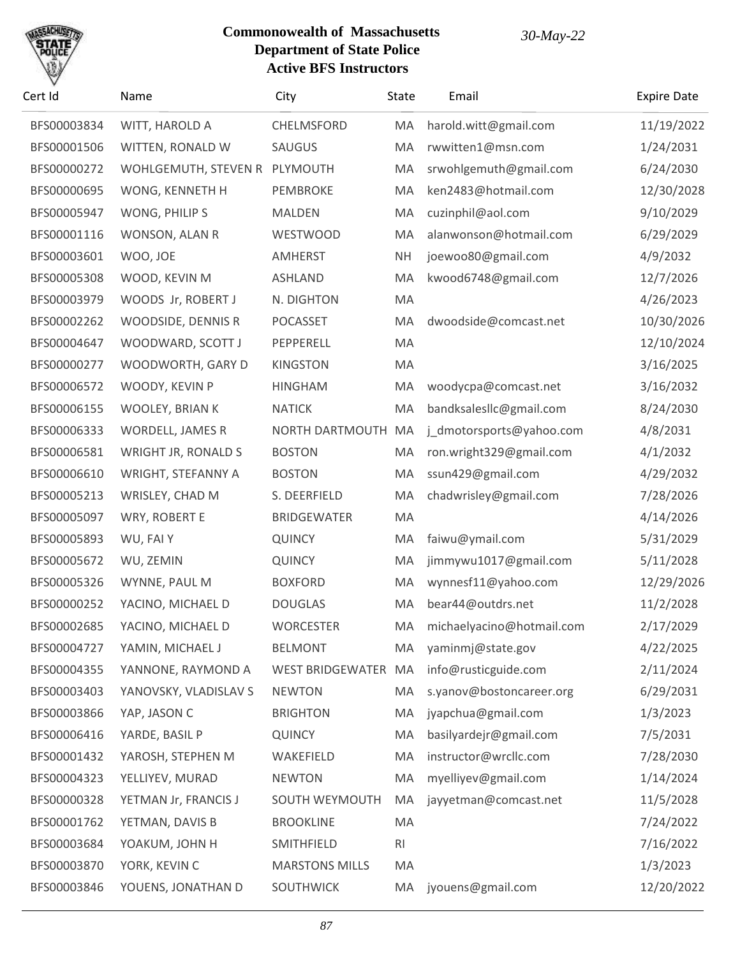

| Cert Id     | Name                          | City                  | State          | Email                     | <b>Expire Date</b> |
|-------------|-------------------------------|-----------------------|----------------|---------------------------|--------------------|
| BFS00003834 | WITT, HAROLD A                | CHELMSFORD            | MA             | harold.witt@gmail.com     | 11/19/2022         |
| BFS00001506 | WITTEN, RONALD W              | SAUGUS                | MA             | rwwitten1@msn.com         | 1/24/2031          |
| BFS00000272 | WOHLGEMUTH, STEVEN R PLYMOUTH |                       | MA             | srwohlgemuth@gmail.com    | 6/24/2030          |
| BFS00000695 | WONG, KENNETH H               | PEMBROKE              | MA             | ken2483@hotmail.com       | 12/30/2028         |
| BFS00005947 | WONG, PHILIP S                | <b>MALDEN</b>         | MA             | cuzinphil@aol.com         | 9/10/2029          |
| BFS00001116 | WONSON, ALAN R                | WESTWOOD              | MA             | alanwonson@hotmail.com    | 6/29/2029          |
| BFS00003601 | WOO, JOE                      | AMHERST               | <b>NH</b>      | joewoo80@gmail.com        | 4/9/2032           |
| BFS00005308 | WOOD, KEVIN M                 | <b>ASHLAND</b>        | MA             | kwood6748@gmail.com       | 12/7/2026          |
| BFS00003979 | WOODS Jr, ROBERT J            | N. DIGHTON            | MA             |                           | 4/26/2023          |
| BFS00002262 | WOODSIDE, DENNIS R            | <b>POCASSET</b>       | MA             | dwoodside@comcast.net     | 10/30/2026         |
| BFS00004647 | WOODWARD, SCOTT J             | PEPPERELL             | MA             |                           | 12/10/2024         |
| BFS00000277 | WOODWORTH, GARY D             | <b>KINGSTON</b>       | MA             |                           | 3/16/2025          |
| BFS00006572 | WOODY, KEVIN P                | <b>HINGHAM</b>        | MA             | woodycpa@comcast.net      | 3/16/2032          |
| BFS00006155 | WOOLEY, BRIAN K               | <b>NATICK</b>         | MA             | bandksalesllc@gmail.com   | 8/24/2030          |
| BFS00006333 | <b>WORDELL, JAMES R</b>       | NORTH DARTMOUTH       | MA             | j_dmotorsports@yahoo.com  | 4/8/2031           |
| BFS00006581 | WRIGHT JR, RONALD S           | <b>BOSTON</b>         | MA             | ron.wright329@gmail.com   | 4/1/2032           |
| BFS00006610 | WRIGHT, STEFANNY A            | <b>BOSTON</b>         | MA             | ssun429@gmail.com         | 4/29/2032          |
| BFS00005213 | WRISLEY, CHAD M               | S. DEERFIELD          | MA             | chadwrisley@gmail.com     | 7/28/2026          |
| BFS00005097 | WRY, ROBERT E                 | <b>BRIDGEWATER</b>    | MA             |                           | 4/14/2026          |
| BFS00005893 | WU, FAI Y                     | <b>QUINCY</b>         | MA             | faiwu@ymail.com           | 5/31/2029          |
| BFS00005672 | WU, ZEMIN                     | <b>QUINCY</b>         | MA             | jimmywu1017@gmail.com     | 5/11/2028          |
| BFS00005326 | WYNNE, PAUL M                 | <b>BOXFORD</b>        | MA             | wynnesf11@yahoo.com       | 12/29/2026         |
| BFS00000252 | YACINO, MICHAEL D             | <b>DOUGLAS</b>        | MA             | bear44@outdrs.net         | 11/2/2028          |
| BFS00002685 | YACINO, MICHAEL D             | <b>WORCESTER</b>      | MA             | michaelyacino@hotmail.com | 2/17/2029          |
| BFS00004727 | YAMIN, MICHAEL J              | <b>BELMONT</b>        | MA             | yaminmj@state.gov         | 4/22/2025          |
| BFS00004355 | YANNONE, RAYMOND A            | WEST BRIDGEWATER MA   |                | info@rusticguide.com      | 2/11/2024          |
| BFS00003403 | YANOVSKY, VLADISLAV S         | <b>NEWTON</b>         | MA             | s.yanov@bostoncareer.org  | 6/29/2031          |
| BFS00003866 | YAP, JASON C                  | <b>BRIGHTON</b>       | MA             | jyapchua@gmail.com        | 1/3/2023           |
| BFS00006416 | YARDE, BASIL P                | <b>QUINCY</b>         | MA             | basilyardejr@gmail.com    | 7/5/2031           |
| BFS00001432 | YAROSH, STEPHEN M             | WAKEFIELD             | MA             | instructor@wrcllc.com     | 7/28/2030          |
| BFS00004323 | YELLIYEV, MURAD               | <b>NEWTON</b>         | MA             | myelliyev@gmail.com       | 1/14/2024          |
| BFS00000328 | YETMAN Jr, FRANCIS J          | SOUTH WEYMOUTH        | MA             | jayyetman@comcast.net     | 11/5/2028          |
| BFS00001762 | YETMAN, DAVIS B               | <b>BROOKLINE</b>      | MA             |                           | 7/24/2022          |
| BFS00003684 | YOAKUM, JOHN H                | SMITHFIELD            | R <sub>l</sub> |                           | 7/16/2022          |
| BFS00003870 | YORK, KEVIN C                 | <b>MARSTONS MILLS</b> | MA             |                           | 1/3/2023           |
| BFS00003846 | YOUENS, JONATHAN D            | SOUTHWICK             | MA             | jyouens@gmail.com         | 12/20/2022         |
|             |                               |                       |                |                           |                    |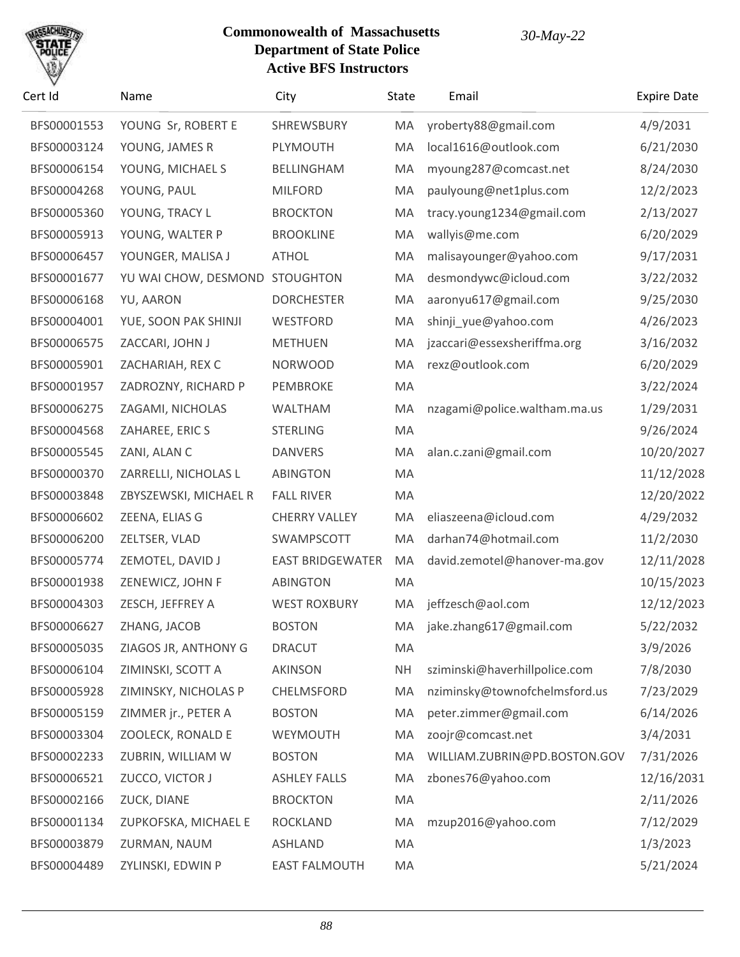

| Cert Id     | Name                  | City                    | State     | Email                         | <b>Expire Date</b> |
|-------------|-----------------------|-------------------------|-----------|-------------------------------|--------------------|
| BFS00001553 | YOUNG Sr, ROBERT E    | SHREWSBURY              | МA        | yroberty88@gmail.com          | 4/9/2031           |
| BFS00003124 | YOUNG, JAMES R        | PLYMOUTH                | MA        | local1616@outlook.com         | 6/21/2030          |
| BFS00006154 | YOUNG, MICHAEL S      | BELLINGHAM              | MA        | myoung287@comcast.net         | 8/24/2030          |
| BFS00004268 | YOUNG, PAUL           | <b>MILFORD</b>          | MA        | paulyoung@net1plus.com        | 12/2/2023          |
| BFS00005360 | YOUNG, TRACY L        | <b>BROCKTON</b>         | MA        | tracy.young1234@gmail.com     | 2/13/2027          |
| BFS00005913 | YOUNG, WALTER P       | <b>BROOKLINE</b>        | MA        | wallyis@me.com                | 6/20/2029          |
| BFS00006457 | YOUNGER, MALISA J     | <b>ATHOL</b>            | MA        | malisayounger@yahoo.com       | 9/17/2031          |
| BFS00001677 | YU WAI CHOW, DESMOND  | <b>STOUGHTON</b>        | MA        | desmondywc@icloud.com         | 3/22/2032          |
| BFS00006168 | YU, AARON             | <b>DORCHESTER</b>       | MA        | aaronyu617@gmail.com          | 9/25/2030          |
| BFS00004001 | YUE, SOON PAK SHINJI  | WESTFORD                | MA        | shinji_yue@yahoo.com          | 4/26/2023          |
| BFS00006575 | ZACCARI, JOHN J       | <b>METHUEN</b>          | MA        | jzaccari@essexsheriffma.org   | 3/16/2032          |
| BFS00005901 | ZACHARIAH, REX C      | <b>NORWOOD</b>          | MA        | rexz@outlook.com              | 6/20/2029          |
| BFS00001957 | ZADROZNY, RICHARD P   | PEMBROKE                | MA        |                               | 3/22/2024          |
| BFS00006275 | ZAGAMI, NICHOLAS      | WALTHAM                 | MA        | nzagami@police.waltham.ma.us  | 1/29/2031          |
| BFS00004568 | ZAHAREE, ERIC S       | <b>STERLING</b>         | MA        |                               | 9/26/2024          |
| BFS00005545 | ZANI, ALAN C          | <b>DANVERS</b>          | MA        | alan.c.zani@gmail.com         | 10/20/2027         |
| BFS00000370 | ZARRELLI, NICHOLAS L  | <b>ABINGTON</b>         | MA        |                               | 11/12/2028         |
| BFS00003848 | ZBYSZEWSKI, MICHAEL R | <b>FALL RIVER</b>       | MA        |                               | 12/20/2022         |
| BFS00006602 | ZEENA, ELIAS G        | <b>CHERRY VALLEY</b>    | MA        | eliaszeena@icloud.com         | 4/29/2032          |
| BFS00006200 | ZELTSER, VLAD         | SWAMPSCOTT              | MA        | darhan74@hotmail.com          | 11/2/2030          |
| BFS00005774 | ZEMOTEL, DAVID J      | <b>EAST BRIDGEWATER</b> | MA        | david.zemotel@hanover-ma.gov  | 12/11/2028         |
| BFS00001938 | ZENEWICZ, JOHN F      | <b>ABINGTON</b>         | MA        |                               | 10/15/2023         |
| BFS00004303 | ZESCH, JEFFREY A      | <b>WEST ROXBURY</b>     | MA        | jeffzesch@aol.com             | 12/12/2023         |
| BFS00006627 | ZHANG, JACOB          | <b>BOSTON</b>           |           | MA jake.zhang617@gmail.com    | 5/22/2032          |
| BFS00005035 | ZIAGOS JR, ANTHONY G  | <b>DRACUT</b>           | MA        |                               | 3/9/2026           |
| BFS00006104 | ZIMINSKI, SCOTT A     | <b>AKINSON</b>          | <b>NH</b> | sziminski@haverhillpolice.com | 7/8/2030           |
| BFS00005928 | ZIMINSKY, NICHOLAS P  | CHELMSFORD              | MA        | nziminsky@townofchelmsford.us | 7/23/2029          |
| BFS00005159 | ZIMMER jr., PETER A   | <b>BOSTON</b>           | MA        | peter.zimmer@gmail.com        | 6/14/2026          |
| BFS00003304 | ZOOLECK, RONALD E     | WEYMOUTH                | MA        | zoojr@comcast.net             | 3/4/2031           |
| BFS00002233 | ZUBRIN, WILLIAM W     | <b>BOSTON</b>           | MA        | WILLIAM.ZUBRIN@PD.BOSTON.GOV  | 7/31/2026          |
| BFS00006521 | ZUCCO, VICTOR J       | <b>ASHLEY FALLS</b>     | MA        | zbones76@yahoo.com            | 12/16/2031         |
| BFS00002166 | ZUCK, DIANE           | <b>BROCKTON</b>         | MA        |                               | 2/11/2026          |
| BFS00001134 | ZUPKOFSKA, MICHAEL E  | <b>ROCKLAND</b>         | MA        | mzup2016@yahoo.com            | 7/12/2029          |
| BFS00003879 | ZURMAN, NAUM          | <b>ASHLAND</b>          | MA        |                               | 1/3/2023           |
| BFS00004489 | ZYLINSKI, EDWIN P     | <b>EAST FALMOUTH</b>    | MA        |                               | 5/21/2024          |
|             |                       |                         |           |                               |                    |